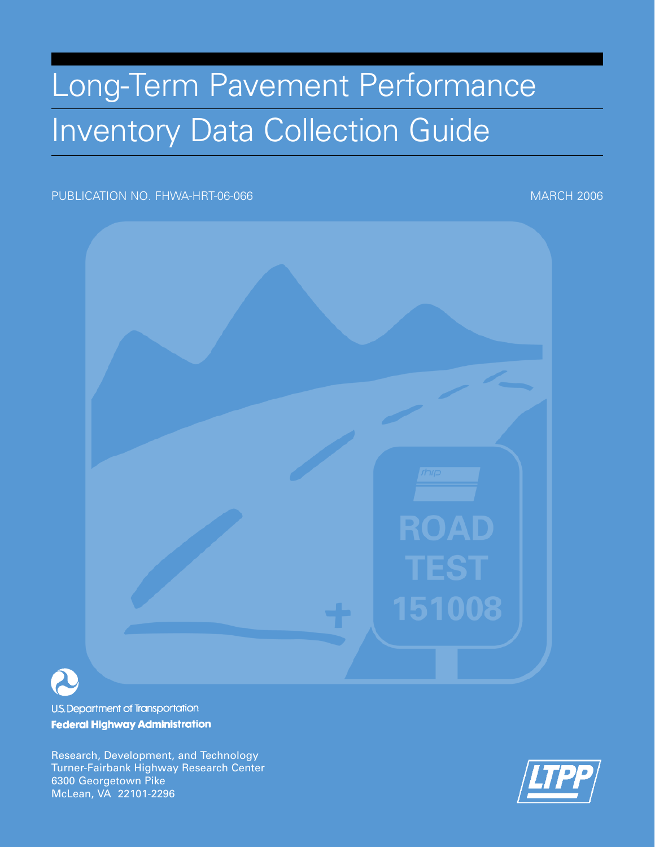# Long-Term Pavement Performance Inventory Data Collection Guide

## PUBLICATION NO. FHWA-HRT-06-066 MARCH 2006



U.S. Department of Transportation **Federal Highway Administration** 

Research, Development, and Technology Turner-Fairbank Highway Research Center 6300 Georgetown Pike McLean, VA 22101-2296

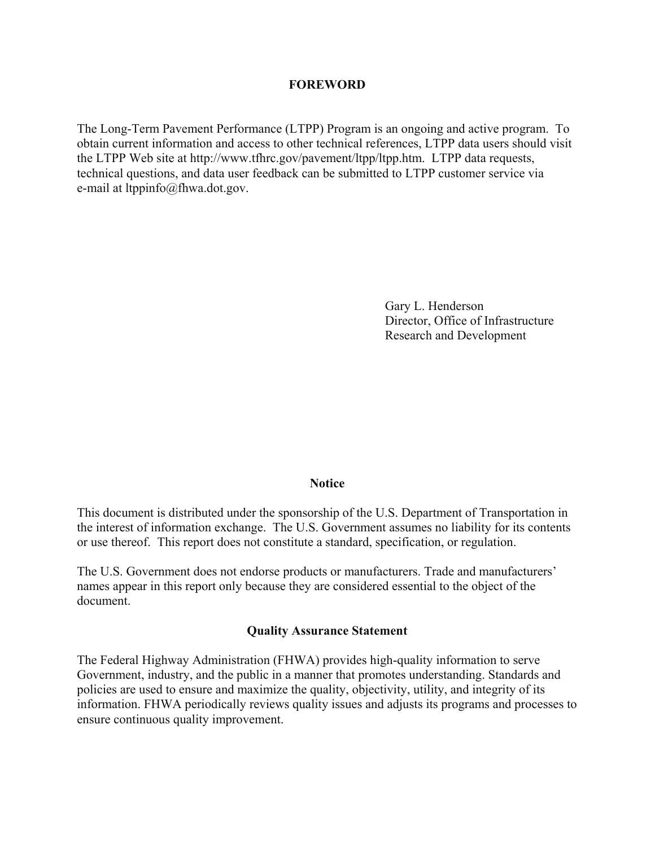#### **FOREWORD**

The Long-Term Pavement Performance (LTPP) Program is an ongoing and active program. To obtain current information and access to other technical references, LTPP data users should visit the LTPP Web site at http://www.tfhrc.gov/pavement/ltpp/ltpp.htm. LTPP data requests, technical questions, and data user feedback can be submitted to LTPP customer service via e-mail at ltppinfo@fhwa.dot.gov.

> Gary L. Henderson Director, Office of Infrastructure Research and Development

#### **Notice**

This document is distributed under the sponsorship of the U.S. Department of Transportation in the interest of information exchange. The U.S. Government assumes no liability for its contents or use thereof. This report does not constitute a standard, specification, or regulation.

The U.S. Government does not endorse products or manufacturers. Trade and manufacturers' names appear in this report only because they are considered essential to the object of the document.

#### **Quality Assurance Statement**

The Federal Highway Administration (FHWA) provides high-quality information to serve Government, industry, and the public in a manner that promotes understanding. Standards and policies are used to ensure and maximize the quality, objectivity, utility, and integrity of its information. FHWA periodically reviews quality issues and adjusts its programs and processes to ensure continuous quality improvement.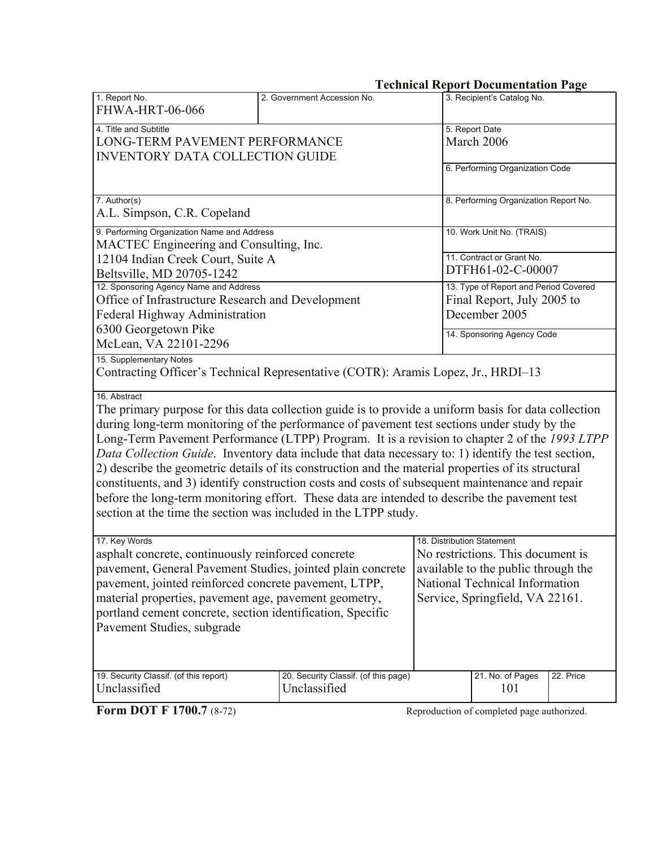# **Technical Report Documentation Page**

| 1. Report No.<br><b>FHWA-HRT-06-066</b>                                                                                                                                                                                                                                           | 2. Government Accession No.                                                                                                                                                                                                            | 3. Recipient's Catalog No.                                                                                                                                                                                                                                                                                                                                                                                                                                                                                                                                                                                                                                                                                             |  |  |  |
|-----------------------------------------------------------------------------------------------------------------------------------------------------------------------------------------------------------------------------------------------------------------------------------|----------------------------------------------------------------------------------------------------------------------------------------------------------------------------------------------------------------------------------------|------------------------------------------------------------------------------------------------------------------------------------------------------------------------------------------------------------------------------------------------------------------------------------------------------------------------------------------------------------------------------------------------------------------------------------------------------------------------------------------------------------------------------------------------------------------------------------------------------------------------------------------------------------------------------------------------------------------------|--|--|--|
| 4. Title and Subtitle<br>LONG-TERM PAVEMENT PERFORMANCE<br><b>INVENTORY DATA COLLECTION GUIDE</b>                                                                                                                                                                                 | 5. Report Date<br>March 2006                                                                                                                                                                                                           |                                                                                                                                                                                                                                                                                                                                                                                                                                                                                                                                                                                                                                                                                                                        |  |  |  |
|                                                                                                                                                                                                                                                                                   | 6. Performing Organization Code                                                                                                                                                                                                        |                                                                                                                                                                                                                                                                                                                                                                                                                                                                                                                                                                                                                                                                                                                        |  |  |  |
| 7. Author(s)<br>A.L. Simpson, C.R. Copeland                                                                                                                                                                                                                                       | 8. Performing Organization Report No.                                                                                                                                                                                                  |                                                                                                                                                                                                                                                                                                                                                                                                                                                                                                                                                                                                                                                                                                                        |  |  |  |
| 9. Performing Organization Name and Address<br>MACTEC Engineering and Consulting, Inc.                                                                                                                                                                                            |                                                                                                                                                                                                                                        | 10. Work Unit No. (TRAIS)                                                                                                                                                                                                                                                                                                                                                                                                                                                                                                                                                                                                                                                                                              |  |  |  |
| 12104 Indian Creek Court, Suite A<br>Beltsville, MD 20705-1242                                                                                                                                                                                                                    | 11. Contract or Grant No.<br>DTFH61-02-C-00007                                                                                                                                                                                         |                                                                                                                                                                                                                                                                                                                                                                                                                                                                                                                                                                                                                                                                                                                        |  |  |  |
| 12. Sponsoring Agency Name and Address<br>Office of Infrastructure Research and Development<br>Federal Highway Administration                                                                                                                                                     | 13. Type of Report and Period Covered<br>Final Report, July 2005 to<br>December 2005                                                                                                                                                   |                                                                                                                                                                                                                                                                                                                                                                                                                                                                                                                                                                                                                                                                                                                        |  |  |  |
| 6300 Georgetown Pike<br>McLean, VA 22101-2296                                                                                                                                                                                                                                     | 14. Sponsoring Agency Code                                                                                                                                                                                                             |                                                                                                                                                                                                                                                                                                                                                                                                                                                                                                                                                                                                                                                                                                                        |  |  |  |
| 15. Supplementary Notes                                                                                                                                                                                                                                                           | Contracting Officer's Technical Representative (COTR): Aramis Lopez, Jr., HRDI-13                                                                                                                                                      |                                                                                                                                                                                                                                                                                                                                                                                                                                                                                                                                                                                                                                                                                                                        |  |  |  |
| 16. Abstract<br>section at the time the section was included in the LTPP study.                                                                                                                                                                                                   |                                                                                                                                                                                                                                        | The primary purpose for this data collection guide is to provide a uniform basis for data collection<br>during long-term monitoring of the performance of pavement test sections under study by the<br>Long-Term Pavement Performance (LTPP) Program. It is a revision to chapter 2 of the 1993 LTPP<br>Data Collection Guide. Inventory data include that data necessary to: 1) identify the test section,<br>2) describe the geometric details of its construction and the material properties of its structural<br>constituents, and 3) identify construction costs and costs of subsequent maintenance and repair<br>before the long-term monitoring effort. These data are intended to describe the pavement test |  |  |  |
| 17. Key Words<br>asphalt concrete, continuously reinforced concrete<br>pavement, jointed reinforced concrete pavement, LTPP,<br>material properties, pavement age, pavement geometry,<br>portland cement concrete, section identification, Specific<br>Pavement Studies, subgrade | 18. Distribution Statement<br>No restrictions. This document is<br>pavement, General Pavement Studies, jointed plain concrete available to the public through the<br>National Technical Information<br>Service, Springfield, VA 22161. |                                                                                                                                                                                                                                                                                                                                                                                                                                                                                                                                                                                                                                                                                                                        |  |  |  |
| 19. Security Classif. (of this report)<br>Unclassified                                                                                                                                                                                                                            | 20. Security Classif. (of this page)<br>Unclassified                                                                                                                                                                                   | 21. No. of Pages<br>22. Price<br>101                                                                                                                                                                                                                                                                                                                                                                                                                                                                                                                                                                                                                                                                                   |  |  |  |
| <b>Form DOT F 1700.7 (8-72)</b>                                                                                                                                                                                                                                                   |                                                                                                                                                                                                                                        | Reproduction of completed page authorized.                                                                                                                                                                                                                                                                                                                                                                                                                                                                                                                                                                                                                                                                             |  |  |  |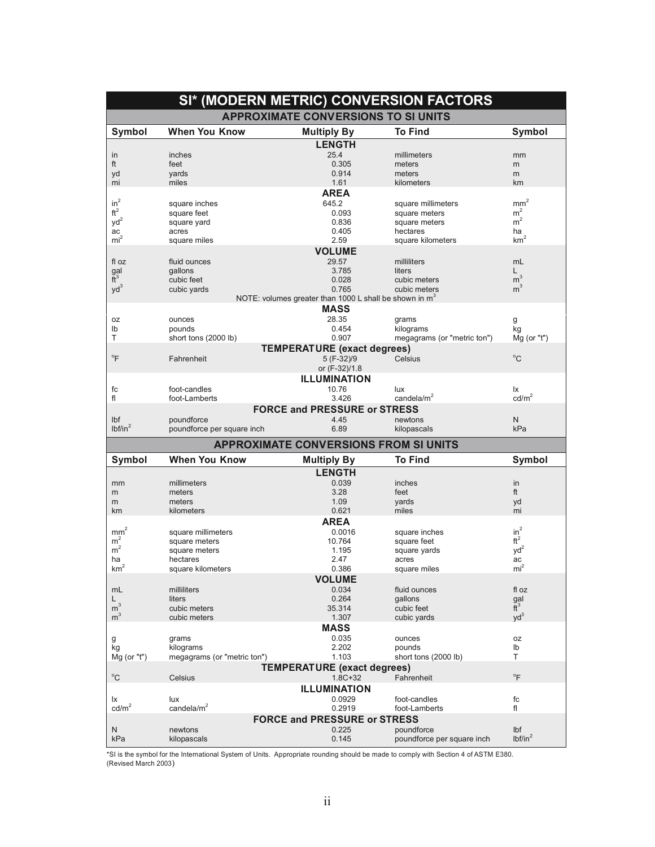|                      |                              |                                                                    | SI* (MODERN METRIC) CONVERSION FACTORS |                            |
|----------------------|------------------------------|--------------------------------------------------------------------|----------------------------------------|----------------------------|
|                      |                              | <b>APPROXIMATE CONVERSIONS TO SI UNITS</b>                         |                                        |                            |
| Symbol               | <b>When You Know</b>         | <b>Multiply By</b>                                                 | <b>To Find</b>                         | Symbol                     |
|                      |                              | <b>LENGTH</b>                                                      |                                        |                            |
| in<br>ft             | inches<br>feet               | 25.4<br>0.305                                                      | millimeters<br>meters                  | mm<br>m                    |
| yd                   | yards                        | 0.914                                                              | meters                                 | m                          |
| mi                   | miles                        | 1.61                                                               | kilometers                             | km                         |
|                      |                              | <b>AREA</b>                                                        |                                        |                            |
| $in^2$               | square inches                | 645.2                                                              | square millimeters                     | $\text{mm}^2$              |
| $\mathrm{ft}^2$      | square feet                  | 0.093                                                              | square meters                          | m <sup>2</sup>             |
| $yd^2$               | square yard                  | 0.836                                                              | square meters                          | $m^2$                      |
| ac                   | acres                        | 0.405                                                              | hectares                               | ha                         |
| $mi^2$               | square miles                 | 2.59                                                               | square kilometers                      | km <sup>2</sup>            |
|                      |                              | <b>VOLUME</b>                                                      |                                        |                            |
| fl oz                | fluid ounces                 | 29.57                                                              | milliliters                            | mL                         |
| gal<br>$\tilde{t}^3$ | gallons<br>cubic feet        | 3.785<br>0.028                                                     | liters<br>cubic meters                 | L<br>m <sup>3</sup>        |
| $yd^3$               | cubic yards                  | 0.765                                                              | cubic meters                           | m <sup>3</sup>             |
|                      |                              | NOTE: volumes greater than 1000 L shall be shown in m <sup>3</sup> |                                        |                            |
|                      |                              | <b>MASS</b>                                                        |                                        |                            |
| 0Z                   | ounces                       | 28.35                                                              | grams                                  | g                          |
| lb                   | pounds                       | 0.454                                                              | kilograms                              | kg                         |
| Т                    | short tons (2000 lb)         | 0.907                                                              | megagrams (or "metric ton")            | $Mq$ (or "t")              |
|                      |                              | <b>TEMPERATURE (exact degrees)</b>                                 |                                        |                            |
| $\mathrm{P}$         | Fahrenheit                   | 5 (F-32)/9                                                         | Celsius                                | $^{\circ}C$                |
|                      |                              | or (F-32)/1.8                                                      |                                        |                            |
|                      |                              | <b>ILLUMINATION</b>                                                |                                        |                            |
| fc                   | foot-candles                 | 10.76                                                              | lux                                    | lχ                         |
| fl                   | foot-Lamberts                | 3.426                                                              | candela/ $m2$                          | $\text{cd/m}^2$            |
|                      |                              | <b>FORCE and PRESSURE or STRESS</b>                                |                                        |                            |
| Ibf                  | poundforce                   | 4.45                                                               | newtons                                | N                          |
| 1 <sup>2</sup>       | poundforce per square inch   | 6.89                                                               | kilopascals                            | kPa                        |
|                      |                              | <b>APPROXIMATE CONVERSIONS FROM SI UNITS</b>                       |                                        |                            |
| Symbol               | <b>When You Know</b>         | <b>Multiply By</b>                                                 | <b>To Find</b>                         | Symbol                     |
|                      |                              | <b>LENGTH</b>                                                      |                                        |                            |
| mm                   | millimeters                  | 0.039                                                              | inches                                 |                            |
| m                    |                              |                                                                    |                                        | in                         |
|                      | meters                       | 3.28                                                               | feet                                   | ft                         |
| m                    | meters                       | 1.09                                                               | yards                                  | yd                         |
| km                   | kilometers                   | 0.621                                                              | miles                                  | mi                         |
|                      |                              | <b>AREA</b>                                                        |                                        |                            |
| mm <sup>2</sup>      | square millimeters           | 0.0016                                                             | square inches                          | $in^2$                     |
| m <sup>2</sup>       | square meters                | 10.764                                                             | square feet                            | ft <sup>2</sup>            |
| m <sup>2</sup>       | square meters                | 1.195                                                              | square yards                           | $yd^2$                     |
| ha                   | hectares                     | 2.47                                                               | acres                                  | ac                         |
| km <sup>2</sup>      | square kilometers            | 0.386                                                              | square miles                           | mi <sup>2</sup>            |
|                      |                              | <b>VOLUME</b>                                                      |                                        |                            |
| mL                   | milliliters                  | 0.034                                                              | fluid ounces                           | fl oz                      |
| L.                   | liters                       | 0.264                                                              | gallons                                | gal                        |
| m <sup>3</sup>       | cubic meters<br>cubic meters | 35.314                                                             | cubic feet                             | $\tilde{t}^3$              |
| m <sup>3</sup>       |                              | 1.307                                                              | cubic yards                            | $yd^3$                     |
|                      |                              | <b>MASS</b>                                                        |                                        |                            |
| g<br>kg              | grams<br>kilograms           | 0.035<br>2.202                                                     | ounces<br>pounds                       | 0Z<br>Ib                   |
| $Mg$ (or "t")        | megagrams (or "metric ton")  | 1.103                                                              | short tons (2000 lb)                   | Τ                          |
|                      |                              |                                                                    |                                        |                            |
| $^{\circ} \text{C}$  | Celsius                      | <b>TEMPERATURE (exact degrees)</b><br>$1.8C + 32$                  | Fahrenheit                             | $\mathrm{P}^{\circ}$       |
|                      |                              | <b>ILLUMINATION</b>                                                |                                        |                            |
| lx                   | lux                          | 0.0929                                                             | foot-candles                           | fc                         |
| $\text{cd/m}^2$      | candela/ $m2$                | 0.2919                                                             | foot-Lamberts                          | fl                         |
|                      |                              | <b>FORCE and PRESSURE or STRESS</b>                                |                                        |                            |
| N                    | newtons                      | 0.225                                                              | poundforce                             | Ibf<br>lbf/in <sup>2</sup> |

\*SI is the symbol for the International System of Units. Appropriate rounding should be made to comply with Section 4 of ASTM E380.<br>(Revised March 2003)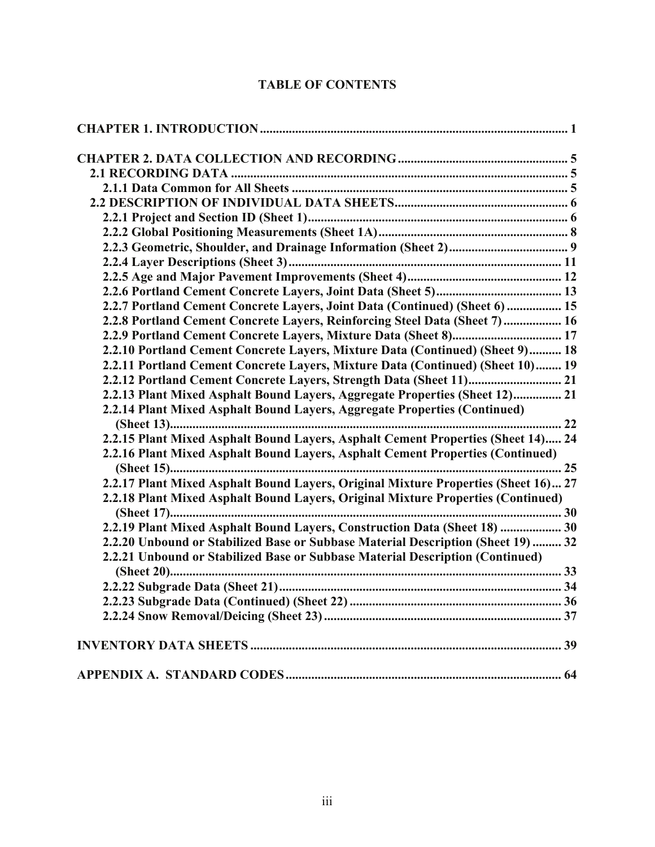# **TABLE OF CONTENTS**

| 2.2.7 Portland Cement Concrete Layers, Joint Data (Continued) (Sheet 6)  15        |
|------------------------------------------------------------------------------------|
| 2.2.8 Portland Cement Concrete Layers, Reinforcing Steel Data (Sheet 7)  16        |
|                                                                                    |
| 2.2.10 Portland Cement Concrete Layers, Mixture Data (Continued) (Sheet 9) 18      |
| 2.2.11 Portland Cement Concrete Layers, Mixture Data (Continued) (Sheet 10) 19     |
|                                                                                    |
| 2.2.13 Plant Mixed Asphalt Bound Layers, Aggregate Properties (Sheet 12) 21        |
| 2.2.14 Plant Mixed Asphalt Bound Layers, Aggregate Properties (Continued)          |
|                                                                                    |
| 2.2.15 Plant Mixed Asphalt Bound Layers, Asphalt Cement Properties (Sheet 14) 24   |
| 2.2.16 Plant Mixed Asphalt Bound Layers, Asphalt Cement Properties (Continued)     |
|                                                                                    |
| 2.2.17 Plant Mixed Asphalt Bound Layers, Original Mixture Properties (Sheet 16) 27 |
| 2.2.18 Plant Mixed Asphalt Bound Layers, Original Mixture Properties (Continued)   |
|                                                                                    |
| 2.2.19 Plant Mixed Asphalt Bound Layers, Construction Data (Sheet 18)  30          |
| 2.2.20 Unbound or Stabilized Base or Subbase Material Description (Sheet 19)  32   |
| 2.2.21 Unbound or Stabilized Base or Subbase Material Description (Continued)      |
|                                                                                    |
|                                                                                    |
|                                                                                    |
|                                                                                    |
|                                                                                    |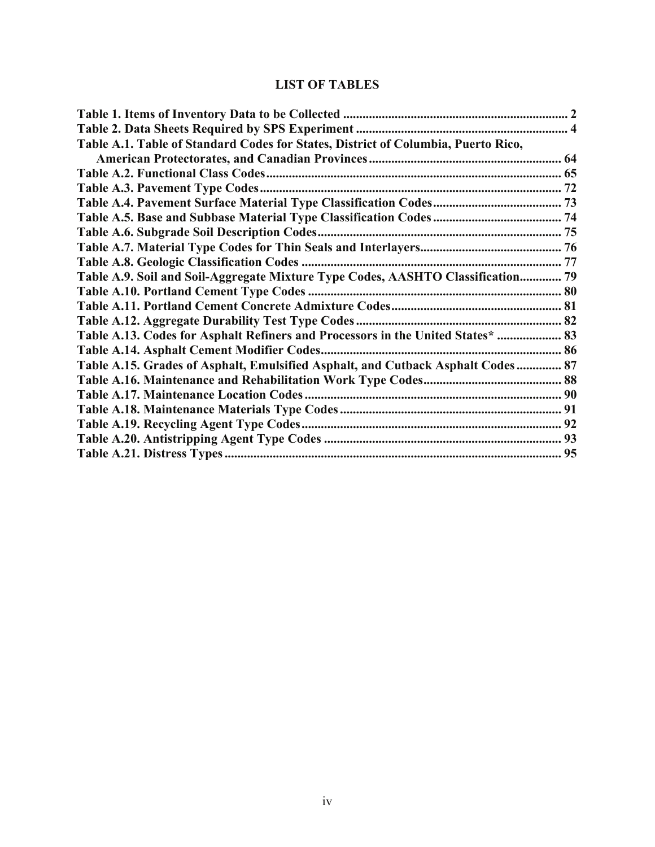# **LIST OF TABLES**

| Table A.1. Table of Standard Codes for States, District of Columbia, Puerto Rico, |  |
|-----------------------------------------------------------------------------------|--|
|                                                                                   |  |
|                                                                                   |  |
|                                                                                   |  |
|                                                                                   |  |
|                                                                                   |  |
|                                                                                   |  |
|                                                                                   |  |
|                                                                                   |  |
| Table A.9. Soil and Soil-Aggregate Mixture Type Codes, AASHTO Classification 79   |  |
|                                                                                   |  |
|                                                                                   |  |
|                                                                                   |  |
| Table A.13. Codes for Asphalt Refiners and Processors in the United States*  83   |  |
|                                                                                   |  |
| Table A.15. Grades of Asphalt, Emulsified Asphalt, and Cutback Asphalt Codes 87   |  |
|                                                                                   |  |
|                                                                                   |  |
|                                                                                   |  |
|                                                                                   |  |
|                                                                                   |  |
|                                                                                   |  |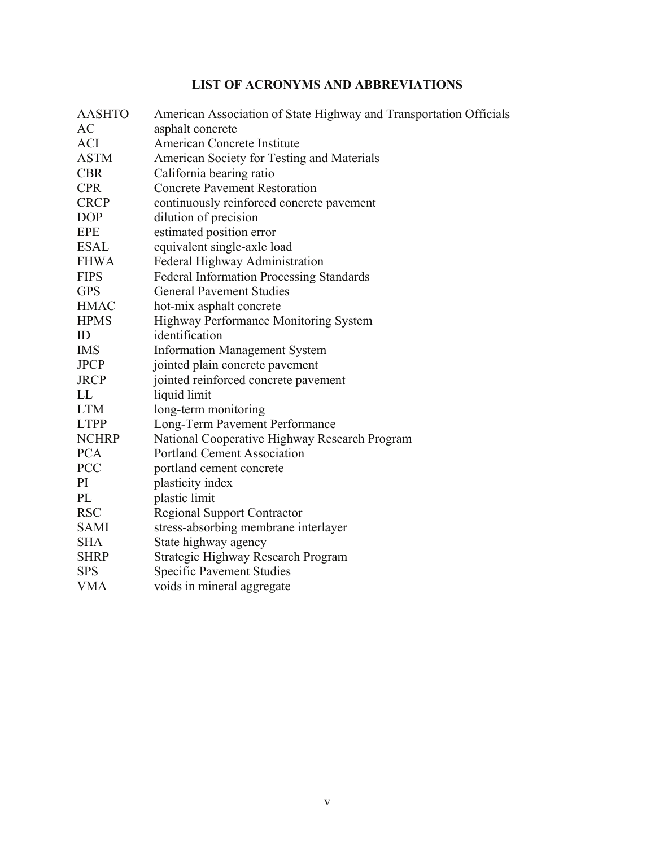# **LIST OF ACRONYMS AND ABBREVIATIONS**

| <b>AASHTO</b> | American Association of State Highway and Transportation Officials |
|---------------|--------------------------------------------------------------------|
| AC            | asphalt concrete                                                   |
| <b>ACI</b>    | American Concrete Institute                                        |
| <b>ASTM</b>   | American Society for Testing and Materials                         |
| <b>CBR</b>    | California bearing ratio                                           |
| <b>CPR</b>    | <b>Concrete Pavement Restoration</b>                               |
| <b>CRCP</b>   | continuously reinforced concrete pavement                          |
| <b>DOP</b>    | dilution of precision                                              |
| <b>EPE</b>    | estimated position error                                           |
| <b>ESAL</b>   | equivalent single-axle load                                        |
| <b>FHWA</b>   | Federal Highway Administration                                     |
| <b>FIPS</b>   | <b>Federal Information Processing Standards</b>                    |
| <b>GPS</b>    | <b>General Pavement Studies</b>                                    |
| <b>HMAC</b>   | hot-mix asphalt concrete                                           |
| <b>HPMS</b>   | <b>Highway Performance Monitoring System</b>                       |
| ID            | identification                                                     |
| <b>IMS</b>    | <b>Information Management System</b>                               |
| <b>JPCP</b>   | jointed plain concrete pavement                                    |
| <b>JRCP</b>   | jointed reinforced concrete pavement                               |
| LL            | liquid limit                                                       |
| <b>LTM</b>    | long-term monitoring                                               |
| <b>LTPP</b>   | Long-Term Pavement Performance                                     |
| <b>NCHRP</b>  | National Cooperative Highway Research Program                      |
| <b>PCA</b>    | <b>Portland Cement Association</b>                                 |
| <b>PCC</b>    | portland cement concrete                                           |
| PI            | plasticity index                                                   |
| PL            | plastic limit                                                      |
| <b>RSC</b>    | <b>Regional Support Contractor</b>                                 |
| <b>SAMI</b>   | stress-absorbing membrane interlayer                               |
| <b>SHA</b>    | State highway agency                                               |
| <b>SHRP</b>   | Strategic Highway Research Program                                 |
| <b>SPS</b>    | <b>Specific Pavement Studies</b>                                   |
| <b>VMA</b>    | voids in mineral aggregate                                         |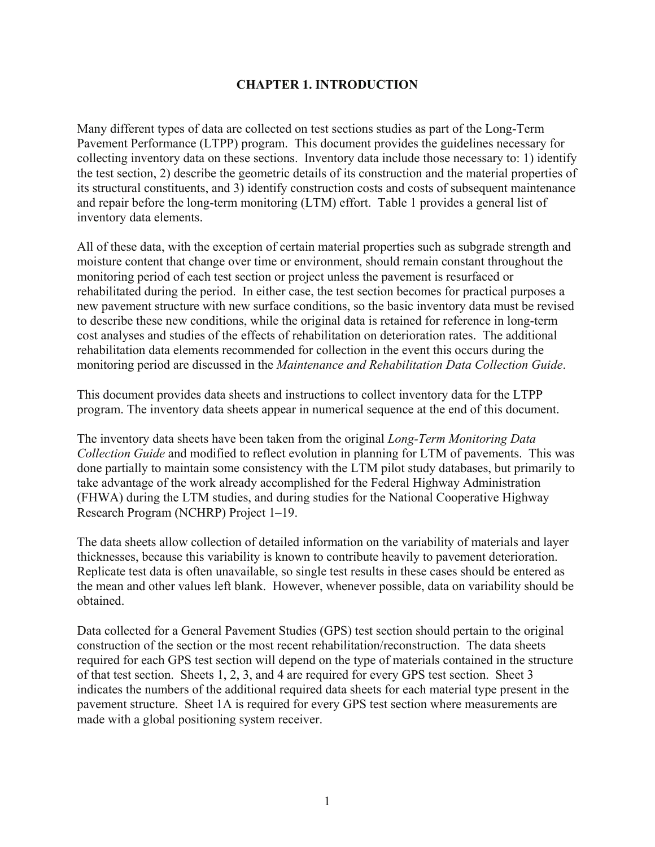# **CHAPTER 1. INTRODUCTION**

<span id="page-8-0"></span>Many different types of data are collected on test sections studies as part of the Long-Term Pavement Performance (LTPP) program. This document provides the guidelines necessary for collecting inventory data on these sections. Inventory data include those necessary to: 1) identify the test section, 2) describe the geometric details of its construction and the material properties of its structural constituents, and 3) identify construction costs and costs of subsequent maintenance and repair before the long-term monitoring (LTM) effort. Table 1 provides a general list of inventory data elements.

All of these data, with the exception of certain material properties such as subgrade strength and moisture content that change over time or environment, should remain constant throughout the monitoring period of each test section or project unless the pavement is resurfaced or rehabilitated during the period. In either case, the test section becomes for practical purposes a new pavement structure with new surface conditions, so the basic inventory data must be revised to describe these new conditions, while the original data is retained for reference in long-term cost analyses and studies of the effects of rehabilitation on deterioration rates. The additional rehabilitation data elements recommended for collection in the event this occurs during the monitoring period are discussed in the *Maintenance and Rehabilitation Data Collection Guide*.

This document provides data sheets and instructions to collect inventory data for the LTPP program. The inventory data sheets appear in numerical sequence at the end of this document.

The inventory data sheets have been taken from the original *Long-Term Monitoring Data Collection Guide* and modified to reflect evolution in planning for LTM of pavements. This was done partially to maintain some consistency with the LTM pilot study databases, but primarily to take advantage of the work already accomplished for the Federal Highway Administration (FHWA) during the LTM studies, and during studies for the National Cooperative Highway Research Program (NCHRP) Project 1–19.

The data sheets allow collection of detailed information on the variability of materials and layer thicknesses, because this variability is known to contribute heavily to pavement deterioration. Replicate test data is often unavailable, so single test results in these cases should be entered as the mean and other values left blank. However, whenever possible, data on variability should be obtained.

Data collected for a General Pavement Studies (GPS) test section should pertain to the original construction of the section or the most recent rehabilitation/reconstruction. The data sheets required for each GPS test section will depend on the type of materials contained in the structure of that test section. Sheets 1, 2, 3, and 4 are required for every GPS test section. Sheet 3 indicates the numbers of the additional required data sheets for each material type present in the pavement structure. Sheet 1A is required for every GPS test section where measurements are made with a global positioning system receiver.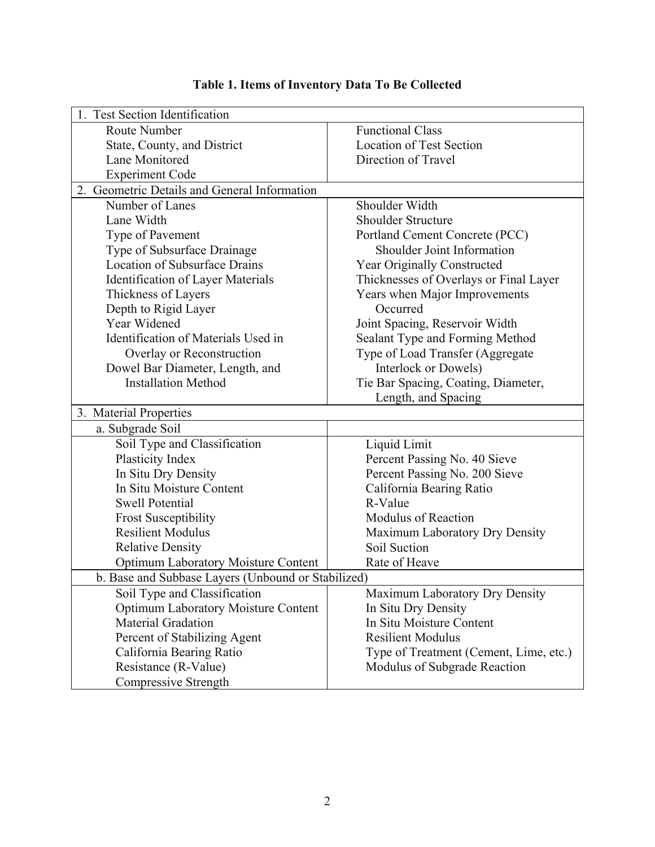<span id="page-9-0"></span>

| <b>Test Section Identification</b>                 |                                        |
|----------------------------------------------------|----------------------------------------|
| Route Number                                       | <b>Functional Class</b>                |
| State, County, and District                        | <b>Location of Test Section</b>        |
| Lane Monitored                                     | Direction of Travel                    |
| <b>Experiment Code</b>                             |                                        |
| 2. Geometric Details and General Information       |                                        |
| Number of Lanes                                    | Shoulder Width                         |
| Lane Width                                         | <b>Shoulder Structure</b>              |
| Type of Pavement                                   | Portland Cement Concrete (PCC)         |
| Type of Subsurface Drainage                        | Shoulder Joint Information             |
| <b>Location of Subsurface Drains</b>               | Year Originally Constructed            |
| <b>Identification of Layer Materials</b>           | Thicknesses of Overlays or Final Layer |
| Thickness of Layers                                | Years when Major Improvements          |
| Depth to Rigid Layer                               | Occurred                               |
| Year Widened                                       | Joint Spacing, Reservoir Width         |
| Identification of Materials Used in                | Sealant Type and Forming Method        |
| Overlay or Reconstruction                          | Type of Load Transfer (Aggregate       |
| Dowel Bar Diameter, Length, and                    | Interlock or Dowels)                   |
| <b>Installation Method</b>                         | Tie Bar Spacing, Coating, Diameter,    |
|                                                    | Length, and Spacing                    |
| 3. Material Properties                             |                                        |
| a. Subgrade Soil                                   |                                        |
| Soil Type and Classification                       | Liquid Limit                           |
| Plasticity Index                                   | Percent Passing No. 40 Sieve           |
| In Situ Dry Density                                | Percent Passing No. 200 Sieve          |
| In Situ Moisture Content                           | California Bearing Ratio               |
| <b>Swell Potential</b>                             | R-Value                                |
| <b>Frost Susceptibility</b>                        | <b>Modulus of Reaction</b>             |
| <b>Resilient Modulus</b>                           | Maximum Laboratory Dry Density         |
| <b>Relative Density</b>                            | Soil Suction                           |
| <b>Optimum Laboratory Moisture Content</b>         | Rate of Heave                          |
| b. Base and Subbase Layers (Unbound or Stabilized) |                                        |
| Soil Type and Classification                       | Maximum Laboratory Dry Density         |
| <b>Optimum Laboratory Moisture Content</b>         | In Situ Dry Density                    |
| <b>Material Gradation</b>                          | In Situ Moisture Content               |
| Percent of Stabilizing Agent                       | <b>Resilient Modulus</b>               |
| California Bearing Ratio                           | Type of Treatment (Cement, Lime, etc.) |
| Resistance (R-Value)                               | Modulus of Subgrade Reaction           |
| Compressive Strength                               |                                        |

# **Table 1. Items of Inventory Data To Be Collected**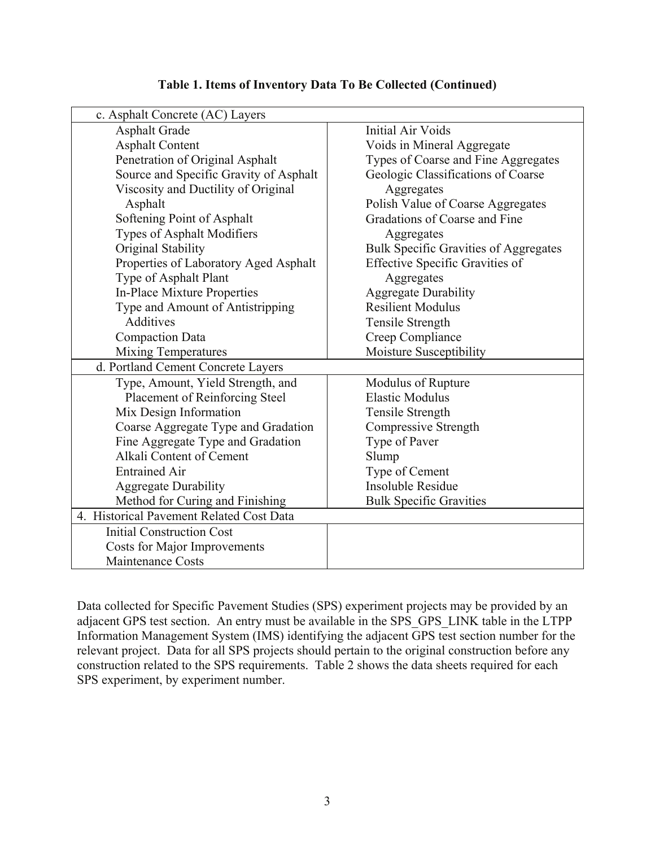| c. Asphalt Concrete (AC) Layers          |                                              |
|------------------------------------------|----------------------------------------------|
| <b>Asphalt Grade</b>                     | <b>Initial Air Voids</b>                     |
| <b>Asphalt Content</b>                   | Voids in Mineral Aggregate                   |
| Penetration of Original Asphalt          | Types of Coarse and Fine Aggregates          |
| Source and Specific Gravity of Asphalt   | Geologic Classifications of Coarse           |
| Viscosity and Ductility of Original      | Aggregates                                   |
| Asphalt                                  | Polish Value of Coarse Aggregates            |
| Softening Point of Asphalt               | Gradations of Coarse and Fine                |
| <b>Types of Asphalt Modifiers</b>        | Aggregates                                   |
| Original Stability                       | <b>Bulk Specific Gravities of Aggregates</b> |
| Properties of Laboratory Aged Asphalt    | <b>Effective Specific Gravities of</b>       |
| Type of Asphalt Plant                    | Aggregates                                   |
| In-Place Mixture Properties              | <b>Aggregate Durability</b>                  |
| Type and Amount of Antistripping         | <b>Resilient Modulus</b>                     |
| Additives                                | Tensile Strength                             |
| <b>Compaction Data</b>                   | Creep Compliance                             |
| <b>Mixing Temperatures</b>               | Moisture Susceptibility                      |
| d. Portland Cement Concrete Layers       |                                              |
| Type, Amount, Yield Strength, and        | Modulus of Rupture                           |
| <b>Placement of Reinforcing Steel</b>    | <b>Elastic Modulus</b>                       |
| Mix Design Information                   | Tensile Strength                             |
| Coarse Aggregate Type and Gradation      | Compressive Strength                         |
| Fine Aggregate Type and Gradation        | Type of Paver                                |
| Alkali Content of Cement                 | Slump                                        |
| <b>Entrained Air</b>                     | Type of Cement                               |
| <b>Aggregate Durability</b>              | <b>Insoluble Residue</b>                     |
| Method for Curing and Finishing          | <b>Bulk Specific Gravities</b>               |
| 4. Historical Pavement Related Cost Data |                                              |
| <b>Initial Construction Cost</b>         |                                              |
| <b>Costs for Major Improvements</b>      |                                              |
| <b>Maintenance Costs</b>                 |                                              |

#### **Table 1. Items of Inventory Data To Be Collected (Continued)**

Data collected for Specific Pavement Studies (SPS) experiment projects may be provided by an adjacent GPS test section. An entry must be available in the SPS\_GPS\_LINK table in the LTPP Information Management System (IMS) identifying the adjacent GPS test section number for the relevant project. Data for all SPS projects should pertain to the original construction before any construction related to the SPS requirements. Table 2 shows the data sheets required for each SPS experiment, by experiment number.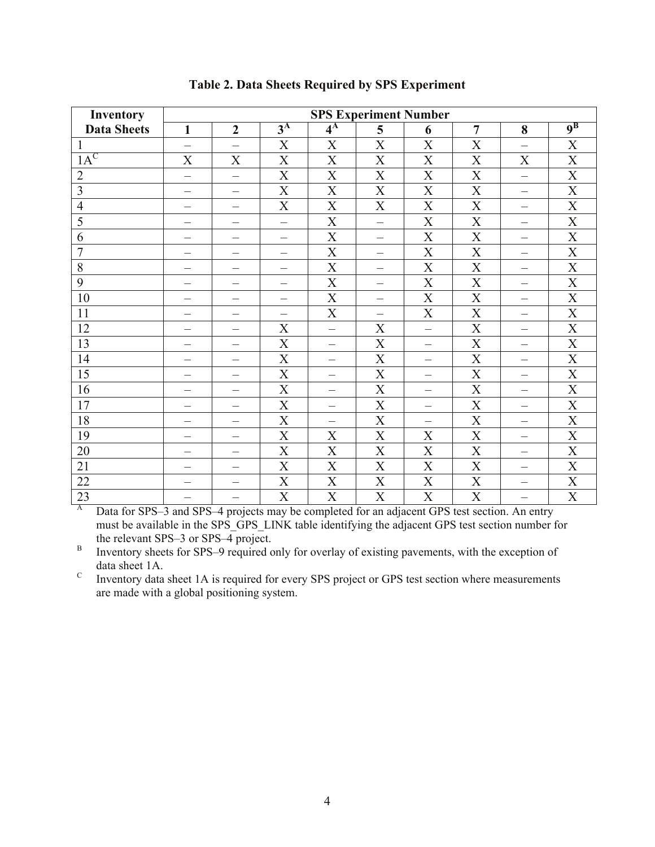<span id="page-11-0"></span>

| <b>Inventory</b>   | <b>SPS Experiment Number</b>    |                                 |                                 |                           |                          |                          |                       |                                 |                           |
|--------------------|---------------------------------|---------------------------------|---------------------------------|---------------------------|--------------------------|--------------------------|-----------------------|---------------------------------|---------------------------|
| <b>Data Sheets</b> | $\mathbf{1}$                    | $\boldsymbol{2}$                | $3^{\rm A}$                     | $4^{\rm A}$               | 5                        | 6                        | $\overline{7}$        | 8                               | $9^{\rm B}$               |
| $\mathbf{1}$       |                                 |                                 | X                               | X                         | X                        | $\boldsymbol{X}$         | X                     |                                 | X                         |
| $1A^C$             | $\overline{X}$                  | X                               | X                               | X                         | X                        | X                        | X                     | X                               | $\boldsymbol{\mathrm{X}}$ |
| $\overline{2}$     | $\overline{\phantom{0}}$        | $\equiv$                        | X                               | X                         | X                        | X                        | X                     | $\overline{\phantom{0}}$        | $\boldsymbol{\mathrm{X}}$ |
| 3                  | $\overbrace{\phantom{1232211}}$ | —                               | X                               | $\mathbf X$               | X                        | $\boldsymbol{X}$         | $\mathbf X$           | $\overbrace{\phantom{1232211}}$ | $\mathbf X$               |
| $\overline{4}$     |                                 | $\qquad \qquad -$               | X                               | X                         | X                        | X                        | X                     |                                 | $\boldsymbol{\mathrm{X}}$ |
| $\overline{5}$     |                                 | $\overline{\phantom{0}}$        | $\overline{\phantom{0}}$        | X                         | $\overline{\phantom{0}}$ | X                        | $\overline{\text{X}}$ | —                               | $\overline{\text{X}}$     |
| 6                  | -                               | $\overline{\phantom{0}}$        |                                 | X                         | $\overline{\phantom{0}}$ | $\boldsymbol{X}$         | X                     | —                               | $\mathbf X$               |
| $\overline{7}$     |                                 | —                               |                                 | X                         | $\qquad \qquad -$        | $\boldsymbol{X}$         | $\boldsymbol{X}$      | $\overline{\phantom{0}}$        | X                         |
| 8                  |                                 | $\overbrace{\phantom{1232211}}$ | $\overbrace{\phantom{1232211}}$ | X                         | $\qquad \qquad$          | X                        | X                     | $\overbrace{\phantom{1232211}}$ | $\boldsymbol{X}$          |
| 9                  | $\overline{\phantom{0}}$        | $\overline{\phantom{0}}$        |                                 | $\overline{X}$            | $\overline{\phantom{0}}$ | X                        | X                     |                                 | $\boldsymbol{\mathrm{X}}$ |
| 10                 |                                 | $\qquad \qquad -$               |                                 | X                         | —                        | X                        | $\boldsymbol{X}$      | $\hspace{0.1mm}-\hspace{0.1mm}$ | $\boldsymbol{\mathrm{X}}$ |
| 11                 |                                 | $\overline{\phantom{0}}$        |                                 | X                         | $\overline{\phantom{0}}$ | X                        | X                     | $\overline{\phantom{0}}$        | $\overline{X}$            |
| 12                 |                                 | —                               | X                               | $\equiv$                  | $\boldsymbol{X}$         | $\equiv$                 | X                     |                                 | $\mathbf X$               |
| 13                 |                                 | $\overline{\phantom{0}}$        | X                               | $\overline{\phantom{0}}$  | X                        | —                        | X                     | $\overline{\phantom{0}}$        | $\mathbf X$               |
| 14                 |                                 | $\overline{\phantom{0}}$        | X                               | $\overline{\phantom{0}}$  | X                        |                          | X                     | $\overline{\phantom{0}}$        | $\boldsymbol{\mathrm{X}}$ |
| 15                 |                                 | $\qquad \qquad -$               | X                               | $\equiv$                  | X                        | $\overline{\phantom{0}}$ | X                     | $\overbrace{\phantom{1232211}}$ | X                         |
| 16                 | -                               | $\overline{\phantom{0}}$        | X                               | $\overline{\phantom{0}}$  | X                        | $\overline{\phantom{0}}$ | X                     | —                               | $\mathbf X$               |
| 17                 |                                 | $\qquad \qquad -$               | X                               | $\qquad \qquad -$         | X                        | $\qquad \qquad -$        | X                     | $\qquad \qquad -$               | $\boldsymbol{\mathrm{X}}$ |
| 18                 |                                 | $\overline{\phantom{0}}$        | $\overline{X}$                  | —                         | X                        | -                        | X                     | —                               | $\overline{\text{X}}$     |
| 19                 |                                 | —                               | X                               | X                         | X                        | $\boldsymbol{X}$         | X                     | —                               | $\mathbf X$               |
| 20                 | $\overline{\phantom{0}}$        | $\overline{\phantom{0}}$        | X                               | X                         | X                        | X                        | X                     | $\overline{\phantom{0}}$        | $\boldsymbol{X}$          |
| 21                 |                                 | —                               | X                               | $\overline{X}$            | X                        | X                        | X                     | —                               | $\mathbf X$               |
| 22                 | $\overline{\phantom{0}}$        | —                               | X                               | X                         | X                        | X                        | $\mathbf X$           | $\overline{\phantom{0}}$        | $\boldsymbol{\mathrm{X}}$ |
| 23                 |                                 | —                               | X                               | $\boldsymbol{\mathrm{X}}$ | $\mathbf X$              | X                        | X                     | $\overline{\phantom{0}}$        | $\mathbf X$               |

# **Table 2. Data Sheets Required by SPS Experiment**

<sup>A</sup> Data for SPS–3 and SPS–4 projects may be completed for an adjacent GPS test section. An entry must be available in the SPS\_GPS\_LINK table identifying the adjacent GPS test section number for the relevant SPS–3 or SPS–4 project.

 $\, {\bf B} \,$  Inventory sheets for SPS–9 required only for overlay of existing pavements, with the exception of data sheet 1A.

 ${\bf C}$  Inventory data sheet 1A is required for every SPS project or GPS test section where measurements are made with a global positioning system.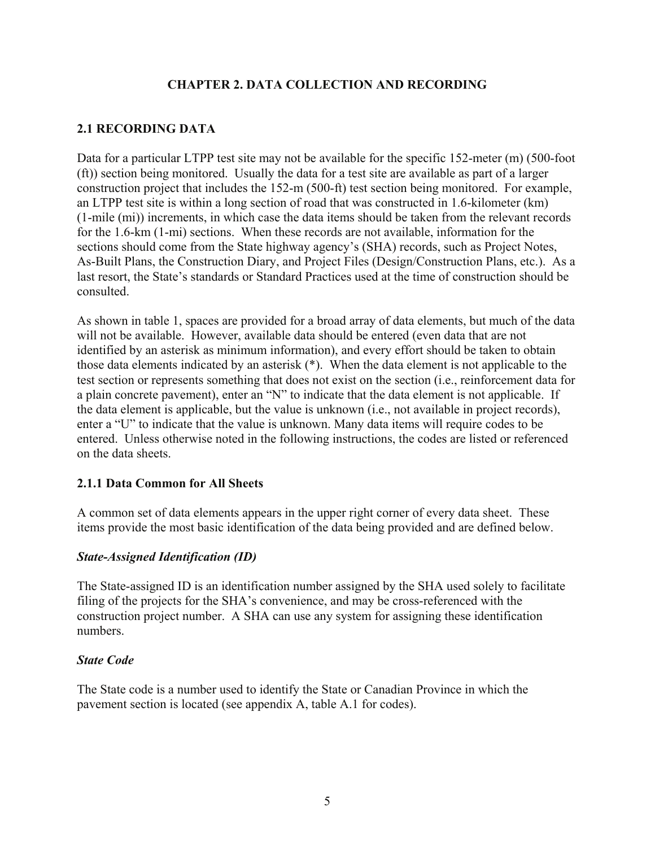# **CHAPTER 2. DATA COLLECTION AND RECORDING**

# <span id="page-12-0"></span>**2.1 RECORDING DATA**

Data for a particular LTPP test site may not be available for the specific 152-meter (m) (500-foot (ft)) section being monitored. Usually the data for a test site are available as part of a larger construction project that includes the 152-m (500-ft) test section being monitored. For example, an LTPP test site is within a long section of road that was constructed in 1.6-kilometer (km) (1-mile (mi)) increments, in which case the data items should be taken from the relevant records for the 1.6-km (1-mi) sections. When these records are not available, information for the sections should come from the State highway agency's (SHA) records, such as Project Notes, As-Built Plans, the Construction Diary, and Project Files (Design/Construction Plans, etc.). As a last resort, the State's standards or Standard Practices used at the time of construction should be consulted.

As shown in table 1, spaces are provided for a broad array of data elements, but much of the data will not be available. However, available data should be entered (even data that are not identified by an asterisk as minimum information), and every effort should be taken to obtain those data elements indicated by an asterisk (\*). When the data element is not applicable to the test section or represents something that does not exist on the section (i.e., reinforcement data for a plain concrete pavement), enter an "N" to indicate that the data element is not applicable. If the data element is applicable, but the value is unknown (i.e., not available in project records), enter a "U" to indicate that the value is unknown. Many data items will require codes to be entered. Unless otherwise noted in the following instructions, the codes are listed or referenced on the data sheets.

# **2.1.1 Data Common for All Sheets**

A common set of data elements appears in the upper right corner of every data sheet. These items provide the most basic identification of the data being provided and are defined below.

# *State-Assigned Identification (ID)*

The State-assigned ID is an identification number assigned by the SHA used solely to facilitate filing of the projects for the SHA's convenience, and may be cross-referenced with the construction project number. A SHA can use any system for assigning these identification numbers.

# *State Code*

The State code is a number used to identify the State or Canadian Province in which the pavement section is located (see appendix A, table A.1 for codes).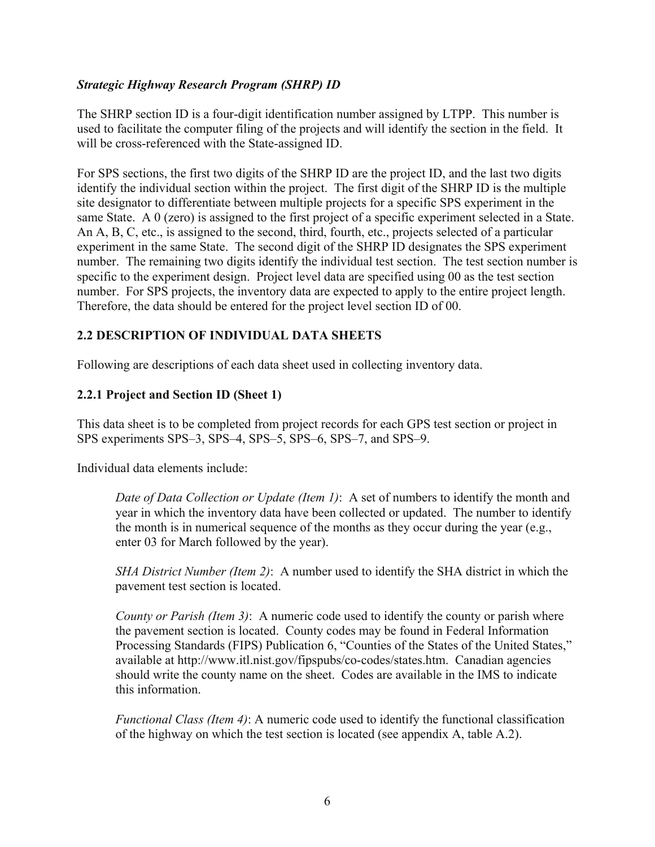## <span id="page-13-0"></span>*Strategic Highway Research Program (SHRP) ID*

The SHRP section ID is a four-digit identification number assigned by LTPP. This number is used to facilitate the computer filing of the projects and will identify the section in the field. It will be cross-referenced with the State-assigned ID.

For SPS sections, the first two digits of the SHRP ID are the project ID, and the last two digits identify the individual section within the project. The first digit of the SHRP ID is the multiple site designator to differentiate between multiple projects for a specific SPS experiment in the same State. A 0 (zero) is assigned to the first project of a specific experiment selected in a State. An A, B, C, etc., is assigned to the second, third, fourth, etc., projects selected of a particular experiment in the same State. The second digit of the SHRP ID designates the SPS experiment number. The remaining two digits identify the individual test section. The test section number is specific to the experiment design. Project level data are specified using 00 as the test section number. For SPS projects, the inventory data are expected to apply to the entire project length. Therefore, the data should be entered for the project level section ID of 00.

# **2.2 DESCRIPTION OF INDIVIDUAL DATA SHEETS**

Following are descriptions of each data sheet used in collecting inventory data.

#### **2.2.1 Project and Section ID (Sheet 1)**

This data sheet is to be completed from project records for each GPS test section or project in SPS experiments SPS–3, SPS–4, SPS–5, SPS–6, SPS–7, and SPS–9.

Individual data elements include:

*Date of Data Collection or Update (Item 1)*: A set of numbers to identify the month and year in which the inventory data have been collected or updated. The number to identify the month is in numerical sequence of the months as they occur during the year (e.g., enter 03 for March followed by the year).

*SHA District Number (Item 2)*: A number used to identify the SHA district in which the pavement test section is located.

*County or Parish (Item 3)*: A numeric code used to identify the county or parish where the pavement section is located. County codes may be found in Federal Information Processing Standards (FIPS) Publication 6, "Counties of the States of the United States," available at http://www.itl.nist.gov/fipspubs/co-codes/states.htm. Canadian agencies should write the county name on the sheet. Codes are available in the IMS to indicate this information.

*Functional Class (Item 4)*: A numeric code used to identify the functional classification of the highway on which the test section is located (see appendix A, table A.2).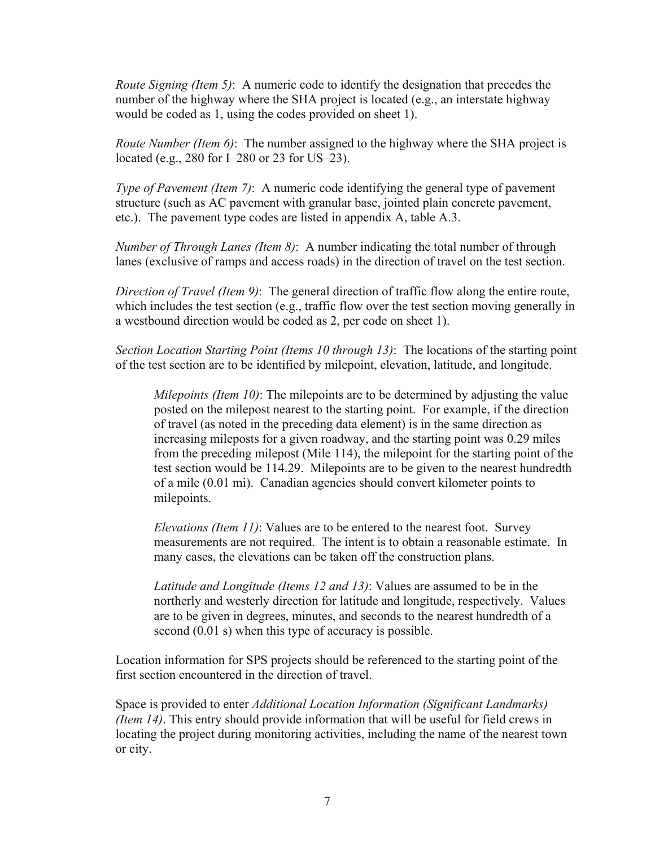*Route Signing (Item 5)*: A numeric code to identify the designation that precedes the number of the highway where the SHA project is located (e.g., an interstate highway would be coded as 1, using the codes provided on sheet 1).

*Route Number (Item 6)*: The number assigned to the highway where the SHA project is located (e.g., 280 for I–280 or 23 for US–23).

*Type of Pavement (Item 7)*: A numeric code identifying the general type of pavement structure (such as AC pavement with granular base, jointed plain concrete pavement, etc.). The pavement type codes are listed in appendix A, table A.3.

*Number of Through Lanes (Item 8)*: A number indicating the total number of through lanes (exclusive of ramps and access roads) in the direction of travel on the test section.

*Direction of Travel (Item 9)*: The general direction of traffic flow along the entire route, which includes the test section (e.g., traffic flow over the test section moving generally in a westbound direction would be coded as 2, per code on sheet 1).

*Section Location Starting Point (Items 10 through 13)*: The locations of the starting point of the test section are to be identified by milepoint, elevation, latitude, and longitude.

*Milepoints (Item 10)*: The milepoints are to be determined by adjusting the value posted on the milepost nearest to the starting point. For example, if the direction of travel (as noted in the preceding data element) is in the same direction as increasing mileposts for a given roadway, and the starting point was 0.29 miles from the preceding milepost (Mile 114), the milepoint for the starting point of the test section would be 114.29. Milepoints are to be given to the nearest hundredth of a mile (0.01 mi). Canadian agencies should convert kilometer points to milepoints.

*Elevations (Item 11)*: Values are to be entered to the nearest foot. Survey measurements are not required. The intent is to obtain a reasonable estimate. In many cases, the elevations can be taken off the construction plans.

*Latitude and Longitude (Items 12 and 13)*: Values are assumed to be in the northerly and westerly direction for latitude and longitude, respectively. Values are to be given in degrees, minutes, and seconds to the nearest hundredth of a second (0.01 s) when this type of accuracy is possible.

Location information for SPS projects should be referenced to the starting point of the first section encountered in the direction of travel.

Space is provided to enter *Additional Location Information (Significant Landmarks) (Item 14)*. This entry should provide information that will be useful for field crews in locating the project during monitoring activities, including the name of the nearest town or city.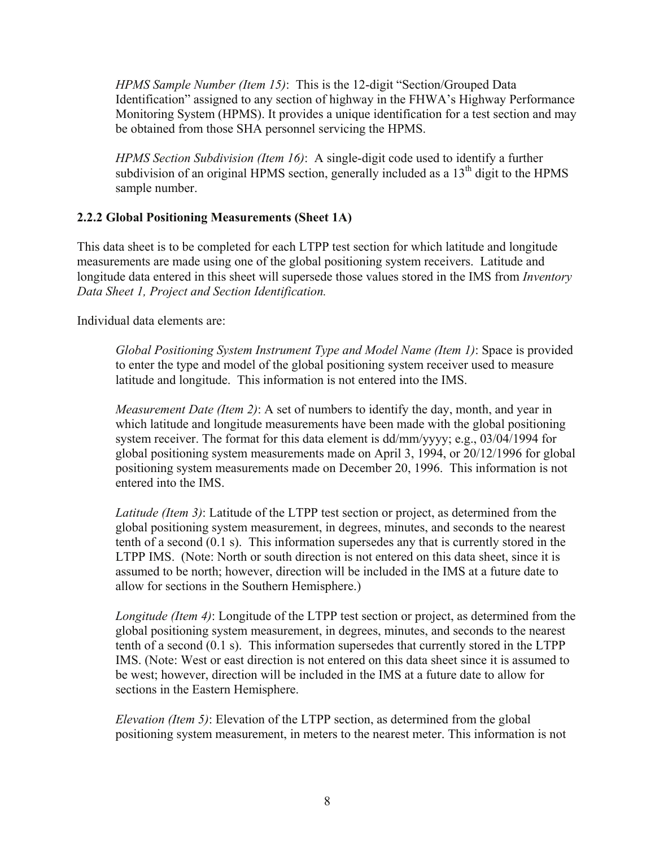<span id="page-15-0"></span>*HPMS Sample Number (Item 15)*: This is the 12-digit "Section/Grouped Data Identification" assigned to any section of highway in the FHWA's Highway Performance Monitoring System (HPMS). It provides a unique identification for a test section and may be obtained from those SHA personnel servicing the HPMS.

*HPMS Section Subdivision (Item 16)*: A single-digit code used to identify a further subdivision of an original HPMS section, generally included as a  $13<sup>th</sup>$  digit to the HPMS sample number.

# **2.2.2 Global Positioning Measurements (Sheet 1A)**

This data sheet is to be completed for each LTPP test section for which latitude and longitude measurements are made using one of the global positioning system receivers. Latitude and longitude data entered in this sheet will supersede those values stored in the IMS from *Inventory Data Sheet 1, Project and Section Identification.* 

Individual data elements are:

*Global Positioning System Instrument Type and Model Name (Item 1)*: Space is provided to enter the type and model of the global positioning system receiver used to measure latitude and longitude. This information is not entered into the IMS.

*Measurement Date (Item 2)*: A set of numbers to identify the day, month, and year in which latitude and longitude measurements have been made with the global positioning system receiver. The format for this data element is dd/mm/yyyy; e.g., 03/04/1994 for global positioning system measurements made on April 3, 1994, or 20/12/1996 for global positioning system measurements made on December 20, 1996. This information is not entered into the IMS.

*Latitude (Item 3)*: Latitude of the LTPP test section or project, as determined from the global positioning system measurement, in degrees, minutes, and seconds to the nearest tenth of a second (0.1 s). This information supersedes any that is currently stored in the LTPP IMS. (Note: North or south direction is not entered on this data sheet, since it is assumed to be north; however, direction will be included in the IMS at a future date to allow for sections in the Southern Hemisphere.)

*Longitude (Item 4)*: Longitude of the LTPP test section or project, as determined from the global positioning system measurement, in degrees, minutes, and seconds to the nearest tenth of a second (0.1 s). This information supersedes that currently stored in the LTPP IMS. (Note: West or east direction is not entered on this data sheet since it is assumed to be west; however, direction will be included in the IMS at a future date to allow for sections in the Eastern Hemisphere.

*Elevation (Item 5)*: Elevation of the LTPP section, as determined from the global positioning system measurement, in meters to the nearest meter. This information is not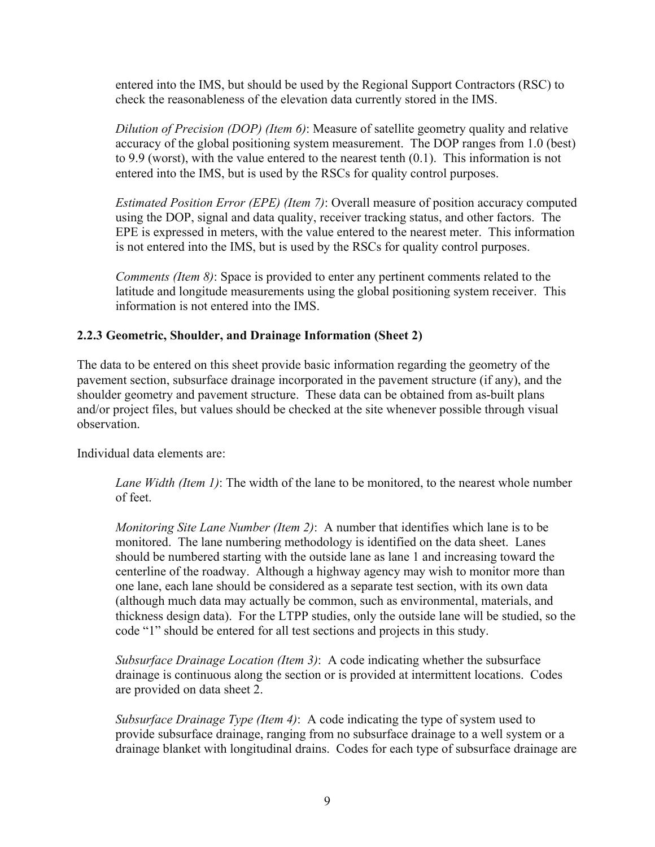<span id="page-16-0"></span>entered into the IMS, but should be used by the Regional Support Contractors (RSC) to check the reasonableness of the elevation data currently stored in the IMS.

*Dilution of Precision (DOP) (Item 6)*: Measure of satellite geometry quality and relative accuracy of the global positioning system measurement. The DOP ranges from 1.0 (best) to 9.9 (worst), with the value entered to the nearest tenth (0.1). This information is not entered into the IMS, but is used by the RSCs for quality control purposes.

*Estimated Position Error (EPE) (Item 7)*: Overall measure of position accuracy computed using the DOP, signal and data quality, receiver tracking status, and other factors. The EPE is expressed in meters, with the value entered to the nearest meter. This information is not entered into the IMS, but is used by the RSCs for quality control purposes.

*Comments (Item 8)*: Space is provided to enter any pertinent comments related to the latitude and longitude measurements using the global positioning system receiver. This information is not entered into the IMS.

# **2.2.3 Geometric, Shoulder, and Drainage Information (Sheet 2)**

The data to be entered on this sheet provide basic information regarding the geometry of the pavement section, subsurface drainage incorporated in the pavement structure (if any), and the shoulder geometry and pavement structure. These data can be obtained from as-built plans and/or project files, but values should be checked at the site whenever possible through visual observation.

Individual data elements are:

*Lane Width (Item 1)*: The width of the lane to be monitored, to the nearest whole number of feet.

*Monitoring Site Lane Number (Item 2)*: A number that identifies which lane is to be monitored. The lane numbering methodology is identified on the data sheet. Lanes should be numbered starting with the outside lane as lane 1 and increasing toward the centerline of the roadway. Although a highway agency may wish to monitor more than one lane, each lane should be considered as a separate test section, with its own data (although much data may actually be common, such as environmental, materials, and thickness design data). For the LTPP studies, only the outside lane will be studied, so the code "1" should be entered for all test sections and projects in this study.

*Subsurface Drainage Location (Item 3)*: A code indicating whether the subsurface drainage is continuous along the section or is provided at intermittent locations. Codes are provided on data sheet 2.

*Subsurface Drainage Type (Item 4)*: A code indicating the type of system used to provide subsurface drainage, ranging from no subsurface drainage to a well system or a drainage blanket with longitudinal drains. Codes for each type of subsurface drainage are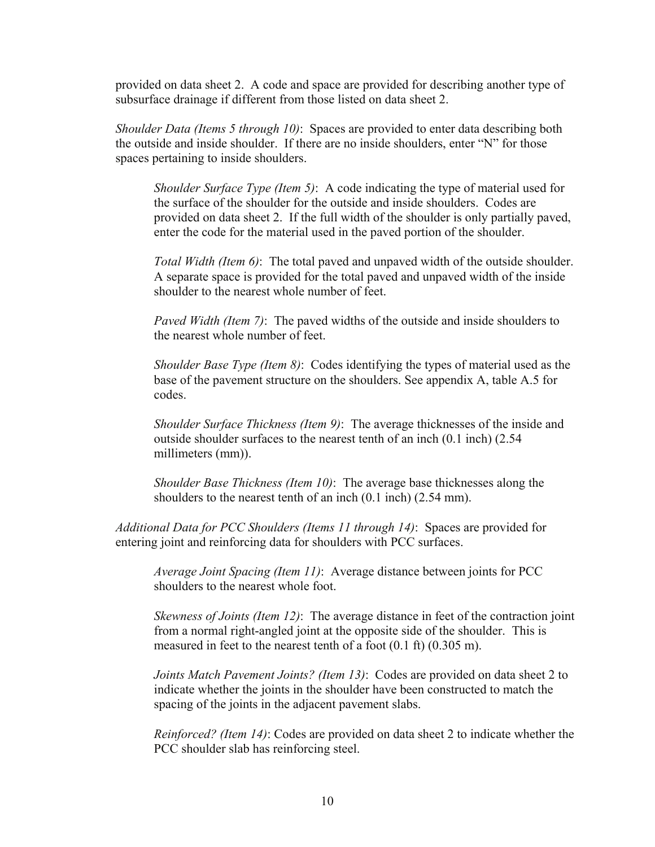provided on data sheet 2. A code and space are provided for describing another type of subsurface drainage if different from those listed on data sheet 2.

*Shoulder Data (Items 5 through 10)*: Spaces are provided to enter data describing both the outside and inside shoulder. If there are no inside shoulders, enter "N" for those spaces pertaining to inside shoulders.

*Shoulder Surface Type (Item 5)*: A code indicating the type of material used for the surface of the shoulder for the outside and inside shoulders. Codes are provided on data sheet 2. If the full width of the shoulder is only partially paved, enter the code for the material used in the paved portion of the shoulder.

*Total Width (Item 6)*: The total paved and unpaved width of the outside shoulder. A separate space is provided for the total paved and unpaved width of the inside shoulder to the nearest whole number of feet.

*Paved Width (Item 7)*: The paved widths of the outside and inside shoulders to the nearest whole number of feet.

*Shoulder Base Type (Item 8)*: Codes identifying the types of material used as the base of the pavement structure on the shoulders. See appendix A, table A.5 for codes.

*Shoulder Surface Thickness (Item 9)*: The average thicknesses of the inside and outside shoulder surfaces to the nearest tenth of an inch (0.1 inch) (2.54 millimeters (mm)).

*Shoulder Base Thickness (Item 10)*: The average base thicknesses along the shoulders to the nearest tenth of an inch (0.1 inch) (2.54 mm).

*Additional Data for PCC Shoulders (Items 11 through 14)*: Spaces are provided for entering joint and reinforcing data for shoulders with PCC surfaces.

*Average Joint Spacing (Item 11)*: Average distance between joints for PCC shoulders to the nearest whole foot.

*Skewness of Joints (Item 12)*: The average distance in feet of the contraction joint from a normal right-angled joint at the opposite side of the shoulder. This is measured in feet to the nearest tenth of a foot (0.1 ft) (0.305 m).

*Joints Match Pavement Joints? (Item 13)*: Codes are provided on data sheet 2 to indicate whether the joints in the shoulder have been constructed to match the spacing of the joints in the adjacent pavement slabs.

*Reinforced? (Item 14)*: Codes are provided on data sheet 2 to indicate whether the PCC shoulder slab has reinforcing steel.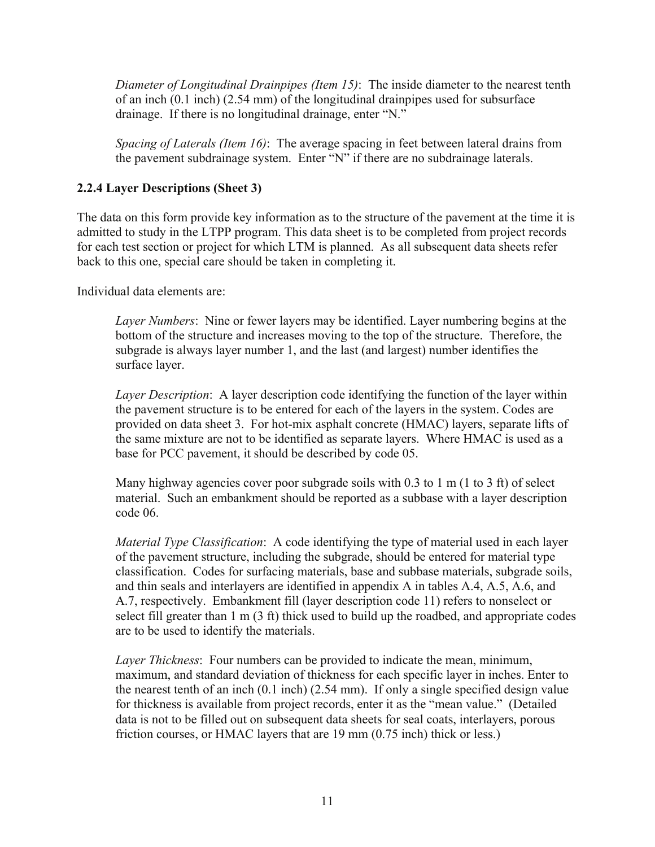<span id="page-18-0"></span>*Diameter of Longitudinal Drainpipes (Item 15)*: The inside diameter to the nearest tenth of an inch (0.1 inch) (2.54 mm) of the longitudinal drainpipes used for subsurface drainage. If there is no longitudinal drainage, enter "N."

*Spacing of Laterals (Item 16)*: The average spacing in feet between lateral drains from the pavement subdrainage system. Enter "N" if there are no subdrainage laterals.

# **2.2.4 Layer Descriptions (Sheet 3)**

The data on this form provide key information as to the structure of the pavement at the time it is admitted to study in the LTPP program. This data sheet is to be completed from project records for each test section or project for which LTM is planned. As all subsequent data sheets refer back to this one, special care should be taken in completing it.

Individual data elements are:

*Layer Numbers*: Nine or fewer layers may be identified. Layer numbering begins at the bottom of the structure and increases moving to the top of the structure. Therefore, the subgrade is always layer number 1, and the last (and largest) number identifies the surface layer.

*Layer Description*: A layer description code identifying the function of the layer within the pavement structure is to be entered for each of the layers in the system. Codes are provided on data sheet 3. For hot-mix asphalt concrete (HMAC) layers, separate lifts of the same mixture are not to be identified as separate layers. Where HMAC is used as a base for PCC pavement, it should be described by code 05.

Many highway agencies cover poor subgrade soils with  $0.3$  to 1 m (1 to 3 ft) of select material. Such an embankment should be reported as a subbase with a layer description code 06.

*Material Type Classification*: A code identifying the type of material used in each layer of the pavement structure, including the subgrade, should be entered for material type classification. Codes for surfacing materials, base and subbase materials, subgrade soils, and thin seals and interlayers are identified in appendix A in tables A.4, A.5, A.6, and A.7, respectively. Embankment fill (layer description code 11) refers to nonselect or select fill greater than 1 m (3 ft) thick used to build up the roadbed, and appropriate codes are to be used to identify the materials.

*Layer Thickness*: Four numbers can be provided to indicate the mean, minimum, maximum, and standard deviation of thickness for each specific layer in inches. Enter to the nearest tenth of an inch (0.1 inch) (2.54 mm). If only a single specified design value for thickness is available from project records, enter it as the "mean value." (Detailed data is not to be filled out on subsequent data sheets for seal coats, interlayers, porous friction courses, or HMAC layers that are 19 mm (0.75 inch) thick or less.)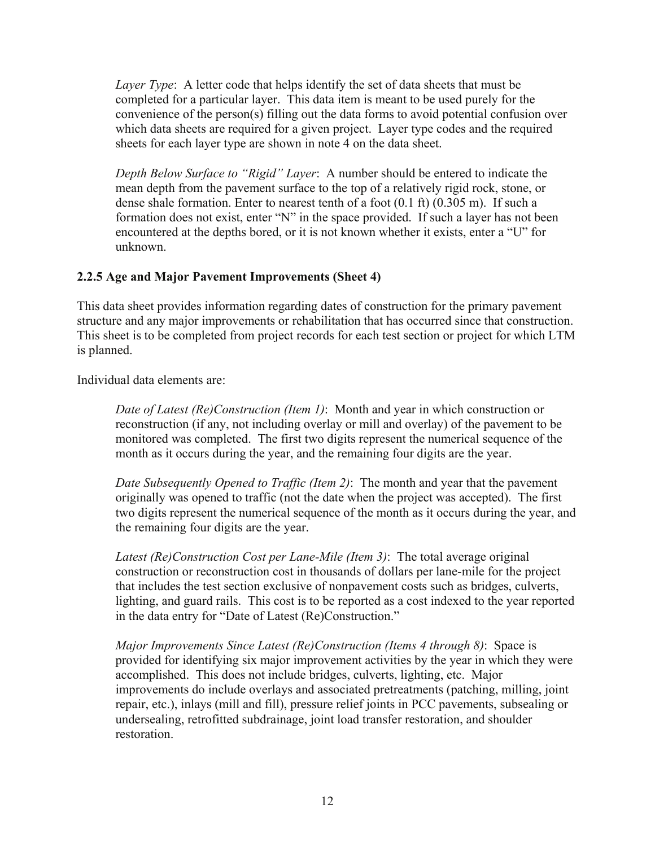<span id="page-19-0"></span>*Layer Type*: A letter code that helps identify the set of data sheets that must be completed for a particular layer. This data item is meant to be used purely for the convenience of the person(s) filling out the data forms to avoid potential confusion over which data sheets are required for a given project. Layer type codes and the required sheets for each layer type are shown in note 4 on the data sheet.

*Depth Below Surface to "Rigid" Layer*: A number should be entered to indicate the mean depth from the pavement surface to the top of a relatively rigid rock, stone, or dense shale formation. Enter to nearest tenth of a foot (0.1 ft) (0.305 m). If such a formation does not exist, enter "N" in the space provided. If such a layer has not been encountered at the depths bored, or it is not known whether it exists, enter a "U" for unknown.

# **2.2.5 Age and Major Pavement Improvements (Sheet 4)**

This data sheet provides information regarding dates of construction for the primary pavement structure and any major improvements or rehabilitation that has occurred since that construction. This sheet is to be completed from project records for each test section or project for which LTM is planned.

Individual data elements are:

*Date of Latest (Re)Construction (Item 1)*: Month and year in which construction or reconstruction (if any, not including overlay or mill and overlay) of the pavement to be monitored was completed. The first two digits represent the numerical sequence of the month as it occurs during the year, and the remaining four digits are the year.

*Date Subsequently Opened to Traffic (Item 2)*: The month and year that the pavement originally was opened to traffic (not the date when the project was accepted). The first two digits represent the numerical sequence of the month as it occurs during the year, and the remaining four digits are the year.

*Latest (Re)Construction Cost per Lane-Mile (Item 3)*: The total average original construction or reconstruction cost in thousands of dollars per lane-mile for the project that includes the test section exclusive of nonpavement costs such as bridges, culverts, lighting, and guard rails. This cost is to be reported as a cost indexed to the year reported in the data entry for "Date of Latest (Re)Construction."

*Major Improvements Since Latest (Re)Construction (Items 4 through 8)*: Space is provided for identifying six major improvement activities by the year in which they were accomplished. This does not include bridges, culverts, lighting, etc. Major improvements do include overlays and associated pretreatments (patching, milling, joint repair, etc.), inlays (mill and fill), pressure relief joints in PCC pavements, subsealing or undersealing, retrofitted subdrainage, joint load transfer restoration, and shoulder restoration.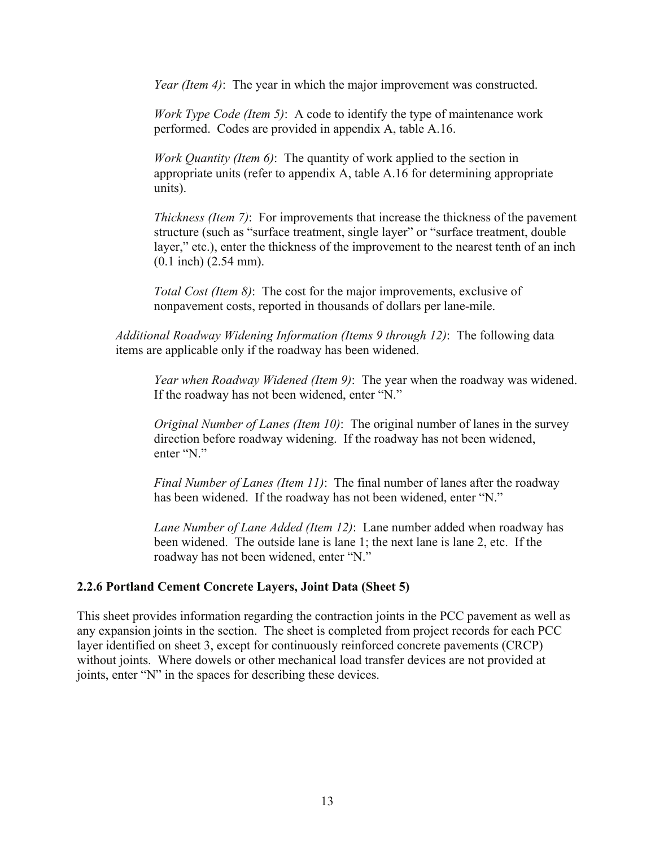<span id="page-20-0"></span>*Year (Item 4)*: The year in which the major improvement was constructed.

*Work Type Code (Item 5)*: A code to identify the type of maintenance work performed. Codes are provided in appendix A, table A.16.

*Work Quantity (Item 6)*: The quantity of work applied to the section in appropriate units (refer to appendix A, table A.16 for determining appropriate units).

*Thickness (Item 7)*: For improvements that increase the thickness of the pavement structure (such as "surface treatment, single layer" or "surface treatment, double layer," etc.), enter the thickness of the improvement to the nearest tenth of an inch (0.1 inch) (2.54 mm).

*Total Cost (Item 8)*: The cost for the major improvements, exclusive of nonpavement costs, reported in thousands of dollars per lane-mile.

*Additional Roadway Widening Information (Items 9 through 12)*: The following data items are applicable only if the roadway has been widened.

*Year when Roadway Widened (Item 9)*: The year when the roadway was widened. If the roadway has not been widened, enter "N."

*Original Number of Lanes (Item 10)*: The original number of lanes in the survey direction before roadway widening. If the roadway has not been widened, enter "N."

*Final Number of Lanes (Item 11)*: The final number of lanes after the roadway has been widened. If the roadway has not been widened, enter "N."

*Lane Number of Lane Added (Item 12)*: Lane number added when roadway has been widened. The outside lane is lane 1; the next lane is lane 2, etc. If the roadway has not been widened, enter "N."

#### **2.2.6 Portland Cement Concrete Layers, Joint Data (Sheet 5)**

This sheet provides information regarding the contraction joints in the PCC pavement as well as any expansion joints in the section. The sheet is completed from project records for each PCC layer identified on sheet 3, except for continuously reinforced concrete pavements (CRCP) without joints. Where dowels or other mechanical load transfer devices are not provided at joints, enter "N" in the spaces for describing these devices.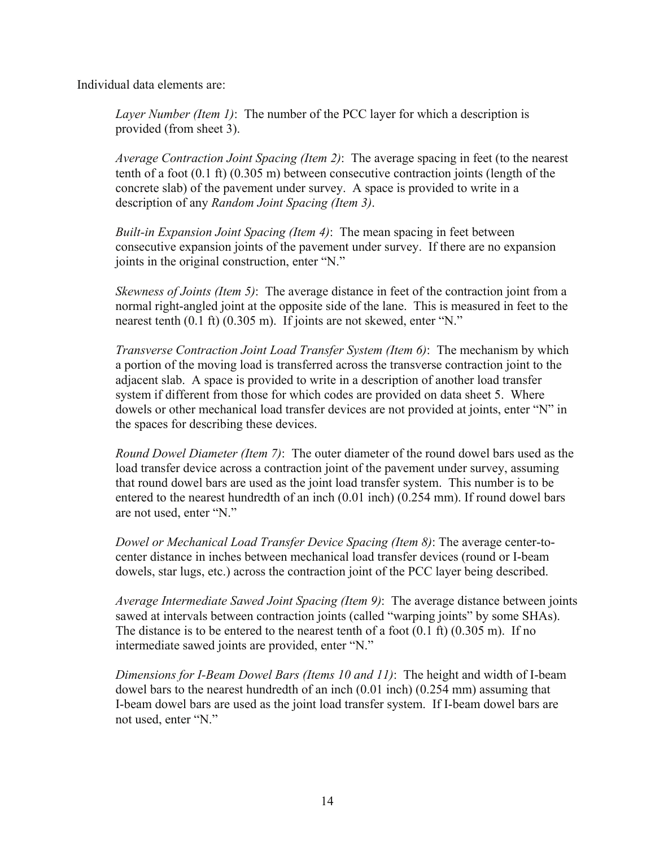Individual data elements are:

*Layer Number (Item 1)*: The number of the PCC layer for which a description is provided (from sheet 3).

*Average Contraction Joint Spacing (Item 2)*: The average spacing in feet (to the nearest tenth of a foot (0.1 ft) (0.305 m) between consecutive contraction joints (length of the concrete slab) of the pavement under survey. A space is provided to write in a description of any *Random Joint Spacing (Item 3)*.

*Built-in Expansion Joint Spacing (Item 4)*: The mean spacing in feet between consecutive expansion joints of the pavement under survey. If there are no expansion joints in the original construction, enter "N."

*Skewness of Joints (Item 5)*: The average distance in feet of the contraction joint from a normal right-angled joint at the opposite side of the lane. This is measured in feet to the nearest tenth (0.1 ft) (0.305 m). If joints are not skewed, enter "N."

*Transverse Contraction Joint Load Transfer System (Item 6)*: The mechanism by which a portion of the moving load is transferred across the transverse contraction joint to the adjacent slab. A space is provided to write in a description of another load transfer system if different from those for which codes are provided on data sheet 5. Where dowels or other mechanical load transfer devices are not provided at joints, enter "N" in the spaces for describing these devices.

*Round Dowel Diameter (Item 7)*: The outer diameter of the round dowel bars used as the load transfer device across a contraction joint of the pavement under survey, assuming that round dowel bars are used as the joint load transfer system. This number is to be entered to the nearest hundredth of an inch (0.01 inch) (0.254 mm). If round dowel bars are not used, enter "N."

*Dowel or Mechanical Load Transfer Device Spacing (Item 8)*: The average center-tocenter distance in inches between mechanical load transfer devices (round or I-beam dowels, star lugs, etc.) across the contraction joint of the PCC layer being described.

*Average Intermediate Sawed Joint Spacing (Item 9)*: The average distance between joints sawed at intervals between contraction joints (called "warping joints" by some SHAs). The distance is to be entered to the nearest tenth of a foot  $(0.1 \text{ ft})$   $(0.305 \text{ m})$ . If no intermediate sawed joints are provided, enter "N."

*Dimensions for I-Beam Dowel Bars (Items 10 and 11)*: The height and width of I-beam dowel bars to the nearest hundredth of an inch (0.01 inch) (0.254 mm) assuming that I-beam dowel bars are used as the joint load transfer system. If I-beam dowel bars are not used, enter "N."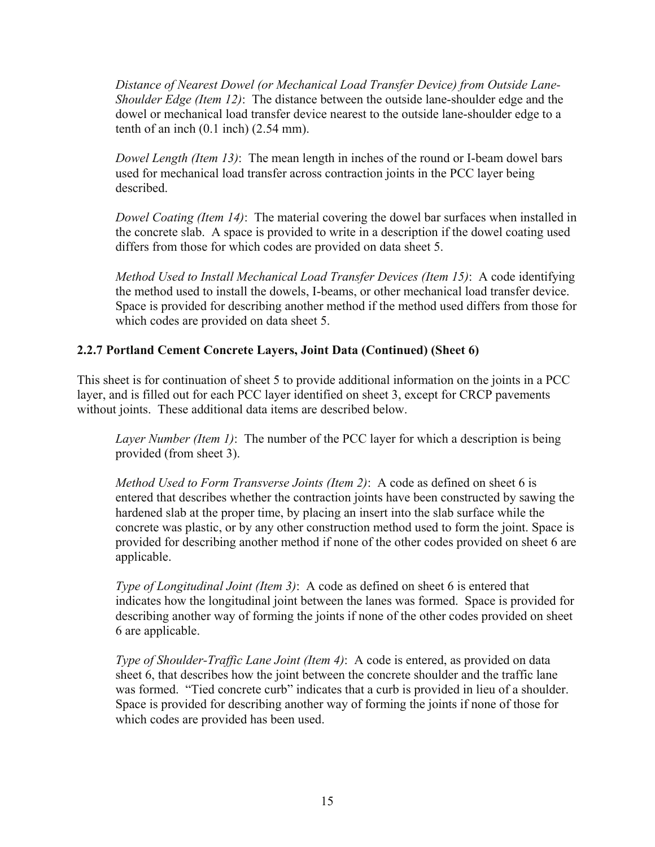<span id="page-22-0"></span>*Distance of Nearest Dowel (or Mechanical Load Transfer Device) from Outside Lane-Shoulder Edge (Item 12)*: The distance between the outside lane-shoulder edge and the dowel or mechanical load transfer device nearest to the outside lane-shoulder edge to a tenth of an inch  $(0.1$  inch)  $(2.54$  mm).

*Dowel Length (Item 13)*: The mean length in inches of the round or I-beam dowel bars used for mechanical load transfer across contraction joints in the PCC layer being described.

*Dowel Coating (Item 14)*: The material covering the dowel bar surfaces when installed in the concrete slab. A space is provided to write in a description if the dowel coating used differs from those for which codes are provided on data sheet 5.

*Method Used to Install Mechanical Load Transfer Devices (Item 15)*: A code identifying the method used to install the dowels, I-beams, or other mechanical load transfer device. Space is provided for describing another method if the method used differs from those for which codes are provided on data sheet 5.

# **2.2.7 Portland Cement Concrete Layers, Joint Data (Continued) (Sheet 6)**

This sheet is for continuation of sheet 5 to provide additional information on the joints in a PCC layer, and is filled out for each PCC layer identified on sheet 3, except for CRCP pavements without joints. These additional data items are described below.

*Layer Number (Item 1)*: The number of the PCC layer for which a description is being provided (from sheet 3).

*Method Used to Form Transverse Joints (Item 2)*: A code as defined on sheet 6 is entered that describes whether the contraction joints have been constructed by sawing the hardened slab at the proper time, by placing an insert into the slab surface while the concrete was plastic, or by any other construction method used to form the joint. Space is provided for describing another method if none of the other codes provided on sheet 6 are applicable.

*Type of Longitudinal Joint (Item 3)*: A code as defined on sheet 6 is entered that indicates how the longitudinal joint between the lanes was formed. Space is provided for describing another way of forming the joints if none of the other codes provided on sheet 6 are applicable.

*Type of Shoulder-Traffic Lane Joint (Item 4)*: A code is entered, as provided on data sheet 6, that describes how the joint between the concrete shoulder and the traffic lane was formed. "Tied concrete curb" indicates that a curb is provided in lieu of a shoulder. Space is provided for describing another way of forming the joints if none of those for which codes are provided has been used.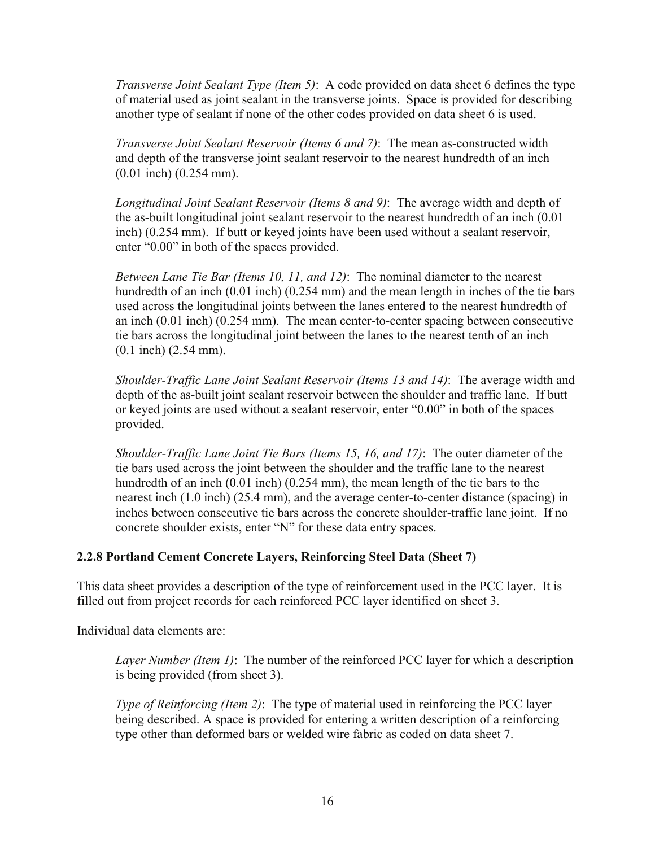<span id="page-23-0"></span>*Transverse Joint Sealant Type (Item 5)*: A code provided on data sheet 6 defines the type of material used as joint sealant in the transverse joints. Space is provided for describing another type of sealant if none of the other codes provided on data sheet 6 is used.

*Transverse Joint Sealant Reservoir (Items 6 and 7)*: The mean as-constructed width and depth of the transverse joint sealant reservoir to the nearest hundredth of an inch (0.01 inch) (0.254 mm).

*Longitudinal Joint Sealant Reservoir (Items 8 and 9)*: The average width and depth of the as-built longitudinal joint sealant reservoir to the nearest hundredth of an inch (0.01 inch) (0.254 mm). If butt or keyed joints have been used without a sealant reservoir, enter "0.00" in both of the spaces provided.

*Between Lane Tie Bar (Items 10, 11, and 12)*: The nominal diameter to the nearest hundredth of an inch (0.01 inch) (0.254 mm) and the mean length in inches of the tie bars used across the longitudinal joints between the lanes entered to the nearest hundredth of an inch (0.01 inch) (0.254 mm). The mean center-to-center spacing between consecutive tie bars across the longitudinal joint between the lanes to the nearest tenth of an inch (0.1 inch) (2.54 mm).

*Shoulder-Traffic Lane Joint Sealant Reservoir (Items 13 and 14)*: The average width and depth of the as-built joint sealant reservoir between the shoulder and traffic lane. If butt or keyed joints are used without a sealant reservoir, enter "0.00" in both of the spaces provided.

*Shoulder-Traffic Lane Joint Tie Bars (Items 15, 16, and 17)*: The outer diameter of the tie bars used across the joint between the shoulder and the traffic lane to the nearest hundredth of an inch (0.01 inch) (0.254 mm), the mean length of the tie bars to the nearest inch (1.0 inch) (25.4 mm), and the average center-to-center distance (spacing) in inches between consecutive tie bars across the concrete shoulder-traffic lane joint. If no concrete shoulder exists, enter "N" for these data entry spaces.

# **2.2.8 Portland Cement Concrete Layers, Reinforcing Steel Data (Sheet 7)**

This data sheet provides a description of the type of reinforcement used in the PCC layer. It is filled out from project records for each reinforced PCC layer identified on sheet 3.

Individual data elements are:

*Layer Number (Item 1)*: The number of the reinforced PCC layer for which a description is being provided (from sheet 3).

*Type of Reinforcing (Item 2)*: The type of material used in reinforcing the PCC layer being described. A space is provided for entering a written description of a reinforcing type other than deformed bars or welded wire fabric as coded on data sheet 7.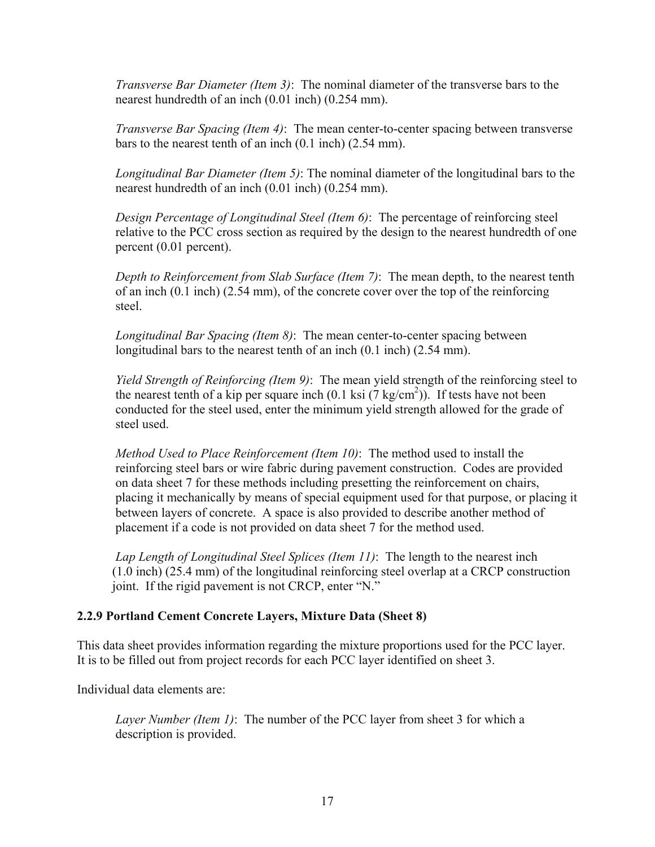<span id="page-24-0"></span>*Transverse Bar Diameter (Item 3)*: The nominal diameter of the transverse bars to the nearest hundredth of an inch (0.01 inch) (0.254 mm).

*Transverse Bar Spacing (Item 4)*: The mean center-to-center spacing between transverse bars to the nearest tenth of an inch (0.1 inch) (2.54 mm).

*Longitudinal Bar Diameter (Item 5)*: The nominal diameter of the longitudinal bars to the nearest hundredth of an inch (0.01 inch) (0.254 mm).

*Design Percentage of Longitudinal Steel (Item 6)*: The percentage of reinforcing steel relative to the PCC cross section as required by the design to the nearest hundredth of one percent (0.01 percent).

*Depth to Reinforcement from Slab Surface (Item 7)*: The mean depth, to the nearest tenth of an inch (0.1 inch) (2.54 mm), of the concrete cover over the top of the reinforcing steel.

*Longitudinal Bar Spacing (Item 8)*: The mean center-to-center spacing between longitudinal bars to the nearest tenth of an inch (0.1 inch) (2.54 mm).

*Yield Strength of Reinforcing (Item 9)*: The mean yield strength of the reinforcing steel to the nearest tenth of a kip per square inch  $(0.1 \text{ ks} \cdot (7 \text{ kg/cm}^2))$ . If tests have not been conducted for the steel used, enter the minimum yield strength allowed for the grade of steel used.

*Method Used to Place Reinforcement (Item 10)*: The method used to install the reinforcing steel bars or wire fabric during pavement construction. Codes are provided on data sheet 7 for these methods including presetting the reinforcement on chairs, placing it mechanically by means of special equipment used for that purpose, or placing it between layers of concrete. A space is also provided to describe another method of placement if a code is not provided on data sheet 7 for the method used.

*Lap Length of Longitudinal Steel Splices (Item 11)*: The length to the nearest inch (1.0 inch) (25.4 mm) of the longitudinal reinforcing steel overlap at a CRCP construction joint. If the rigid pavement is not CRCP, enter "N."

# **2.2.9 Portland Cement Concrete Layers, Mixture Data (Sheet 8)**

This data sheet provides information regarding the mixture proportions used for the PCC layer. It is to be filled out from project records for each PCC layer identified on sheet 3.

Individual data elements are:

*Layer Number (Item 1)*: The number of the PCC layer from sheet 3 for which a description is provided.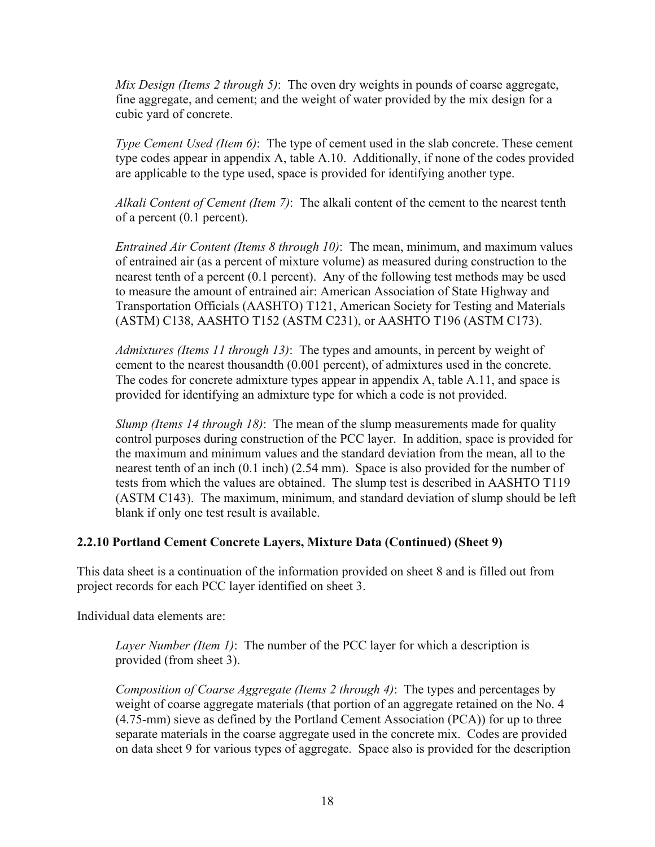<span id="page-25-0"></span>*Mix Design (Items 2 through 5)*: The oven dry weights in pounds of coarse aggregate, fine aggregate, and cement; and the weight of water provided by the mix design for a cubic yard of concrete.

*Type Cement Used (Item 6)*: The type of cement used in the slab concrete. These cement type codes appear in appendix A, table A.10. Additionally, if none of the codes provided are applicable to the type used, space is provided for identifying another type.

*Alkali Content of Cement (Item 7)*: The alkali content of the cement to the nearest tenth of a percent (0.1 percent).

*Entrained Air Content (Items 8 through 10)*: The mean, minimum, and maximum values of entrained air (as a percent of mixture volume) as measured during construction to the nearest tenth of a percent (0.1 percent). Any of the following test methods may be used to measure the amount of entrained air: American Association of State Highway and Transportation Officials (AASHTO) T121, American Society for Testing and Materials (ASTM) C138, AASHTO T152 (ASTM C231), or AASHTO T196 (ASTM C173).

*Admixtures (Items 11 through 13)*: The types and amounts, in percent by weight of cement to the nearest thousandth (0.001 percent), of admixtures used in the concrete. The codes for concrete admixture types appear in appendix A, table A.11, and space is provided for identifying an admixture type for which a code is not provided.

*Slump (Items 14 through 18)*: The mean of the slump measurements made for quality control purposes during construction of the PCC layer. In addition, space is provided for the maximum and minimum values and the standard deviation from the mean, all to the nearest tenth of an inch (0.1 inch) (2.54 mm). Space is also provided for the number of tests from which the values are obtained. The slump test is described in AASHTO T119 (ASTM C143). The maximum, minimum, and standard deviation of slump should be left blank if only one test result is available.

# **2.2.10 Portland Cement Concrete Layers, Mixture Data (Continued) (Sheet 9)**

This data sheet is a continuation of the information provided on sheet 8 and is filled out from project records for each PCC layer identified on sheet 3.

Individual data elements are:

*Layer Number (Item 1)*: The number of the PCC layer for which a description is provided (from sheet 3).

*Composition of Coarse Aggregate (Items 2 through 4)*: The types and percentages by weight of coarse aggregate materials (that portion of an aggregate retained on the No. 4 (4.75-mm) sieve as defined by the Portland Cement Association (PCA)) for up to three separate materials in the coarse aggregate used in the concrete mix. Codes are provided on data sheet 9 for various types of aggregate. Space also is provided for the description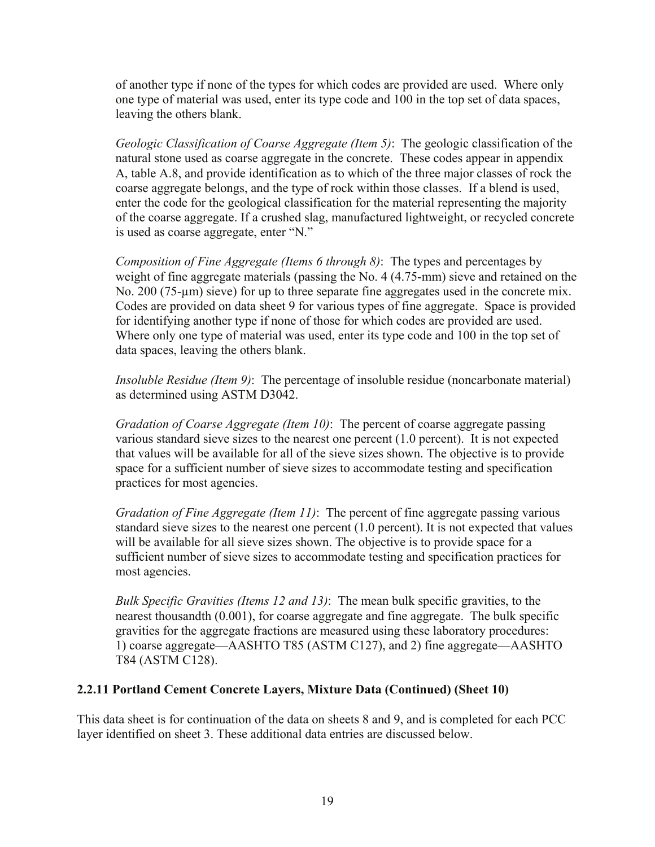<span id="page-26-0"></span>of another type if none of the types for which codes are provided are used. Where only one type of material was used, enter its type code and 100 in the top set of data spaces, leaving the others blank.

*Geologic Classification of Coarse Aggregate (Item 5)*: The geologic classification of the natural stone used as coarse aggregate in the concrete. These codes appear in appendix A, table A.8, and provide identification as to which of the three major classes of rock the coarse aggregate belongs, and the type of rock within those classes. If a blend is used, enter the code for the geological classification for the material representing the majority of the coarse aggregate. If a crushed slag, manufactured lightweight, or recycled concrete is used as coarse aggregate, enter "N."

*Composition of Fine Aggregate (Items 6 through 8)*: The types and percentages by weight of fine aggregate materials (passing the No. 4 (4.75-mm) sieve and retained on the No. 200 (75-µm) sieve) for up to three separate fine aggregates used in the concrete mix. Codes are provided on data sheet 9 for various types of fine aggregate. Space is provided for identifying another type if none of those for which codes are provided are used. Where only one type of material was used, enter its type code and 100 in the top set of data spaces, leaving the others blank.

*Insoluble Residue (Item 9)*: The percentage of insoluble residue (noncarbonate material) as determined using ASTM D3042.

*Gradation of Coarse Aggregate (Item 10)*: The percent of coarse aggregate passing various standard sieve sizes to the nearest one percent (1.0 percent). It is not expected that values will be available for all of the sieve sizes shown. The objective is to provide space for a sufficient number of sieve sizes to accommodate testing and specification practices for most agencies.

*Gradation of Fine Aggregate (Item 11)*: The percent of fine aggregate passing various standard sieve sizes to the nearest one percent (1.0 percent). It is not expected that values will be available for all sieve sizes shown. The objective is to provide space for a sufficient number of sieve sizes to accommodate testing and specification practices for most agencies.

*Bulk Specific Gravities (Items 12 and 13)*: The mean bulk specific gravities, to the nearest thousandth (0.001), for coarse aggregate and fine aggregate. The bulk specific gravities for the aggregate fractions are measured using these laboratory procedures: 1) coarse aggregate—AASHTO T85 (ASTM C127), and 2) fine aggregate—AASHTO T84 (ASTM C128).

# **2.2.11 Portland Cement Concrete Layers, Mixture Data (Continued) (Sheet 10)**

This data sheet is for continuation of the data on sheets 8 and 9, and is completed for each PCC layer identified on sheet 3. These additional data entries are discussed below.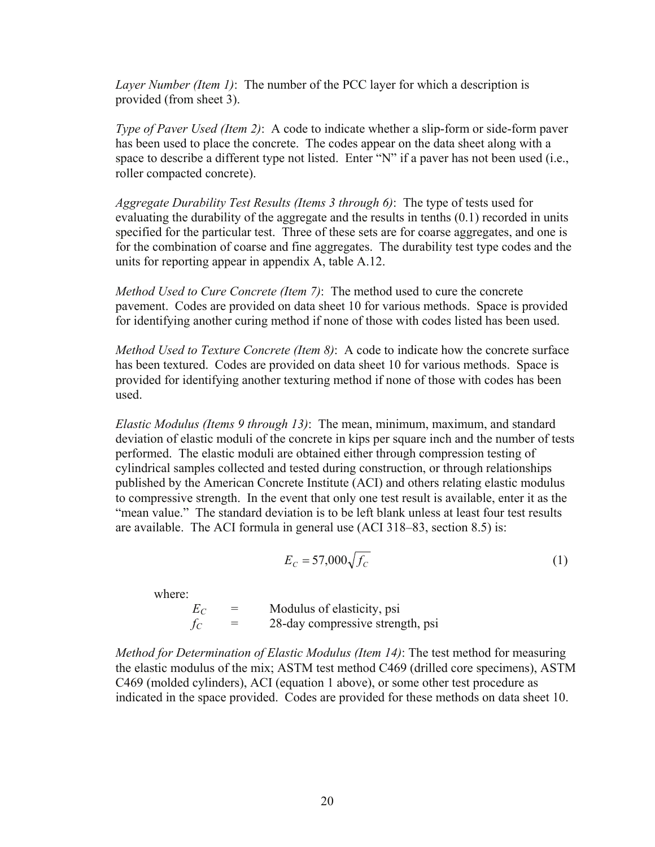*Layer Number (Item 1)*: The number of the PCC layer for which a description is provided (from sheet 3).

*Type of Paver Used (Item 2)*: A code to indicate whether a slip-form or side-form paver has been used to place the concrete. The codes appear on the data sheet along with a space to describe a different type not listed. Enter "N" if a paver has not been used (i.e., roller compacted concrete).

*Aggregate Durability Test Results (Items 3 through 6)*: The type of tests used for evaluating the durability of the aggregate and the results in tenths (0.1) recorded in units specified for the particular test. Three of these sets are for coarse aggregates, and one is for the combination of coarse and fine aggregates. The durability test type codes and the units for reporting appear in appendix A, table A.12.

*Method Used to Cure Concrete (Item 7)*: The method used to cure the concrete pavement. Codes are provided on data sheet 10 for various methods. Space is provided for identifying another curing method if none of those with codes listed has been used.

*Method Used to Texture Concrete (Item 8)*: A code to indicate how the concrete surface has been textured. Codes are provided on data sheet 10 for various methods. Space is provided for identifying another texturing method if none of those with codes has been used.

*Elastic Modulus (Items 9 through 13)*: The mean, minimum, maximum, and standard deviation of elastic moduli of the concrete in kips per square inch and the number of tests performed. The elastic moduli are obtained either through compression testing of cylindrical samples collected and tested during construction, or through relationships published by the American Concrete Institute (ACI) and others relating elastic modulus to compressive strength. In the event that only one test result is available, enter it as the "mean value." The standard deviation is to be left blank unless at least four test results are available. The ACI formula in general use (ACI 318–83, section 8.5) is:

$$
E_C = 57,000\sqrt{f_C} \tag{1}
$$

where:

 $E_C$  = Modulus of elasticity, psi<br> $f_C$  = 28-day compressive strens  $f_C$  = 28-day compressive strength, psi

*Method for Determination of Elastic Modulus (Item 14)*: The test method for measuring the elastic modulus of the mix; ASTM test method C469 (drilled core specimens), ASTM C469 (molded cylinders), ACI (equation 1 above), or some other test procedure as indicated in the space provided. Codes are provided for these methods on data sheet 10.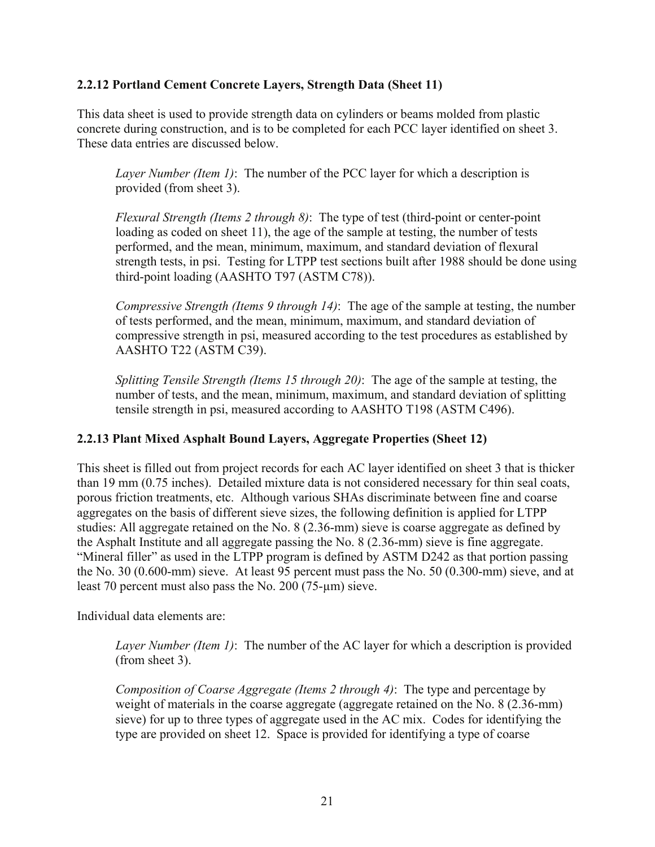# <span id="page-28-0"></span>**2.2.12 Portland Cement Concrete Layers, Strength Data (Sheet 11)**

This data sheet is used to provide strength data on cylinders or beams molded from plastic concrete during construction, and is to be completed for each PCC layer identified on sheet 3. These data entries are discussed below.

*Layer Number (Item 1)*: The number of the PCC layer for which a description is provided (from sheet 3).

*Flexural Strength (Items 2 through 8)*: The type of test (third-point or center-point loading as coded on sheet 11), the age of the sample at testing, the number of tests performed, and the mean, minimum, maximum, and standard deviation of flexural strength tests, in psi. Testing for LTPP test sections built after 1988 should be done using third-point loading (AASHTO T97 (ASTM C78)).

*Compressive Strength (Items 9 through 14)*: The age of the sample at testing, the number of tests performed, and the mean, minimum, maximum, and standard deviation of compressive strength in psi, measured according to the test procedures as established by AASHTO T22 (ASTM C39).

*Splitting Tensile Strength (Items 15 through 20)*: The age of the sample at testing, the number of tests, and the mean, minimum, maximum, and standard deviation of splitting tensile strength in psi, measured according to AASHTO T198 (ASTM C496).

# **2.2.13 Plant Mixed Asphalt Bound Layers, Aggregate Properties (Sheet 12)**

This sheet is filled out from project records for each AC layer identified on sheet 3 that is thicker than 19 mm (0.75 inches). Detailed mixture data is not considered necessary for thin seal coats, porous friction treatments, etc. Although various SHAs discriminate between fine and coarse aggregates on the basis of different sieve sizes, the following definition is applied for LTPP studies: All aggregate retained on the No. 8 (2.36-mm) sieve is coarse aggregate as defined by the Asphalt Institute and all aggregate passing the No. 8 (2.36-mm) sieve is fine aggregate. "Mineral filler" as used in the LTPP program is defined by ASTM D242 as that portion passing the No. 30 (0.600-mm) sieve. At least 95 percent must pass the No. 50 (0.300-mm) sieve, and at least 70 percent must also pass the No. 200 (75-µm) sieve.

Individual data elements are:

*Layer Number (Item 1)*: The number of the AC layer for which a description is provided (from sheet 3).

*Composition of Coarse Aggregate (Items 2 through 4)*: The type and percentage by weight of materials in the coarse aggregate (aggregate retained on the No. 8 (2.36-mm) sieve) for up to three types of aggregate used in the AC mix. Codes for identifying the type are provided on sheet 12. Space is provided for identifying a type of coarse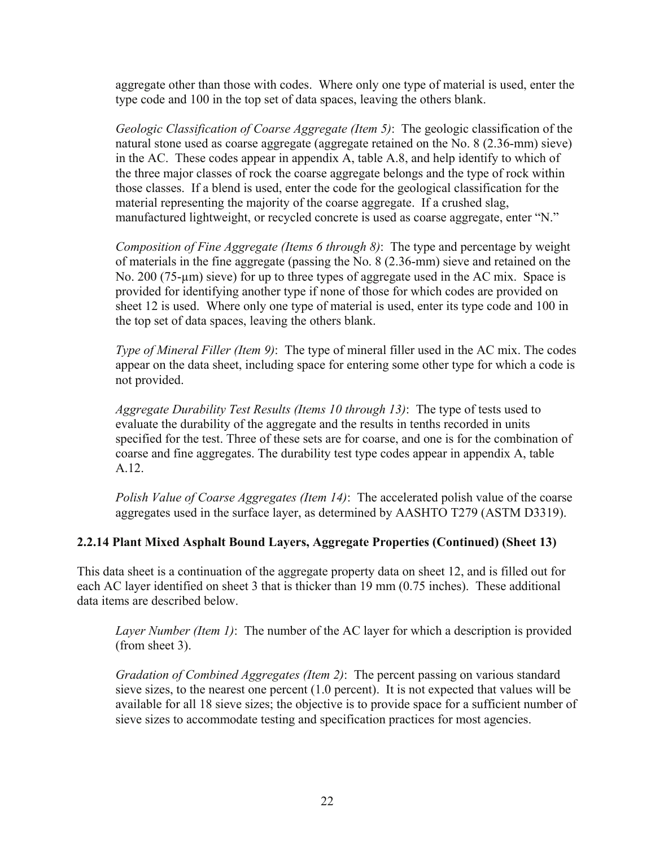<span id="page-29-0"></span>aggregate other than those with codes. Where only one type of material is used, enter the type code and 100 in the top set of data spaces, leaving the others blank.

*Geologic Classification of Coarse Aggregate (Item 5)*: The geologic classification of the natural stone used as coarse aggregate (aggregate retained on the No. 8 (2.36-mm) sieve) in the AC. These codes appear in appendix A, table A.8, and help identify to which of the three major classes of rock the coarse aggregate belongs and the type of rock within those classes. If a blend is used, enter the code for the geological classification for the material representing the majority of the coarse aggregate. If a crushed slag, manufactured lightweight, or recycled concrete is used as coarse aggregate, enter "N."

*Composition of Fine Aggregate (Items 6 through 8)*: The type and percentage by weight of materials in the fine aggregate (passing the No. 8 (2.36-mm) sieve and retained on the No. 200 (75-µm) sieve) for up to three types of aggregate used in the AC mix. Space is provided for identifying another type if none of those for which codes are provided on sheet 12 is used. Where only one type of material is used, enter its type code and 100 in the top set of data spaces, leaving the others blank.

*Type of Mineral Filler (Item 9)*: The type of mineral filler used in the AC mix. The codes appear on the data sheet, including space for entering some other type for which a code is not provided.

*Aggregate Durability Test Results (Items 10 through 13)*: The type of tests used to evaluate the durability of the aggregate and the results in tenths recorded in units specified for the test. Three of these sets are for coarse, and one is for the combination of coarse and fine aggregates. The durability test type codes appear in appendix A, table A.12.

*Polish Value of Coarse Aggregates (Item 14)*: The accelerated polish value of the coarse aggregates used in the surface layer, as determined by AASHTO T279 (ASTM D3319).

# **2.2.14 Plant Mixed Asphalt Bound Layers, Aggregate Properties (Continued) (Sheet 13)**

This data sheet is a continuation of the aggregate property data on sheet 12, and is filled out for each AC layer identified on sheet 3 that is thicker than 19 mm (0.75 inches). These additional data items are described below.

*Layer Number (Item 1)*: The number of the AC layer for which a description is provided (from sheet 3).

*Gradation of Combined Aggregates (Item 2)*: The percent passing on various standard sieve sizes, to the nearest one percent (1.0 percent). It is not expected that values will be available for all 18 sieve sizes; the objective is to provide space for a sufficient number of sieve sizes to accommodate testing and specification practices for most agencies.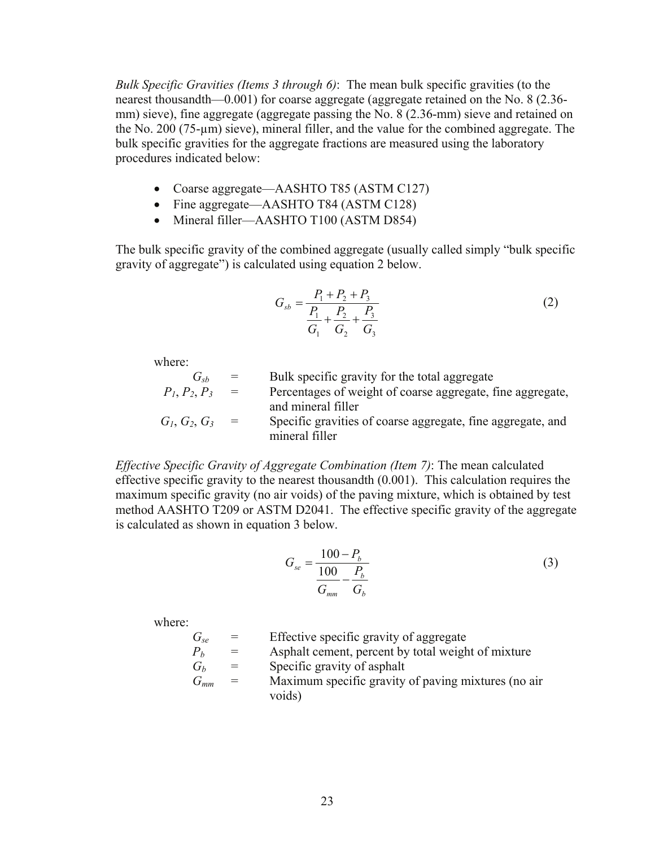*Bulk Specific Gravities (Items 3 through 6)*: The mean bulk specific gravities (to the nearest thousandth—0.001) for coarse aggregate (aggregate retained on the No. 8 (2.36 mm) sieve), fine aggregate (aggregate passing the No. 8 (2.36-mm) sieve and retained on the No. 200 (75-µm) sieve), mineral filler, and the value for the combined aggregate. The bulk specific gravities for the aggregate fractions are measured using the laboratory procedures indicated below:

- Coarse aggregate—AASHTO T85 (ASTM C127)
- Fine aggregate—AASHTO T84 (ASTM C128)
- Mineral filler—AASHTO T100 (ASTM D854)

The bulk specific gravity of the combined aggregate (usually called simply "bulk specific gravity of aggregate") is calculated using equation 2 below.

$$
G_{sb} = \frac{P_1 + P_2 + P_3}{\frac{P_1}{G_1} + \frac{P_2}{G_2} + \frac{P_3}{G_3}}
$$
(2)

where:

 $G_{sb}$  = Bulk specific gravity for the total aggregate  $P_1, P_2, P_3$  = Percentages of weight of coarse aggregate, fine aggregate, and mineral filler  $G_1, G_2, G_3$  = Specific gravities of coarse aggregate, fine aggregate, and mineral filler

*Effective Specific Gravity of Aggregate Combination (Item 7)*: The mean calculated effective specific gravity to the nearest thousandth (0.001). This calculation requires the maximum specific gravity (no air voids) of the paving mixture, which is obtained by test method AASHTO T209 or ASTM D2041. The effective specific gravity of the aggregate is calculated as shown in equation 3 below.

$$
G_{se} = \frac{100 - P_b}{\frac{100}{G_{mm}} - \frac{P_b}{G_b}}
$$
\n(3)

where:

 $G_{s}$  = Effective specific gravity of aggregate

 $P_b$  = Asphalt cement, percent by total weight of mixture

- $G_b$  = Specific gravity of asphalt
- *Gmm* = Maximum specific gravity of paving mixtures (no air voids)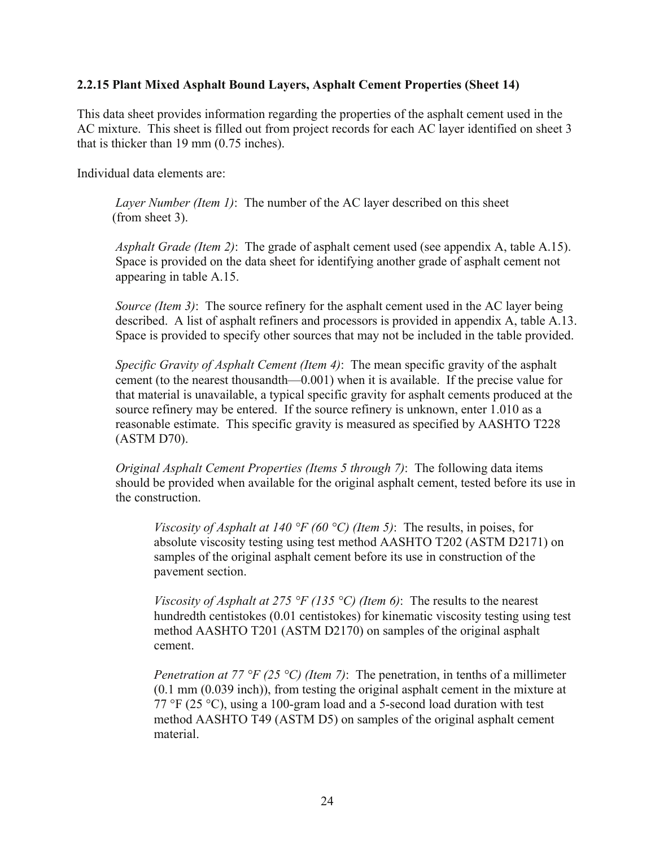#### <span id="page-31-0"></span>**2.2.15 Plant Mixed Asphalt Bound Layers, Asphalt Cement Properties (Sheet 14)**

This data sheet provides information regarding the properties of the asphalt cement used in the AC mixture. This sheet is filled out from project records for each AC layer identified on sheet 3 that is thicker than 19 mm (0.75 inches).

Individual data elements are:

*Layer Number (Item 1)*: The number of the AC layer described on this sheet (from sheet 3).

*Asphalt Grade (Item 2)*: The grade of asphalt cement used (see appendix A, table A.15). Space is provided on the data sheet for identifying another grade of asphalt cement not appearing in table A.15.

*Source (Item 3)*: The source refinery for the asphalt cement used in the AC layer being described. A list of asphalt refiners and processors is provided in appendix A, table A.13. Space is provided to specify other sources that may not be included in the table provided.

*Specific Gravity of Asphalt Cement (Item 4)*: The mean specific gravity of the asphalt cement (to the nearest thousandth—0.001) when it is available. If the precise value for that material is unavailable, a typical specific gravity for asphalt cements produced at the source refinery may be entered. If the source refinery is unknown, enter 1.010 as a reasonable estimate. This specific gravity is measured as specified by AASHTO T228 (ASTM D70).

*Original Asphalt Cement Properties (Items 5 through 7)*: The following data items should be provided when available for the original asphalt cement, tested before its use in the construction.

*Viscosity of Asphalt at 140 °F (60 °C) (Item 5)*: The results, in poises, for absolute viscosity testing using test method AASHTO T202 (ASTM D2171) on samples of the original asphalt cement before its use in construction of the pavement section.

*Viscosity of Asphalt at 275 °F (135 °C) (Item 6)*: The results to the nearest hundredth centistokes (0.01 centistokes) for kinematic viscosity testing using test method AASHTO T201 (ASTM D2170) on samples of the original asphalt cement.

*Penetration at 77 °F (25 °C) (Item 7)*: The penetration, in tenths of a millimeter (0.1 mm (0.039 inch)), from testing the original asphalt cement in the mixture at 77 °F (25 °C), using a 100-gram load and a 5-second load duration with test method AASHTO T49 (ASTM D5) on samples of the original asphalt cement material.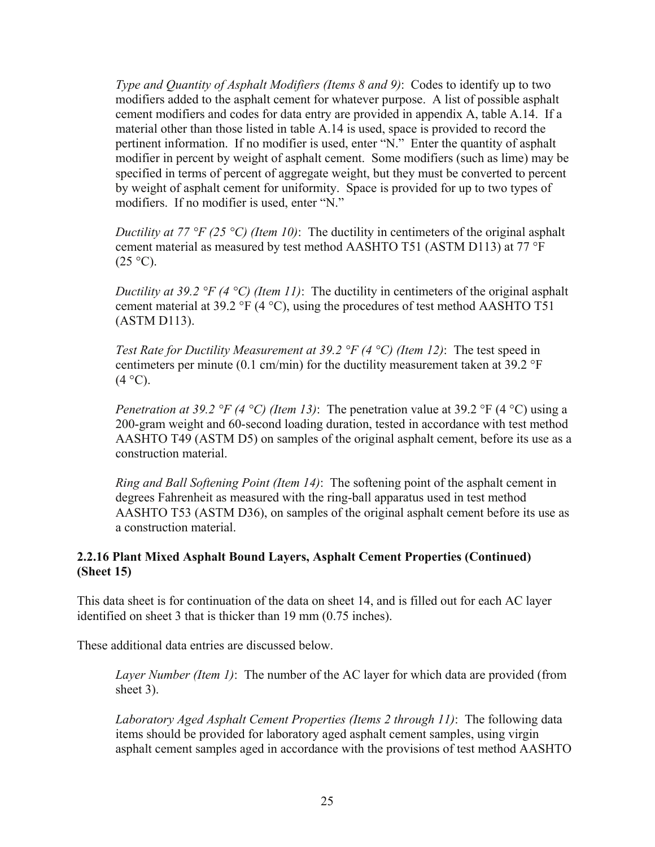<span id="page-32-0"></span>*Type and Quantity of Asphalt Modifiers (Items 8 and 9)*: Codes to identify up to two modifiers added to the asphalt cement for whatever purpose. A list of possible asphalt cement modifiers and codes for data entry are provided in appendix A, table A.14. If a material other than those listed in table A.14 is used, space is provided to record the pertinent information. If no modifier is used, enter "N." Enter the quantity of asphalt modifier in percent by weight of asphalt cement. Some modifiers (such as lime) may be specified in terms of percent of aggregate weight, but they must be converted to percent by weight of asphalt cement for uniformity. Space is provided for up to two types of modifiers. If no modifier is used, enter "N."

*Ductility at 77 °F (25 °C) (Item 10)*: The ductility in centimeters of the original asphalt cement material as measured by test method AASHTO T51 (ASTM D113) at 77 °F  $(25 \text{ °C})$ .

*Ductility at 39.2 °F (4 °C) (Item 11)*: The ductility in centimeters of the original asphalt cement material at 39.2 °F (4 °C), using the procedures of test method AASHTO T51 (ASTM D113).

*Test Rate for Ductility Measurement at 39.2 °F (4 °C) (Item 12)*: The test speed in centimeters per minute (0.1 cm/min) for the ductility measurement taken at 39.2  $\textdegree F$  $(4 °C)$ .

*Penetration at 39.2 °F (4 °C) (Item 13)*: The penetration value at 39.2 °F (4 °C) using a 200-gram weight and 60-second loading duration, tested in accordance with test method AASHTO T49 (ASTM D5) on samples of the original asphalt cement, before its use as a construction material.

*Ring and Ball Softening Point (Item 14)*: The softening point of the asphalt cement in degrees Fahrenheit as measured with the ring-ball apparatus used in test method AASHTO T53 (ASTM D36), on samples of the original asphalt cement before its use as a construction material.

# **2.2.16 Plant Mixed Asphalt Bound Layers, Asphalt Cement Properties (Continued) (Sheet 15)**

This data sheet is for continuation of the data on sheet 14, and is filled out for each AC layer identified on sheet 3 that is thicker than 19 mm (0.75 inches).

These additional data entries are discussed below.

*Layer Number (Item 1)*: The number of the AC layer for which data are provided (from sheet 3).

*Laboratory Aged Asphalt Cement Properties (Items 2 through 11)*: The following data items should be provided for laboratory aged asphalt cement samples, using virgin asphalt cement samples aged in accordance with the provisions of test method AASHTO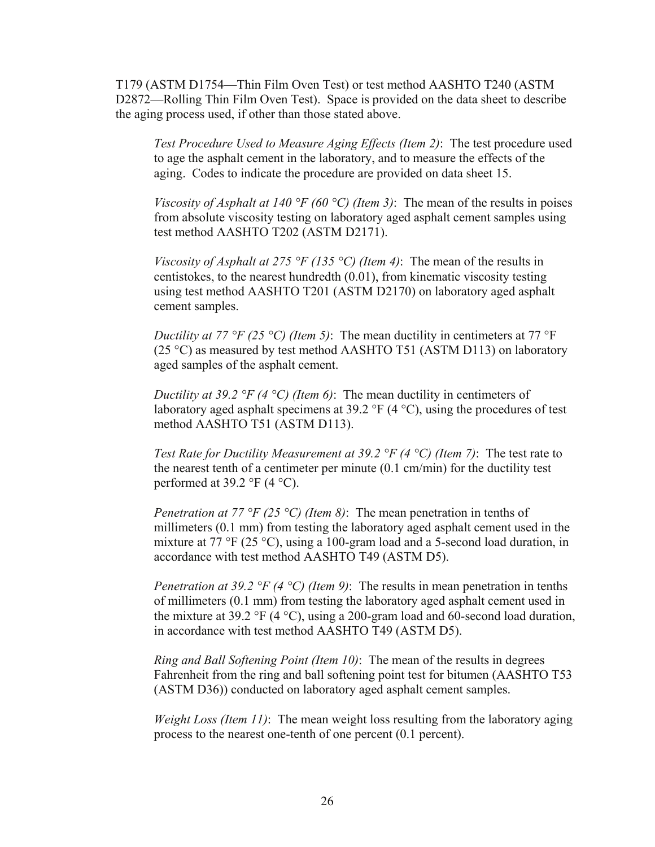T179 (ASTM D1754—Thin Film Oven Test) or test method AASHTO T240 (ASTM D2872—Rolling Thin Film Oven Test). Space is provided on the data sheet to describe the aging process used, if other than those stated above.

*Test Procedure Used to Measure Aging Effects (Item 2)*: The test procedure used to age the asphalt cement in the laboratory, and to measure the effects of the aging. Codes to indicate the procedure are provided on data sheet 15.

*Viscosity of Asphalt at 140 °F (60 °C) (Item 3)*: The mean of the results in poises from absolute viscosity testing on laboratory aged asphalt cement samples using test method AASHTO T202 (ASTM D2171).

*Viscosity of Asphalt at 275 °F (135 °C) (Item 4)*: The mean of the results in centistokes, to the nearest hundredth (0.01), from kinematic viscosity testing using test method AASHTO T201 (ASTM D2170) on laboratory aged asphalt cement samples.

*Ductility at 77 °F (25 °C) (Item 5)*: The mean ductility in centimeters at 77 °F (25 °C) as measured by test method AASHTO T51 (ASTM D113) on laboratory aged samples of the asphalt cement.

*Ductility at 39.2 °F (4 °C) (Item 6)*: The mean ductility in centimeters of laboratory aged asphalt specimens at 39.2  $\degree$ F (4  $\degree$ C), using the procedures of test method AASHTO T51 (ASTM D113).

*Test Rate for Ductility Measurement at 39.2 °F (4 °C) (Item 7)*: The test rate to the nearest tenth of a centimeter per minute (0.1 cm/min) for the ductility test performed at  $39.2 \text{ }^{\circ}$ F (4  $^{\circ}$ C).

*Penetration at 77 °F (25 °C) (Item 8)*: The mean penetration in tenths of millimeters (0.1 mm) from testing the laboratory aged asphalt cement used in the mixture at 77 °F (25 °C), using a 100-gram load and a 5-second load duration, in accordance with test method AASHTO T49 (ASTM D5).

*Penetration at 39.2 °F (4 °C) (Item 9)*: The results in mean penetration in tenths of millimeters (0.1 mm) from testing the laboratory aged asphalt cement used in the mixture at 39.2 °F (4 °C), using a 200-gram load and 60-second load duration, in accordance with test method AASHTO T49 (ASTM D5).

*Ring and Ball Softening Point (Item 10)*: The mean of the results in degrees Fahrenheit from the ring and ball softening point test for bitumen (AASHTO T53 (ASTM D36)) conducted on laboratory aged asphalt cement samples.

*Weight Loss (Item 11)*: The mean weight loss resulting from the laboratory aging process to the nearest one-tenth of one percent (0.1 percent).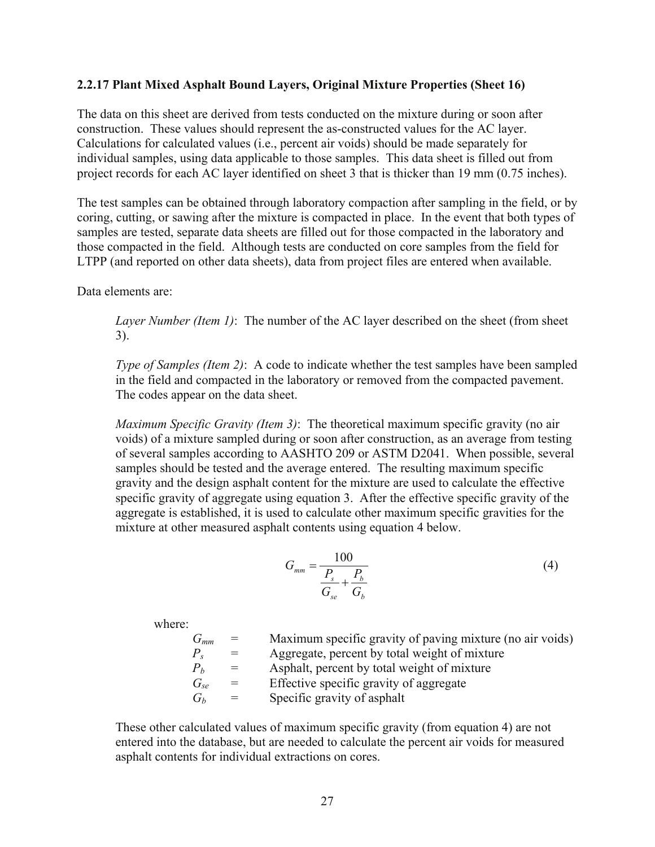#### <span id="page-34-0"></span>**2.2.17 Plant Mixed Asphalt Bound Layers, Original Mixture Properties (Sheet 16)**

The data on this sheet are derived from tests conducted on the mixture during or soon after construction. These values should represent the as-constructed values for the AC layer. Calculations for calculated values (i.e., percent air voids) should be made separately for individual samples, using data applicable to those samples. This data sheet is filled out from project records for each AC layer identified on sheet 3 that is thicker than 19 mm (0.75 inches).

The test samples can be obtained through laboratory compaction after sampling in the field, or by coring, cutting, or sawing after the mixture is compacted in place. In the event that both types of samples are tested, separate data sheets are filled out for those compacted in the laboratory and those compacted in the field. Although tests are conducted on core samples from the field for LTPP (and reported on other data sheets), data from project files are entered when available.

Data elements are:

*Layer Number (Item 1)*: The number of the AC layer described on the sheet (from sheet 3).

*Type of Samples (Item 2)*: A code to indicate whether the test samples have been sampled in the field and compacted in the laboratory or removed from the compacted pavement. The codes appear on the data sheet.

*Maximum Specific Gravity (Item 3)*: The theoretical maximum specific gravity (no air voids) of a mixture sampled during or soon after construction, as an average from testing of several samples according to AASHTO 209 or ASTM D2041. When possible, several samples should be tested and the average entered. The resulting maximum specific gravity and the design asphalt content for the mixture are used to calculate the effective specific gravity of aggregate using equation 3. After the effective specific gravity of the aggregate is established, it is used to calculate other maximum specific gravities for the mixture at other measured asphalt contents using equation 4 below.

$$
G_{mm} = \frac{100}{\frac{P_s}{G_{se}} + \frac{P_b}{G_b}}
$$
(4)

where:

 *Gmm* = Maximum specific gravity of paving mixture (no air voids)  $P_s$  = Aggregate, percent by total weight of mixture<br>  $P_b$  = Asphalt, percent by total weight of mixture  $P_b$  = Asphalt, percent by total weight of mixture<br> $G_{se}$  = Effective specific gravity of aggregate = Effective specific gravity of aggregate  $G_b$  = Specific gravity of asphalt

These other calculated values of maximum specific gravity (from equation 4) are not entered into the database, but are needed to calculate the percent air voids for measured asphalt contents for individual extractions on cores.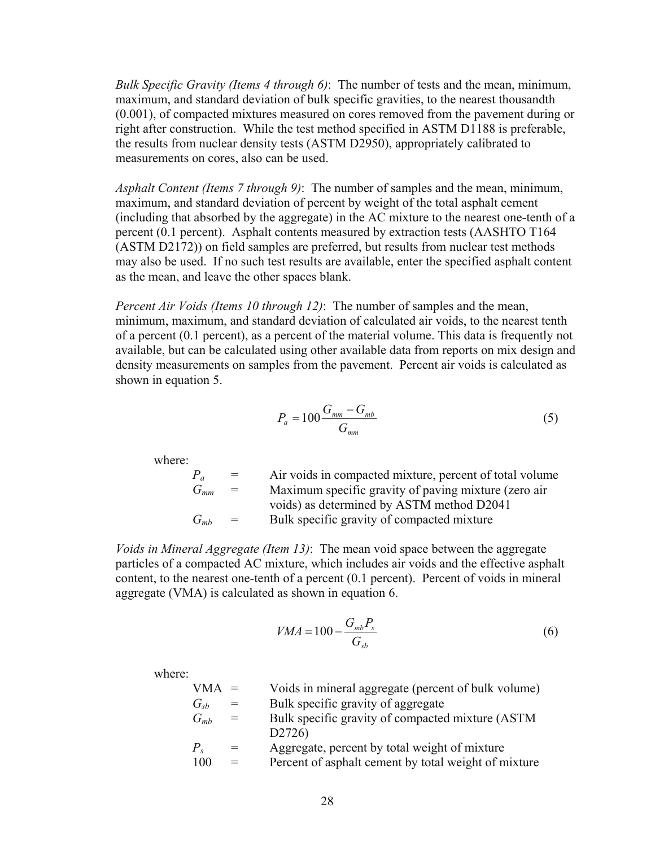*Bulk Specific Gravity (Items 4 through 6)*: The number of tests and the mean, minimum, maximum, and standard deviation of bulk specific gravities, to the nearest thousandth (0.001), of compacted mixtures measured on cores removed from the pavement during or right after construction. While the test method specified in ASTM D1188 is preferable, the results from nuclear density tests (ASTM D2950), appropriately calibrated to measurements on cores, also can be used.

*Asphalt Content (Items 7 through 9)*: The number of samples and the mean, minimum, maximum, and standard deviation of percent by weight of the total asphalt cement (including that absorbed by the aggregate) in the AC mixture to the nearest one-tenth of a percent (0.1 percent). Asphalt contents measured by extraction tests (AASHTO T164 (ASTM D2172)) on field samples are preferred, but results from nuclear test methods may also be used. If no such test results are available, enter the specified asphalt content as the mean, and leave the other spaces blank.

*Percent Air Voids (Items 10 through 12)*: The number of samples and the mean, minimum, maximum, and standard deviation of calculated air voids, to the nearest tenth of a percent (0.1 percent), as a percent of the material volume. This data is frequently not available, but can be calculated using other available data from reports on mix design and density measurements on samples from the pavement. Percent air voids is calculated as shown in equation 5.

$$
P_a = 100 \frac{G_{mm} - G_{mb}}{G_{mm}}
$$
\n
$$
\tag{5}
$$

where:

 $P_a$  = Air voids in compacted mixture, percent of total volume *Gmm* = Maximum specific gravity of paving mixture (zero air voids) as determined by ASTM method D2041  $G_{mb}$  = Bulk specific gravity of compacted mixture

*Voids in Mineral Aggregate (Item 13)*: The mean void space between the aggregate particles of a compacted AC mixture, which includes air voids and the effective asphalt content, to the nearest one-tenth of a percent (0.1 percent). Percent of voids in mineral aggregate (VMA) is calculated as shown in equation 6.

$$
VMA = 100 - \frac{G_{mb}P_s}{G_{sb}}\tag{6}
$$

where:

| $VMA =$     |     | Voids in mineral aggregate (percent of bulk volume)  |
|-------------|-----|------------------------------------------------------|
| $G_{sb}$    | $=$ | Bulk specific gravity of aggregate                   |
| $G_{mb}$    | $=$ | Bulk specific gravity of compacted mixture (ASTM)    |
|             |     | D2726)                                               |
| $P_{\rm s}$ |     | Aggregate, percent by total weight of mixture        |
| 100         | $=$ | Percent of asphalt cement by total weight of mixture |
|             |     |                                                      |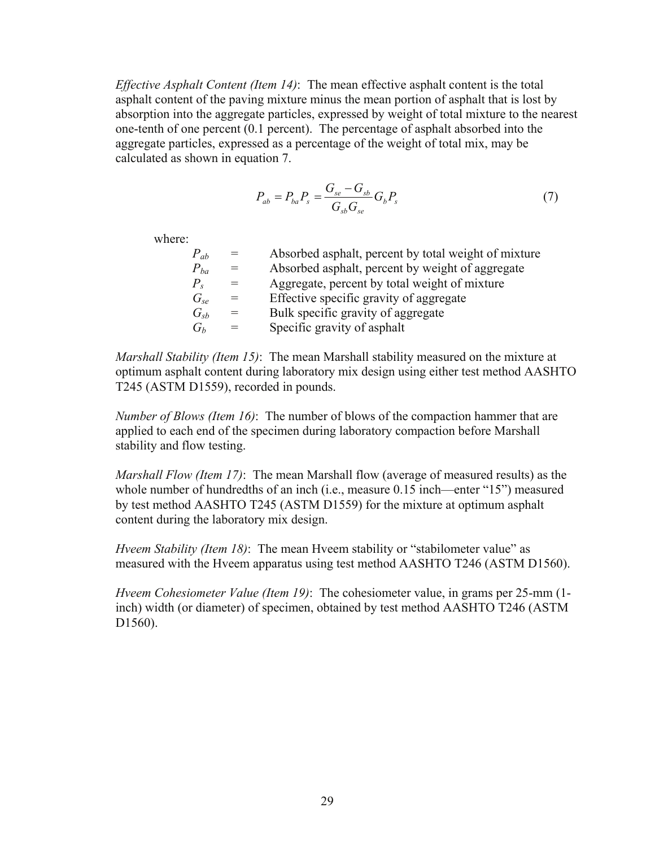*Effective Asphalt Content (Item 14)*: The mean effective asphalt content is the total asphalt content of the paving mixture minus the mean portion of asphalt that is lost by absorption into the aggregate particles, expressed by weight of total mixture to the nearest one-tenth of one percent (0.1 percent). The percentage of asphalt absorbed into the aggregate particles, expressed as a percentage of the weight of total mix, may be calculated as shown in equation 7.

$$
P_{ab} = P_{ba} P_s = \frac{G_{se} - G_{sb}}{G_{sb} G_{se}} G_b P_s \tag{7}
$$

where:

| $=$ | Absorbed as phalt, percent by total weight of mixture |
|-----|-------------------------------------------------------|
| $=$ | Absorbed asphalt, percent by weight of aggregate      |
| $=$ | Aggregate, percent by total weight of mixture         |
| $=$ | Effective specific gravity of aggregate               |
| $=$ | Bulk specific gravity of aggregate                    |
| $=$ | Specific gravity of asphalt                           |
|     |                                                       |

*Marshall Stability (Item 15)*: The mean Marshall stability measured on the mixture at optimum asphalt content during laboratory mix design using either test method AASHTO T245 (ASTM D1559), recorded in pounds.

*Number of Blows (Item 16)*: The number of blows of the compaction hammer that are applied to each end of the specimen during laboratory compaction before Marshall stability and flow testing.

*Marshall Flow (Item 17)*: The mean Marshall flow (average of measured results) as the whole number of hundredths of an inch (i.e., measure 0.15 inch—enter "15") measured by test method AASHTO T245 (ASTM D1559) for the mixture at optimum asphalt content during the laboratory mix design.

*Hveem Stability (Item 18)*: The mean Hveem stability or "stabilometer value" as measured with the Hveem apparatus using test method AASHTO T246 (ASTM D1560).

*Hveem Cohesiometer Value (Item 19)*: The cohesiometer value, in grams per 25-mm (1 inch) width (or diameter) of specimen, obtained by test method AASHTO T246 (ASTM D<sub>1560</sub>).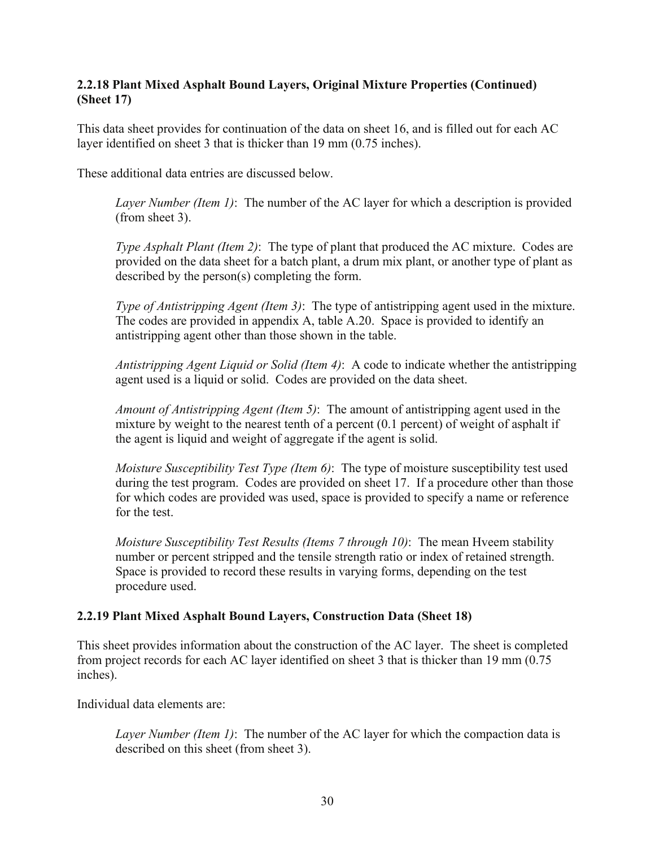## **2.2.18 Plant Mixed Asphalt Bound Layers, Original Mixture Properties (Continued) (Sheet 17)**

This data sheet provides for continuation of the data on sheet 16, and is filled out for each AC layer identified on sheet 3 that is thicker than 19 mm (0.75 inches).

These additional data entries are discussed below.

*Layer Number (Item 1)*: The number of the AC layer for which a description is provided (from sheet 3).

*Type Asphalt Plant (Item 2)*: The type of plant that produced the AC mixture. Codes are provided on the data sheet for a batch plant, a drum mix plant, or another type of plant as described by the person(s) completing the form.

*Type of Antistripping Agent (Item 3)*: The type of antistripping agent used in the mixture. The codes are provided in appendix A, table A.20. Space is provided to identify an antistripping agent other than those shown in the table.

*Antistripping Agent Liquid or Solid (Item 4)*: A code to indicate whether the antistripping agent used is a liquid or solid. Codes are provided on the data sheet.

*Amount of Antistripping Agent (Item 5)*: The amount of antistripping agent used in the mixture by weight to the nearest tenth of a percent (0.1 percent) of weight of asphalt if the agent is liquid and weight of aggregate if the agent is solid.

*Moisture Susceptibility Test Type (Item 6)*: The type of moisture susceptibility test used during the test program. Codes are provided on sheet 17. If a procedure other than those for which codes are provided was used, space is provided to specify a name or reference for the test.

*Moisture Susceptibility Test Results (Items 7 through 10)*: The mean Hveem stability number or percent stripped and the tensile strength ratio or index of retained strength. Space is provided to record these results in varying forms, depending on the test procedure used.

# **2.2.19 Plant Mixed Asphalt Bound Layers, Construction Data (Sheet 18)**

This sheet provides information about the construction of the AC layer. The sheet is completed from project records for each AC layer identified on sheet 3 that is thicker than 19 mm (0.75 inches).

Individual data elements are:

*Layer Number (Item 1)*: The number of the AC layer for which the compaction data is described on this sheet (from sheet 3).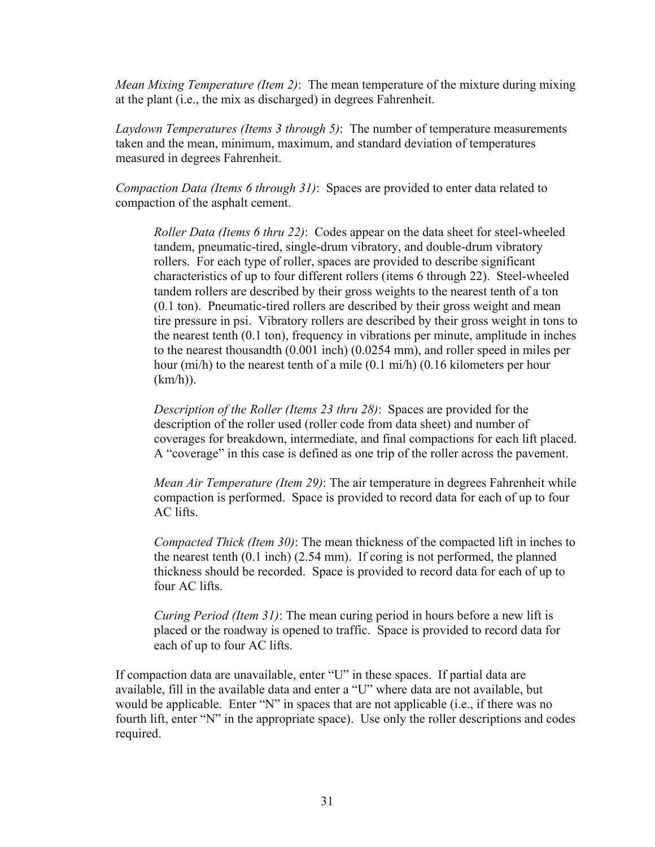*Mean Mixing Temperature (Item 2)*: The mean temperature of the mixture during mixing at the plant (i.e., the mix as discharged) in degrees Fahrenheit.

*Laydown Temperatures (Items 3 through 5)*: The number of temperature measurements taken and the mean, minimum, maximum, and standard deviation of temperatures measured in degrees Fahrenheit.

*Compaction Data (Items 6 through 31)*: Spaces are provided to enter data related to compaction of the asphalt cement.

*Roller Data (Items 6 thru 22)*: Codes appear on the data sheet for steel-wheeled tandem, pneumatic-tired, single-drum vibratory, and double-drum vibratory rollers. For each type of roller, spaces are provided to describe significant characteristics of up to four different rollers (items 6 through 22). Steel-wheeled tandem rollers are described by their gross weights to the nearest tenth of a ton (0.1 ton). Pneumatic-tired rollers are described by their gross weight and mean tire pressure in psi. Vibratory rollers are described by their gross weight in tons to the nearest tenth (0.1 ton), frequency in vibrations per minute, amplitude in inches to the nearest thousandth (0.001 inch) (0.0254 mm), and roller speed in miles per hour (mi/h) to the nearest tenth of a mile (0.1 mi/h) (0.16 kilometers per hour (km/h)).

*Description of the Roller (Items 23 thru 28)*: Spaces are provided for the description of the roller used (roller code from data sheet) and number of coverages for breakdown, intermediate, and final compactions for each lift placed. A "coverage" in this case is defined as one trip of the roller across the pavement.

*Mean Air Temperature (Item 29)*: The air temperature in degrees Fahrenheit while compaction is performed. Space is provided to record data for each of up to four AC lifts.

*Compacted Thick (Item 30)*: The mean thickness of the compacted lift in inches to the nearest tenth (0.1 inch) (2.54 mm). If coring is not performed, the planned thickness should be recorded. Space is provided to record data for each of up to four AC lifts.

*Curing Period (Item 31)*: The mean curing period in hours before a new lift is placed or the roadway is opened to traffic. Space is provided to record data for each of up to four AC lifts.

If compaction data are unavailable, enter "U" in these spaces. If partial data are available, fill in the available data and enter a "U" where data are not available, but would be applicable. Enter "N" in spaces that are not applicable (i.e., if there was no fourth lift, enter "N" in the appropriate space). Use only the roller descriptions and codes required.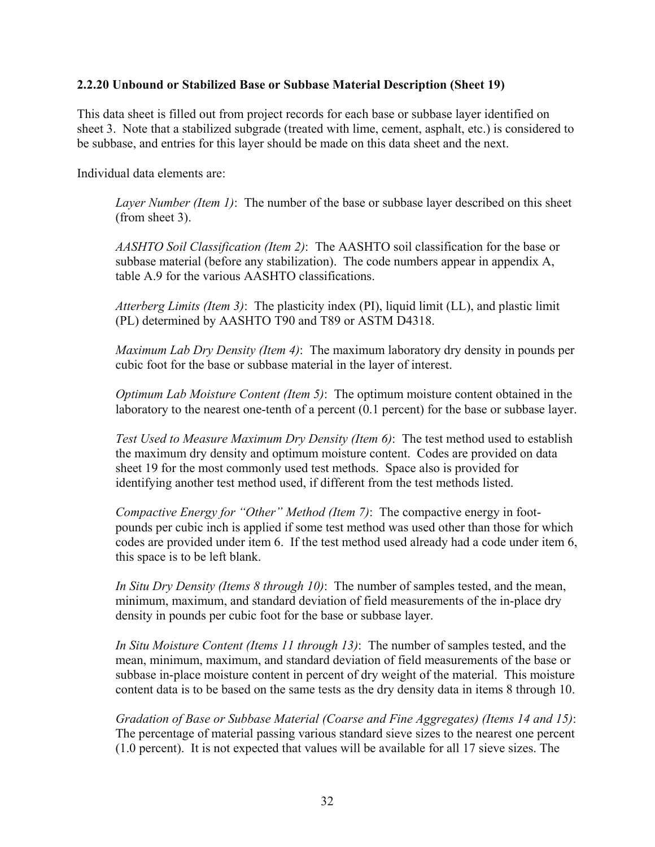## **2.2.20 Unbound or Stabilized Base or Subbase Material Description (Sheet 19)**

This data sheet is filled out from project records for each base or subbase layer identified on sheet 3. Note that a stabilized subgrade (treated with lime, cement, asphalt, etc.) is considered to be subbase, and entries for this layer should be made on this data sheet and the next.

Individual data elements are:

*Layer Number (Item 1)*: The number of the base or subbase layer described on this sheet (from sheet 3).

*AASHTO Soil Classification (Item 2)*: The AASHTO soil classification for the base or subbase material (before any stabilization). The code numbers appear in appendix A, table A.9 for the various AASHTO classifications.

*Atterberg Limits (Item 3)*: The plasticity index (PI), liquid limit (LL), and plastic limit (PL) determined by AASHTO T90 and T89 or ASTM D4318.

*Maximum Lab Dry Density (Item 4)*: The maximum laboratory dry density in pounds per cubic foot for the base or subbase material in the layer of interest.

*Optimum Lab Moisture Content (Item 5)*: The optimum moisture content obtained in the laboratory to the nearest one-tenth of a percent (0.1 percent) for the base or subbase layer.

*Test Used to Measure Maximum Dry Density (Item 6)*: The test method used to establish the maximum dry density and optimum moisture content. Codes are provided on data sheet 19 for the most commonly used test methods. Space also is provided for identifying another test method used, if different from the test methods listed.

*Compactive Energy for "Other" Method (Item 7)*: The compactive energy in footpounds per cubic inch is applied if some test method was used other than those for which codes are provided under item 6. If the test method used already had a code under item 6, this space is to be left blank.

*In Situ Dry Density (Items 8 through 10)*: The number of samples tested, and the mean, minimum, maximum, and standard deviation of field measurements of the in-place dry density in pounds per cubic foot for the base or subbase layer.

*In Situ Moisture Content (Items 11 through 13)*: The number of samples tested, and the mean, minimum, maximum, and standard deviation of field measurements of the base or subbase in-place moisture content in percent of dry weight of the material. This moisture content data is to be based on the same tests as the dry density data in items 8 through 10.

*Gradation of Base or Subbase Material (Coarse and Fine Aggregates) (Items 14 and 15)*: The percentage of material passing various standard sieve sizes to the nearest one percent (1.0 percent). It is not expected that values will be available for all 17 sieve sizes. The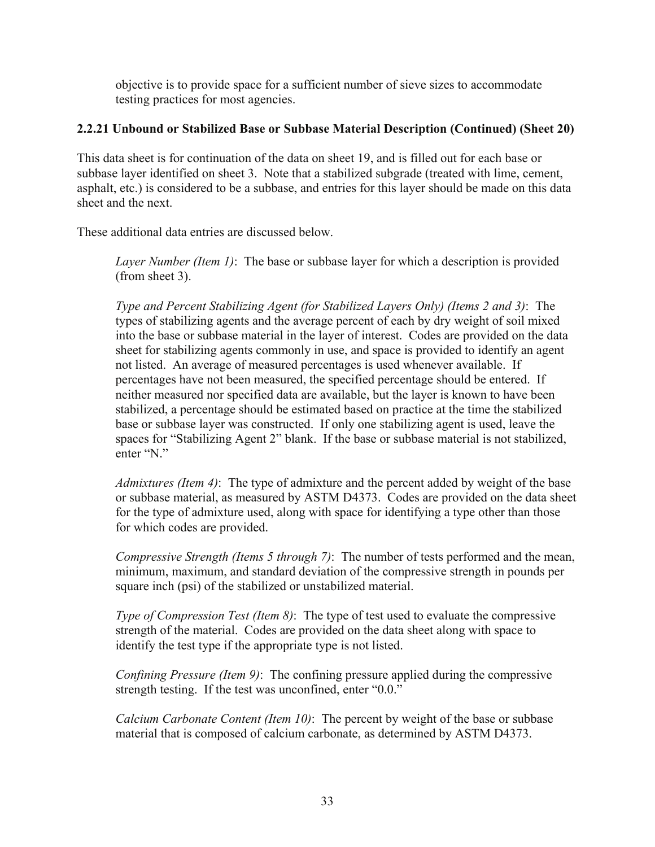objective is to provide space for a sufficient number of sieve sizes to accommodate testing practices for most agencies.

# **2.2.21 Unbound or Stabilized Base or Subbase Material Description (Continued) (Sheet 20)**

This data sheet is for continuation of the data on sheet 19, and is filled out for each base or subbase layer identified on sheet 3. Note that a stabilized subgrade (treated with lime, cement, asphalt, etc.) is considered to be a subbase, and entries for this layer should be made on this data sheet and the next.

These additional data entries are discussed below.

*Layer Number (Item 1)*: The base or subbase layer for which a description is provided (from sheet 3).

*Type and Percent Stabilizing Agent (for Stabilized Layers Only) (Items 2 and 3)*: The types of stabilizing agents and the average percent of each by dry weight of soil mixed into the base or subbase material in the layer of interest. Codes are provided on the data sheet for stabilizing agents commonly in use, and space is provided to identify an agent not listed. An average of measured percentages is used whenever available. If percentages have not been measured, the specified percentage should be entered. If neither measured nor specified data are available, but the layer is known to have been stabilized, a percentage should be estimated based on practice at the time the stabilized base or subbase layer was constructed. If only one stabilizing agent is used, leave the spaces for "Stabilizing Agent 2" blank. If the base or subbase material is not stabilized, enter "N."

*Admixtures (Item 4)*: The type of admixture and the percent added by weight of the base or subbase material, as measured by ASTM D4373. Codes are provided on the data sheet for the type of admixture used, along with space for identifying a type other than those for which codes are provided.

*Compressive Strength (Items 5 through 7)*: The number of tests performed and the mean, minimum, maximum, and standard deviation of the compressive strength in pounds per square inch (psi) of the stabilized or unstabilized material.

*Type of Compression Test (Item 8)*: The type of test used to evaluate the compressive strength of the material. Codes are provided on the data sheet along with space to identify the test type if the appropriate type is not listed.

*Confining Pressure (Item 9)*: The confining pressure applied during the compressive strength testing. If the test was unconfined, enter "0.0."

*Calcium Carbonate Content (Item 10)*: The percent by weight of the base or subbase material that is composed of calcium carbonate, as determined by ASTM D4373.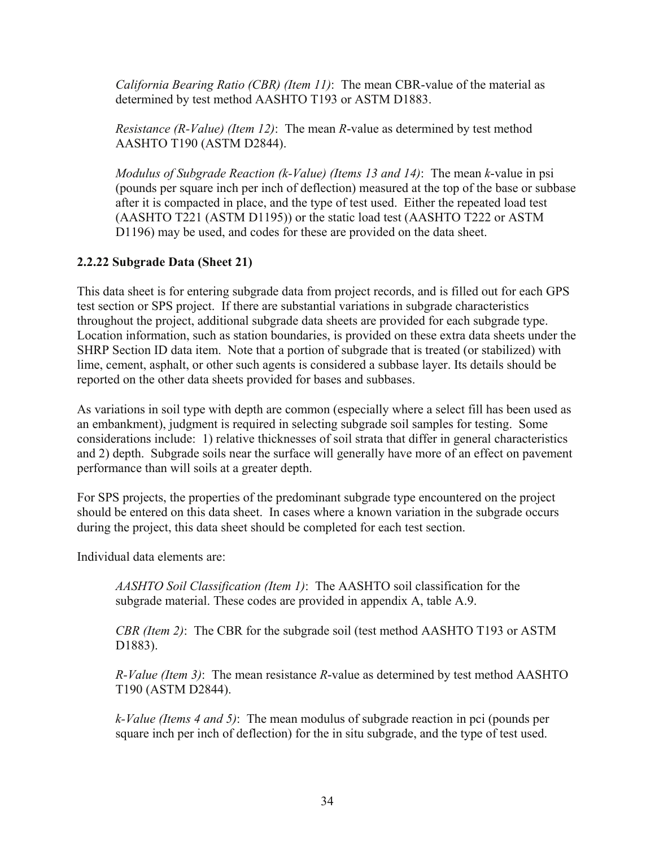*California Bearing Ratio (CBR) (Item 11)*: The mean CBR-value of the material as determined by test method AASHTO T193 or ASTM D1883.

*Resistance (R-Value) (Item 12)*: The mean *R*-value as determined by test method AASHTO T190 (ASTM D2844).

*Modulus of Subgrade Reaction (k-Value) (Items 13 and 14)*: The mean *k*-value in psi (pounds per square inch per inch of deflection) measured at the top of the base or subbase after it is compacted in place, and the type of test used. Either the repeated load test (AASHTO T221 (ASTM D1195)) or the static load test (AASHTO T222 or ASTM D1196) may be used, and codes for these are provided on the data sheet.

# **2.2.22 Subgrade Data (Sheet 21)**

This data sheet is for entering subgrade data from project records, and is filled out for each GPS test section or SPS project. If there are substantial variations in subgrade characteristics throughout the project, additional subgrade data sheets are provided for each subgrade type. Location information, such as station boundaries, is provided on these extra data sheets under the SHRP Section ID data item. Note that a portion of subgrade that is treated (or stabilized) with lime, cement, asphalt, or other such agents is considered a subbase layer. Its details should be reported on the other data sheets provided for bases and subbases.

As variations in soil type with depth are common (especially where a select fill has been used as an embankment), judgment is required in selecting subgrade soil samples for testing. Some considerations include: 1) relative thicknesses of soil strata that differ in general characteristics and 2) depth. Subgrade soils near the surface will generally have more of an effect on pavement performance than will soils at a greater depth.

For SPS projects, the properties of the predominant subgrade type encountered on the project should be entered on this data sheet. In cases where a known variation in the subgrade occurs during the project, this data sheet should be completed for each test section.

Individual data elements are:

*AASHTO Soil Classification (Item 1)*: The AASHTO soil classification for the subgrade material. These codes are provided in appendix A, table A.9.

*CBR (Item 2)*: The CBR for the subgrade soil (test method AASHTO T193 or ASTM D1883).

*R-Value (Item 3)*: The mean resistance *R*-value as determined by test method AASHTO T190 (ASTM D2844).

*k-Value (Items 4 and 5)*: The mean modulus of subgrade reaction in pci (pounds per square inch per inch of deflection) for the in situ subgrade, and the type of test used.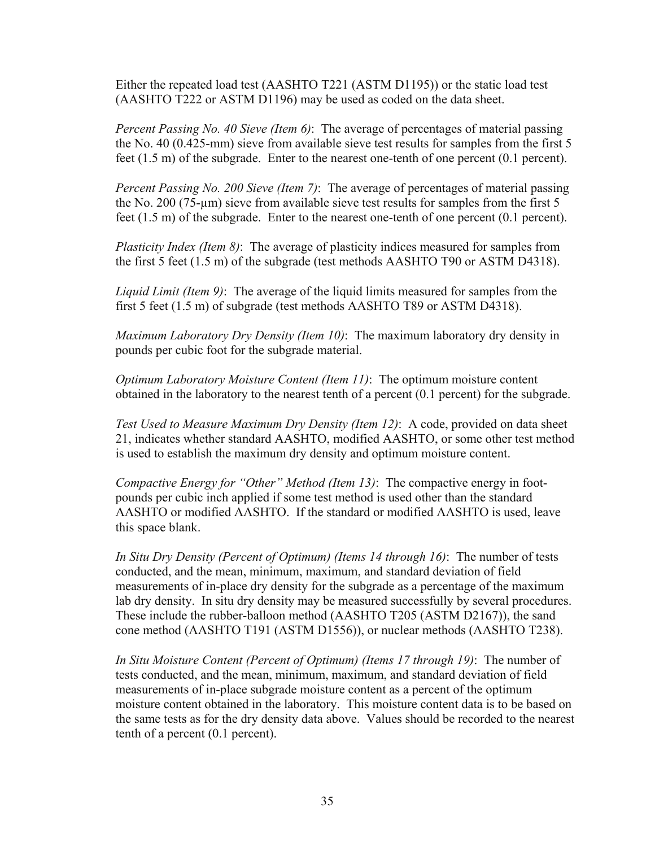Either the repeated load test (AASHTO T221 (ASTM D1195)) or the static load test (AASHTO T222 or ASTM D1196) may be used as coded on the data sheet.

*Percent Passing No. 40 Sieve (Item 6)*: The average of percentages of material passing the No. 40 (0.425-mm) sieve from available sieve test results for samples from the first 5 feet (1.5 m) of the subgrade. Enter to the nearest one-tenth of one percent (0.1 percent).

*Percent Passing No. 200 Sieve (Item 7)*: The average of percentages of material passing the No. 200 (75-µm) sieve from available sieve test results for samples from the first 5 feet (1.5 m) of the subgrade. Enter to the nearest one-tenth of one percent (0.1 percent).

*Plasticity Index (Item 8)*: The average of plasticity indices measured for samples from the first 5 feet (1.5 m) of the subgrade (test methods AASHTO T90 or ASTM D4318).

*Liquid Limit (Item 9)*: The average of the liquid limits measured for samples from the first 5 feet (1.5 m) of subgrade (test methods AASHTO T89 or ASTM D4318).

*Maximum Laboratory Dry Density (Item 10)*: The maximum laboratory dry density in pounds per cubic foot for the subgrade material.

*Optimum Laboratory Moisture Content (Item 11)*: The optimum moisture content obtained in the laboratory to the nearest tenth of a percent (0.1 percent) for the subgrade.

*Test Used to Measure Maximum Dry Density (Item 12)*: A code, provided on data sheet 21, indicates whether standard AASHTO, modified AASHTO, or some other test method is used to establish the maximum dry density and optimum moisture content.

*Compactive Energy for "Other" Method (Item 13)*: The compactive energy in footpounds per cubic inch applied if some test method is used other than the standard AASHTO or modified AASHTO. If the standard or modified AASHTO is used, leave this space blank.

*In Situ Dry Density (Percent of Optimum) (Items 14 through 16)*: The number of tests conducted, and the mean, minimum, maximum, and standard deviation of field measurements of in-place dry density for the subgrade as a percentage of the maximum lab dry density. In situ dry density may be measured successfully by several procedures. These include the rubber-balloon method (AASHTO T205 (ASTM D2167)), the sand cone method (AASHTO T191 (ASTM D1556)), or nuclear methods (AASHTO T238).

*In Situ Moisture Content (Percent of Optimum) (Items 17 through 19)*: The number of tests conducted, and the mean, minimum, maximum, and standard deviation of field measurements of in-place subgrade moisture content as a percent of the optimum moisture content obtained in the laboratory. This moisture content data is to be based on the same tests as for the dry density data above. Values should be recorded to the nearest tenth of a percent (0.1 percent).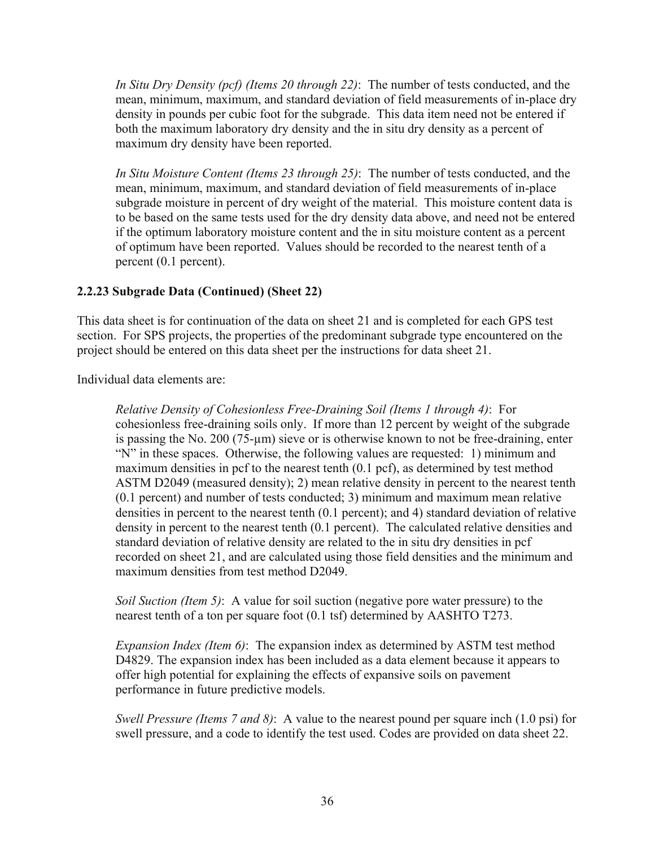*In Situ Dry Density (pcf) (Items 20 through 22)*: The number of tests conducted, and the mean, minimum, maximum, and standard deviation of field measurements of in-place dry density in pounds per cubic foot for the subgrade. This data item need not be entered if both the maximum laboratory dry density and the in situ dry density as a percent of maximum dry density have been reported.

*In Situ Moisture Content (Items 23 through 25)*: The number of tests conducted, and the mean, minimum, maximum, and standard deviation of field measurements of in-place subgrade moisture in percent of dry weight of the material. This moisture content data is to be based on the same tests used for the dry density data above, and need not be entered if the optimum laboratory moisture content and the in situ moisture content as a percent of optimum have been reported. Values should be recorded to the nearest tenth of a percent (0.1 percent).

# **2.2.23 Subgrade Data (Continued) (Sheet 22)**

This data sheet is for continuation of the data on sheet 21 and is completed for each GPS test section. For SPS projects, the properties of the predominant subgrade type encountered on the project should be entered on this data sheet per the instructions for data sheet 21.

Individual data elements are:

*Relative Density of Cohesionless Free-Draining Soil (Items 1 through 4)*: For cohesionless free-draining soils only. If more than 12 percent by weight of the subgrade is passing the No. 200 (75-µm) sieve or is otherwise known to not be free-draining, enter "N" in these spaces. Otherwise, the following values are requested: 1) minimum and maximum densities in pcf to the nearest tenth (0.1 pcf), as determined by test method ASTM D2049 (measured density); 2) mean relative density in percent to the nearest tenth (0.1 percent) and number of tests conducted; 3) minimum and maximum mean relative densities in percent to the nearest tenth (0.1 percent); and 4) standard deviation of relative density in percent to the nearest tenth (0.1 percent). The calculated relative densities and standard deviation of relative density are related to the in situ dry densities in pcf recorded on sheet 21, and are calculated using those field densities and the minimum and maximum densities from test method D2049.

*Soil Suction (Item 5)*: A value for soil suction (negative pore water pressure) to the nearest tenth of a ton per square foot (0.1 tsf) determined by AASHTO T273.

*Expansion Index (Item 6)*: The expansion index as determined by ASTM test method D4829. The expansion index has been included as a data element because it appears to offer high potential for explaining the effects of expansive soils on pavement performance in future predictive models.

*Swell Pressure (Items 7 and 8)*: A value to the nearest pound per square inch (1.0 psi) for swell pressure, and a code to identify the test used. Codes are provided on data sheet 22.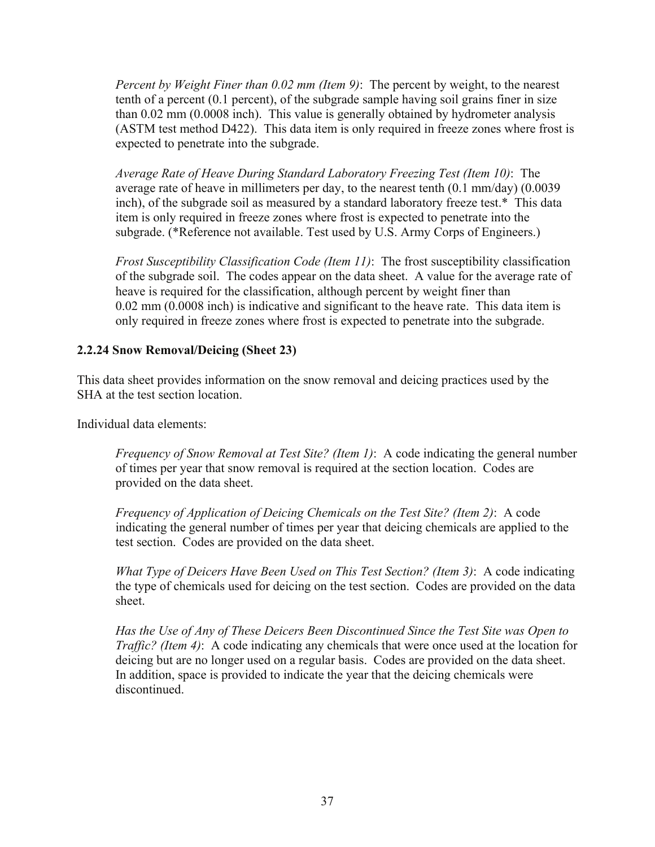*Percent by Weight Finer than 0.02 mm (Item 9)*: The percent by weight, to the nearest tenth of a percent (0.1 percent), of the subgrade sample having soil grains finer in size than 0.02 mm (0.0008 inch). This value is generally obtained by hydrometer analysis (ASTM test method D422). This data item is only required in freeze zones where frost is expected to penetrate into the subgrade.

*Average Rate of Heave During Standard Laboratory Freezing Test (Item 10)*: The average rate of heave in millimeters per day, to the nearest tenth (0.1 mm/day) (0.0039 inch), of the subgrade soil as measured by a standard laboratory freeze test.\* This data item is only required in freeze zones where frost is expected to penetrate into the subgrade. (\*Reference not available. Test used by U.S. Army Corps of Engineers.)

*Frost Susceptibility Classification Code (Item 11)*: The frost susceptibility classification of the subgrade soil. The codes appear on the data sheet. A value for the average rate of heave is required for the classification, although percent by weight finer than 0.02 mm (0.0008 inch) is indicative and significant to the heave rate. This data item is only required in freeze zones where frost is expected to penetrate into the subgrade.

# **2.2.24 Snow Removal/Deicing (Sheet 23)**

This data sheet provides information on the snow removal and deicing practices used by the SHA at the test section location.

Individual data elements:

*Frequency of Snow Removal at Test Site? (Item 1)*: A code indicating the general number of times per year that snow removal is required at the section location. Codes are provided on the data sheet.

*Frequency of Application of Deicing Chemicals on the Test Site? (Item 2)*: A code indicating the general number of times per year that deicing chemicals are applied to the test section. Codes are provided on the data sheet.

*What Type of Deicers Have Been Used on This Test Section? (Item 3)*: A code indicating the type of chemicals used for deicing on the test section. Codes are provided on the data sheet.

*Has the Use of Any of These Deicers Been Discontinued Since the Test Site was Open to Traffic? (Item 4)*: A code indicating any chemicals that were once used at the location for deicing but are no longer used on a regular basis. Codes are provided on the data sheet. In addition, space is provided to indicate the year that the deicing chemicals were discontinued.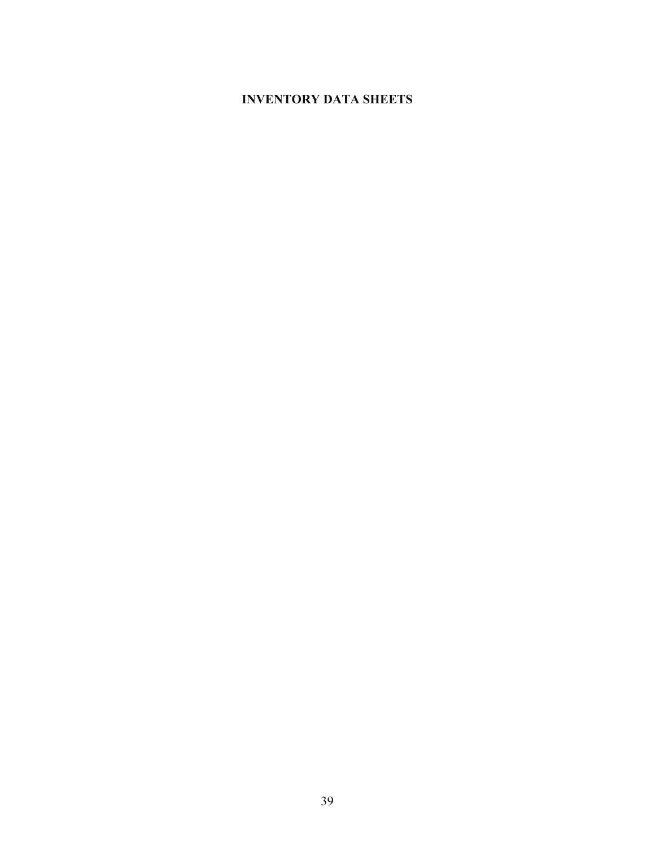# **INVENTORY DATA SHEETS**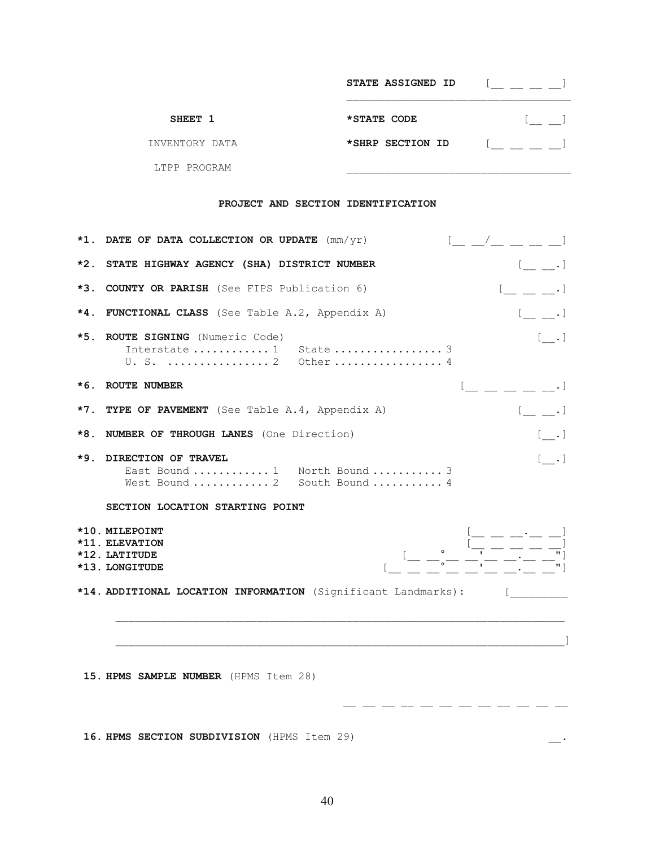|                | <b>STATE ASSIGNED ID</b> |  |
|----------------|--------------------------|--|
| SHEET 1        | *STATE CODE              |  |
| INVENTORY DATA | *SHRP SECTION ID         |  |
| LTPP PROGRAM   |                          |  |

## **PROJECT AND SECTION IDENTIFICATION**

|       | $\begin{array}{ccc} & \begin{array}{ccc} & \end{array} & & \begin{array}{ccc} & \end{array} & & \begin{array}{ccc} \end{array} & \begin{array}{ccc} \end{array} & \begin{array}{ccc} \end{array} & \begin{array}{ccc} \end{array} & \begin{array}{ccc} \end{array} & \begin{array}{ccc} \end{array} & \begin{array}{ccc} \end{array} & \begin{array}{ccc} \end{array} & \begin{array}{ccc} \end{array} & \begin{array}{ccc} \end{array} & \begin{array}{ccc} \end{array} & \begin{array}{ccc} \end{array} & \begin{array}{ccc} \end{array} & \begin{array}{ccc} \end{array} &$<br>*1. DATE OF DATA COLLECTION OR UPDATE $\text{mm/yr}$ ) |
|-------|------------------------------------------------------------------------------------------------------------------------------------------------------------------------------------------------------------------------------------------------------------------------------------------------------------------------------------------------------------------------------------------------------------------------------------------------------------------------------------------------------------------------------------------------------------------------------------------------------------------------------------------|
| *2.   | STATE HIGHWAY AGENCY (SHA) DISTRICT NUMBER                                                                                                                                                                                                                                                                                                                                                                                                                                                                                                                                                                                               |
| $*3.$ | <b>COUNTY OR PARISH</b> (See FIPS Publication 6)<br>$[$ $, ]$                                                                                                                                                                                                                                                                                                                                                                                                                                                                                                                                                                            |
| $*4.$ | <b>FUNCTIONAL CLASS</b> (See Table A.2, Appendix A)<br>$[$ $, ]$                                                                                                                                                                                                                                                                                                                                                                                                                                                                                                                                                                         |
| *5.   | ROUTE SIGNING (Numeric Code)<br>[ . ]<br>Interstate  1 State  3<br>U. S.  2 Other  4                                                                                                                                                                                                                                                                                                                                                                                                                                                                                                                                                     |
|       | *6. ROUTE NUMBER<br>$     \cdot$ $]$                                                                                                                                                                                                                                                                                                                                                                                                                                                                                                                                                                                                     |
|       | *7. TYPE OF PAVEMENT (See Table A.4, Appendix A)<br>$[$ $, ]$                                                                                                                                                                                                                                                                                                                                                                                                                                                                                                                                                                            |
| *8.   | <b>NUMBER OF THROUGH LANES</b> (One Direction)<br>[ . ]                                                                                                                                                                                                                                                                                                                                                                                                                                                                                                                                                                                  |
| ∗9.   | DIRECTION OF TRAVEL<br>[ . ]<br>East Bound  1 North Bound  3<br>West Bound  2 South Bound  4                                                                                                                                                                                                                                                                                                                                                                                                                                                                                                                                             |
|       | SECTION LOCATION STARTING POINT                                                                                                                                                                                                                                                                                                                                                                                                                                                                                                                                                                                                          |
|       | *10. MILEPOINT<br>*11. ELEVATION<br>*12. LATITUDE<br>*13. LONGITUDE                                                                                                                                                                                                                                                                                                                                                                                                                                                                                                                                                                      |
|       | *14. ADDITIONAL LOCATION INFORMATION (Significant Landmarks):                                                                                                                                                                                                                                                                                                                                                                                                                                                                                                                                                                            |
|       |                                                                                                                                                                                                                                                                                                                                                                                                                                                                                                                                                                                                                                          |
|       | 15. HPMS SAMPLE NUMBER (HPMS Item 28)                                                                                                                                                                                                                                                                                                                                                                                                                                                                                                                                                                                                    |

 **16. HPMS SECTION SUBDIVISION** (HPMS Item 29) \_\_.

\_\_ \_\_ \_\_ \_\_ \_\_ \_\_ \_\_ \_\_ \_\_ \_\_ \_\_ \_\_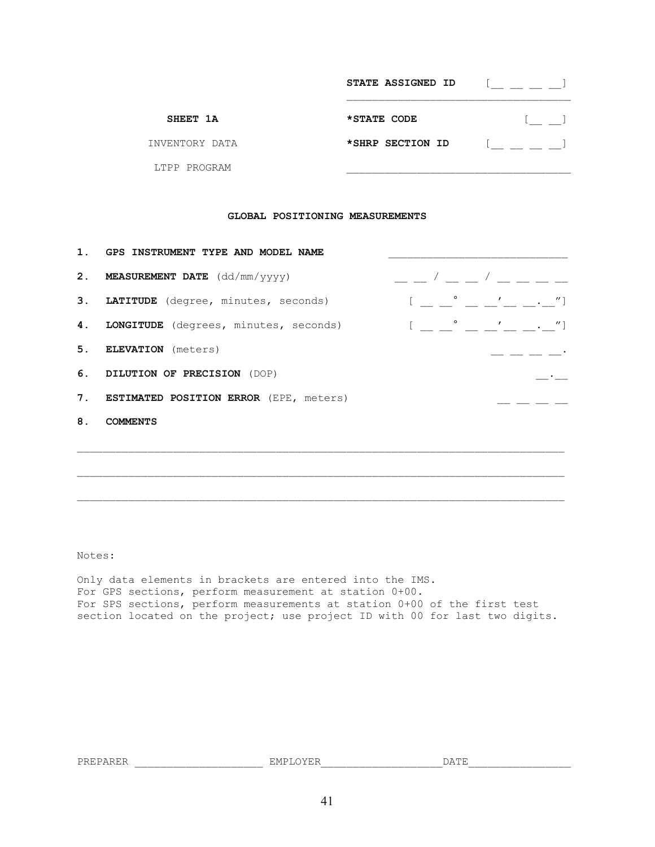|                | STATE ASSIGNED ID |  |
|----------------|-------------------|--|
| SHEET 1A       | *STATE CODE       |  |
| INVENTORY DATA | *SHRP SECTION ID  |  |
| LTPP PROGRAM   |                   |  |

### **GLOBAL POSITIONING MEASUREMENTS**

|    | 1. GPS INSTRUMENT TYPE AND MODEL NAME     |                                                         |  |                                                                                                                                                                                                                                                                                                                                                                                                                                                                                                                                                                                     |
|----|-------------------------------------------|---------------------------------------------------------|--|-------------------------------------------------------------------------------------------------------------------------------------------------------------------------------------------------------------------------------------------------------------------------------------------------------------------------------------------------------------------------------------------------------------------------------------------------------------------------------------------------------------------------------------------------------------------------------------|
|    | 2. MEASUREMENT DATE (dd/mm/yyyy)          | $\begin{array}{cccccccccccccc} & & & & & & \end{array}$ |  |                                                                                                                                                                                                                                                                                                                                                                                                                                                                                                                                                                                     |
|    | 3. LATITUDE (degree, minutes, seconds)    |                                                         |  | $[$ $\frac{1}{\sqrt{2}}$ $\frac{1}{\sqrt{2}}$ $\frac{1}{\sqrt{2}}$ $\frac{1}{\sqrt{2}}$ $\frac{1}{\sqrt{2}}$ $\frac{1}{\sqrt{2}}$ $\frac{1}{\sqrt{2}}$ $\frac{1}{\sqrt{2}}$ $\frac{1}{\sqrt{2}}$ $\frac{1}{\sqrt{2}}$ $\frac{1}{\sqrt{2}}$ $\frac{1}{\sqrt{2}}$ $\frac{1}{\sqrt{2}}$ $\frac{1}{\sqrt{2}}$ $\frac{1}{\sqrt{2}}$ $\frac{1}{\sqrt{2}}$ $\frac{1}{\sqrt{$                                                                                                                                                                                                               |
|    | 4. LONGITUDE (degrees, minutes, seconds)  |                                                         |  | $[ \begin{array}{ccc} \begin{array}{ccc} \end{array} & \begin{array}{ccc} \end{array} & \begin{array}{ccc} \end{array} & \begin{array}{ccc} \end{array} & \begin{array}{ccc} \end{array} & \begin{array}{ccc} \end{array} & \begin{array}{ccc} \end{array} & \begin{array}{ccc} \end{array} & \begin{array}{ccc} \end{array} & \begin{array}{ccc} \end{array} & \begin{array}{ccc} \end{array} & \begin{array}{ccc} \end{array} & \begin{array}{ccc} \end{array} & \begin{array}{ccc} \end{array} & \begin{array}{ccc} \end{array} & \begin{array}{ccc} \end{array} & \begin{array$ |
|    | 5. ELEVATION (meters)                     |                                                         |  | ___ __ __ __ __ __ __                                                                                                                                                                                                                                                                                                                                                                                                                                                                                                                                                               |
|    | 6. DILUTION OF PRECISION (DOP)            |                                                         |  |                                                                                                                                                                                                                                                                                                                                                                                                                                                                                                                                                                                     |
|    | 7. ESTIMATED POSITION ERROR (EPE, meters) |                                                         |  |                                                                                                                                                                                                                                                                                                                                                                                                                                                                                                                                                                                     |
| 8. | COMMENTS                                  |                                                         |  |                                                                                                                                                                                                                                                                                                                                                                                                                                                                                                                                                                                     |
|    |                                           |                                                         |  |                                                                                                                                                                                                                                                                                                                                                                                                                                                                                                                                                                                     |
|    |                                           |                                                         |  |                                                                                                                                                                                                                                                                                                                                                                                                                                                                                                                                                                                     |

Notes:

Only data elements in brackets are entered into the IMS. For GPS sections, perform measurement at station 0+00. For SPS sections, perform measurements at station 0+00 of the first test section located on the project; use project ID with 00 for last two digits.

\_\_\_\_\_\_\_\_\_\_\_\_\_\_\_\_\_\_\_\_\_\_\_\_\_\_\_\_\_\_\_\_\_\_\_\_\_\_\_\_\_\_\_\_\_\_\_\_\_\_\_\_\_\_\_\_\_\_\_\_\_\_\_\_\_\_\_\_\_\_\_\_\_\_\_\_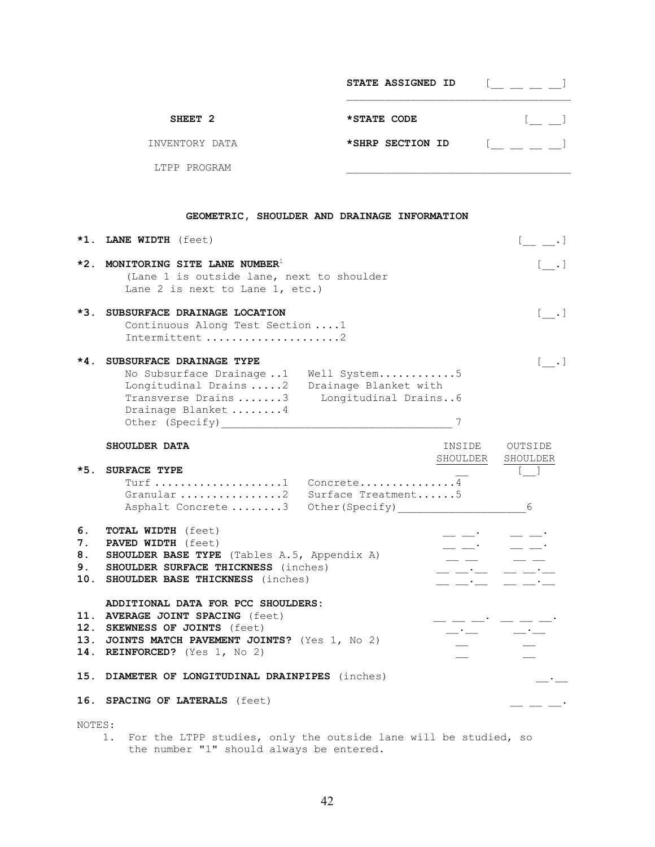|                    | STATE ASSIGNED ID |  |
|--------------------|-------------------|--|
| SHEET <sub>2</sub> | *STATE CODE       |  |
| INVENTORY DATA     | *SHRP SECTION ID  |  |
| LTPP PROGRAM       |                   |  |

## **GEOMETRIC, SHOULDER AND DRAINAGE INFORMATION**

|       | *1. LANE WIDTH (feet)                                                                                                                                                                                        |  |
|-------|--------------------------------------------------------------------------------------------------------------------------------------------------------------------------------------------------------------|--|
|       | $\star$ 2. MONITORING SITE LANE NUMBER <sup>1</sup><br>(Lane 1 is outside lane, next to shoulder<br>Lane 2 is next to Lane $1$ , etc.)                                                                       |  |
| $*3.$ | SUBSURFACE DRAINAGE LOCATION<br>Continuous Along Test Section 1<br>Intermittent 2                                                                                                                            |  |
| $*4.$ | SUBSURFACE DRAINAGE TYPE<br>Well System5<br>No Subsurface Drainage1<br>Longitudinal Drains 2<br>Drainage Blanket with<br>Longitudinal Drains6<br>Transverse Drains3<br>Drainage Blanket 4<br>Other (Specify) |  |

|                | SHOULDER DATA                                                                                                                                                                                  | INSIDE                                                                                                                                                                                                                                                                                                                                                                                                                                                                                                                                                           | OUTSIDE                         |
|----------------|------------------------------------------------------------------------------------------------------------------------------------------------------------------------------------------------|------------------------------------------------------------------------------------------------------------------------------------------------------------------------------------------------------------------------------------------------------------------------------------------------------------------------------------------------------------------------------------------------------------------------------------------------------------------------------------------------------------------------------------------------------------------|---------------------------------|
|                |                                                                                                                                                                                                | SHOULDER SHOULDER                                                                                                                                                                                                                                                                                                                                                                                                                                                                                                                                                |                                 |
| $*5.$          | <b>SURFACE TYPE</b><br>Granular 2 Surface Treatment5<br>Asphalt Concrete 3 Other (Specify)                                                                                                     |                                                                                                                                                                                                                                                                                                                                                                                                                                                                                                                                                                  | 6                               |
| 6.<br>7.<br>8. | <b>TOTAL WIDTH</b> (feet)<br><b>PAVED WIDTH</b> (feet)<br><b>SHOULDER BASE TYPE</b> (Tables A.5, Appendix A)<br>9. SHOULDER SURFACE THICKNESS (inches)<br>10. SHOULDER BASE THICKNESS (inches) | <b>Contractor</b><br>$  \cdot$ $ \cdot$<br>$\begin{tabular}{ll} \multicolumn{2}{c} {\textbf{1}} & \multicolumn{2}{c} {\textbf{2}} & \multicolumn{2}{c} {\textbf{3}} & \multicolumn{2}{c} {\textbf{4}} \\ \multicolumn{2}{c} {\textbf{5}} & \multicolumn{2}{c} {\textbf{6}} & \multicolumn{2}{c} {\textbf{7}} & \multicolumn{2}{c} {\textbf{8}} & \multicolumn{2}{c} {\textbf{9}} \\ \multicolumn{2}{c} {\textbf{1}} & \multicolumn{2}{c} {\textbf{1}} & \multicolumn{2}{c} {\textbf{1}} & \multicolumn{2}{c} {\textbf{1}} & \multicolumn$<br>__ __·___ __ __ __- | $\equiv$ $\equiv$               |
|                | ADDITIONAL DATA FOR PCC SHOULDERS:<br>11. AVERAGE JOINT SPACING (feet)<br>12. SKEWNESS OF JOINTS (feet)<br>13. JOINTS MATCH PAVEMENT JOINTS? (Yes 1, No 2)<br>14. REINFORCED? (Yes 1, No 2)    | $\frac{1}{2}$ $\frac{1}{2}$ $\frac{1}{2}$ $\frac{1}{2}$ $\frac{1}{2}$ $\frac{1}{2}$ $\frac{1}{2}$ $\frac{1}{2}$ $\frac{1}{2}$ $\frac{1}{2}$ $\frac{1}{2}$ $\frac{1}{2}$ $\frac{1}{2}$ $\frac{1}{2}$ $\frac{1}{2}$ $\frac{1}{2}$ $\frac{1}{2}$ $\frac{1}{2}$ $\frac{1}{2}$ $\frac{1}{2}$ $\frac{1}{2}$ $\frac{1}{2}$                                                                                                                                                                                                                                              | - -- -- - -- -- -- <sup>-</sup> |
|                | 15. DIAMETER OF LONGITUDINAL DRAINPIPES (inches)                                                                                                                                               |                                                                                                                                                                                                                                                                                                                                                                                                                                                                                                                                                                  |                                 |
|                | 16. SPACING OF LATERALS (feet)                                                                                                                                                                 |                                                                                                                                                                                                                                                                                                                                                                                                                                                                                                                                                                  |                                 |
| NOTES:         |                                                                                                                                                                                                |                                                                                                                                                                                                                                                                                                                                                                                                                                                                                                                                                                  |                                 |

 1. For the LTPP studies, only the outside lane will be studied, so the number "1" should always be entered.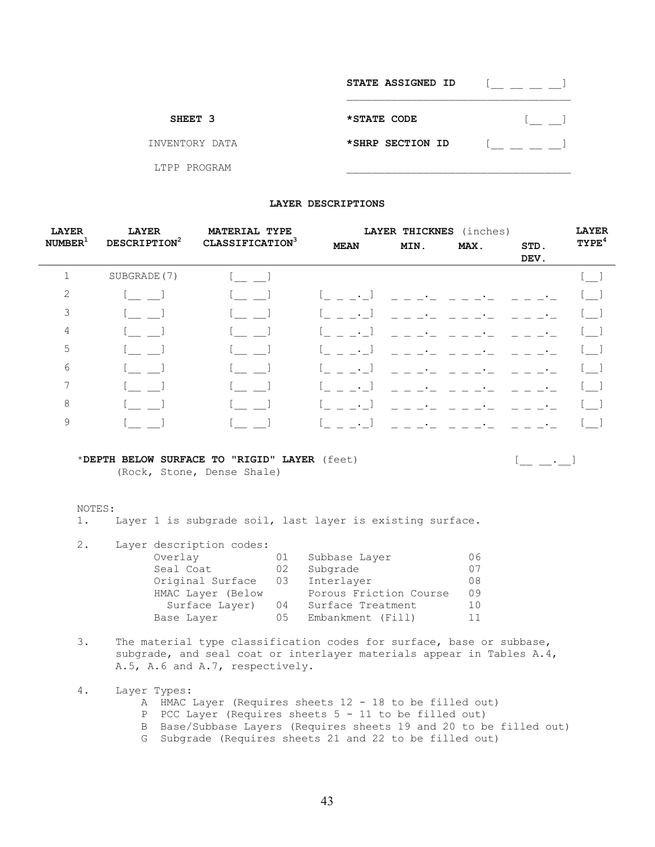|                | STATE ASSIGNED ID |  |
|----------------|-------------------|--|
| SHEET 3        | *STATE CODE       |  |
| INVENTORY DATA | *SHRP SECTION ID  |  |
| LTPP PROGRAM   |                   |  |

#### **LAYER DESCRIPTIONS**

| <b>LAYER</b>        | <b>LAYER</b>             | <b>MATERIAL TYPE</b>        |              | LAYER THICKNES | (inches)                 |              | <b>LAYER</b>      |
|---------------------|--------------------------|-----------------------------|--------------|----------------|--------------------------|--------------|-------------------|
| NUMBER <sup>1</sup> | DESCRIPTION <sup>2</sup> | CLASSIFICATION <sup>3</sup> | <b>MEAN</b>  | MIN.           | MAX.                     | STD.<br>DEV. | TYPE <sup>4</sup> |
| 1                   | SUBGRADE (7)             |                             |              |                |                          |              | $\mathsf{l}\_$    |
| 2                   |                          |                             | $\bullet$ .  |                |                          |              | L.                |
| 3                   |                          |                             | $\bullet$ .  |                |                          |              |                   |
| 4                   |                          |                             | $\sim$ $-$ . |                |                          |              | . A               |
| 5                   |                          |                             | $\bullet$ .  |                |                          |              | [ ]               |
| 6                   |                          |                             | $\bullet$    |                |                          |              | <b>Contract</b>   |
| 7                   |                          |                             | $\bullet$ .  |                |                          |              | .                 |
| 8                   |                          |                             | $\bullet$ .  |                |                          |              |                   |
| 9                   |                          |                             | $\bullet$ .  | $=$ $=$ $ -$   | in and a straight of the |              |                   |

#### \***DEPTH BELOW SURFACE TO "RIGID" LAYER** (feet) [\_\_ \_\_.\_\_]

(Rock, Stone, Dense Shale)

#### NOTES:

1. Layer 1 is subgrade soil, last layer is existing surface.

| 2. | Layer description codes: |    |                        |    |
|----|--------------------------|----|------------------------|----|
|    | Overlay                  | 01 | Subbase Layer          | 06 |
|    | Seal Coat                | 02 | Subgrade               | 07 |
|    | Original Surface         | 03 | Interlayer             | 08 |
|    | HMAC Layer (Below        |    | Porous Friction Course | 09 |
|    | Surface Layer)           | 04 | Surface Treatment      | 10 |
|    | Base Layer               | 05 | Embankment (Fill)      | 11 |

- 3. The material type classification codes for surface, base or subbase, subgrade, and seal coat or interlayer materials appear in Tables A.4, A.5, A.6 and A.7, respectively.
- 4. Layer Types: A HMAC Layer (Requires sheets 12 - 18 to be filled out) P PCC Layer (Requires sheets 5 - 11 to be filled out) B Base/Subbase Layers (Requires sheets 19 and 20 to be filled out)
	- G Subgrade (Requires sheets 21 and 22 to be filled out)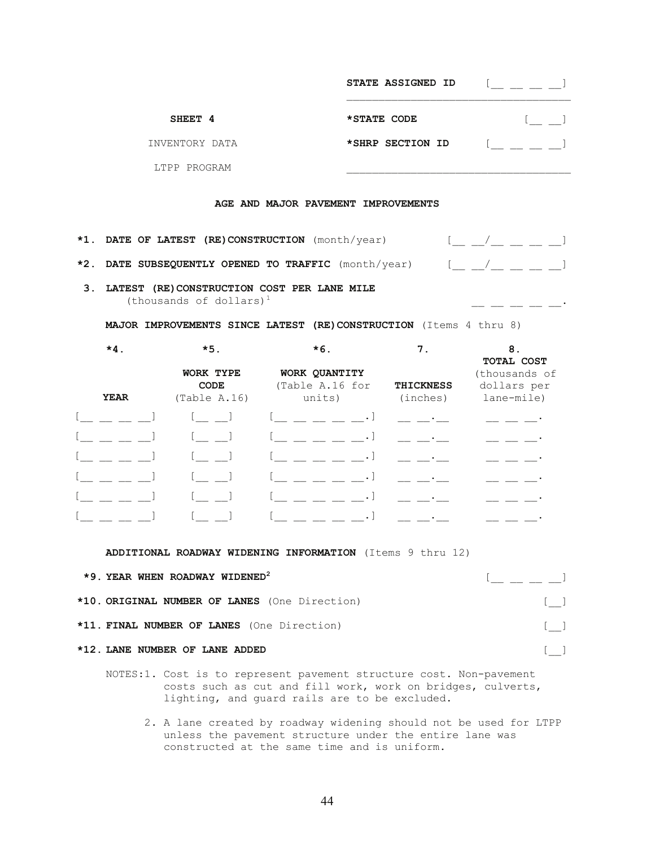|                                                      | STATE ASSIGNED ID |                                                        |
|------------------------------------------------------|-------------------|--------------------------------------------------------|
| SHEET 4                                              | *STATE CODE       |                                                        |
| INVENTORY DATA                                       | *SHRP SECTION ID  |                                                        |
| LTPP PROGRAM                                         |                   |                                                        |
| AGE AND MAJOR PAVEMENT IMPROVEMENTS                  |                   |                                                        |
| *1. DATE OF LATEST (RE) CONSTRUCTION (month/year)    |                   | $\begin{bmatrix} 1 & 1 & 1 \\ 1 & 1 & 1 \end{bmatrix}$ |
| *2. DATE SUBSEQUENTLY OPENED TO TRAFFIC (month/year) |                   |                                                        |

 **3. LATEST (RE)CONSTRUCTION COST PER LANE MILE**  (thousands of dollars) $<sup>1</sup>$ </sup>

 **MAJOR IMPROVEMENTS SINCE LATEST (RE)CONSTRUCTION** (Items 4 thru 8)

 $-$ 

| $*4.$ | $*5.$                             | $*6.$                                      | 7.                           | 8.<br>TOTAL COST                           |
|-------|-----------------------------------|--------------------------------------------|------------------------------|--------------------------------------------|
| YEAR  | WORK TYPE<br>CODE<br>(Table A.16) | WORK QUANTITY<br>(Table A.16 for<br>units) | <b>THICKNESS</b><br>(inches) | (thousands of<br>dollars per<br>lane-mile) |
|       |                                   |                                            |                              |                                            |
|       |                                   |                                            |                              |                                            |
|       |                                   |                                            |                              |                                            |
|       |                                   |                                            |                              |                                            |
|       |                                   |                                            |                              |                                            |
|       |                                   |                                            |                              |                                            |

 **ADDITIONAL ROADWAY WIDENING INFORMATION** (Items 9 thru 12)

| *9. YEAR WHEN ROADWAY WIDENED <sup>2</sup>    | <u>[ _ _ _ _ _ ]</u>    |
|-----------------------------------------------|-------------------------|
| *10. ORIGINAL NUMBER OF LANES (One Direction) | $\lceil$ $\rceil$       |
| *11. FINAL NUMBER OF LANES (One Direction)    | and the property of the |
| *12. LANE NUMBER OF LANE ADDED                | $\mathbf{1}$            |

- NOTES:1. Cost is to represent pavement structure cost. Non-pavement costs such as cut and fill work, work on bridges, culverts, lighting, and guard rails are to be excluded.
	- 2. A lane created by roadway widening should not be used for LTPP unless the pavement structure under the entire lane was constructed at the same time and is uniform.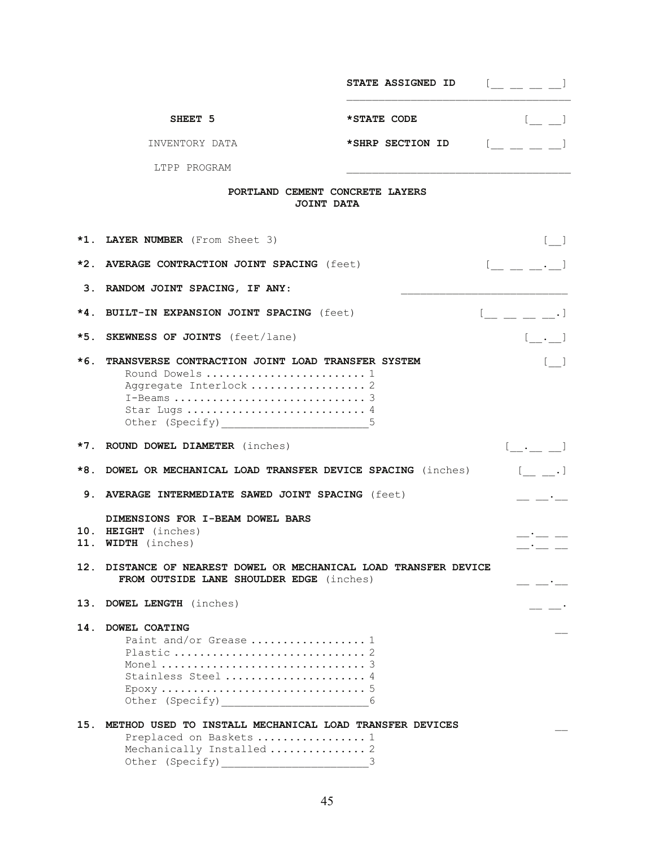|       |                                                                                                                                                                      | <b>STATE ASSIGNED ID</b> |                                                                                                                                                                                                                                                                                                                                                                                                                                                                                                                                                                                     |
|-------|----------------------------------------------------------------------------------------------------------------------------------------------------------------------|--------------------------|-------------------------------------------------------------------------------------------------------------------------------------------------------------------------------------------------------------------------------------------------------------------------------------------------------------------------------------------------------------------------------------------------------------------------------------------------------------------------------------------------------------------------------------------------------------------------------------|
|       | SHEET 5                                                                                                                                                              | *STATE CODE              | $[$ $\Box$                                                                                                                                                                                                                                                                                                                                                                                                                                                                                                                                                                          |
|       | INVENTORY DATA                                                                                                                                                       | *SHRP SECTION ID         | $\begin{array}{ccc} \begin{array}{ccc} \end{array} & \begin{array}{ccc} \end{array} & \begin{array}{ccc} \end{array} & \begin{array}{ccc} \end{array} & \begin{array}{ccc} \end{array} & \begin{array}{ccc} \end{array} & \begin{array}{ccc} \end{array} & \begin{array}{ccc} \end{array} & \begin{array}{ccc} \end{array} & \begin{array}{ccc} \end{array} & \begin{array}{ccc} \end{array} & \begin{array}{ccc} \end{array} & \begin{array}{ccc} \end{array} & \begin{array}{ccc} \end{array} & \begin{array}{ccc} \end{array} & \begin{array}{ccc} \end{array} & \begin{array}{$ |
|       | LTPP PROGRAM                                                                                                                                                         |                          |                                                                                                                                                                                                                                                                                                                                                                                                                                                                                                                                                                                     |
|       | PORTLAND CEMENT CONCRETE LAYERS<br>JOINT DATA                                                                                                                        |                          |                                                                                                                                                                                                                                                                                                                                                                                                                                                                                                                                                                                     |
|       | *1. LAYER NUMBER (From Sheet 3)                                                                                                                                      |                          |                                                                                                                                                                                                                                                                                                                                                                                                                                                                                                                                                                                     |
| $*2.$ | AVERAGE CONTRACTION JOINT SPACING (feet)                                                                                                                             |                          | $\begin{bmatrix} 1 & 1 & 1 \\ 1 & 1 & 1 \end{bmatrix}$                                                                                                                                                                                                                                                                                                                                                                                                                                                                                                                              |
|       | 3. RANDOM JOINT SPACING, IF ANY:                                                                                                                                     |                          |                                                                                                                                                                                                                                                                                                                                                                                                                                                                                                                                                                                     |
| $*4.$ | <b>BUILT-IN EXPANSION JOINT SPACING (feet)</b>                                                                                                                       |                          | $[$ $\_\_$ $\_\_$ $\_\_$ $\_\_$                                                                                                                                                                                                                                                                                                                                                                                                                                                                                                                                                     |
| *5.   | <b>SKEWNESS OF JOINTS</b> (feet/lane)                                                                                                                                |                          | $[$ $\ldots]$                                                                                                                                                                                                                                                                                                                                                                                                                                                                                                                                                                       |
| $*6.$ | TRANSVERSE CONTRACTION JOINT LOAD TRANSFER SYSTEM<br>Round Dowels  1<br>Aggregate Interlock  2<br>Star Lugs  4<br>Other (Specify) _________________________________5 |                          | $\begin{bmatrix} 1 & 1 \\ 1 & 1 \end{bmatrix}$                                                                                                                                                                                                                                                                                                                                                                                                                                                                                                                                      |
|       | *7. ROUND DOWEL DIAMETER (inches)                                                                                                                                    |                          | $[ \quad . \qquad ]$                                                                                                                                                                                                                                                                                                                                                                                                                                                                                                                                                                |
| *8.   | DOWEL OR MECHANICAL LOAD TRANSFER DEVICE SPACING (inches)                                                                                                            |                          | $[$ .]                                                                                                                                                                                                                                                                                                                                                                                                                                                                                                                                                                              |
|       | 9. AVERAGE INTERMEDIATE SAWED JOINT SPACING (feet)                                                                                                                   |                          |                                                                                                                                                                                                                                                                                                                                                                                                                                                                                                                                                                                     |
| 11.   | DIMENSIONS FOR I-BEAM DOWEL BARS<br>10. HEIGHT (inches)<br><b>WIDTH</b> (inches)                                                                                     |                          |                                                                                                                                                                                                                                                                                                                                                                                                                                                                                                                                                                                     |
| 12.   | DISTANCE OF NEAREST DOWEL OR MECHANICAL LOAD TRANSFER DEVICE<br>FROM OUTSIDE LANE SHOULDER EDGE (inches)                                                             |                          |                                                                                                                                                                                                                                                                                                                                                                                                                                                                                                                                                                                     |
| 13.   | DOWEL LENGTH (inches)                                                                                                                                                |                          |                                                                                                                                                                                                                                                                                                                                                                                                                                                                                                                                                                                     |
| 14.   | DOWEL COATING<br>Paint and/or Grease  1<br>Stainless Steel  4                                                                                                        |                          |                                                                                                                                                                                                                                                                                                                                                                                                                                                                                                                                                                                     |
| 15.   | METHOD USED TO INSTALL MECHANICAL LOAD TRANSFER DEVICES<br>Preplaced on Baskets  1<br>Mechanically Installed  2                                                      |                          |                                                                                                                                                                                                                                                                                                                                                                                                                                                                                                                                                                                     |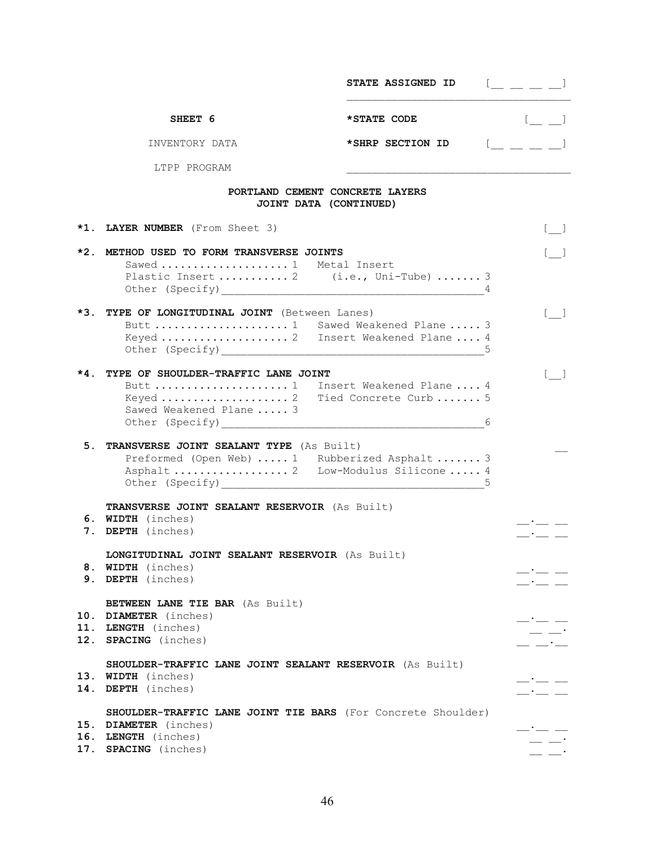|       |                                                                                                                                      | STATE ASSIGNED ID | $[$ $\_\_$ $\_\_$ $\_\_$                                                                                                          |
|-------|--------------------------------------------------------------------------------------------------------------------------------------|-------------------|-----------------------------------------------------------------------------------------------------------------------------------|
|       | SHEET 6                                                                                                                              | *STATE CODE       |                                                                                                                                   |
|       | INVENTORY DATA                                                                                                                       | *SHRP SECTION ID  | $\underline{\phantom{a}}$ $\underline{\phantom{a}}$ $\underline{\phantom{a}}$ $\underline{\phantom{a}}$ $\underline{\phantom{a}}$ |
|       | LTPP PROGRAM                                                                                                                         |                   |                                                                                                                                   |
|       | PORTLAND CEMENT CONCRETE LAYERS<br>JOINT DATA (CONTINUED)                                                                            |                   |                                                                                                                                   |
|       | *1. LAYER NUMBER (From Sheet 3)                                                                                                      |                   | $\begin{bmatrix} 1 & 1 \\ 1 & 1 \end{bmatrix}$                                                                                    |
| $*2.$ | METHOD USED TO FORM TRANSVERSE JOINTS<br>Sawed  1 Metal Insert<br>Plastic Insert  2 (i.e., Uni-Tube)  3                              |                   | $\begin{bmatrix} 1 & 1 \end{bmatrix}$                                                                                             |
|       | *3. TYPE OF LONGITUDINAL JOINT (Between Lanes)<br>Butt  1 Sawed Weakened Plane  3<br>Keyed  2 Insert Weakened Plane  4               |                   |                                                                                                                                   |
| *4.   | TYPE OF SHOULDER-TRAFFIC LANE JOINT<br>Butt  1 Insert Weakened Plane  4<br>Keyed  2 Tied Concrete Curb  5<br>Sawed Weakened Plane  3 |                   | $\begin{bmatrix} 1 & 1 \\ 1 & 1 \end{bmatrix}$                                                                                    |
| 5.    | TRANSVERSE JOINT SEALANT TYPE (As Built)<br>Preformed (Open Web)  1 Rubberized Asphalt  3<br>Asphalt  2 Low-Modulus Silicone  4      |                   |                                                                                                                                   |
|       | TRANSVERSE JOINT SEALANT RESERVOIR (As Built)<br>6. WIDTH (inches)<br>7. DEPTH (inches)                                              |                   |                                                                                                                                   |
|       | LONGITUDINAL JOINT SEALANT RESERVOIR (As Built)<br>8. WIDTH (inches)<br>9. DEPTH (inches)                                            |                   | $  -$                                                                                                                             |
|       | <b>BETWEEN LANE TIE BAR</b> (As Built)<br>10. DIAMETER (inches)<br>11. LENGTH (inches)<br>12. SPACING (inches)                       |                   | $ -$                                                                                                                              |
| 14.   | SHOULDER-TRAFFIC LANE JOINT SEALANT RESERVOIR (As Built)<br>13. WIDTH (inches)<br>DEPTH (inches)                                     |                   |                                                                                                                                   |
|       | SHOULDER-TRAFFIC LANE JOINT TIE BARS (For Concrete Shoulder)<br>15. DIAMETER (inches)<br>16. LENGTH (inches)<br>17. SPACING (inches) |                   | $ -$                                                                                                                              |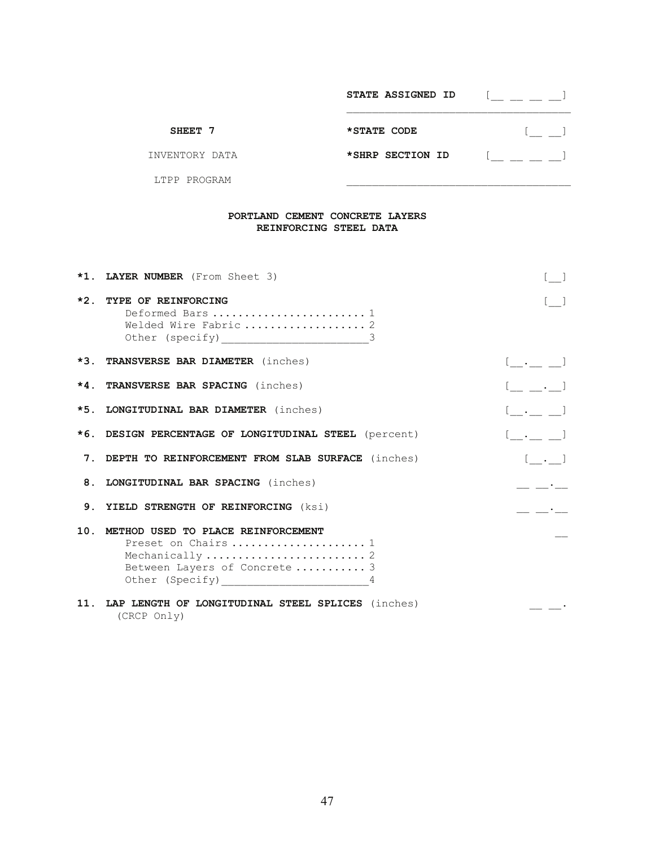|                | STATE ASSIGNED ID |  |
|----------------|-------------------|--|
| SHEET 7        | *STATE CODE       |  |
| INVENTORY DATA | *SHRP SECTION ID  |  |
| LTPP PROGRAM   |                   |  |

## **PORTLAND CEMENT CONCRETE LAYERS REINFORCING STEEL DATA**

| *1. LAYER NUMBER (From Sheet 3)                                                                                      | $\lceil$ 1                                                                                                            |
|----------------------------------------------------------------------------------------------------------------------|-----------------------------------------------------------------------------------------------------------------------|
| *2. TYPE OF REINFORCING<br>Deformed Bars  1                                                                          | $[$ ]                                                                                                                 |
| *3. TRANSVERSE BAR DIAMETER (inches)                                                                                 | $[\_\cdot\_\cdot\_\,\_]$                                                                                              |
| *4. TRANSVERSE BAR SPACING (inches)                                                                                  | $[$ $, ]$                                                                                                             |
| *5. LONGITUDINAL BAR DIAMETER (inches)                                                                               | $[\_ \cdot \_ \_ ]$                                                                                                   |
| *6. DESIGN PERCENTAGE OF LONGITUDINAL STEEL (percent)                                                                | $[ \cdot , \cdot ]$                                                                                                   |
| 7. DEPTH TO REINFORCEMENT FROM SLAB SURFACE (inches)                                                                 | $[\cdot \cdot \cdot]$                                                                                                 |
| 8. LONGITUDINAL BAR SPACING (inches)                                                                                 |                                                                                                                       |
| 9. YIELD STRENGTH OF REINFORCING (ksi)                                                                               | <u> 1999 - Alban III, politik a primeira a primeira a primeira a primeira a primeira a primeira a primeira a prim</u> |
| 10. METHOD USED TO PLACE REINFORCEMENT<br>Preset on Chairs  1<br>Between Layers of Concrete  3<br>Other (Specify) 14 |                                                                                                                       |
| 11. LAP LENGTH OF LONGITUDINAL STEEL SPLICES (inches)<br>(CRCP Only)                                                 |                                                                                                                       |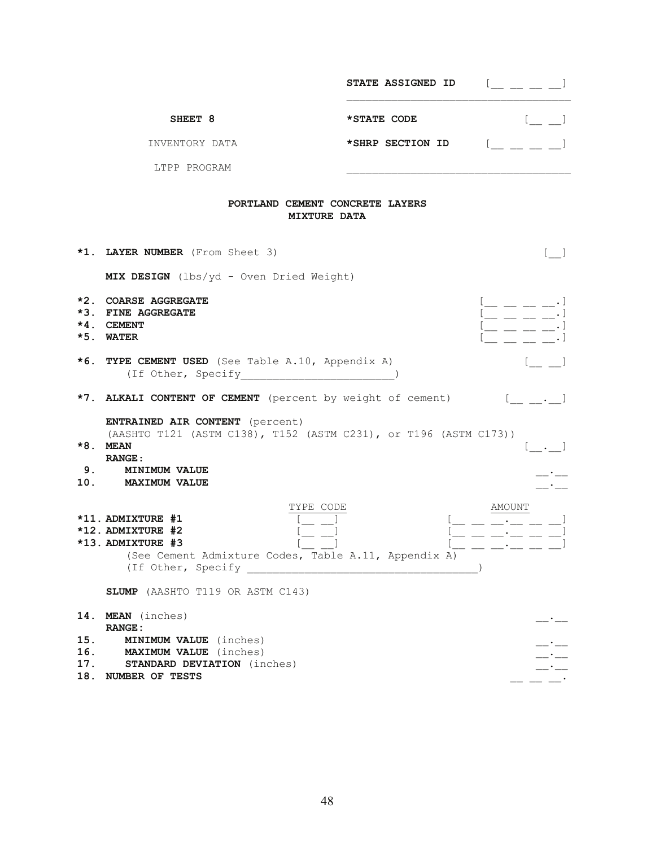|                          |                                                                                                                                                                                  | <b>STATE ASSIGNED ID</b> | $[$ $\perp$ $\perp$ $\perp$ $]$                                                                                              |
|--------------------------|----------------------------------------------------------------------------------------------------------------------------------------------------------------------------------|--------------------------|------------------------------------------------------------------------------------------------------------------------------|
|                          | SHEET 8                                                                                                                                                                          | *STATE CODE              |                                                                                                                              |
|                          | INVENTORY DATA                                                                                                                                                                   | *SHRP SECTION ID         |                                                                                                                              |
|                          | LTPP PROGRAM                                                                                                                                                                     |                          |                                                                                                                              |
|                          | PORTLAND CEMENT CONCRETE LAYERS<br><b>MIXTURE DATA</b>                                                                                                                           |                          |                                                                                                                              |
|                          | *1. LAYER NUMBER (From Sheet 3)                                                                                                                                                  |                          |                                                                                                                              |
|                          | MIX DESIGN (lbs/yd - Oven Dried Weight)                                                                                                                                          |                          |                                                                                                                              |
| $*2$ .                   | <b>COARSE AGGREGATE</b><br>*3. FINE AGGREGATE<br>$*4.$ CEMENT<br>*5. WATER                                                                                                       |                          | $\overline{\phantom{a}}$ $\overline{\phantom{a}}$ $\overline{\phantom{a}}$ $\overline{\phantom{a}}$ $\overline{\phantom{a}}$ |
|                          | *6. TYPE CEMENT USED (See Table A.10, Appendix A)<br>(If Other, Specify )                                                                                                        |                          |                                                                                                                              |
|                          | *7. ALKALI CONTENT OF CEMENT (percent by weight of cement)                                                                                                                       |                          | $\begin{bmatrix} 1 & 1 & 1 \\ 1 & 1 & 1 \end{bmatrix}$                                                                       |
|                          | <b>ENTRAINED AIR CONTENT</b> (percent)<br>(AASHTO T121 (ASTM C138), T152 (ASTM C231), or T196 (ASTM C173))<br>*8. MEAN<br><b>RANGE:</b><br>9. MINIMUM VALUE<br>10. MAXIMUM VALUE |                          |                                                                                                                              |
|                          | TYPE CODE<br>*11. ADMIXTURE #1<br>*12. ADMIXTURE #2<br>*13. ADMIXTURE #3<br>(See Cement Admixture Codes, Table A.11, Appendix A)                                                 |                          | AMOUNT<br>$\overline{\phantom{a}}$ and $\overline{\phantom{a}}$ and $\overline{\phantom{a}}$ and $\overline{\phantom{a}}$    |
|                          | SLUMP (AASHTO T119 OR ASTM C143)                                                                                                                                                 |                          |                                                                                                                              |
| 14.                      | <b>MEAN</b> (inches)<br><b>RANGE:</b>                                                                                                                                            |                          |                                                                                                                              |
| 15.<br>16.<br>17.<br>18. | <b>MINIMUM VALUE</b> (inches)<br><b>MAXIMUM VALUE</b> (inches)<br><b>STANDARD DEVIATION</b> (inches)<br>NUMBER OF TESTS                                                          |                          | — * —                                                                                                                        |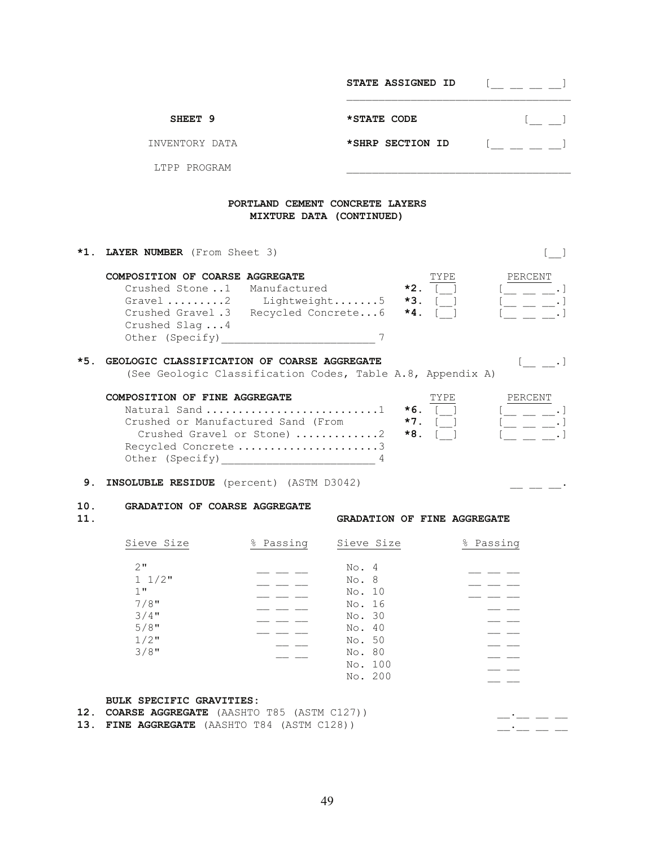|            |                                                                                                                                            |                          | STATE ASSIGNED ID                                                                                | $[$ $\qquad$ $\qquad$ $]$                                                                                                                                                                                                                                                                                                                                                                                                             |
|------------|--------------------------------------------------------------------------------------------------------------------------------------------|--------------------------|--------------------------------------------------------------------------------------------------|---------------------------------------------------------------------------------------------------------------------------------------------------------------------------------------------------------------------------------------------------------------------------------------------------------------------------------------------------------------------------------------------------------------------------------------|
|            | SHEET <sub>9</sub>                                                                                                                         |                          | *STATE CODE                                                                                      |                                                                                                                                                                                                                                                                                                                                                                                                                                       |
|            | INVENTORY DATA                                                                                                                             |                          | *SHRP SECTION ID                                                                                 |                                                                                                                                                                                                                                                                                                                                                                                                                                       |
|            | LTPP PROGRAM                                                                                                                               |                          |                                                                                                  |                                                                                                                                                                                                                                                                                                                                                                                                                                       |
|            |                                                                                                                                            | MIXTURE DATA (CONTINUED) | PORTLAND CEMENT CONCRETE LAYERS                                                                  |                                                                                                                                                                                                                                                                                                                                                                                                                                       |
|            | *1. LAYER NUMBER (From Sheet 3)                                                                                                            |                          |                                                                                                  | $\lceil$ 1                                                                                                                                                                                                                                                                                                                                                                                                                            |
|            | COMPOSITION OF COARSE AGGREGATE<br>Crushed Stone1 Manufactured<br>Crushed Gravel .3 Recycled Concrete6<br>Crushed Slag4<br>Other (Specify) |                          | TYPE<br>$*2.$<br>Gravel 2 Lightweight5 $\star$ 3. [1]<br>$*4.$                                   | PERCENT<br>$\left[ \begin{array}{ccc} \rule{0pt}{2.2ex} \rule{0pt}{2.2ex} \rule{0pt}{2.2ex} \rule{0pt}{2.2ex} \rule{0pt}{2.2ex} \rule{0pt}{2.2ex} \rule{0pt}{2.2ex} \rule{0pt}{2.2ex} \rule{0pt}{2.2ex} \rule{0pt}{2.2ex} \rule{0pt}{2.2ex} \rule{0pt}{2.2ex} \rule{0pt}{2.2ex} \rule{0pt}{2.2ex} \rule{0pt}{2.2ex} \rule{0pt}{2.2ex} \rule{0pt}{2.2ex} \rule{0pt}{2.2ex} \rule{0pt}{2.2ex} \$<br>$\mathfrak{l} \_ \_ \_ \_ \_ \cdot$ |
| $*5.$      | GEOLOGIC CLASSIFICATION OF COARSE AGGREGATE                                                                                                |                          | (See Geologic Classification Codes, Table A.8, Appendix A)                                       | $\begin{bmatrix} 1 & 1 \end{bmatrix}$                                                                                                                                                                                                                                                                                                                                                                                                 |
|            | COMPOSITION OF FINE AGGREGATE<br>Natural Sand 1<br>Crushed or Manufactured Sand (From<br>Crushed Gravel or Stone) 2<br>Recycled Concrete 3 |                          | TYPE<br>$*6.$<br>$*7.$<br>*8.                                                                    | PERCENT<br>$[$ $\_\_$ $\_\_$ $\_\_$ $\_\_$<br>「__ __ __.                                                                                                                                                                                                                                                                                                                                                                              |
| 9.         | <b>INSOLUBLE RESIDUE</b> (percent) (ASTM D3042)                                                                                            |                          |                                                                                                  |                                                                                                                                                                                                                                                                                                                                                                                                                                       |
| 10.<br>11. | <b>GRADATION OF COARSE AGGREGATE</b>                                                                                                       |                          | GRADATION OF FINE AGGREGATE                                                                      |                                                                                                                                                                                                                                                                                                                                                                                                                                       |
|            | Sieve Size                                                                                                                                 | % Passing                | Sieve Size                                                                                       | % Passing                                                                                                                                                                                                                                                                                                                                                                                                                             |
|            | 2"<br>$1 \frac{1}{2}$<br>1"<br>$7/8$ "<br>$3/4$ "<br>$5/8$ "<br>$1/2$ "<br>$3/8$ "                                                         |                          | No. 4<br>No. 8<br>No. 10<br>No. 16<br>No. 30<br>No. 40<br>No. 50<br>No. 80<br>No. 100<br>No. 200 |                                                                                                                                                                                                                                                                                                                                                                                                                                       |
| 12.        | BULK SPECIFIC GRAVITIES:<br>COARSE AGGREGATE (AASHTO T85 (ASTM C127))                                                                      |                          |                                                                                                  |                                                                                                                                                                                                                                                                                                                                                                                                                                       |

**13. FINE AGGREGATE** (AASHTO T84 (ASTM C128)) \_\_.\_\_ \_\_ \_\_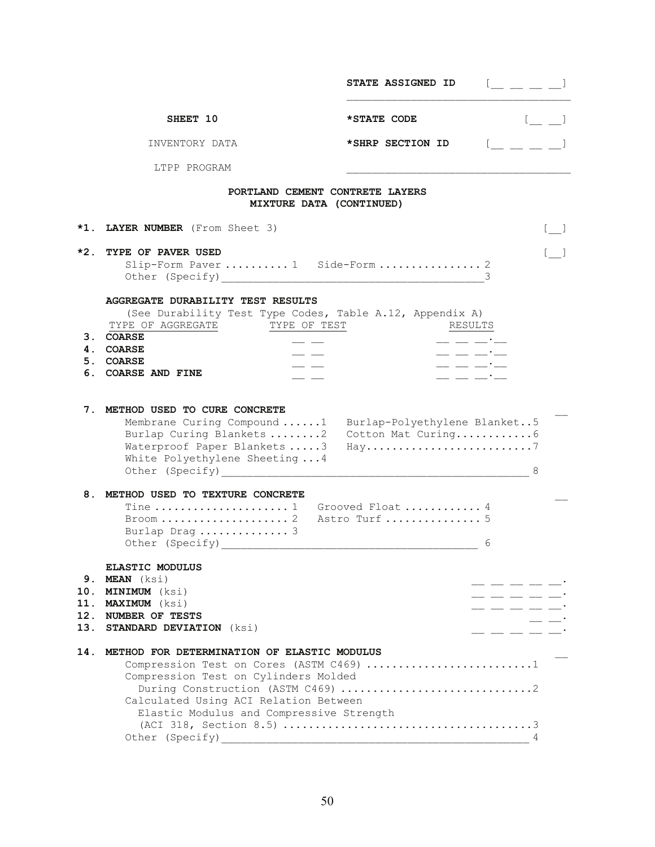|                      |                                                                                                                                                                                                                                        | <b>STATE ASSIGNED ID</b>                                                              | $\begin{bmatrix} 1 & 1 & 1 \\ 1 & 1 & 1 \end{bmatrix}$ |
|----------------------|----------------------------------------------------------------------------------------------------------------------------------------------------------------------------------------------------------------------------------------|---------------------------------------------------------------------------------------|--------------------------------------------------------|
|                      | SHEET 10                                                                                                                                                                                                                               | *STATE CODE                                                                           |                                                        |
|                      | INVENTORY DATA                                                                                                                                                                                                                         | *SHRP SECTION ID                                                                      | $\underline{\mathbb{Z}}$ $\underline{\mathbb{Z}}$ .    |
|                      | LTPP PROGRAM                                                                                                                                                                                                                           |                                                                                       |                                                        |
|                      | PORTLAND CEMENT CONTRETE LAYERS<br>MIXTURE DATA (CONTINUED)                                                                                                                                                                            |                                                                                       |                                                        |
| *1.                  | LAYER NUMBER (From Sheet 3)                                                                                                                                                                                                            |                                                                                       | $\lfloor \ \ \ \rfloor$                                |
| $*2.$                | TYPE OF PAVER USED<br>Slip-Form Paver  1 Side-Form  2                                                                                                                                                                                  |                                                                                       |                                                        |
| 3.<br>4.<br>5.<br>6. | <b>AGGREGATE DURABILITY TEST RESULTS</b><br>(See Durability Test Type Codes, Table A.12, Appendix A)<br>TYPE OF AGGREGATE<br>TYPE OF TEST<br><b>COARSE</b><br><b>COARSE</b><br><b>COARSE</b><br><b>COARSE AND FINE</b>                 | RESULTS<br>$\equiv$ $\equiv$ $\equiv$ $\equiv$<br>__ __ __ <del>_</del> _<br>$- - --$ |                                                        |
| 7.                   | METHOD USED TO CURE CONCRETE<br>Membrane Curing Compound 1<br>Burlap Curing Blankets 2<br>Waterproof Paper Blankets 3<br>White Polyethylene Sheeting  4                                                                                | Burlap-Polyethylene Blanket5<br>Cotton Mat Curing6<br>Hay7                            | 8                                                      |
| 8.                   | METHOD USED TO TEXTURE CONCRETE<br>Tine  1 Grooved Float  4<br>$\texttt{Broom}\ldots\ldots\ldots\ldots\ldots\ldots\text{2}$<br>Burlap Drag  3                                                                                          | Astro Turf  5                                                                         | 6                                                      |
| 9.<br>10.<br>11.     | <b>ELASTIC MODULUS</b><br>MEAN (ksi)<br><b>MINIMUM</b> (ksi)<br><b>MAXIMUM</b> (ksi)<br>12. NUMBER OF TESTS<br>13. STANDARD DEVIATION (ksi)                                                                                            |                                                                                       | - -- -- -- -<br>. __ __ __ _                           |
| 14.                  | METHOD FOR DETERMINATION OF ELASTIC MODULUS<br>Compression Test on Cores (ASTM C469) 1<br>Compression Test on Cylinders Molded<br>Calculated Using ACI Relation Between<br>Elastic Modulus and Compressive Strength<br>Other (Specify) |                                                                                       | 4                                                      |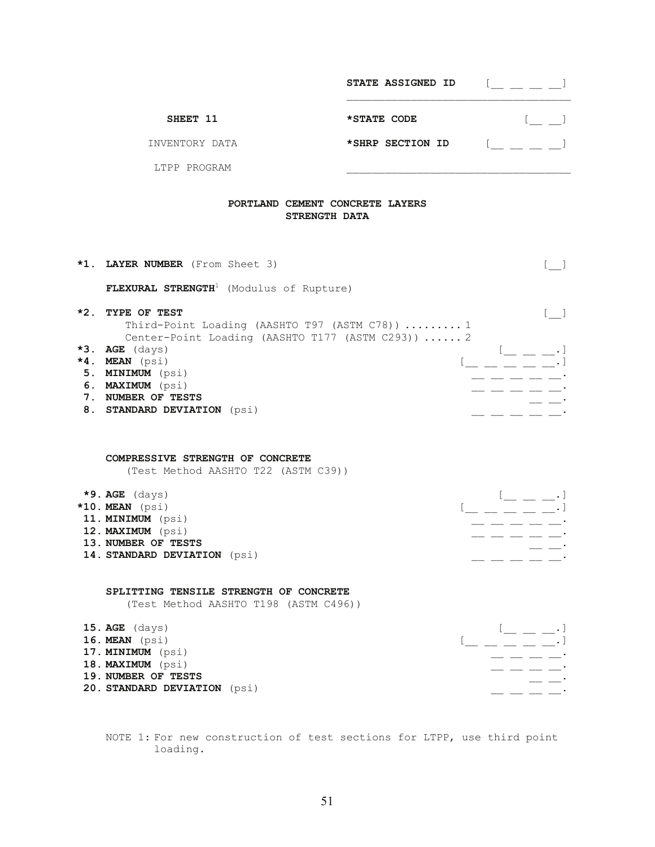|       |                                                                                                                                                                                      | STATE ASSIGNED ID | $[$ $\perp$ $\perp$ $\perp$ $\perp$                                                                                                                                                                                                                                                                                                                                                          |
|-------|--------------------------------------------------------------------------------------------------------------------------------------------------------------------------------------|-------------------|----------------------------------------------------------------------------------------------------------------------------------------------------------------------------------------------------------------------------------------------------------------------------------------------------------------------------------------------------------------------------------------------|
|       | SHEET 11                                                                                                                                                                             | *STATE CODE       | $[$ $\_$ $\_$                                                                                                                                                                                                                                                                                                                                                                                |
|       | INVENTORY DATA                                                                                                                                                                       | *SHRP SECTION ID  | $\mathbb{R}^n$ and $\mathbb{R}^n$                                                                                                                                                                                                                                                                                                                                                            |
|       | LTPP PROGRAM                                                                                                                                                                         |                   |                                                                                                                                                                                                                                                                                                                                                                                              |
|       | PORTLAND CEMENT CONCRETE LAYERS<br>STRENGTH DATA                                                                                                                                     |                   |                                                                                                                                                                                                                                                                                                                                                                                              |
|       | *1. LAYER NUMBER (From Sheet 3)                                                                                                                                                      |                   |                                                                                                                                                                                                                                                                                                                                                                                              |
|       | FLEXURAL STRENGTH <sup>1</sup> (Modulus of Rupture)                                                                                                                                  |                   |                                                                                                                                                                                                                                                                                                                                                                                              |
| $*2.$ | TYPE OF TEST<br>Third-Point Loading (AASHTO T97 (ASTM C78))  1                                                                                                                       |                   | $\begin{bmatrix} 1 & 1 \\ 1 & 1 \end{bmatrix}$                                                                                                                                                                                                                                                                                                                                               |
|       | Center-Point Loading (AASHTO T177 (ASTM C293))  2<br>$*3.$ AGE (days)<br>*4. MEAN (psi)<br>5. MINIMUM (psi)<br>6. MAXIMUM (psi)<br>7. NUMBER OF TESTS<br>8. STANDARD DEVIATION (psi) |                   | $\frac{1}{2} \frac{1}{2} \frac{1}{2} \frac{1}{2} \frac{1}{2} \frac{1}{2} \frac{1}{2} \frac{1}{2} \frac{1}{2} \frac{1}{2} \frac{1}{2} \frac{1}{2} \frac{1}{2} \frac{1}{2} \frac{1}{2} \frac{1}{2} \frac{1}{2} \frac{1}{2} \frac{1}{2} \frac{1}{2} \frac{1}{2} \frac{1}{2} \frac{1}{2} \frac{1}{2} \frac{1}{2} \frac{1}{2} \frac{1}{2} \frac{1}{2} \frac{1}{2} \frac{1}{2} \frac{1}{2} \frac{$ |
|       | COMPRESSIVE STRENGTH OF CONCRETE<br>(Test Method AASHTO T22 (ASTM C39))                                                                                                              |                   |                                                                                                                                                                                                                                                                                                                                                                                              |
|       | $*9.$ AGE $(days)$<br>$*10$ . MEAN ( $psi$ )                                                                                                                                         |                   |                                                                                                                                                                                                                                                                                                                                                                                              |
|       | 11. MINIMUM (psi)                                                                                                                                                                    |                   |                                                                                                                                                                                                                                                                                                                                                                                              |
|       | 12. MAXIMUM (psi)<br>13. NUMBER OF TESTS<br>14. STANDARD DEVIATION (psi)                                                                                                             |                   | $\frac{1}{2} \frac{1}{2} \frac{1}{2} \frac{1}{2} \frac{1}{2} \frac{1}{2} \frac{1}{2} \frac{1}{2} \frac{1}{2} \frac{1}{2} \frac{1}{2} \frac{1}{2} \frac{1}{2} \frac{1}{2} \frac{1}{2} \frac{1}{2} \frac{1}{2} \frac{1}{2} \frac{1}{2} \frac{1}{2} \frac{1}{2} \frac{1}{2} \frac{1}{2} \frac{1}{2} \frac{1}{2} \frac{1}{2} \frac{1}{2} \frac{1}{2} \frac{1}{2} \frac{1}{2} \frac{1}{2} \frac{$ |
|       | SPLITTING TENSILE STRENGTH OF CONCRETE<br>(Test Method AASHTO T198 (ASTM C496))                                                                                                      |                   |                                                                                                                                                                                                                                                                                                                                                                                              |
|       | $15.$ AGE $(days)$                                                                                                                                                                   |                   |                                                                                                                                                                                                                                                                                                                                                                                              |
|       | 16. MEAN (psi)<br>17. MINIMUM (psi)                                                                                                                                                  |                   |                                                                                                                                                                                                                                                                                                                                                                                              |
|       | 18. MAXIMUM (psi)                                                                                                                                                                    |                   |                                                                                                                                                                                                                                                                                                                                                                                              |
|       | 19. NUMBER OF TESTS                                                                                                                                                                  |                   |                                                                                                                                                                                                                                                                                                                                                                                              |
|       | 20. STANDARD DEVIATION (psi)                                                                                                                                                         |                   |                                                                                                                                                                                                                                                                                                                                                                                              |

 NOTE 1: For new construction of test sections for LTPP, use third point loading.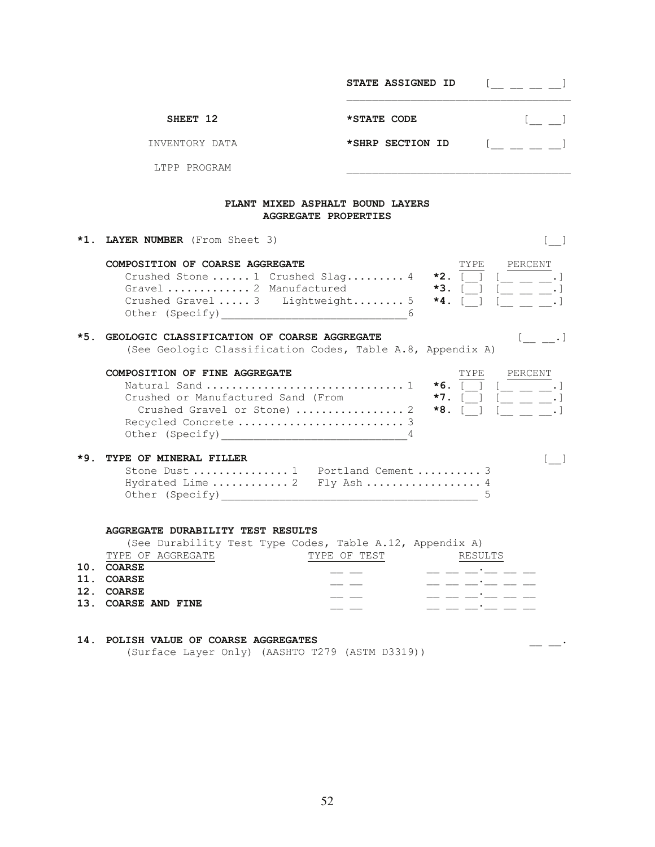|            |                                                                                                                                                                                                                       | STATE ASSIGNED ID<br>$\begin{array}{ccc} & & & \end{array}$                      |
|------------|-----------------------------------------------------------------------------------------------------------------------------------------------------------------------------------------------------------------------|----------------------------------------------------------------------------------|
|            | SHEET 12                                                                                                                                                                                                              | *STATE CODE<br>$l_{\rm{}}=1$                                                     |
|            | INVENTORY DATA                                                                                                                                                                                                        | $\begin{bmatrix} 1 & 1 \\ 1 & 1 \end{bmatrix}$<br>*SHRP SECTION ID               |
|            | LTPP PROGRAM                                                                                                                                                                                                          |                                                                                  |
|            | PLANT MIXED ASPHALT BOUND LAYERS<br>AGGREGATE PROPERTIES                                                                                                                                                              |                                                                                  |
|            | *1. LAYER NUMBER (From Sheet 3)                                                                                                                                                                                       | $\begin{bmatrix} 1 & 1 \\ 1 & 1 \end{bmatrix}$                                   |
|            | COMPOSITION OF COARSE AGGREGATE<br>Crushed Stone  1 Crushed Slag 4 $\star$ 2. [ ]<br>Gravel  2 Manufactured<br>Crushed Gravel  3 Lightweight 5 $*4.$ [1]                                                              | TYPE<br>PERCENT<br>$[$ _ _ _ _ $]$<br>$*3. [ ]$                                  |
| *5.        | GEOLOGIC CLASSIFICATION OF COARSE AGGREGATE<br>(See Geologic Classification Codes, Table A.8, Appendix A)                                                                                                             | $[$ $\_\_$ $\_$                                                                  |
|            | COMPOSITION OF FINE AGGREGATE<br>Crushed or Manufactured Sand (From                                                                                                                                                   | PERCENT<br>TYPE<br>$*7.$ [ ]<br>$\mathfrak{l} \_$ $\_$ $\_$                      |
| $*9.$      | TYPE OF MINERAL FILLER<br>Stone Dust  1 Portland Cement  3<br>Hydrated Lime  2 Fly Ash  4                                                                                                                             | $[\quad]$                                                                        |
| 10.<br>11. | <b>AGGREGATE DURABILITY TEST RESULTS</b><br>(See Durability Test Type Codes, Table A.12, Appendix A)<br>TYPE OF AGGREGATE TYPE OF TEST RESULTS<br><b>COARSE</b><br><b>COARSE</b><br>12. COARSE<br>13. COARSE AND FINE | _ __ __ __ __<br>_ __ __ <b>·</b> __ __ _<br>__ __ __'__ __ _<br>_ __ __'__ __ _ |
| 14.        | POLISH VALUE OF COARSE AGGREGATES                                                                                                                                                                                     |                                                                                  |

(Surface Layer Only) (AASHTO T279 (ASTM D3319))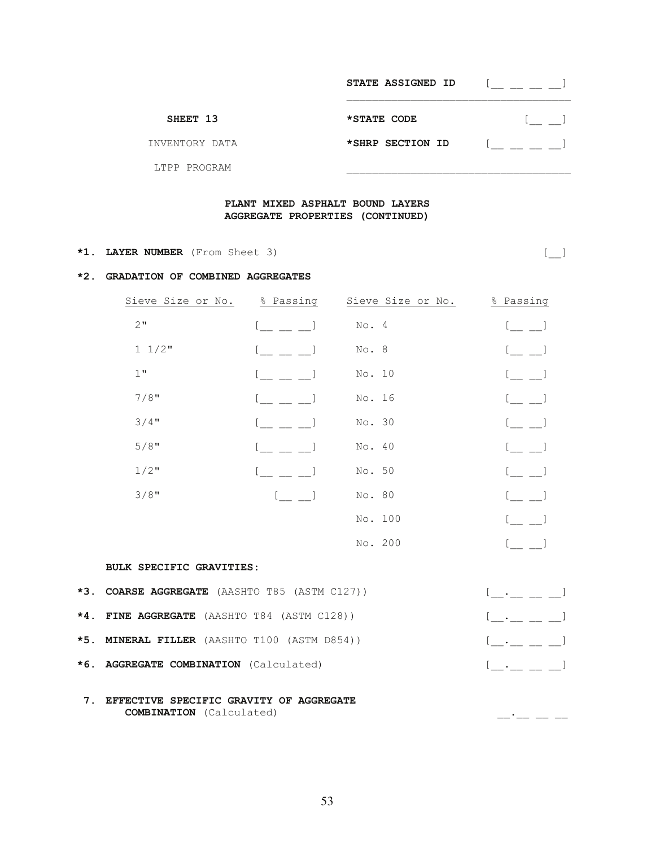|                | STATE ASSIGNED ID |  |
|----------------|-------------------|--|
| SHEET 13       | *STATE CODE       |  |
| INVENTORY DATA | *SHRP SECTION ID  |  |
| LTPP PROGRAM   |                   |  |

## **PLANT MIXED ASPHALT BOUND LAYERS AGGREGATE PROPERTIES (CONTINUED)**

## **\*1. LAYER NUMBER** (From Sheet 3) [\_\_]

#### **\*2. GRADATION OF COMBINED AGGREGATES**

| Sieve Size or No. | % Passing                | Sieve Size or No. | % Passing                |
|-------------------|--------------------------|-------------------|--------------------------|
| 2"                |                          | No. 4             | <b>Contract Contract</b> |
| $1 \t1/2$ "       |                          | No. 8             |                          |
| $1$ "             |                          | No. 10            |                          |
| $7/8$ "           |                          | No. 16            | $\lfloor$ $\lfloor$      |
| $3/4$ "           |                          | No. 30            | $\lceil$ $\lceil$        |
| $5/8$ "           |                          | No. 40            |                          |
| $1/2$ "           |                          | No. 50            | . <u>. .</u>             |
| $3/8$ "           | <b>Contract Contract</b> | No. 80            |                          |
|                   |                          | No. 100           |                          |
|                   |                          | No. 200           |                          |

#### **BULK SPECIFIC GRAVITIES:**

| *3. COARSE AGGREGATE (AASHTO T85 (ASTM C127)) | [ ]                                                                                                          |
|-----------------------------------------------|--------------------------------------------------------------------------------------------------------------|
| *4. FINE AGGREGATE (AASHTO T84 (ASTM C128))   | $\begin{bmatrix} 1 & 1 & 1 \\ 1 & 1 & 1 \end{bmatrix}$                                                       |
| *5. MINERAL FILLER (AASHTO T100 (ASTM D854))  | $\begin{smallmatrix} 1 & 1 & 1 \end{smallmatrix}$ . The set of $\begin{smallmatrix} 1 & 1 \end{smallmatrix}$ |
| *6. AGGREGATE COMBINATION (Calculated)        | $[$ $\ldots$ $\ldots$ $\ldots$ $]$                                                                           |
|                                               |                                                                                                              |

 **7. EFFECTIVE SPECIFIC GRAVITY OF AGGREGATE COMBINATION** (Calculated) \_\_.\_\_ \_\_ \_\_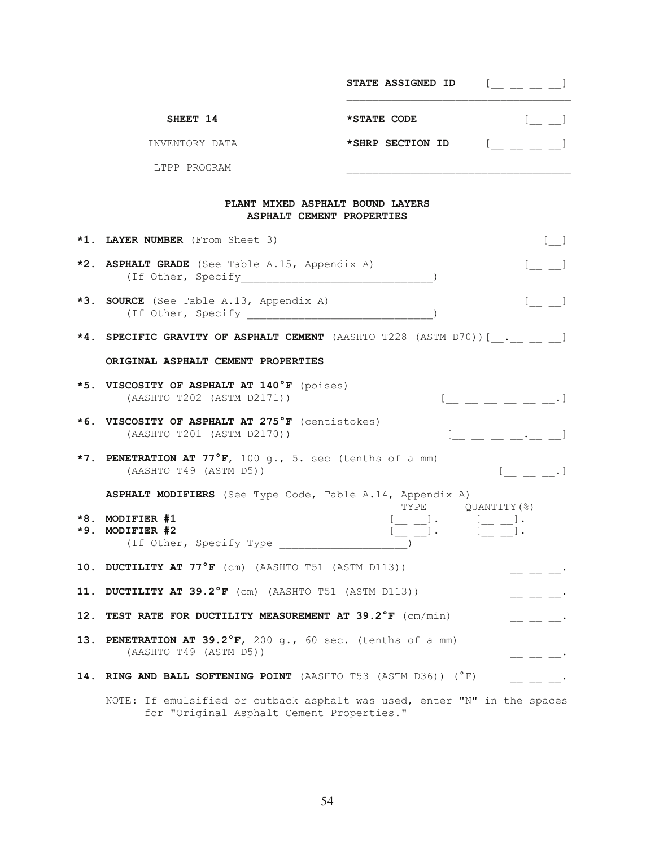|     |                                                                                                                       | <b>STATE ASSIGNED ID</b> | $[\_$ $[\_$ $\_$ $\_$ $\_$                                                                  |
|-----|-----------------------------------------------------------------------------------------------------------------------|--------------------------|---------------------------------------------------------------------------------------------|
|     | SHEET 14                                                                                                              | *STATE CODE              |                                                                                             |
|     | INVENTORY DATA                                                                                                        | *SHRP SECTION ID         | $\mathbb{C} \sqcup \sqcup \sqcup \sqcup$                                                    |
|     | LTPP PROGRAM                                                                                                          |                          |                                                                                             |
|     | PLANT MIXED ASPHALT BOUND LAYERS<br>ASPHALT CEMENT PROPERTIES                                                         |                          |                                                                                             |
|     | *1. LAYER NUMBER (From Sheet 3)                                                                                       |                          | $\begin{bmatrix} 1 & 1 \end{bmatrix}$                                                       |
|     | *2. ASPHALT GRADE (See Table A.15, Appendix A)                                                                        |                          | $\begin{bmatrix} 1 & 1 \\ 1 & 1 \end{bmatrix}$                                              |
| *3. | <b>SOURCE</b> (See Table A.13, Appendix A)<br>(If Other, Specify                                                      |                          |                                                                                             |
|     | *4. SPECIFIC GRAVITY OF ASPHALT CEMENT (AASHTO T228 (ASTM D70)) [ . ]                                                 |                          |                                                                                             |
|     | ORIGINAL ASPHALT CEMENT PROPERTIES                                                                                    |                          |                                                                                             |
|     | *5. VISCOSITY OF ASPHALT AT 140°F (poises)<br>(AASHTO T202 (ASTM D2171))                                              |                          | $\mathfrak{l}$ $\equiv$ $\equiv$ $\equiv$ $\equiv$ $\equiv$ $\equiv$ $\cdot$ $\mathfrak{l}$ |
|     | *6. VISCOSITY OF ASPHALT AT 275°F (centistokes)<br>(AASHTO T201 (ASTM D2170))                                         |                          | $\begin{bmatrix} 1 & 1 & 1 \\ 1 & 1 & 1 \\ 1 & 1 & 1 \end{bmatrix}$                         |
|     | *7. PENETRATION AT 77°F, 100 g., 5. sec (tenths of a mm)<br>(AASHTO T49 (ASTM D5))                                    |                          | $[$ $, ]$                                                                                   |
|     | ASPHALT MODIFIERS (See Type Code, Table A.14, Appendix A)                                                             |                          |                                                                                             |
|     | *8. MODIFIER #1<br>*9. MODIFIER #2<br>(If Other, Specify Type                                                         | TYPE                     | QUANTITY (%)                                                                                |
|     | 10. DUCTILITY AT $77^{\circ}$ F (cm) (AASHTO T51 (ASTM D113))                                                         |                          |                                                                                             |
| 11. | DUCTILITY AT 39.2°F (cm) (AASHTO T51 (ASTM D113))                                                                     |                          | $- - - -$                                                                                   |
| 12. | TEST RATE FOR DUCTILITY MEASUREMENT AT 39.2°F (cm/min)                                                                |                          | $- - - -$                                                                                   |
| 13. | PENETRATION AT 39.2°F, 200 g., 60 sec. (tenths of a mm)<br>(AASHTO T49 (ASTM D5))                                     |                          | _ __ __ ·                                                                                   |
| 14. | <b>RING AND BALL SOFTENING POINT</b> (AASHTO T53 (ASTM D36)) $(^{\circ}F)$                                            |                          | $=$ $ -$                                                                                    |
|     | NOTE: If emulsified or cutback asphalt was used, enter "N" in the spaces<br>for "Original Asphalt Cement Properties." |                          |                                                                                             |

54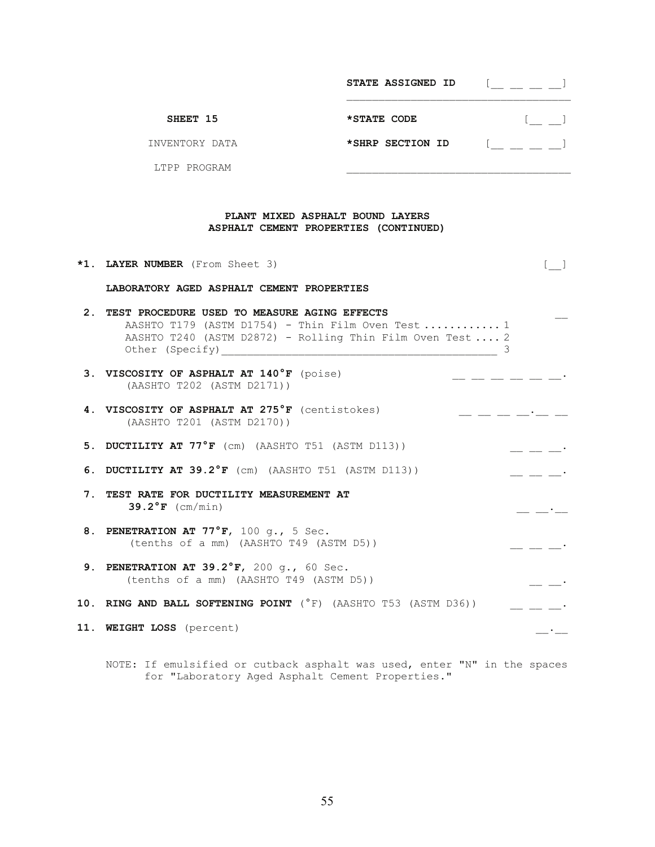|                | STATE ASSIGNED ID |  |
|----------------|-------------------|--|
| SHEET 15       | *STATE CODE       |  |
| INVENTORY DATA | *SHRP SECTION ID  |  |
| LTPP PROGRAM   |                   |  |

## **PLANT MIXED ASPHALT BOUND LAYERS ASPHALT CEMENT PROPERTIES (CONTINUED)**

| *1. LAYER NUMBER (From Sheet 3)                                                                                                                                                                                                                                                                                                                                                                     |  |
|-----------------------------------------------------------------------------------------------------------------------------------------------------------------------------------------------------------------------------------------------------------------------------------------------------------------------------------------------------------------------------------------------------|--|
| LABORATORY AGED ASPHALT CEMENT PROPERTIES                                                                                                                                                                                                                                                                                                                                                           |  |
| 2. TEST PROCEDURE USED TO MEASURE AGING EFFECTS<br>AASHTO T179 (ASTM D1754) - Thin Film Oven Test  1<br>AASHTO T240 (ASTM D2872) - Rolling Thin Film Oven Test  2<br>Other (Specify) 2014 2022 2022 2023 2024 2022 2023 2024 2022 2023 2024 2022 2023 2024 2022 2023 2024 2022 2023 2024 2022 2023 2024 2022 2023 2024 2022 2023 2024 2022 2023 2024 2022 2023 2024 2022 2023 2024 2022 2023 2024 2 |  |
| 3. VISCOSITY OF ASPHALT AT 140°F (poise)<br>(AASHTO T202 (ASTM D2171))                                                                                                                                                                                                                                                                                                                              |  |
| 4. VISCOSITY OF ASPHALT AT 275°F (centistokes)<br>(AASHTO T201 (ASTM D2170))                                                                                                                                                                                                                                                                                                                        |  |
| 5. DUCTILITY AT 77°F (cm) (AASHTO T51 (ASTM D113))                                                                                                                                                                                                                                                                                                                                                  |  |
| 6. DUCTILITY AT 39.2°F (cm) (AASHTO T51 (ASTM D113))                                                                                                                                                                                                                                                                                                                                                |  |
| 7. TEST RATE FOR DUCTILITY MEASUREMENT AT<br>$39.2^{\circ}$ F (cm/min)                                                                                                                                                                                                                                                                                                                              |  |
| 8. PENETRATION AT 77°F, 100 q., 5 Sec.<br>(tenths of a mm) (AASHTO T49 (ASTM D5))                                                                                                                                                                                                                                                                                                                   |  |
| 9. PENETRATION AT 39.2°F, 200 q., 60 Sec.<br>(tenths of a mm) (AASHTO T49 (ASTM D5))                                                                                                                                                                                                                                                                                                                |  |
| 10. RING AND BALL SOFTENING POINT (°F) (AASHTO T53 (ASTM D36))                                                                                                                                                                                                                                                                                                                                      |  |
| 11. WEIGHT LOSS (percent)                                                                                                                                                                                                                                                                                                                                                                           |  |

 NOTE: If emulsified or cutback asphalt was used, enter "N" in the spaces for "Laboratory Aged Asphalt Cement Properties."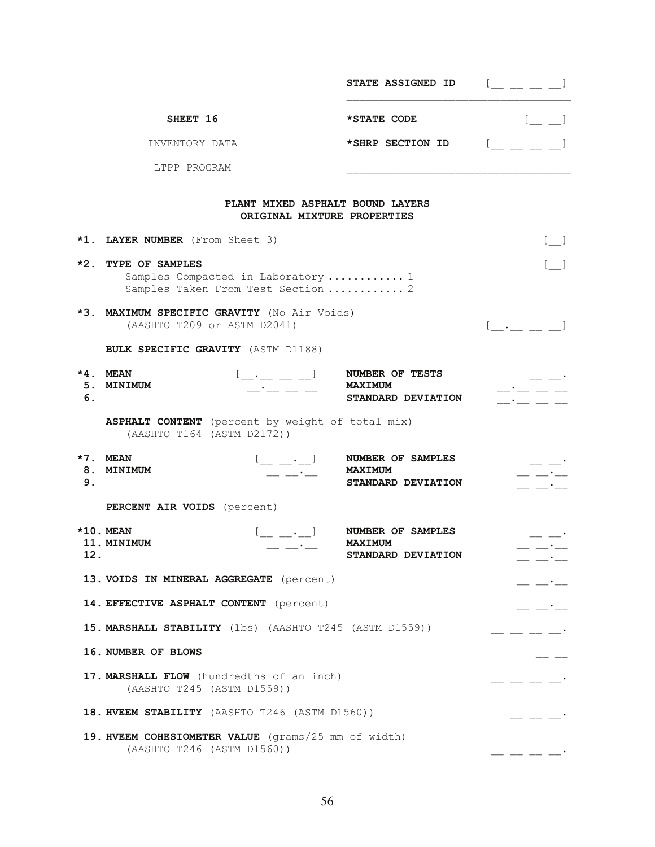|             |                                                                                                                              | STATE ASSIGNED ID                                                                     | $[$ $\_$ $\_$ $\_$ $\_$ $\_$                                                                                                                                                                                                                                                                                                                                                                                                                                                      |
|-------------|------------------------------------------------------------------------------------------------------------------------------|---------------------------------------------------------------------------------------|-----------------------------------------------------------------------------------------------------------------------------------------------------------------------------------------------------------------------------------------------------------------------------------------------------------------------------------------------------------------------------------------------------------------------------------------------------------------------------------|
|             | SHEET 16                                                                                                                     | *STATE CODE                                                                           | $\begin{bmatrix} 1 & 1 \\ 1 & 1 \end{bmatrix}$                                                                                                                                                                                                                                                                                                                                                                                                                                    |
|             | INVENTORY DATA                                                                                                               | *SHRP SECTION ID                                                                      | $\mathbb{L}$ $\mathbb{L}$ $\mathbb{L}$                                                                                                                                                                                                                                                                                                                                                                                                                                            |
|             | LTPP PROGRAM                                                                                                                 |                                                                                       |                                                                                                                                                                                                                                                                                                                                                                                                                                                                                   |
|             |                                                                                                                              | PLANT MIXED ASPHALT BOUND LAYERS<br>ORIGINAL MIXTURE PROPERTIES                       |                                                                                                                                                                                                                                                                                                                                                                                                                                                                                   |
|             | *1. LAYER NUMBER (From Sheet 3)                                                                                              |                                                                                       | $[ \quad \  \, ]$                                                                                                                                                                                                                                                                                                                                                                                                                                                                 |
| $*2.$       | TYPE OF SAMPLES<br>Samples Compacted in Laboratory  1<br>Samples Taken From Test Section  2                                  |                                                                                       | $[$ $]$                                                                                                                                                                                                                                                                                                                                                                                                                                                                           |
|             | *3. MAXIMUM SPECIFIC GRAVITY (No Air Voids)<br>(AASHTO T209 or ASTM D2041)                                                   |                                                                                       | $[\underline{\phantom{a}}\underline{\phantom{a}}\underline{\phantom{a}}\underline{\phantom{a}}\underline{\phantom{a}}]$                                                                                                                                                                                                                                                                                                                                                           |
|             | BULK SPECIFIC GRAVITY (ASTM D1188)                                                                                           |                                                                                       |                                                                                                                                                                                                                                                                                                                                                                                                                                                                                   |
| $*4.$<br>6. | <b>MEAN</b><br>5. MINIMUM<br>$   -$                                                                                          | $[$ <sub>___</sub> __ _ _ _ ] NUMBER OF TESTS<br><b>MAXIMUM</b><br>STANDARD DEVIATION | <b>Committee Committee</b>                                                                                                                                                                                                                                                                                                                                                                                                                                                        |
|             | ASPHALT CONTENT (percent by weight of total mix)<br>(AASHTO T164 (ASTM D2172))                                               |                                                                                       |                                                                                                                                                                                                                                                                                                                                                                                                                                                                                   |
| 8.<br>9.    | *7. MEAN<br>$[\underline{\qquad} \underline{\qquad} \underline{\cdot} \underline{\qquad}]$<br><b>MINIMUM</b>                 | NUMBER OF SAMPLES<br><b>MAXIMUM</b><br>STANDARD DEVIATION                             |                                                                                                                                                                                                                                                                                                                                                                                                                                                                                   |
|             | PERCENT AIR VOIDS (percent)                                                                                                  |                                                                                       |                                                                                                                                                                                                                                                                                                                                                                                                                                                                                   |
| 12.         | $*10.$ MEAN<br>$[\underline{\qquad} \underline{\qquad} \cdot \underline{\qquad} \cdot]$<br>11. MINIMUM<br>— — <sup>-</sup> — | NUMBER OF SAMPLES<br><b>MAXIMUM</b><br>STANDARD DEVIATION                             | — — <sup>-</sup> —                                                                                                                                                                                                                                                                                                                                                                                                                                                                |
|             | 13. VOIDS IN MINERAL AGGREGATE (percent)                                                                                     |                                                                                       | $  -$                                                                                                                                                                                                                                                                                                                                                                                                                                                                             |
|             | 14. EFFECTIVE ASPHALT CONTENT (percent)                                                                                      |                                                                                       | $- - -$                                                                                                                                                                                                                                                                                                                                                                                                                                                                           |
|             | 15. MARSHALL STABILITY (1bs) (AASHTO T245 (ASTM D1559))                                                                      |                                                                                       | $\equiv$ $\equiv$ $\equiv$ $\equiv$                                                                                                                                                                                                                                                                                                                                                                                                                                               |
|             | 16. NUMBER OF BLOWS                                                                                                          |                                                                                       |                                                                                                                                                                                                                                                                                                                                                                                                                                                                                   |
|             | 17. MARSHALL FLOW (hundredths of an inch)<br>(AASHTO T245 (ASTM D1559))                                                      |                                                                                       | $=$ $  -$                                                                                                                                                                                                                                                                                                                                                                                                                                                                         |
|             | 18. HVEEM STABILITY (AASHTO T246 (ASTM D1560))                                                                               |                                                                                       | $\frac{1}{1-\alpha} \frac{1}{1-\alpha} \frac{1}{1-\alpha} \frac{1}{1-\alpha} \frac{1}{1-\alpha} \frac{1}{1-\alpha} \frac{1}{1-\alpha} \frac{1}{1-\alpha} \frac{1}{1-\alpha} \frac{1}{1-\alpha} \frac{1}{1-\alpha} \frac{1}{1-\alpha} \frac{1}{1-\alpha} \frac{1}{1-\alpha} \frac{1}{1-\alpha} \frac{1}{1-\alpha} \frac{1}{1-\alpha} \frac{1}{1-\alpha} \frac{1}{1-\alpha} \frac{1}{1-\alpha} \frac{1}{1-\alpha} \frac{1}{1-\alpha} \frac{1}{1-\alpha} \frac{1}{1-\alpha} \frac{1$ |
|             | 19. HVEEM COHESIOMETER VALUE (grams/25 mm of width)<br>(AASHTO T246 (ASTM D1560))                                            |                                                                                       |                                                                                                                                                                                                                                                                                                                                                                                                                                                                                   |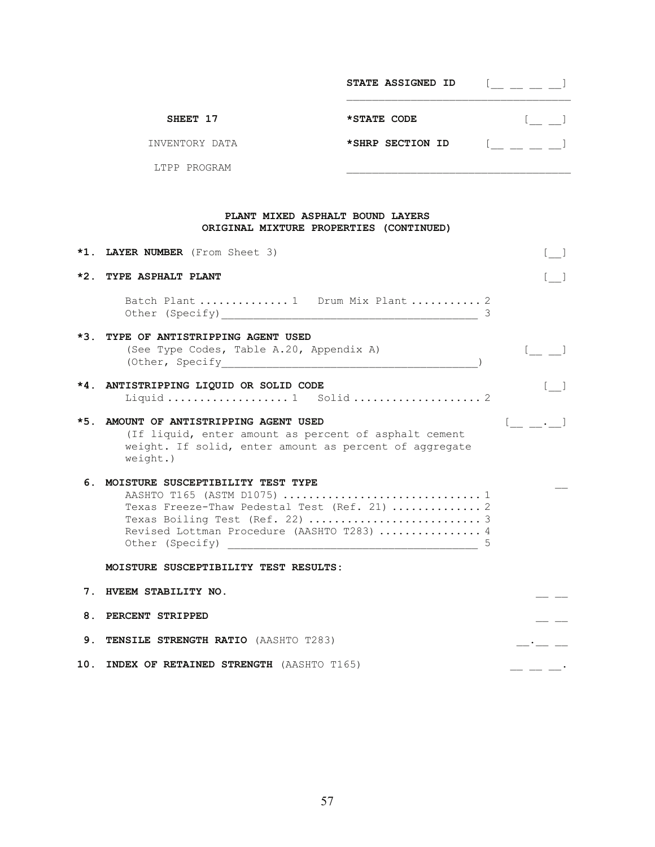|                | STATE ASSIGNED ID |  |
|----------------|-------------------|--|
| SHEET 17       | *STATE CODE       |  |
| INVENTORY DATA | *SHRP SECTION ID  |  |
| LTPP PROGRAM   |                   |  |

## **PLANT MIXED ASPHALT BOUND LAYERS ORIGINAL MIXTURE PROPERTIES (CONTINUED)**

|       | *1. LAYER NUMBER (From Sheet 3)                                                                                                                                                                                                                | <b>Contract</b> |
|-------|------------------------------------------------------------------------------------------------------------------------------------------------------------------------------------------------------------------------------------------------|-----------------|
| $*2.$ | <b>TYPE ASPHALT PLANT</b>                                                                                                                                                                                                                      |                 |
|       | Batch Plant  1 Drum Mix Plant  2<br>Other (Specify) 2014 2022 2022 2023 2024 2022 2023 2024 2022 2023 2024 2022 2023 2024 2022 2023 2024 2022 2023                                                                                             |                 |
| $*3.$ | TYPE OF ANTISTRIPPING AGENT USED<br>(See Type Codes, Table A.20, Appendix A)<br>(Other, Specify 1999)                                                                                                                                          |                 |
|       | *4. ANTISTRIPPING LIQUID OR SOLID CODE<br>Liquid  1 Solid  2                                                                                                                                                                                   |                 |
| $*5.$ | AMOUNT OF ANTISTRIPPING AGENT USED<br>(If liquid, enter amount as percent of asphalt cement<br>weight. If solid, enter amount as percent of aggregate<br>$weight.$ )                                                                           |                 |
| 6.    | MOISTURE SUSCEPTIBILITY TEST TYPE<br>AASHTO T165 (ASTM D1075)  1<br>Texas Freeze-Thaw Pedestal Test (Ref. 21)  2<br>Revised Lottman Procedure (AASHTO T283)  4<br>Other (Specify)<br>5<br><u> 1989 - Johann John Stone, mars et al. (1989)</u> |                 |
|       | MOISTURE SUSCEPTIBILITY TEST RESULTS:                                                                                                                                                                                                          |                 |
| 7.    | HVEEM STABILITY NO.                                                                                                                                                                                                                            |                 |
| 8.    | PERCENT STRIPPED                                                                                                                                                                                                                               |                 |
| 9.    | <b>TENSILE STRENGTH RATIO (AASHTO T283)</b>                                                                                                                                                                                                    |                 |
|       | 10. INDEX OF RETAINED STRENGTH (AASHTO T165)                                                                                                                                                                                                   |                 |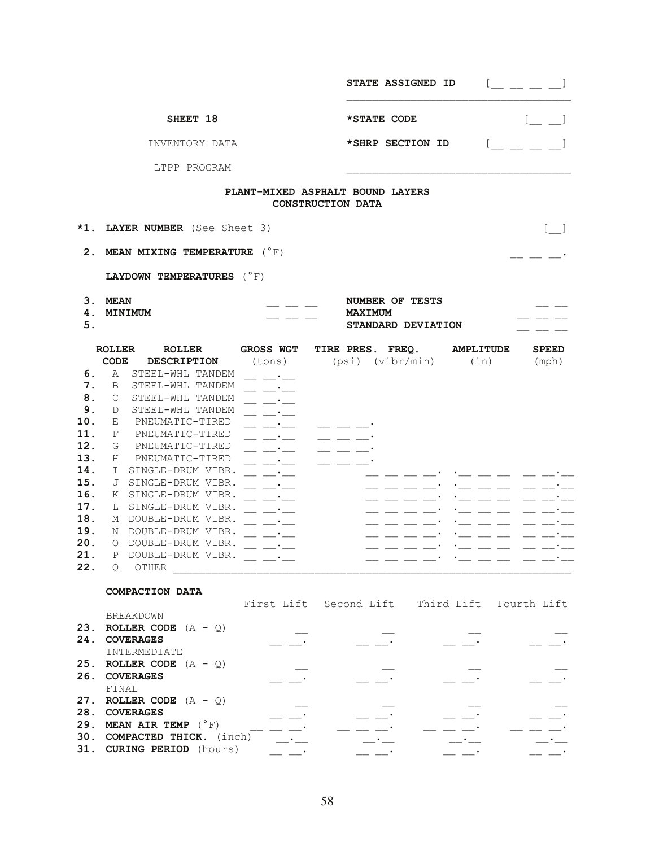|                                                                                                                 |                                                                                                                                                                                                                                                                                                                                                                                                                                                                                                           |                                                                                                                                                                                                                                                                                                                                                                                                                                      | <b>STATE ASSIGNED ID</b>                                                                                                                                                                                                                  |                                                                                                                                                               |                                                |
|-----------------------------------------------------------------------------------------------------------------|-----------------------------------------------------------------------------------------------------------------------------------------------------------------------------------------------------------------------------------------------------------------------------------------------------------------------------------------------------------------------------------------------------------------------------------------------------------------------------------------------------------|--------------------------------------------------------------------------------------------------------------------------------------------------------------------------------------------------------------------------------------------------------------------------------------------------------------------------------------------------------------------------------------------------------------------------------------|-------------------------------------------------------------------------------------------------------------------------------------------------------------------------------------------------------------------------------------------|---------------------------------------------------------------------------------------------------------------------------------------------------------------|------------------------------------------------|
|                                                                                                                 | SHEET 18                                                                                                                                                                                                                                                                                                                                                                                                                                                                                                  |                                                                                                                                                                                                                                                                                                                                                                                                                                      | *STATE CODE                                                                                                                                                                                                                               |                                                                                                                                                               | $[$ $\Box$                                     |
|                                                                                                                 | INVENTORY DATA                                                                                                                                                                                                                                                                                                                                                                                                                                                                                            |                                                                                                                                                                                                                                                                                                                                                                                                                                      | *SHRP SECTION ID                                                                                                                                                                                                                          |                                                                                                                                                               |                                                |
|                                                                                                                 | LTPP PROGRAM                                                                                                                                                                                                                                                                                                                                                                                                                                                                                              |                                                                                                                                                                                                                                                                                                                                                                                                                                      |                                                                                                                                                                                                                                           |                                                                                                                                                               |                                                |
|                                                                                                                 |                                                                                                                                                                                                                                                                                                                                                                                                                                                                                                           |                                                                                                                                                                                                                                                                                                                                                                                                                                      | PLANT-MIXED ASPHALT BOUND LAYERS<br><b>CONSTRUCTION DATA</b>                                                                                                                                                                              |                                                                                                                                                               |                                                |
| *1.                                                                                                             | LAYER NUMBER (See Sheet 3)                                                                                                                                                                                                                                                                                                                                                                                                                                                                                |                                                                                                                                                                                                                                                                                                                                                                                                                                      |                                                                                                                                                                                                                                           |                                                                                                                                                               | $\begin{bmatrix} 1 & 1 \\ 1 & 1 \end{bmatrix}$ |
|                                                                                                                 | 2. MEAN MIXING TEMPERATURE $(^{\circ}F)$                                                                                                                                                                                                                                                                                                                                                                                                                                                                  |                                                                                                                                                                                                                                                                                                                                                                                                                                      |                                                                                                                                                                                                                                           |                                                                                                                                                               |                                                |
|                                                                                                                 | LAYDOWN TEMPERATURES $(^{\circ}F)$                                                                                                                                                                                                                                                                                                                                                                                                                                                                        |                                                                                                                                                                                                                                                                                                                                                                                                                                      |                                                                                                                                                                                                                                           |                                                                                                                                                               |                                                |
| 4.<br>5.                                                                                                        | 3. MEAN<br><b>MINIMUM</b>                                                                                                                                                                                                                                                                                                                                                                                                                                                                                 |                                                                                                                                                                                                                                                                                                                                                                                                                                      | NUMBER OF TESTS<br><b>MAXIMUM</b><br>STANDARD DEVIATION                                                                                                                                                                                   |                                                                                                                                                               |                                                |
| 6.<br>7.<br>8.<br>9.<br>10.<br>11.<br>12.<br>13.<br>14.<br>15.<br>16.<br>17.<br>18.<br>19.<br>20.<br>21.<br>22. | <b>ROLLER</b><br><b>ROLLER</b><br><b>CODE</b><br><b>DESCRIPTION</b><br>A<br>STEEL-WHL TANDEM<br>B<br>STEEL-WHL TANDEM<br>C<br>STEEL-WHL TANDEM<br>STEEL-WHL TANDEM<br>D<br>Е<br>PNEUMATIC-TIRED<br>PNEUMATIC-TIRED<br>F<br>PNEUMATIC-TIRED<br>G<br>PNEUMATIC-TIRED<br>H.<br>I.<br>SINGLE-DRUM VIBR.<br>SINGLE-DRUM VIBR.<br>J<br>K SINGLE-DRUM VIBR.<br>L SINGLE-DRUM VIBR.<br>DOUBLE-DRUM VIBR.<br>М<br>DOUBLE-DRUM VIBR.<br>N<br>DOUBLE-DRUM VIBR.<br>$\Omega$<br>Ρ<br>DOUBLE-DRUM VIBR.<br>OTHER<br>Q. | <b>GROSS WGT</b><br>(tons)<br>_ __·__<br>$\overline{\phantom{a}}$<br>$\mathcal{L} \subset \mathcal{L}$<br>$\overline{\phantom{a}}$ and $\overline{\phantom{a}}$<br>$\mathcal{L} \subset \mathcal{L}$<br>$- - - -$<br>$\equiv$ $\equiv$ $\equiv$<br>$\overline{\phantom{iiiiiiii}}$ $\overline{\phantom{iiiiiiii}}$<br>and a series of the series of the series of the series of the series of the series of the series of the series | TIRE PRES. FREQ.<br>(psi) (vibr/min)<br>__ __ _<br>-- -- --<br>__ __ __•<br>$   \cdot$<br>$\frac{1}{2}$ and $\frac{1}{2}$ and $\frac{1}{2}$ and $\frac{1}{2}$<br>$--- \ \_\_$<br>__ __ __ __ <sup>_</sup><br>__ __ __ __'<br>__ __ __ __' | <b>AMPLITUDE</b><br>(in)<br>- - - - - - - - -<br>$\cdot$ $\_\_$ $\_\_$<br>$\cdot$ $\_\_$ $\_\_$ $\_\_$<br>$\cdot$ $\_\_$ $\_\_$<br>$\cdot$ $  -$<br>.__ __ __ | <b>SPEED</b><br>(mph)<br>__ __ *__             |
| 23.<br>24.<br>25.<br>26.                                                                                        | COMPACTION DATA<br><b>BREAKDOWN</b><br><b>ROLLER CODE</b> $(A - Q)$<br><b>COVERAGES</b><br>INTERMEDIATE<br><b>ROLLER CODE</b> $(A - Q)$<br><b>COVERAGES</b><br>FINAL<br>27. ROLLER CODE $(A - Q)$<br>28. COVERAGES<br>29. MEAN AIR TEMP $(^{\circ}F)$                                                                                                                                                                                                                                                     |                                                                                                                                                                                                                                                                                                                                                                                                                                      | First Lift Second Lift Third Lift Fourth Lift                                                                                                                                                                                             |                                                                                                                                                               |                                                |
|                                                                                                                 | 30. COMPACTED THICK. (inch)<br>31. CURING PERIOD (hours)                                                                                                                                                                                                                                                                                                                                                                                                                                                  |                                                                                                                                                                                                                                                                                                                                                                                                                                      |                                                                                                                                                                                                                                           |                                                                                                                                                               |                                                |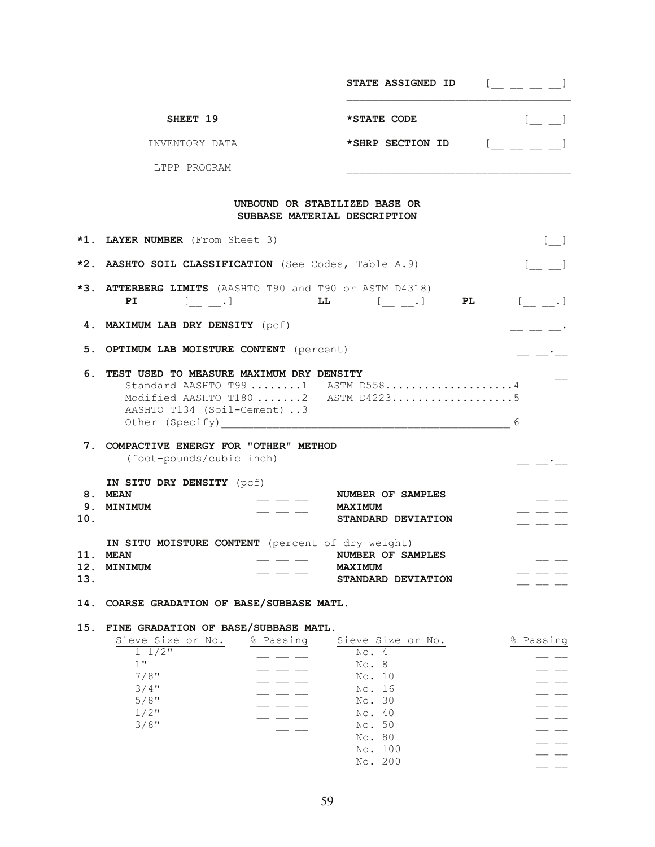|     |                                                                                                                                              |                              | <b>STATE ASSIGNED ID</b>                                                                                                                                                                                                                                                                                                                                                                                                           | $\mathbb{Z} = \mathbb{Z}$        |
|-----|----------------------------------------------------------------------------------------------------------------------------------------------|------------------------------|------------------------------------------------------------------------------------------------------------------------------------------------------------------------------------------------------------------------------------------------------------------------------------------------------------------------------------------------------------------------------------------------------------------------------------|----------------------------------|
|     | SHEET 19                                                                                                                                     |                              | *STATE CODE                                                                                                                                                                                                                                                                                                                                                                                                                        | $[$ $\perp$ $\perp$ <sup>1</sup> |
|     | INVENTORY DATA                                                                                                                               |                              | *SHRP SECTION ID $[\underline{\hspace{1cm}} \underline{\hspace{1cm}} \underline{\hspace{1cm}} \underline{\hspace{1cm}} ]$                                                                                                                                                                                                                                                                                                          |                                  |
|     | LTPP PROGRAM                                                                                                                                 |                              |                                                                                                                                                                                                                                                                                                                                                                                                                                    |                                  |
|     |                                                                                                                                              | SUBBASE MATERIAL DESCRIPTION | UNBOUND OR STABILIZED BASE OR                                                                                                                                                                                                                                                                                                                                                                                                      |                                  |
|     | *1. LAYER NUMBER (From Sheet 3)                                                                                                              |                              |                                                                                                                                                                                                                                                                                                                                                                                                                                    |                                  |
|     | *2. AASHTO SOIL CLASSIFICATION (See Codes, Table A.9)                                                                                        |                              |                                                                                                                                                                                                                                                                                                                                                                                                                                    |                                  |
|     | *3. ATTERBERG LIMITS (AASHTO T90 and T90 or ASTM D4318)<br>PI                                                                                |                              | $\begin{array}{cccccccccccccc} & & & & & & & & \text{L} & & & & & & \text{L} & \text{L} & \text{L} & \text{L} & \text{L} & \text{L} & \text{L} & \text{L} & \text{L} & \text{L} & \text{L} & \text{L} & \text{L} & \text{L} & \text{L} & \text{L} & \text{L} & \text{L} & \text{L} & \text{L} & \text{L} & \text{L} & \text{L} & \text{L} & \text{L} & \text{L} & \text{L} & \text{L} & \text{L} & \text{L} & \text{L} & \text{L}$ | PL [ .]                          |
|     | 4. MAXIMUM LAB DRY DENSITY (pcf)                                                                                                             |                              |                                                                                                                                                                                                                                                                                                                                                                                                                                    |                                  |
|     | 5. OPTIMUM LAB MOISTURE CONTENT (percent)                                                                                                    |                              |                                                                                                                                                                                                                                                                                                                                                                                                                                    |                                  |
| 6.  | TEST USED TO MEASURE MAXIMUM DRY DENSITY<br>AASHTO T134 (Soil-Cement) 3                                                                      |                              | Standard AASHTO T99 1 ASTM D5584<br>Modified AASHTO T180 2 ASTM D42235                                                                                                                                                                                                                                                                                                                                                             | 6                                |
|     | 7. COMPACTIVE ENERGY FOR "OTHER" METHOD<br>(foot-pounds/cubic inch)                                                                          |                              |                                                                                                                                                                                                                                                                                                                                                                                                                                    |                                  |
| 10. | IN SITU DRY DENSITY (pcf)<br>8. MEAN<br>9. MINIMUM                                                                                           |                              | NUMBER OF SAMPLES<br><b>MAXIMUM</b><br>STANDARD DEVIATION                                                                                                                                                                                                                                                                                                                                                                          |                                  |
| 13. | IN SITU MOISTURE CONTENT (percent of dry weight)<br>11. MEAN<br>12. MINIMUM                                                                  |                              | NUMBER OF SAMPLES<br><b>MAXIMUM</b><br>STANDARD DEVIATION                                                                                                                                                                                                                                                                                                                                                                          |                                  |
| 14. | COARSE GRADATION OF BASE/SUBBASE MATL.                                                                                                       |                              |                                                                                                                                                                                                                                                                                                                                                                                                                                    |                                  |
| 15. | FINE GRADATION OF BASE/SUBBASE MATL.<br>Sieve Size or No.<br>$1 \frac{1}{2}$<br>$1$ "<br>$7/8$ "<br>$3/4$ "<br>$5/8$ "<br>$1/2$ "<br>$3/8$ " | % Passing                    | Sieve Size or No.<br>No. 4<br>No. 8<br>No. 10<br>No. 16<br>No. 30<br>No. 40<br>No. 50<br>No. 80                                                                                                                                                                                                                                                                                                                                    | % Passing                        |
|     |                                                                                                                                              |                              | No. 100                                                                                                                                                                                                                                                                                                                                                                                                                            |                                  |

No. 200 \_\_ \_\_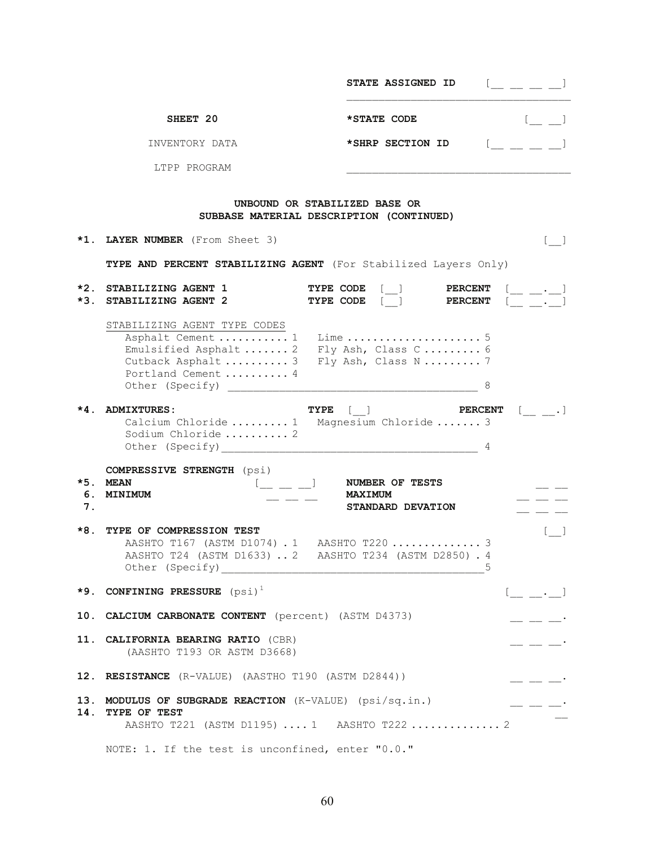|          |                                                                                                                                    | <b>STATE ASSIGNED ID</b>                                                                                                          | $[\_$ $[\_$ $\_$ $\_$ $\_$                                                                                                                                                                                                                                                                                                                                                                   |
|----------|------------------------------------------------------------------------------------------------------------------------------------|-----------------------------------------------------------------------------------------------------------------------------------|----------------------------------------------------------------------------------------------------------------------------------------------------------------------------------------------------------------------------------------------------------------------------------------------------------------------------------------------------------------------------------------------|
|          | SHEET 20                                                                                                                           | *STATE CODE                                                                                                                       |                                                                                                                                                                                                                                                                                                                                                                                              |
|          | INVENTORY DATA                                                                                                                     | *SHRP SECTION ID                                                                                                                  |                                                                                                                                                                                                                                                                                                                                                                                              |
|          | LTPP PROGRAM                                                                                                                       |                                                                                                                                   |                                                                                                                                                                                                                                                                                                                                                                                              |
|          |                                                                                                                                    | UNBOUND OR STABILIZED BASE OR<br>SUBBASE MATERIAL DESCRIPTION (CONTINUED)                                                         |                                                                                                                                                                                                                                                                                                                                                                                              |
|          | *1. LAYER NUMBER (From Sheet 3)                                                                                                    |                                                                                                                                   |                                                                                                                                                                                                                                                                                                                                                                                              |
|          | TYPE AND PERCENT STABILIZING AGENT (For Stabilized Layers Only)                                                                    |                                                                                                                                   |                                                                                                                                                                                                                                                                                                                                                                                              |
|          | *2. STABILIZING AGENT 1<br>*3. STABILIZING AGENT 2                                                                                 | $\begin{tabular}{ll} \bf{TYPE} & \tt{CODE} & [\_] & \tt{PERCENT} \\ \bf{TYPE} & \tt{CODE} & [\_] & \tt{PERCENT} \\ \end{tabular}$ |                                                                                                                                                                                                                                                                                                                                                                                              |
|          | STABILIZING AGENT TYPE CODES<br>Portland Cement  4<br>Other (Specify)                                                              | 8                                                                                                                                 |                                                                                                                                                                                                                                                                                                                                                                                              |
|          | *4. ADMIXTURES:<br>Calcium Chloride  1 Magnesium Chloride  3<br>Sodium Chloride  2                                                 | $[ \quad ] \qquad \qquad \textbf{PERCENT} \quad [ \qquad . \qquad ]$<br>TYPE                                                      |                                                                                                                                                                                                                                                                                                                                                                                              |
| 6.<br>7. | <b>COMPRESSIVE STRENGTH</b> (psi)<br>*5. MEAN<br>$[$ $\_\_$ $\_\_$<br><b>MINIMUM</b>                                               | <b>NUMBER OF TESTS</b><br><b>MAXIMUM</b><br>STANDARD DEVATION                                                                     |                                                                                                                                                                                                                                                                                                                                                                                              |
| *8.      | TYPE OF COMPRESSION TEST<br>AASHTO T167 (ASTM D1074) . 1 AASHTO T220  3<br>AASHTO T24 (ASTM D1633)  2 AASHTO T234 (ASTM D2850) . 4 |                                                                                                                                   | $\lfloor \ \ \rfloor$                                                                                                                                                                                                                                                                                                                                                                        |
|          | *9. CONFINING PRESSURE $(psi)^1$                                                                                                   |                                                                                                                                   | $[\underline{\qquad} \underline{\qquad} \underline{\cdot} \underline{\qquad}]$                                                                                                                                                                                                                                                                                                               |
|          | 10. CALCIUM CARBONATE CONTENT (percent) (ASTM D4373)                                                                               |                                                                                                                                   | $\frac{1}{2} \frac{1}{2} \frac{1}{2} \frac{1}{2} \frac{1}{2} \frac{1}{2} \frac{1}{2} \frac{1}{2} \frac{1}{2} \frac{1}{2} \frac{1}{2} \frac{1}{2} \frac{1}{2} \frac{1}{2} \frac{1}{2} \frac{1}{2} \frac{1}{2} \frac{1}{2} \frac{1}{2} \frac{1}{2} \frac{1}{2} \frac{1}{2} \frac{1}{2} \frac{1}{2} \frac{1}{2} \frac{1}{2} \frac{1}{2} \frac{1}{2} \frac{1}{2} \frac{1}{2} \frac{1}{2} \frac{$ |
|          | 11. CALIFORNIA BEARING RATIO (CBR)<br>(AASHTO T193 OR ASTM D3668)                                                                  |                                                                                                                                   |                                                                                                                                                                                                                                                                                                                                                                                              |
|          | 12. RESISTANCE (R-VALUE) (AASTHO T190 (ASTM D2844))                                                                                |                                                                                                                                   | <u>__</u> __ __ __                                                                                                                                                                                                                                                                                                                                                                           |
| 14.      | 13. MODULUS OF SUBGRADE REACTION (K-VALUE) (psi/sq.in.)<br><b>TYPE OF TEST</b><br>AASHTO T221 (ASTM D1195)  1 AASHTO T222  2       |                                                                                                                                   |                                                                                                                                                                                                                                                                                                                                                                                              |
|          | NOTE: 1. If the test is unconfined, enter "0.0."                                                                                   |                                                                                                                                   |                                                                                                                                                                                                                                                                                                                                                                                              |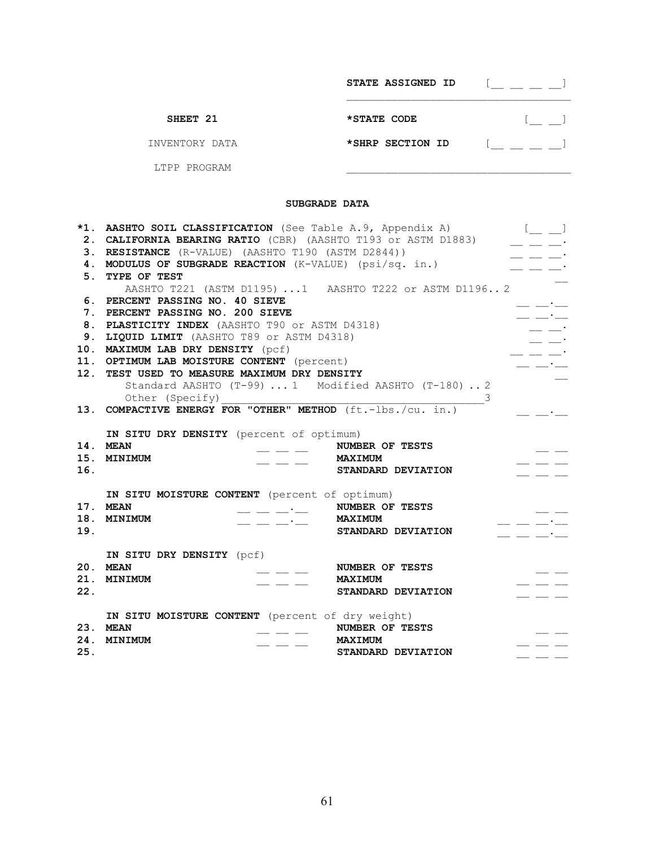|                | STATE ASSIGNED ID |  |
|----------------|-------------------|--|
| SHEET 21       | *STATE CODE       |  |
| INVENTORY DATA | *SHRP SECTION ID  |  |
| LTPP PROGRAM   |                   |  |

## **SUBGRADE DATA**

| 5.         | *1. AASHTO SOIL CLASSIFICATION (See Table A.9, Appendix A)<br>2. CALIFORNIA BEARING RATIO (CBR) (AASHTO T193 or ASTM D1883)<br>3. RESISTANCE (R-VALUE) (AASHTO T190 (ASTM D2844))<br>4. MODULUS OF SUBGRADE REACTION (K-VALUE) (psi/sq. in.)<br>TYPE OF TEST                                                                                                                                                                                                           |                                                         | $[$ $]$                                                                                                                                                                                                                                                                                                                                                                                                                                                                         |
|------------|------------------------------------------------------------------------------------------------------------------------------------------------------------------------------------------------------------------------------------------------------------------------------------------------------------------------------------------------------------------------------------------------------------------------------------------------------------------------|---------------------------------------------------------|---------------------------------------------------------------------------------------------------------------------------------------------------------------------------------------------------------------------------------------------------------------------------------------------------------------------------------------------------------------------------------------------------------------------------------------------------------------------------------|
|            | AASHTO T221 (ASTM D1195) 1 AASHTO T222 or ASTM D11962                                                                                                                                                                                                                                                                                                                                                                                                                  |                                                         |                                                                                                                                                                                                                                                                                                                                                                                                                                                                                 |
| 6.         | PERCENT PASSING NO. 40 SIEVE                                                                                                                                                                                                                                                                                                                                                                                                                                           |                                                         |                                                                                                                                                                                                                                                                                                                                                                                                                                                                                 |
|            | 7. PERCENT PASSING NO. 200 SIEVE                                                                                                                                                                                                                                                                                                                                                                                                                                       |                                                         | $\equiv$ $\equiv$ $\equiv$                                                                                                                                                                                                                                                                                                                                                                                                                                                      |
|            | 8. PLASTICITY INDEX (AASHTO T90 or ASTM D4318)                                                                                                                                                                                                                                                                                                                                                                                                                         |                                                         |                                                                                                                                                                                                                                                                                                                                                                                                                                                                                 |
|            | 9. LIQUID LIMIT (AASHTO T89 or ASTM D4318)                                                                                                                                                                                                                                                                                                                                                                                                                             |                                                         |                                                                                                                                                                                                                                                                                                                                                                                                                                                                                 |
|            | 10. MAXIMUM LAB DRY DENSITY (pcf)                                                                                                                                                                                                                                                                                                                                                                                                                                      |                                                         |                                                                                                                                                                                                                                                                                                                                                                                                                                                                                 |
|            | 11. OPTIMUM LAB MOISTURE CONTENT (percent)                                                                                                                                                                                                                                                                                                                                                                                                                             |                                                         |                                                                                                                                                                                                                                                                                                                                                                                                                                                                                 |
|            | 12. TEST USED TO MEASURE MAXIMUM DRY DENSITY                                                                                                                                                                                                                                                                                                                                                                                                                           |                                                         |                                                                                                                                                                                                                                                                                                                                                                                                                                                                                 |
|            | Standard AASHTO (T-99)  1 Modified AASHTO (T-180)  2                                                                                                                                                                                                                                                                                                                                                                                                                   |                                                         |                                                                                                                                                                                                                                                                                                                                                                                                                                                                                 |
|            | Other (Specify)<br>13. <b>COMPACTIVE ENERGY FOR "OTHER" METHOD</b> $(ft.-lbs./cu. in.)$                                                                                                                                                                                                                                                                                                                                                                                |                                                         |                                                                                                                                                                                                                                                                                                                                                                                                                                                                                 |
| 14.<br>16. | IN SITU DRY DENSITY (percent of optimum)<br><b>MEAN</b><br>$\frac{1}{2} \frac{1}{2} \frac{1}{2} \frac{1}{2} \frac{1}{2} \frac{1}{2} \frac{1}{2} \frac{1}{2} \frac{1}{2} \frac{1}{2} \frac{1}{2} \frac{1}{2} \frac{1}{2} \frac{1}{2} \frac{1}{2} \frac{1}{2} \frac{1}{2} \frac{1}{2} \frac{1}{2} \frac{1}{2} \frac{1}{2} \frac{1}{2} \frac{1}{2} \frac{1}{2} \frac{1}{2} \frac{1}{2} \frac{1}{2} \frac{1}{2} \frac{1}{2} \frac{1}{2} \frac{1}{2} \frac{$<br>15. MINIMUM | NUMBER OF TESTS<br><b>MAXIMUM</b><br>STANDARD DEVIATION |                                                                                                                                                                                                                                                                                                                                                                                                                                                                                 |
|            | IN SITU MOISTURE CONTENT (percent of optimum)                                                                                                                                                                                                                                                                                                                                                                                                                          |                                                         |                                                                                                                                                                                                                                                                                                                                                                                                                                                                                 |
|            | 17. MEAN<br>$\frac{1}{2}$ - $\frac{1}{2}$ - NUMBER OF TESTS                                                                                                                                                                                                                                                                                                                                                                                                            |                                                         |                                                                                                                                                                                                                                                                                                                                                                                                                                                                                 |
| 18.        | <b>MINIMUM</b><br>$- - - -$                                                                                                                                                                                                                                                                                                                                                                                                                                            | MAXIMUM                                                 | $\overline{\phantom{a}}$ $\overline{\phantom{a}}$ $\overline{\phantom{a}}$ $\overline{\phantom{a}}$ $\overline{\phantom{a}}$ $\overline{\phantom{a}}$ $\overline{\phantom{a}}$ $\overline{\phantom{a}}$ $\overline{\phantom{a}}$ $\overline{\phantom{a}}$ $\overline{\phantom{a}}$ $\overline{\phantom{a}}$ $\overline{\phantom{a}}$ $\overline{\phantom{a}}$ $\overline{\phantom{a}}$ $\overline{\phantom{a}}$ $\overline{\phantom{a}}$ $\overline{\phantom{a}}$ $\overline{\$ |
| 19.        |                                                                                                                                                                                                                                                                                                                                                                                                                                                                        | STANDARD DEVIATION                                      | the contract of the contract of                                                                                                                                                                                                                                                                                                                                                                                                                                                 |
| 20.<br>22. | IN SITU DRY DENSITY (pcf)<br><b>MEAN</b><br>21. MINIMUM                                                                                                                                                                                                                                                                                                                                                                                                                | NUMBER OF TESTS<br><b>MAXIMUM</b><br>STANDARD DEVIATION |                                                                                                                                                                                                                                                                                                                                                                                                                                                                                 |
| 24.<br>25. | IN SITU MOISTURE CONTENT (percent of dry weight)<br>23. MEAN<br>MINIMUM                                                                                                                                                                                                                                                                                                                                                                                                | NUMBER OF TESTS<br><b>MAXIMUM</b><br>STANDARD DEVIATION |                                                                                                                                                                                                                                                                                                                                                                                                                                                                                 |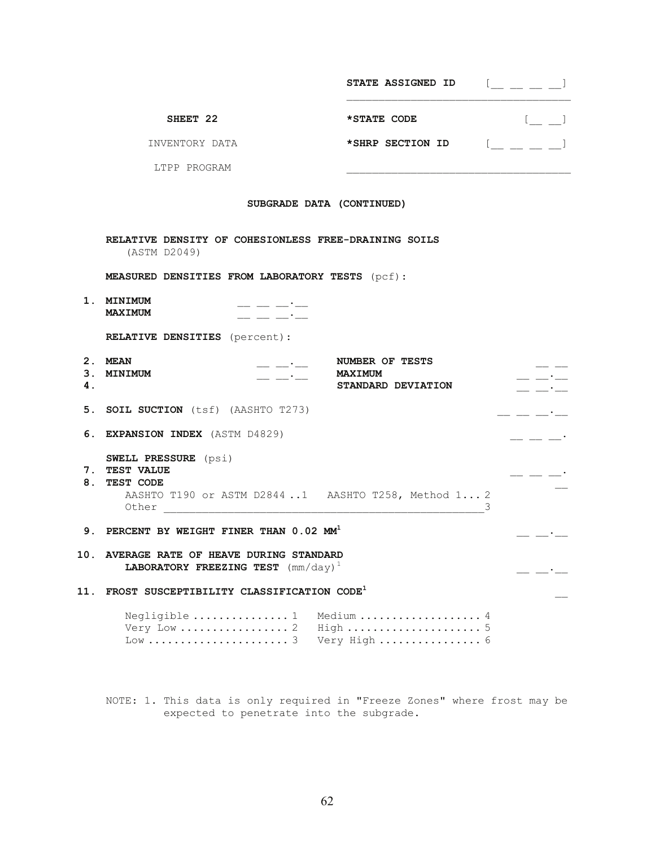|     |                                                                                                    | <b>STATE ASSIGNED ID</b>                                                                                            | $[$ $\_$ $\_$ $\_$ $\_$                                                                                                                                                                                                                                                                                                       |  |  |
|-----|----------------------------------------------------------------------------------------------------|---------------------------------------------------------------------------------------------------------------------|-------------------------------------------------------------------------------------------------------------------------------------------------------------------------------------------------------------------------------------------------------------------------------------------------------------------------------|--|--|
|     | SHEET 22                                                                                           | *STATE CODE                                                                                                         | $[$ $\Box$                                                                                                                                                                                                                                                                                                                    |  |  |
|     | INVENTORY DATA                                                                                     | *SHRP SECTION ID                                                                                                    | $\begin{bmatrix} 1 & 0 & 0 & 0 \\ 0 & 0 & 0 & 0 \\ 0 & 0 & 0 & 0 \\ 0 & 0 & 0 & 0 \\ 0 & 0 & 0 & 0 \\ 0 & 0 & 0 & 0 \\ 0 & 0 & 0 & 0 \\ 0 & 0 & 0 & 0 \\ 0 & 0 & 0 & 0 \\ 0 & 0 & 0 & 0 \\ 0 & 0 & 0 & 0 & 0 \\ 0 & 0 & 0 & 0 & 0 \\ 0 & 0 & 0 & 0 & 0 \\ 0 & 0 & 0 & 0 & 0 & 0 \\ 0 & 0 & 0 & 0 & 0 & 0 \\ 0 & 0 & 0 & 0 & $ |  |  |
|     | LTPP PROGRAM                                                                                       |                                                                                                                     |                                                                                                                                                                                                                                                                                                                               |  |  |
|     | SUBGRADE DATA (CONTINUED)                                                                          |                                                                                                                     |                                                                                                                                                                                                                                                                                                                               |  |  |
|     | RELATIVE DENSITY OF COHESIONLESS FREE-DRAINING SOILS<br>(ASTM D2049)                               |                                                                                                                     |                                                                                                                                                                                                                                                                                                                               |  |  |
|     | <b>MEASURED DENSITIES FROM LABORATORY TESTS</b> (pcf):                                             |                                                                                                                     |                                                                                                                                                                                                                                                                                                                               |  |  |
|     | 1. MINIMUM<br><b>MAXIMUM</b>                                                                       |                                                                                                                     |                                                                                                                                                                                                                                                                                                                               |  |  |
|     | <b>RELATIVE DENSITIES</b> (percent):                                                               |                                                                                                                     |                                                                                                                                                                                                                                                                                                                               |  |  |
| 4.  | 2. MEAN<br>3. MINIMUM<br>$\overline{\phantom{iiiiii}}$ $\overline{\phantom{iiiiii}}$               | NUMBER OF TESTS<br><b>MAXIMUM</b><br>STANDARD DEVIATION                                                             |                                                                                                                                                                                                                                                                                                                               |  |  |
|     | 5. SOIL SUCTION (tsf) (AASHTO T273)                                                                |                                                                                                                     |                                                                                                                                                                                                                                                                                                                               |  |  |
|     | 6. EXPANSION INDEX (ASTM D4829)                                                                    |                                                                                                                     |                                                                                                                                                                                                                                                                                                                               |  |  |
|     | <b>SWELL PRESSURE</b> (psi)<br>7. TEST VALUE<br>8. TEST CODE<br>Other                              | AASHTO T190 or ASTM D2844 1 AASHTO T258, Method 1 2<br><u> 1980 - Jan Barbarat, martin al-Amerikaansk politik (</u> |                                                                                                                                                                                                                                                                                                                               |  |  |
|     | 9. PERCENT BY WEIGHT FINER THAN 0.02 MM <sup>1</sup>                                               |                                                                                                                     |                                                                                                                                                                                                                                                                                                                               |  |  |
| 10. | AVERAGE RATE OF HEAVE DURING STANDARD<br><b>LABORATORY FREEZING TEST</b> ( $mm/day$ ) <sup>1</sup> |                                                                                                                     |                                                                                                                                                                                                                                                                                                                               |  |  |
| 11. | FROST SUSCEPTIBILITY CLASSIFICATION CODE <sup>1</sup>                                              |                                                                                                                     |                                                                                                                                                                                                                                                                                                                               |  |  |
|     | Negligible  1<br>Very Low  2<br>$Low \dots \dots \dots \dots \dots \dots \dots \dots 3$            | Medium  4<br>High  5<br>Very High  6                                                                                |                                                                                                                                                                                                                                                                                                                               |  |  |

 NOTE: 1. This data is only required in "Freeze Zones" where frost may be expected to penetrate into the subgrade.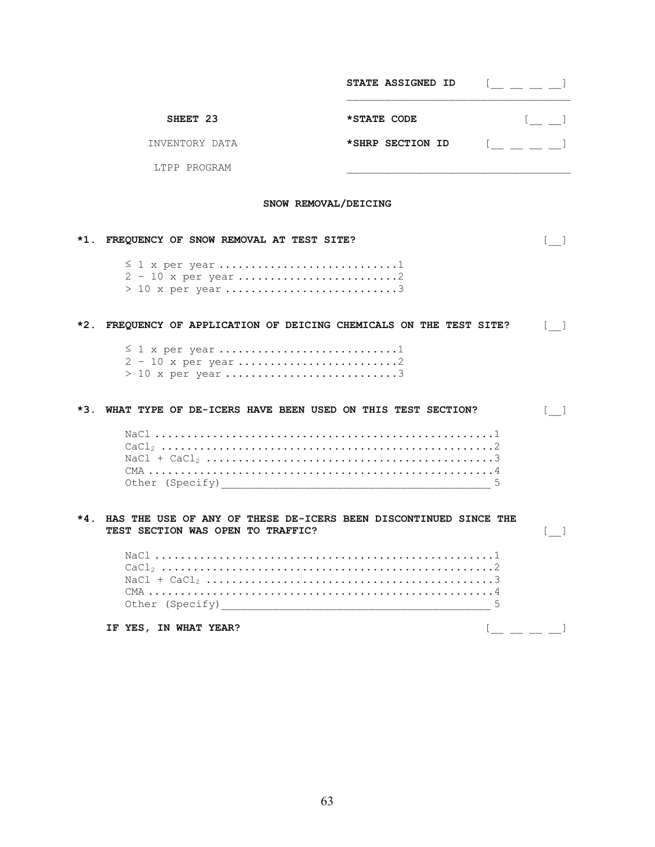|                      |                                                                                                                | STATE ASSIGNED ID | $[$ $\_$ $\_$ $\_$ $\_$               |  |  |
|----------------------|----------------------------------------------------------------------------------------------------------------|-------------------|---------------------------------------|--|--|
|                      | SHEET 23                                                                                                       | *STATE CODE       | $[$ $\Box$                            |  |  |
|                      | INVENTORY DATA                                                                                                 | *SHRP SECTION ID  | $[$                                   |  |  |
|                      | LTPP PROGRAM                                                                                                   |                   |                                       |  |  |
| SNOW REMOVAL/DEICING |                                                                                                                |                   |                                       |  |  |
| *1.                  | FREQUENCY OF SNOW REMOVAL AT TEST SITE?                                                                        |                   | $\lfloor - \rfloor$                   |  |  |
|                      | $\leq$ 1 x per year1                                                                                           |                   |                                       |  |  |
|                      | *2. FREQUENCY OF APPLICATION OF DEICING CHEMICALS ON THE TEST SITE?                                            |                   | $\mathbf{1}$                          |  |  |
|                      | $\leq$ 1 x per year 1                                                                                          |                   |                                       |  |  |
| *3.                  | WHAT TYPE OF DE-ICERS HAVE BEEN USED ON THIS TEST SECTION?                                                     |                   | $\mathbf{1}$                          |  |  |
|                      | Other (Specify) 2008 2009 2010 2021 2022 2023 2024 2022 2023 2024 2022 2023 2024 2022 2023 2024 2025 2026 2027 | 5                 |                                       |  |  |
| $*4$ .               | HAS THE USE OF ANY OF THESE DE-ICERS BEEN DISCONTINUED SINCE THE<br>TEST SECTION WAS OPEN TO TRAFFIC?          |                   | $\begin{bmatrix} 1 & 1 \end{bmatrix}$ |  |  |
|                      | Other (Specify)                                                                                                | 5                 |                                       |  |  |
|                      | IF YES, IN WHAT YEAR?                                                                                          |                   |                                       |  |  |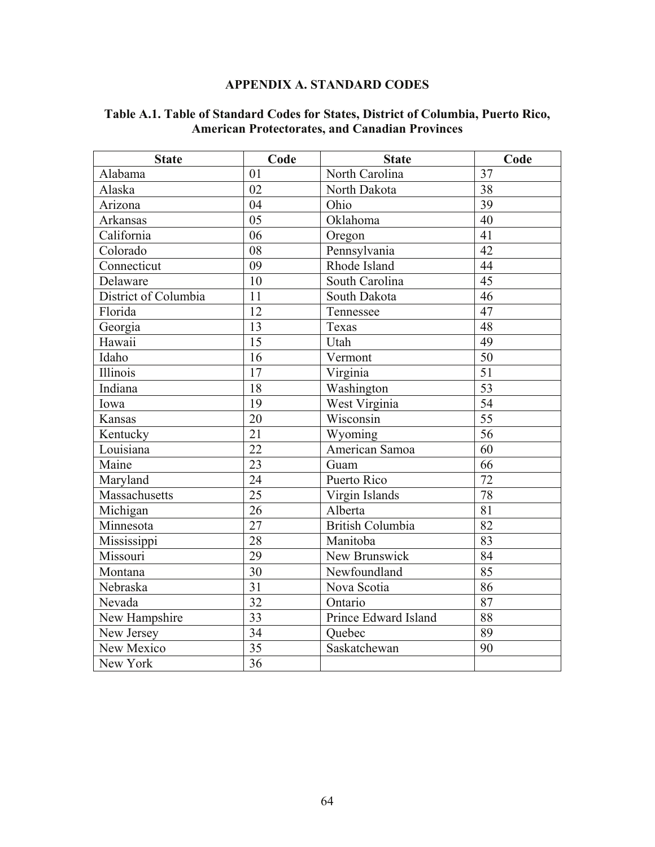# **APPENDIX A. STANDARD CODES**

| <b>State</b>         | Code            | <b>State</b>            | Code            |
|----------------------|-----------------|-------------------------|-----------------|
| Alabama              | 01              | North Carolina          | 37              |
| Alaska               | 02              | North Dakota            | $\overline{38}$ |
| Arizona              | 04              | Ohio                    | $\overline{39}$ |
| Arkansas             | $\overline{05}$ | Oklahoma                | 40              |
| California           | 06              | Oregon                  | 41              |
| Colorado             | 08              | Pennsylvania            | 42              |
| Connecticut          | 09              | Rhode Island            | 44              |
| Delaware             | 10              | South Carolina          | $\overline{45}$ |
| District of Columbia | 11              | South Dakota            | $\overline{46}$ |
| Florida              | 12              | Tennessee               | 47              |
| Georgia              | 13              | Texas                   | 48              |
| Hawaii               | 15              | Utah                    | 49              |
| Idaho                | 16              | Vermont                 | 50              |
| Illinois             | 17              | Virginia                | $\overline{51}$ |
| Indiana              | 18              | Washington              | $\overline{53}$ |
| Iowa                 | 19              | West Virginia           | $\overline{54}$ |
| Kansas               | 20              | Wisconsin               | $\overline{55}$ |
| Kentucky             | 21              | Wyoming                 | $\overline{56}$ |
| Louisiana            | 22              | American Samoa          | 60              |
| Maine                | $\overline{23}$ | Guam                    | 66              |
| Maryland             | 24              | Puerto Rico             | 72              |
| Massachusetts        | 25              | Virgin Islands          | 78              |
| Michigan             | 26              | Alberta                 | $\overline{81}$ |
| Minnesota            | 27              | <b>British Columbia</b> | 82              |
| Mississippi          | 28              | Manitoba                | 83              |
| Missouri             | 29              | New Brunswick           | 84              |
| Montana              | 30              | Newfoundland            | 85              |
| Nebraska             | $\overline{31}$ | Nova Scotia             | 86              |
| Nevada               | 32              | Ontario                 | $\overline{87}$ |
| New Hampshire        | 33              | Prince Edward Island    | 88              |
| New Jersey           | $\overline{34}$ | Quebec                  | 89              |
| New Mexico           | $\overline{35}$ | Saskatchewan            | 90              |
| New York             | $\overline{36}$ |                         |                 |

# **Table A.1. Table of Standard Codes for States, District of Columbia, Puerto Rico, American Protectorates, and Canadian Provinces**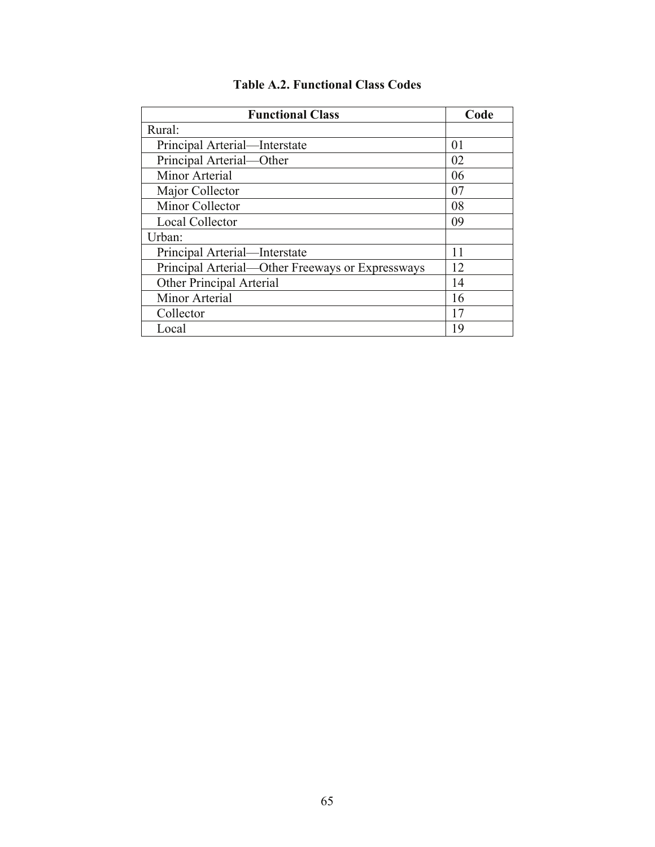| <b>Functional Class</b>                          | Code |
|--------------------------------------------------|------|
| Rural:                                           |      |
| Principal Arterial—Interstate                    | 01   |
| Principal Arterial-Other                         | 02   |
| Minor Arterial                                   | 06   |
| Major Collector                                  | 07   |
| Minor Collector                                  | 08   |
| <b>Local Collector</b>                           | 09   |
| Urban:                                           |      |
| Principal Arterial—Interstate                    | 11   |
| Principal Arterial-Other Freeways or Expressways | 12   |
| Other Principal Arterial                         | 14   |
| Minor Arterial                                   | 16   |
| Collector                                        | 17   |
| Local                                            | 19   |

### **Table A.2. Functional Class Codes**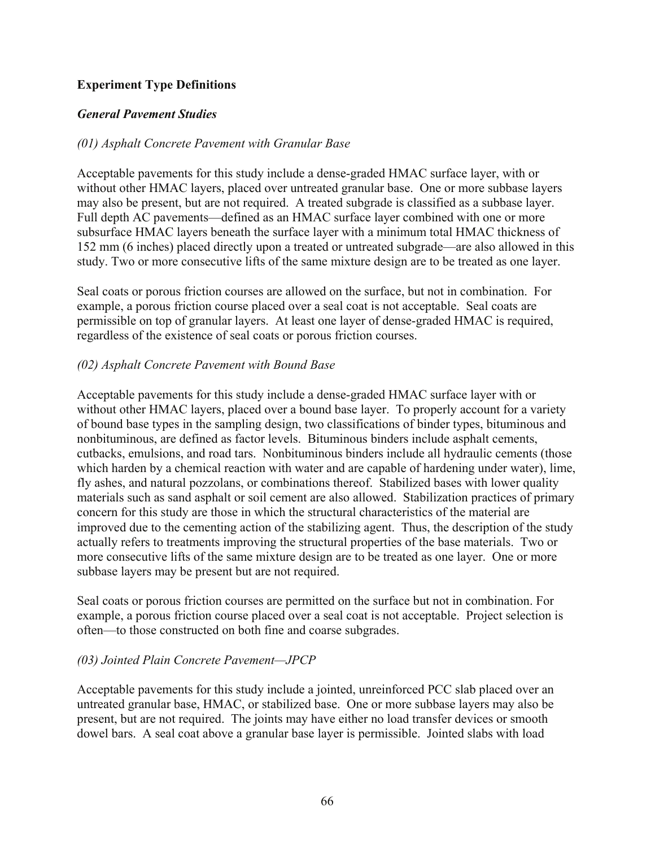#### **Experiment Type Definitions**

#### *General Pavement Studies*

#### *(01) Asphalt Concrete Pavement with Granular Base*

Acceptable pavements for this study include a dense-graded HMAC surface layer, with or without other HMAC layers, placed over untreated granular base. One or more subbase layers may also be present, but are not required. A treated subgrade is classified as a subbase layer. Full depth AC pavements—defined as an HMAC surface layer combined with one or more subsurface HMAC layers beneath the surface layer with a minimum total HMAC thickness of 152 mm (6 inches) placed directly upon a treated or untreated subgrade—are also allowed in this study. Two or more consecutive lifts of the same mixture design are to be treated as one layer.

Seal coats or porous friction courses are allowed on the surface, but not in combination. For example, a porous friction course placed over a seal coat is not acceptable. Seal coats are permissible on top of granular layers. At least one layer of dense-graded HMAC is required, regardless of the existence of seal coats or porous friction courses.

#### *(02) Asphalt Concrete Pavement with Bound Base*

Acceptable pavements for this study include a dense-graded HMAC surface layer with or without other HMAC layers, placed over a bound base layer. To properly account for a variety of bound base types in the sampling design, two classifications of binder types, bituminous and nonbituminous, are defined as factor levels. Bituminous binders include asphalt cements, cutbacks, emulsions, and road tars. Nonbituminous binders include all hydraulic cements (those which harden by a chemical reaction with water and are capable of hardening under water), lime, fly ashes, and natural pozzolans, or combinations thereof. Stabilized bases with lower quality materials such as sand asphalt or soil cement are also allowed. Stabilization practices of primary concern for this study are those in which the structural characteristics of the material are improved due to the cementing action of the stabilizing agent. Thus, the description of the study actually refers to treatments improving the structural properties of the base materials. Two or more consecutive lifts of the same mixture design are to be treated as one layer. One or more subbase layers may be present but are not required.

Seal coats or porous friction courses are permitted on the surface but not in combination. For example, a porous friction course placed over a seal coat is not acceptable. Project selection is often—to those constructed on both fine and coarse subgrades.

#### *(03) Jointed Plain Concrete Pavement—JPCP*

Acceptable pavements for this study include a jointed, unreinforced PCC slab placed over an untreated granular base, HMAC, or stabilized base. One or more subbase layers may also be present, but are not required. The joints may have either no load transfer devices or smooth dowel bars. A seal coat above a granular base layer is permissible. Jointed slabs with load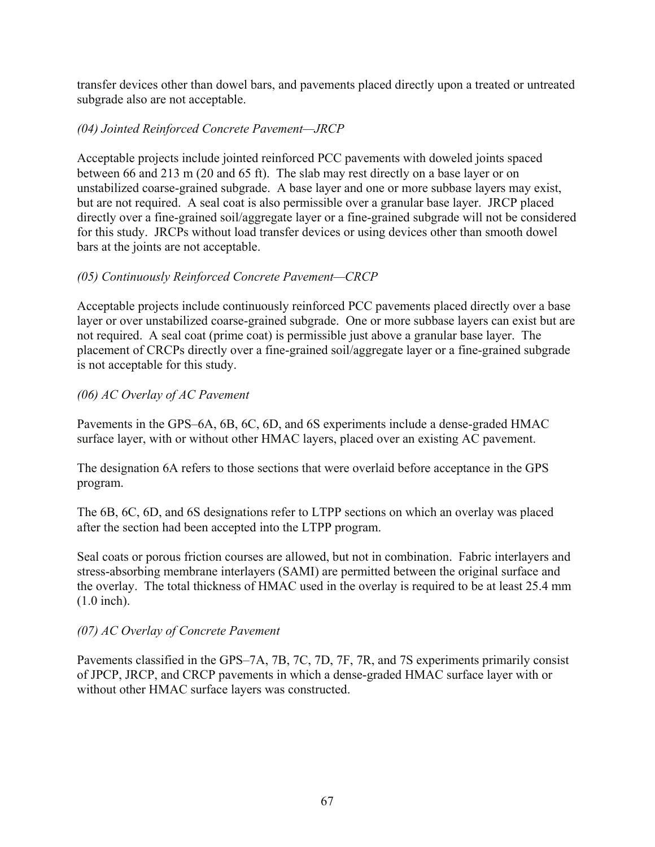transfer devices other than dowel bars, and pavements placed directly upon a treated or untreated subgrade also are not acceptable.

#### *(04) Jointed Reinforced Concrete Pavement—JRCP*

Acceptable projects include jointed reinforced PCC pavements with doweled joints spaced between 66 and 213 m (20 and 65 ft). The slab may rest directly on a base layer or on unstabilized coarse-grained subgrade. A base layer and one or more subbase layers may exist, but are not required. A seal coat is also permissible over a granular base layer. JRCP placed directly over a fine-grained soil/aggregate layer or a fine-grained subgrade will not be considered for this study. JRCPs without load transfer devices or using devices other than smooth dowel bars at the joints are not acceptable.

#### *(05) Continuously Reinforced Concrete Pavement—CRCP*

Acceptable projects include continuously reinforced PCC pavements placed directly over a base layer or over unstabilized coarse-grained subgrade. One or more subbase layers can exist but are not required. A seal coat (prime coat) is permissible just above a granular base layer. The placement of CRCPs directly over a fine-grained soil/aggregate layer or a fine-grained subgrade is not acceptable for this study.

#### *(06) AC Overlay of AC Pavement*

Pavements in the GPS–6A, 6B, 6C, 6D, and 6S experiments include a dense-graded HMAC surface layer, with or without other HMAC layers, placed over an existing AC pavement.

The designation 6A refers to those sections that were overlaid before acceptance in the GPS program.

The 6B, 6C, 6D, and 6S designations refer to LTPP sections on which an overlay was placed after the section had been accepted into the LTPP program.

Seal coats or porous friction courses are allowed, but not in combination. Fabric interlayers and stress-absorbing membrane interlayers (SAMI) are permitted between the original surface and the overlay. The total thickness of HMAC used in the overlay is required to be at least 25.4 mm (1.0 inch).

#### *(07) AC Overlay of Concrete Pavement*

Pavements classified in the GPS–7A, 7B, 7C, 7D, 7F, 7R, and 7S experiments primarily consist of JPCP, JRCP, and CRCP pavements in which a dense-graded HMAC surface layer with or without other HMAC surface layers was constructed.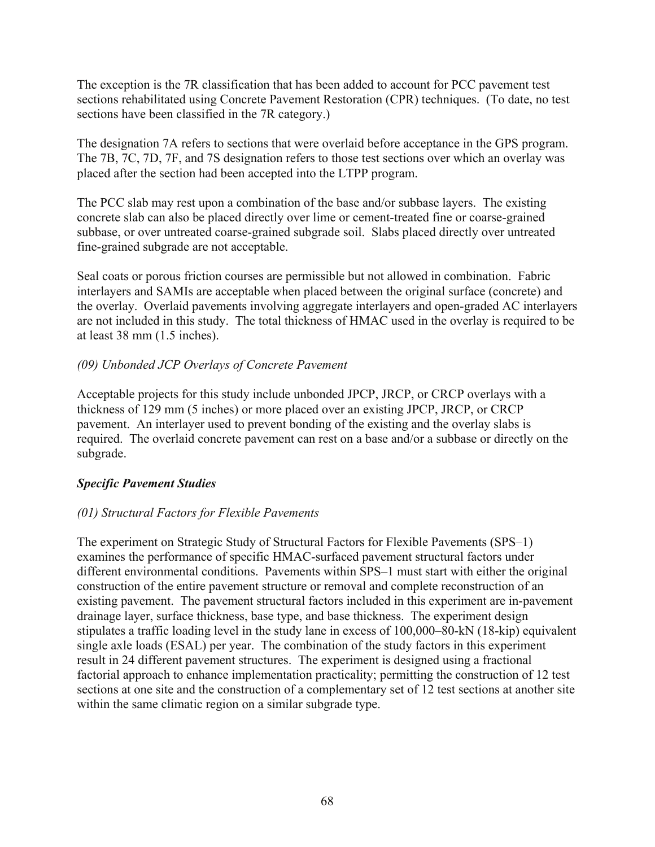The exception is the 7R classification that has been added to account for PCC pavement test sections rehabilitated using Concrete Pavement Restoration (CPR) techniques. (To date, no test sections have been classified in the 7R category.)

The designation 7A refers to sections that were overlaid before acceptance in the GPS program. The 7B, 7C, 7D, 7F, and 7S designation refers to those test sections over which an overlay was placed after the section had been accepted into the LTPP program.

The PCC slab may rest upon a combination of the base and/or subbase layers. The existing concrete slab can also be placed directly over lime or cement-treated fine or coarse-grained subbase, or over untreated coarse-grained subgrade soil. Slabs placed directly over untreated fine-grained subgrade are not acceptable.

Seal coats or porous friction courses are permissible but not allowed in combination. Fabric interlayers and SAMIs are acceptable when placed between the original surface (concrete) and the overlay. Overlaid pavements involving aggregate interlayers and open-graded AC interlayers are not included in this study. The total thickness of HMAC used in the overlay is required to be at least 38 mm (1.5 inches).

#### *(09) Unbonded JCP Overlays of Concrete Pavement*

Acceptable projects for this study include unbonded JPCP, JRCP, or CRCP overlays with a thickness of 129 mm (5 inches) or more placed over an existing JPCP, JRCP, or CRCP pavement. An interlayer used to prevent bonding of the existing and the overlay slabs is required. The overlaid concrete pavement can rest on a base and/or a subbase or directly on the subgrade.

#### *Specific Pavement Studies*

#### *(01) Structural Factors for Flexible Pavements*

The experiment on Strategic Study of Structural Factors for Flexible Pavements (SPS–1) examines the performance of specific HMAC-surfaced pavement structural factors under different environmental conditions. Pavements within SPS–1 must start with either the original construction of the entire pavement structure or removal and complete reconstruction of an existing pavement. The pavement structural factors included in this experiment are in-pavement drainage layer, surface thickness, base type, and base thickness. The experiment design stipulates a traffic loading level in the study lane in excess of 100,000–80-kN (18-kip) equivalent single axle loads (ESAL) per year. The combination of the study factors in this experiment result in 24 different pavement structures. The experiment is designed using a fractional factorial approach to enhance implementation practicality; permitting the construction of 12 test sections at one site and the construction of a complementary set of 12 test sections at another site within the same climatic region on a similar subgrade type.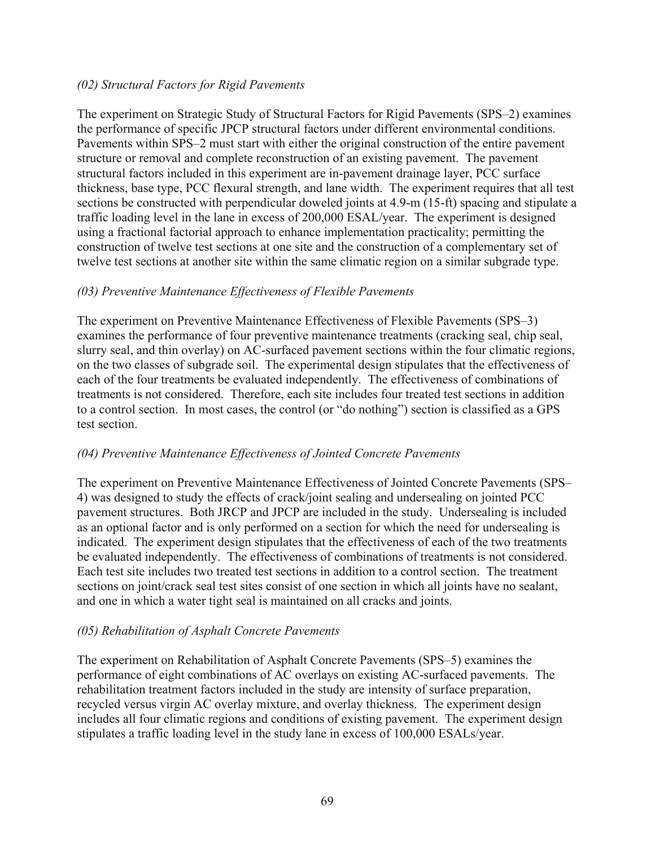#### *(02) Structural Factors for Rigid Pavements*

The experiment on Strategic Study of Structural Factors for Rigid Pavements (SPS–2) examines the performance of specific JPCP structural factors under different environmental conditions. Pavements within SPS–2 must start with either the original construction of the entire pavement structure or removal and complete reconstruction of an existing pavement. The pavement structural factors included in this experiment are in-pavement drainage layer, PCC surface thickness, base type, PCC flexural strength, and lane width. The experiment requires that all test sections be constructed with perpendicular doweled joints at 4.9-m (15-ft) spacing and stipulate a traffic loading level in the lane in excess of 200,000 ESAL/year. The experiment is designed using a fractional factorial approach to enhance implementation practicality; permitting the construction of twelve test sections at one site and the construction of a complementary set of twelve test sections at another site within the same climatic region on a similar subgrade type.

#### *(03) Preventive Maintenance Effectiveness of Flexible Pavements*

The experiment on Preventive Maintenance Effectiveness of Flexible Pavements (SPS–3) examines the performance of four preventive maintenance treatments (cracking seal, chip seal, slurry seal, and thin overlay) on AC-surfaced pavement sections within the four climatic regions, on the two classes of subgrade soil. The experimental design stipulates that the effectiveness of each of the four treatments be evaluated independently. The effectiveness of combinations of treatments is not considered. Therefore, each site includes four treated test sections in addition to a control section. In most cases, the control (or "do nothing") section is classified as a GPS test section.

#### *(04) Preventive Maintenance Effectiveness of Jointed Concrete Pavements*

The experiment on Preventive Maintenance Effectiveness of Jointed Concrete Pavements (SPS– 4) was designed to study the effects of crack/joint sealing and undersealing on jointed PCC pavement structures. Both JRCP and JPCP are included in the study. Undersealing is included as an optional factor and is only performed on a section for which the need for undersealing is indicated. The experiment design stipulates that the effectiveness of each of the two treatments be evaluated independently. The effectiveness of combinations of treatments is not considered. Each test site includes two treated test sections in addition to a control section. The treatment sections on joint/crack seal test sites consist of one section in which all joints have no sealant, and one in which a water tight seal is maintained on all cracks and joints.

#### *(05) Rehabilitation of Asphalt Concrete Pavements*

The experiment on Rehabilitation of Asphalt Concrete Pavements (SPS–5) examines the performance of eight combinations of AC overlays on existing AC-surfaced pavements. The rehabilitation treatment factors included in the study are intensity of surface preparation, recycled versus virgin AC overlay mixture, and overlay thickness. The experiment design includes all four climatic regions and conditions of existing pavement. The experiment design stipulates a traffic loading level in the study lane in excess of 100,000 ESALs/year.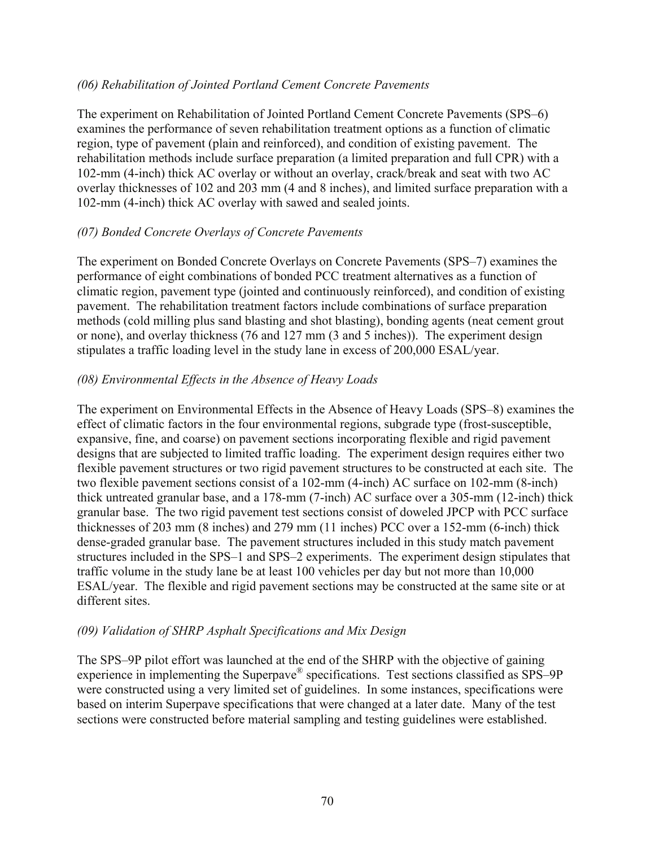#### *(06) Rehabilitation of Jointed Portland Cement Concrete Pavements*

The experiment on Rehabilitation of Jointed Portland Cement Concrete Pavements (SPS–6) examines the performance of seven rehabilitation treatment options as a function of climatic region, type of pavement (plain and reinforced), and condition of existing pavement. The rehabilitation methods include surface preparation (a limited preparation and full CPR) with a 102-mm (4-inch) thick AC overlay or without an overlay, crack/break and seat with two AC overlay thicknesses of 102 and 203 mm (4 and 8 inches), and limited surface preparation with a 102-mm (4-inch) thick AC overlay with sawed and sealed joints.

#### *(07) Bonded Concrete Overlays of Concrete Pavements*

The experiment on Bonded Concrete Overlays on Concrete Pavements (SPS–7) examines the performance of eight combinations of bonded PCC treatment alternatives as a function of climatic region, pavement type (jointed and continuously reinforced), and condition of existing pavement. The rehabilitation treatment factors include combinations of surface preparation methods (cold milling plus sand blasting and shot blasting), bonding agents (neat cement grout or none), and overlay thickness (76 and 127 mm (3 and 5 inches)). The experiment design stipulates a traffic loading level in the study lane in excess of 200,000 ESAL/year.

#### *(08) Environmental Effects in the Absence of Heavy Loads*

The experiment on Environmental Effects in the Absence of Heavy Loads (SPS–8) examines the effect of climatic factors in the four environmental regions, subgrade type (frost-susceptible, expansive, fine, and coarse) on pavement sections incorporating flexible and rigid pavement designs that are subjected to limited traffic loading. The experiment design requires either two flexible pavement structures or two rigid pavement structures to be constructed at each site. The two flexible pavement sections consist of a 102-mm (4-inch) AC surface on 102-mm (8-inch) thick untreated granular base, and a 178-mm (7-inch) AC surface over a 305-mm (12-inch) thick granular base. The two rigid pavement test sections consist of doweled JPCP with PCC surface thicknesses of 203 mm (8 inches) and 279 mm (11 inches) PCC over a 152-mm (6-inch) thick dense-graded granular base. The pavement structures included in this study match pavement structures included in the SPS–1 and SPS–2 experiments. The experiment design stipulates that traffic volume in the study lane be at least 100 vehicles per day but not more than 10,000 ESAL/year. The flexible and rigid pavement sections may be constructed at the same site or at different sites.

#### *(09) Validation of SHRP Asphalt Specifications and Mix Design*

The SPS–9P pilot effort was launched at the end of the SHRP with the objective of gaining experience in implementing the Superpave® specifications. Test sections classified as SPS–9P were constructed using a very limited set of guidelines. In some instances, specifications were based on interim Superpave specifications that were changed at a later date. Many of the test sections were constructed before material sampling and testing guidelines were established.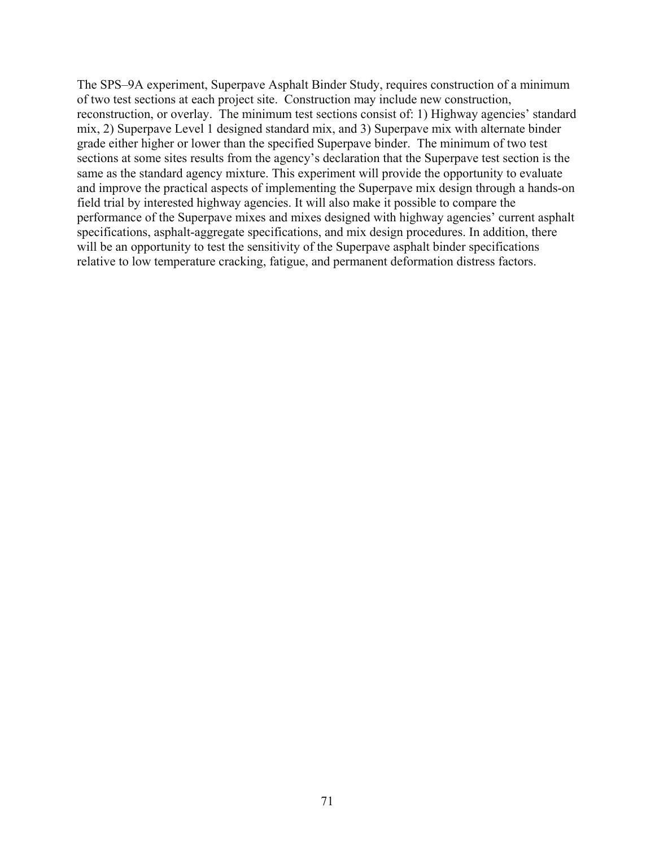The SPS–9A experiment, Superpave Asphalt Binder Study, requires construction of a minimum of two test sections at each project site. Construction may include new construction, reconstruction, or overlay. The minimum test sections consist of: 1) Highway agencies' standard mix, 2) Superpave Level 1 designed standard mix, and 3) Superpave mix with alternate binder grade either higher or lower than the specified Superpave binder. The minimum of two test sections at some sites results from the agency's declaration that the Superpave test section is the same as the standard agency mixture. This experiment will provide the opportunity to evaluate and improve the practical aspects of implementing the Superpave mix design through a hands-on field trial by interested highway agencies. It will also make it possible to compare the performance of the Superpave mixes and mixes designed with highway agencies' current asphalt specifications, asphalt-aggregate specifications, and mix design procedures. In addition, there will be an opportunity to test the sensitivity of the Superpave asphalt binder specifications relative to low temperature cracking, fatigue, and permanent deformation distress factors.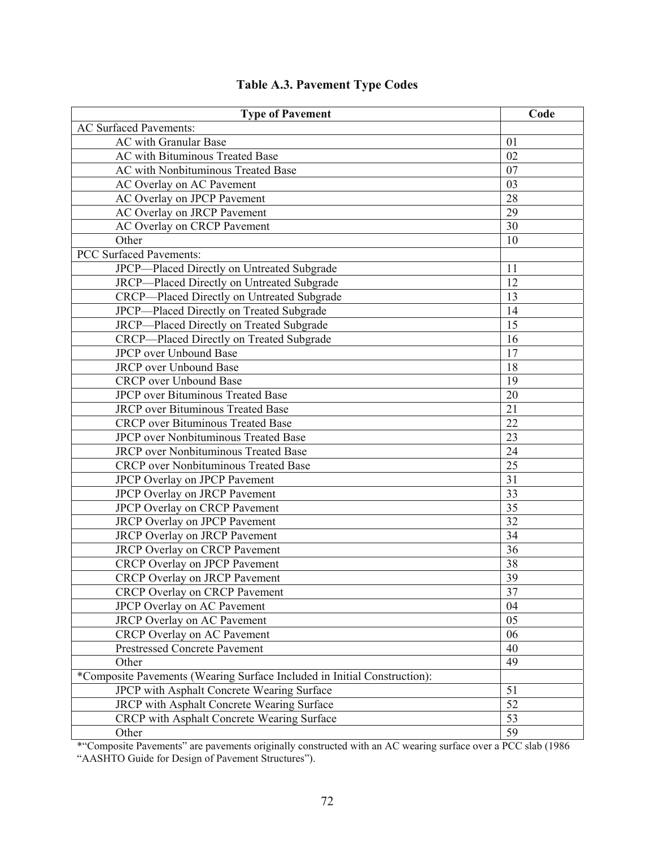| <b>Type of Pavement</b>                                                  | Code |
|--------------------------------------------------------------------------|------|
| <b>AC Surfaced Pavements:</b>                                            |      |
| <b>AC</b> with Granular Base                                             | 01   |
| AC with Bituminous Treated Base                                          | 02   |
| <b>AC</b> with Nonbituminous Treated Base                                | 07   |
| AC Overlay on AC Pavement                                                | 03   |
| AC Overlay on JPCP Pavement                                              | 28   |
| AC Overlay on JRCP Pavement                                              | 29   |
| <b>AC Overlay on CRCP Pavement</b>                                       | 30   |
| Other                                                                    | 10   |
| <b>PCC Surfaced Pavements:</b>                                           |      |
| JPCP-Placed Directly on Untreated Subgrade                               | 11   |
| JRCP-Placed Directly on Untreated Subgrade                               | 12   |
| CRCP-Placed Directly on Untreated Subgrade                               | 13   |
| JPCP-Placed Directly on Treated Subgrade                                 | 14   |
| JRCP-Placed Directly on Treated Subgrade                                 | 15   |
| CRCP-Placed Directly on Treated Subgrade                                 | 16   |
| <b>JPCP</b> over Unbound Base                                            | 17   |
| <b>JRCP</b> over Unbound Base                                            | 18   |
| <b>CRCP</b> over Unbound Base                                            | 19   |
| <b>JPCP</b> over Bituminous Treated Base                                 | 20   |
| <b>JRCP</b> over Bituminous Treated Base                                 | 21   |
| <b>CRCP</b> over Bituminous Treated Base                                 | 22   |
| <b>JPCP</b> over Nonbituminous Treated Base                              | 23   |
| <b>JRCP</b> over Nonbituminous Treated Base                              | 24   |
| <b>CRCP</b> over Nonbituminous Treated Base                              | 25   |
| JPCP Overlay on JPCP Pavement                                            | 31   |
| JPCP Overlay on JRCP Pavement                                            | 33   |
| JPCP Overlay on CRCP Pavement                                            | 35   |
| <b>JRCP Overlay on JPCP Pavement</b>                                     | 32   |
| <b>JRCP Overlay on JRCP Pavement</b>                                     | 34   |
| <b>JRCP</b> Overlay on CRCP Pavement                                     | 36   |
| CRCP Overlay on JPCP Pavement                                            | 38   |
| <b>CRCP Overlay on JRCP Pavement</b>                                     | 39   |
| <b>CRCP Overlay on CRCP Pavement</b>                                     | 37   |
| JPCP Overlay on AC Pavement                                              | 04   |
| JRCP Overlay on AC Pavement                                              | 05   |
| <b>CRCP</b> Overlay on AC Pavement                                       | 06   |
| <b>Prestressed Concrete Pavement</b>                                     | 40   |
| Other                                                                    | 49   |
| *Composite Pavements (Wearing Surface Included in Initial Construction): |      |
| JPCP with Asphalt Concrete Wearing Surface                               | 51   |
| <b>JRCP</b> with Asphalt Concrete Wearing Surface                        | 52   |
| CRCP with Asphalt Concrete Wearing Surface                               | 53   |
| Other                                                                    | 59   |
|                                                                          |      |

### **Table A.3. Pavement Type Codes**

\*"Composite Pavements" are pavements originally constructed with an AC wearing surface over a PCC slab (1986 "AASHTO Guide for Design of Pavement Structures").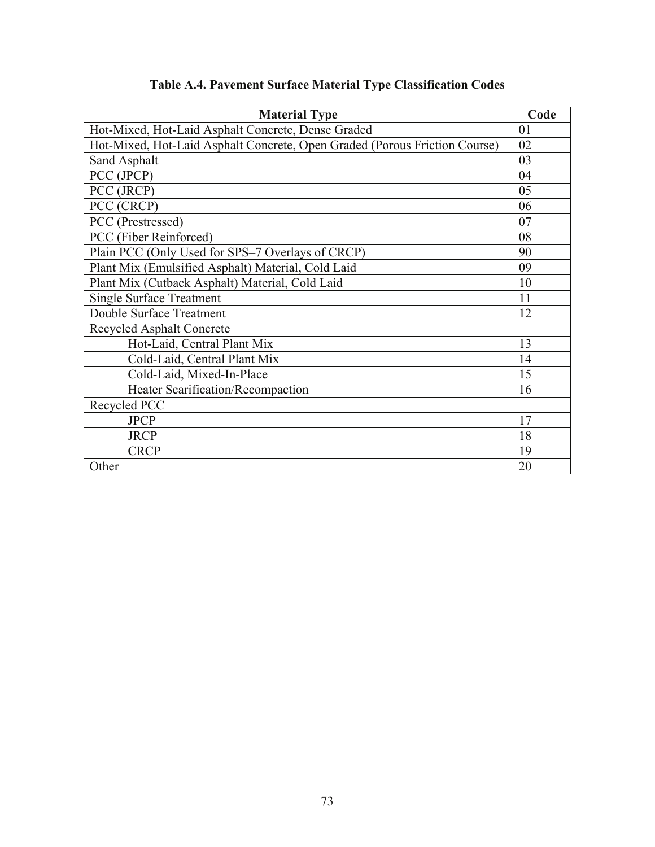| <b>Material Type</b>                                                       | Code |
|----------------------------------------------------------------------------|------|
| Hot-Mixed, Hot-Laid Asphalt Concrete, Dense Graded                         | 01   |
| Hot-Mixed, Hot-Laid Asphalt Concrete, Open Graded (Porous Friction Course) | 02   |
| Sand Asphalt                                                               | 03   |
| PCC (JPCP)                                                                 | 04   |
| PCC (JRCP)                                                                 | 05   |
| PCC (CRCP)                                                                 | 06   |
| PCC (Prestressed)                                                          | 07   |
| PCC (Fiber Reinforced)                                                     | 08   |
| Plain PCC (Only Used for SPS-7 Overlays of CRCP)                           | 90   |
| Plant Mix (Emulsified Asphalt) Material, Cold Laid                         | 09   |
| Plant Mix (Cutback Asphalt) Material, Cold Laid                            | 10   |
| <b>Single Surface Treatment</b>                                            | 11   |
| Double Surface Treatment                                                   | 12   |
| <b>Recycled Asphalt Concrete</b>                                           |      |
| Hot-Laid, Central Plant Mix                                                | 13   |
| Cold-Laid, Central Plant Mix                                               | 14   |
| Cold-Laid, Mixed-In-Place                                                  | 15   |
| Heater Scarification/Recompaction                                          | 16   |
| Recycled PCC                                                               |      |
| <b>JPCP</b>                                                                | 17   |
| <b>JRCP</b>                                                                | 18   |
| <b>CRCP</b>                                                                | 19   |
| Other                                                                      | 20   |

## **Table A.4. Pavement Surface Material Type Classification Codes**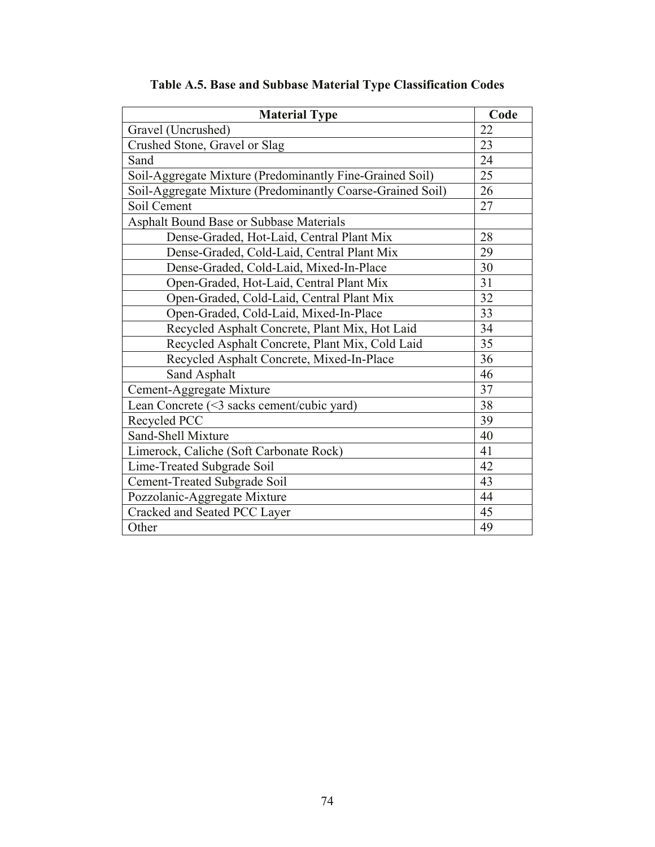| <b>Material Type</b>                                       | Code |
|------------------------------------------------------------|------|
| Gravel (Uncrushed)                                         | 22   |
| Crushed Stone, Gravel or Slag                              | 23   |
| Sand                                                       | 24   |
| Soil-Aggregate Mixture (Predominantly Fine-Grained Soil)   | 25   |
| Soil-Aggregate Mixture (Predominantly Coarse-Grained Soil) | 26   |
| Soil Cement                                                | 27   |
| Asphalt Bound Base or Subbase Materials                    |      |
| Dense-Graded, Hot-Laid, Central Plant Mix                  | 28   |
| Dense-Graded, Cold-Laid, Central Plant Mix                 | 29   |
| Dense-Graded, Cold-Laid, Mixed-In-Place                    | 30   |
| Open-Graded, Hot-Laid, Central Plant Mix                   | 31   |
| Open-Graded, Cold-Laid, Central Plant Mix                  | 32   |
| Open-Graded, Cold-Laid, Mixed-In-Place                     | 33   |
| Recycled Asphalt Concrete, Plant Mix, Hot Laid             | 34   |
| Recycled Asphalt Concrete, Plant Mix, Cold Laid            | 35   |
| Recycled Asphalt Concrete, Mixed-In-Place                  | 36   |
| Sand Asphalt                                               | 46   |
| Cement-Aggregate Mixture                                   | 37   |
| Lean Concrete (<3 sacks cement/cubic yard)                 | 38   |
| Recycled PCC                                               | 39   |
| Sand-Shell Mixture                                         | 40   |
| Limerock, Caliche (Soft Carbonate Rock)                    | 41   |
| Lime-Treated Subgrade Soil                                 | 42   |
| Cement-Treated Subgrade Soil                               | 43   |
| Pozzolanic-Aggregate Mixture                               | 44   |
| Cracked and Seated PCC Layer                               | 45   |
| Other                                                      | 49   |

## **Table A.5. Base and Subbase Material Type Classification Codes**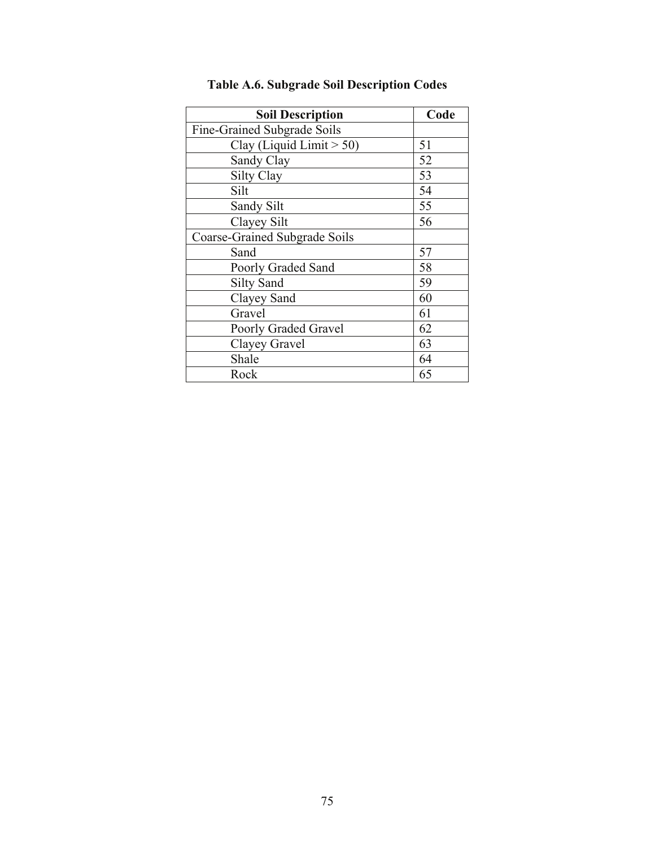| <b>Soil Description</b>       | Code |
|-------------------------------|------|
| Fine-Grained Subgrade Soils   |      |
| Clay (Liquid Limit $> 50$ )   | 51   |
| Sandy Clay                    | 52   |
| <b>Silty Clay</b>             | 53   |
| Silt                          | 54   |
| Sandy Silt                    | 55   |
| Clayey Silt                   | 56   |
| Coarse-Grained Subgrade Soils |      |
| Sand                          | 57   |
| Poorly Graded Sand            | 58   |
| <b>Silty Sand</b>             | 59   |
| Clayey Sand                   | 60   |
| Gravel                        | 61   |
| Poorly Graded Gravel          | 62   |
| Clayey Gravel                 | 63   |
| Shale                         | 64   |
| Rock                          | 65   |

## **Table A.6. Subgrade Soil Description Codes**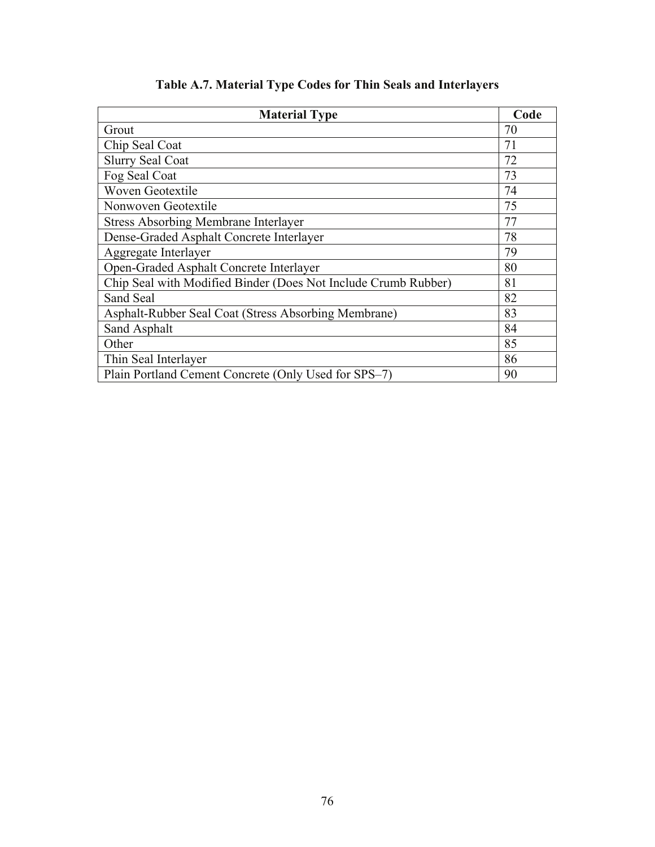| <b>Material Type</b>                                           | Code |
|----------------------------------------------------------------|------|
| Grout                                                          | 70   |
| Chip Seal Coat                                                 | 71   |
| <b>Slurry Seal Coat</b>                                        | 72   |
| Fog Seal Coat                                                  | 73   |
| <b>Woven Geotextile</b>                                        | 74   |
| Nonwoven Geotextile                                            | 75   |
| <b>Stress Absorbing Membrane Interlayer</b>                    | 77   |
| Dense-Graded Asphalt Concrete Interlayer                       | 78   |
| Aggregate Interlayer                                           | 79   |
| Open-Graded Asphalt Concrete Interlayer                        | 80   |
| Chip Seal with Modified Binder (Does Not Include Crumb Rubber) | 81   |
| Sand Seal                                                      | 82   |
| Asphalt-Rubber Seal Coat (Stress Absorbing Membrane)           | 83   |
| Sand Asphalt                                                   | 84   |
| Other                                                          | 85   |
| Thin Seal Interlayer                                           | 86   |
| Plain Portland Cement Concrete (Only Used for SPS-7)           | 90   |

## **Table A.7. Material Type Codes for Thin Seals and Interlayers**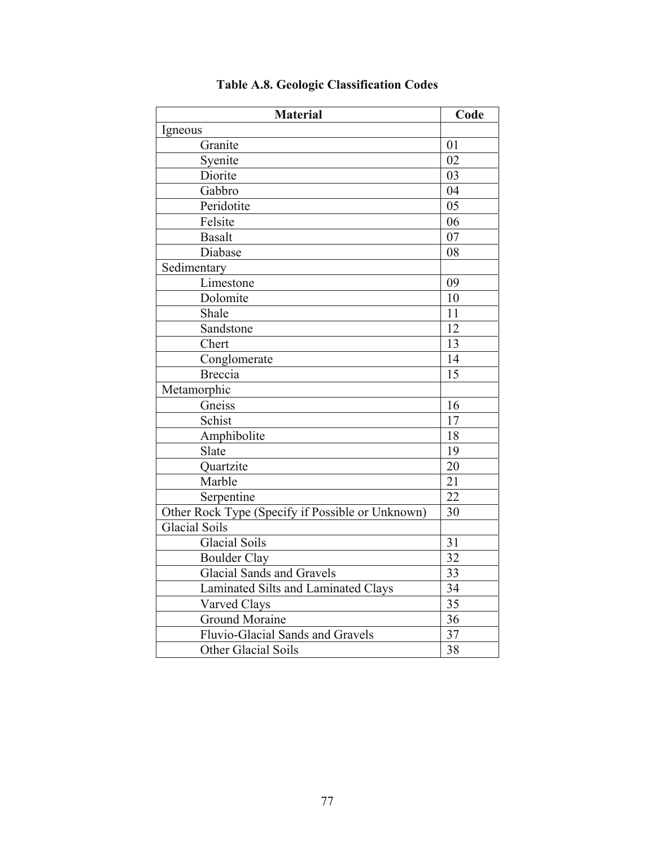| <b>Material</b>                                  | Code            |
|--------------------------------------------------|-----------------|
| Igneous                                          |                 |
| Granite                                          | 01              |
| Syenite                                          | 02              |
| Diorite                                          | 03              |
| Gabbro                                           | 04              |
| Peridotite                                       | 05              |
| Felsite                                          | 06              |
| <b>Basalt</b>                                    | 07              |
| Diabase                                          | 08              |
| Sedimentary                                      |                 |
| Limestone                                        | 09              |
| Dolomite                                         | 10              |
| Shale                                            | 11              |
| Sandstone                                        | 12              |
| Chert                                            | 13              |
| Conglomerate                                     | 14              |
| <b>Breccia</b>                                   | 15              |
| Metamorphic                                      |                 |
| Gneiss                                           | 16              |
| Schist                                           | 17              |
| Amphibolite                                      | 18              |
| Slate                                            | 19              |
| Quartzite                                        | 20              |
| Marble                                           | $\overline{21}$ |
| Serpentine                                       | $\overline{22}$ |
| Other Rock Type (Specify if Possible or Unknown) | 30              |
| <b>Glacial Soils</b>                             |                 |
| <b>Glacial Soils</b>                             | 31              |
| <b>Boulder Clay</b>                              | 32              |
| <b>Glacial Sands and Gravels</b>                 | 33              |
| Laminated Silts and Laminated Clays              | 34              |
| Varved Clays                                     | 35              |
| <b>Ground Moraine</b>                            | 36              |
| Fluvio-Glacial Sands and Gravels                 | 37              |
| Other Glacial Soils                              | 38              |

## **Table A.8. Geologic Classification Codes**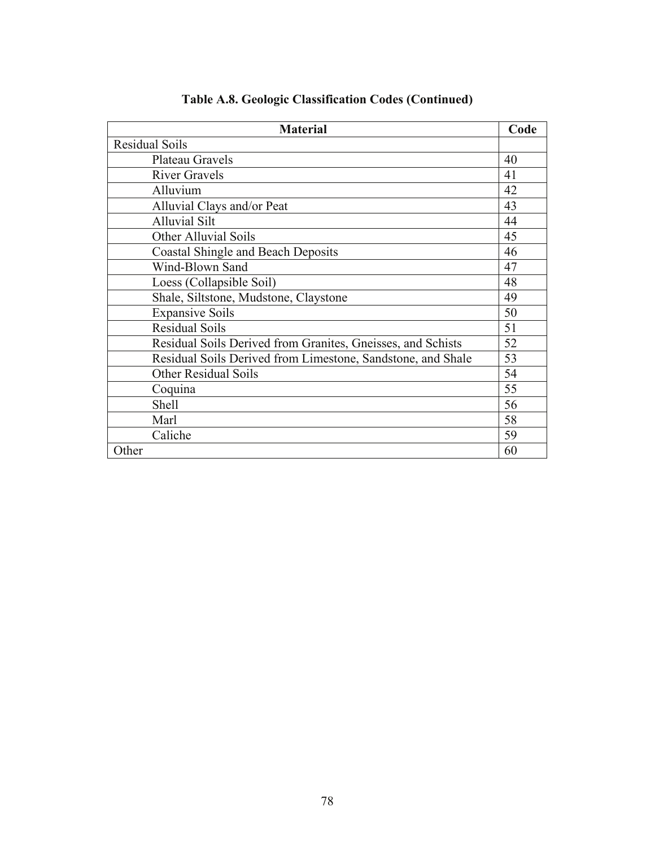| <b>Material</b>                                             | Code |
|-------------------------------------------------------------|------|
| <b>Residual Soils</b>                                       |      |
| Plateau Gravels                                             | 40   |
| <b>River Gravels</b>                                        | 41   |
| Alluvium                                                    | 42   |
| Alluvial Clays and/or Peat                                  | 43   |
| <b>Alluvial Silt</b>                                        | 44   |
| <b>Other Alluvial Soils</b>                                 | 45   |
| <b>Coastal Shingle and Beach Deposits</b>                   | 46   |
| Wind-Blown Sand                                             | 47   |
| Loess (Collapsible Soil)                                    | 48   |
| Shale, Siltstone, Mudstone, Claystone                       | 49   |
| <b>Expansive Soils</b>                                      | 50   |
| <b>Residual Soils</b>                                       | 51   |
| Residual Soils Derived from Granites, Gneisses, and Schists | 52   |
| Residual Soils Derived from Limestone, Sandstone, and Shale | 53   |
| <b>Other Residual Soils</b>                                 | 54   |
| Coquina                                                     | 55   |
| Shell                                                       | 56   |
| Marl                                                        | 58   |
| Caliche                                                     | 59   |
| Other                                                       | 60   |

### **Table A.8. Geologic Classification Codes (Continued)**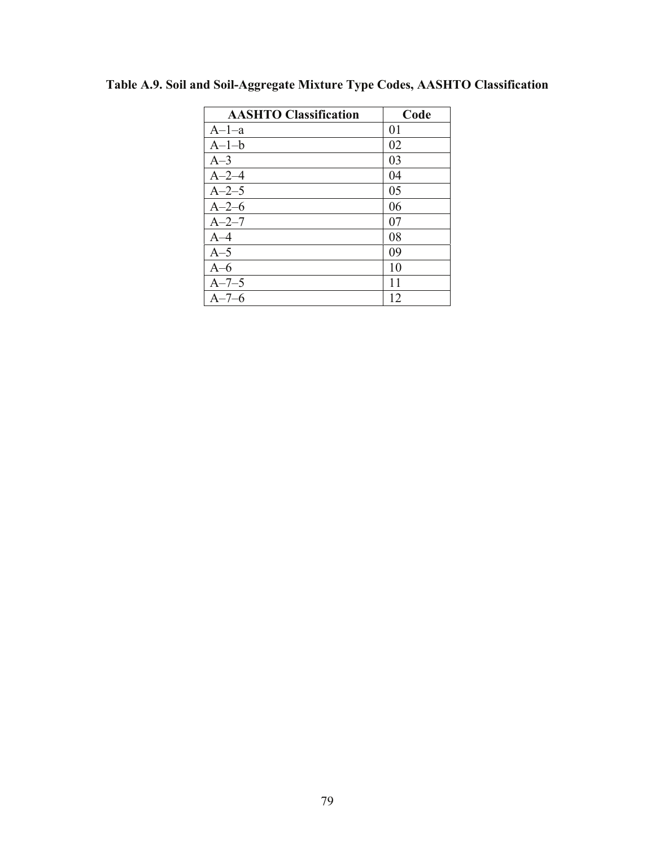| <b>AASHTO Classification</b> | Code |
|------------------------------|------|
| $A-1-a$                      | 01   |
| $A-1-b$                      | 02   |
| $A-3$                        | 03   |
| $A - 2 - 4$                  | 04   |
| $A - 2 - 5$                  | 05   |
| $A - 2 - 6$                  | 06   |
| $A - 2 - 7$                  | 07   |
| $A-4$                        | 08   |
| $A-5$                        | 09   |
| $A-6$                        | 10   |
| $A - 7 - 5$                  | 11   |
| $A - 7 - 6$                  | 12   |

**Table A.9. Soil and Soil-Aggregate Mixture Type Codes, AASHTO Classification**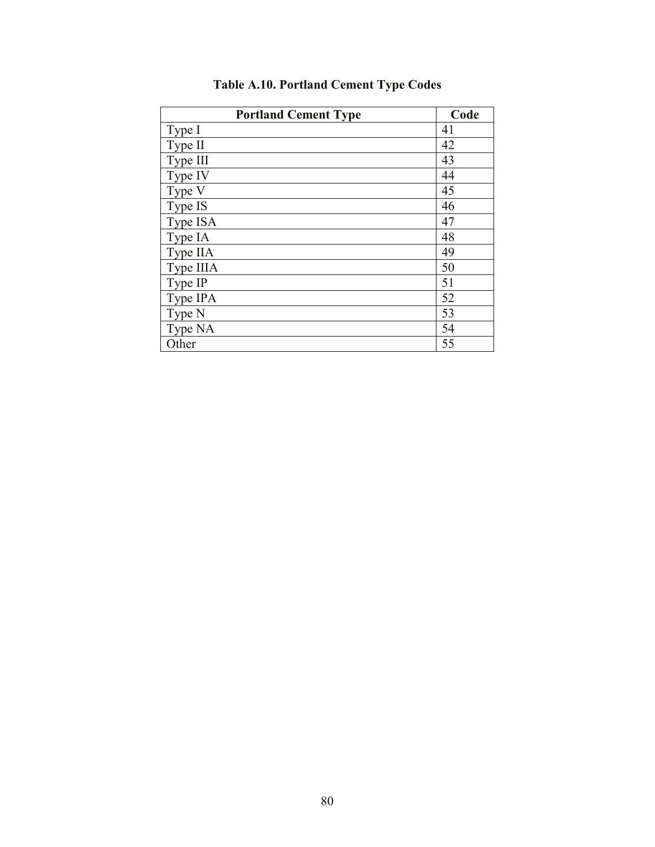| <b>Portland Cement Type</b> | Code |
|-----------------------------|------|
| Type I                      | 41   |
| Type II                     | 42   |
| Type III                    | 43   |
| Type IV                     | 44   |
| Type V                      | 45   |
| Type IS                     | 46   |
| Type ISA                    | 47   |
| Type IA                     | 48   |
| Type IIA                    | 49   |
| Type IIIA                   | 50   |
| Type IP                     | 51   |
| Type IPA                    | 52   |
| Type N                      | 53   |
| Type NA                     | 54   |
| Other                       | 55   |

## **Table A.10. Portland Cement Type Codes**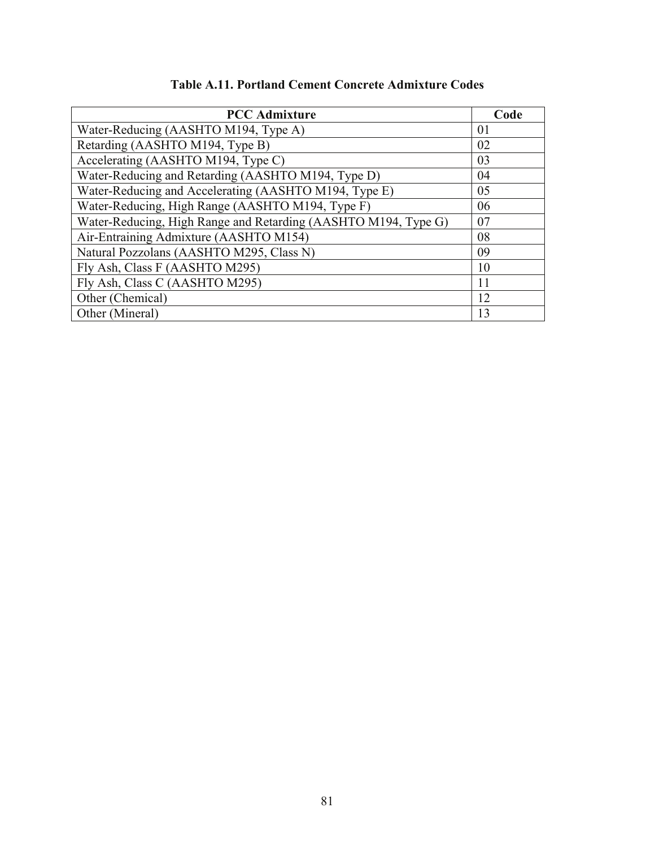| <b>PCC</b> Admixture                                           | Code           |
|----------------------------------------------------------------|----------------|
| Water-Reducing (AASHTO M194, Type A)                           | 0 <sup>1</sup> |
| Retarding (AASHTO M194, Type B)                                | 02             |
| Accelerating (AASHTO M194, Type C)                             | 03             |
| Water-Reducing and Retarding (AASHTO M194, Type D)             | 04             |
| Water-Reducing and Accelerating (AASHTO M194, Type E)          | 05             |
| Water-Reducing, High Range (AASHTO M194, Type F)               | 06             |
| Water-Reducing, High Range and Retarding (AASHTO M194, Type G) | 07             |
| Air-Entraining Admixture (AASHTO M154)                         | 08             |
| Natural Pozzolans (AASHTO M295, Class N)                       | 09             |
| Fly Ash, Class F (AASHTO M295)                                 | 10             |
| Fly Ash, Class C (AASHTO M295)                                 | 11             |
| Other (Chemical)                                               | 12             |
| Other (Mineral)                                                | 13             |

| <b>Table A.11. Portland Cement Concrete Admixture Codes</b> |  |
|-------------------------------------------------------------|--|
|-------------------------------------------------------------|--|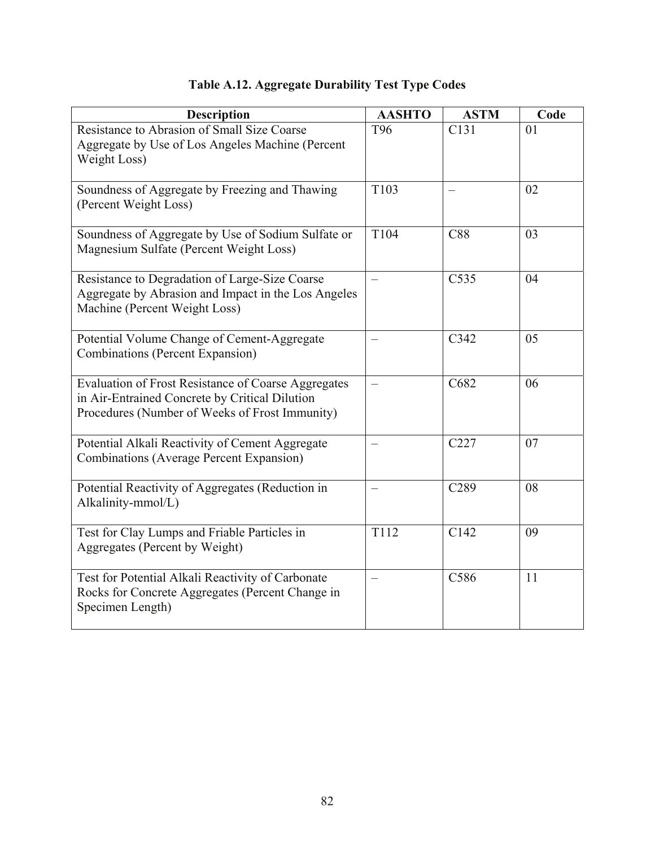| <b>Description</b>                                                                                                                                             | <b>AASHTO</b> | <b>ASTM</b>      | Code           |
|----------------------------------------------------------------------------------------------------------------------------------------------------------------|---------------|------------------|----------------|
| Resistance to Abrasion of Small Size Coarse<br>Aggregate by Use of Los Angeles Machine (Percent<br>Weight Loss)                                                | T96           | C <sub>131</sub> | 0 <sub>1</sub> |
| Soundness of Aggregate by Freezing and Thawing<br>(Percent Weight Loss)                                                                                        | T103          |                  | 02             |
| Soundness of Aggregate by Use of Sodium Sulfate or<br>Magnesium Sulfate (Percent Weight Loss)                                                                  | T104          | C88              | 03             |
| Resistance to Degradation of Large-Size Coarse<br>Aggregate by Abrasion and Impact in the Los Angeles<br>Machine (Percent Weight Loss)                         |               | C535             | 04             |
| Potential Volume Change of Cement-Aggregate<br><b>Combinations (Percent Expansion)</b>                                                                         | -             | C342             | 05             |
| <b>Evaluation of Frost Resistance of Coarse Aggregates</b><br>in Air-Entrained Concrete by Critical Dilution<br>Procedures (Number of Weeks of Frost Immunity) |               | C682             | 06             |
| Potential Alkali Reactivity of Cement Aggregate<br><b>Combinations (Average Percent Expansion)</b>                                                             | $\equiv$      | C227             | 07             |
| Potential Reactivity of Aggregates (Reduction in<br>Alkalinity-mmol/L)                                                                                         |               | C <sub>289</sub> | 08             |
| Test for Clay Lumps and Friable Particles in<br>Aggregates (Percent by Weight)                                                                                 | T112          | C142             | 09             |
| Test for Potential Alkali Reactivity of Carbonate<br>Rocks for Concrete Aggregates (Percent Change in<br>Specimen Length)                                      |               | C586             | 11             |

## **Table A.12. Aggregate Durability Test Type Codes**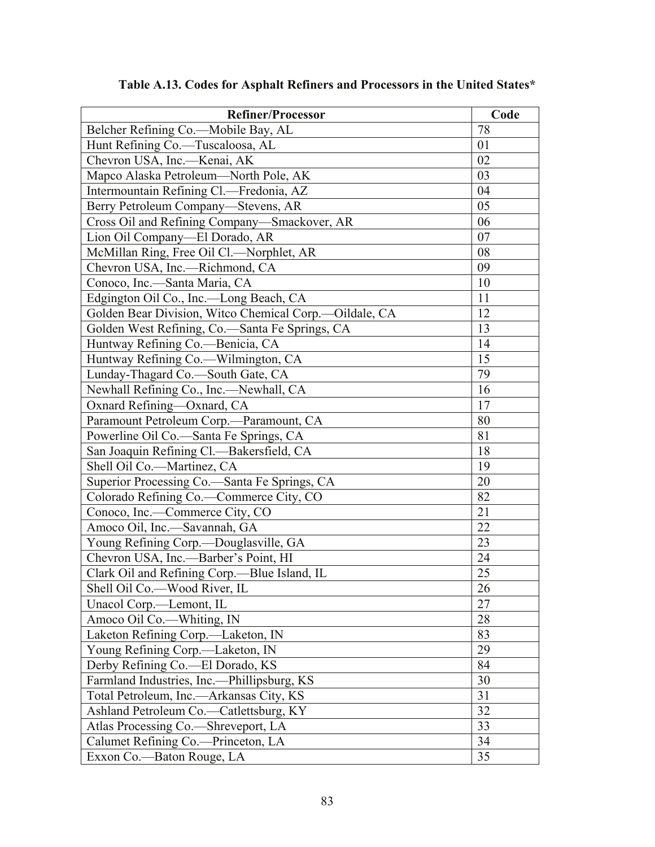| <b>Refiner/Processor</b>                                | Code |
|---------------------------------------------------------|------|
| Belcher Refining Co.—Mobile Bay, AL                     | 78   |
| Hunt Refining Co.-Tuscaloosa, AL                        | 01   |
| Chevron USA, Inc.-Kenai, AK                             | 02   |
| Mapco Alaska Petroleum—North Pole, AK                   | 03   |
| Intermountain Refining Cl.—Fredonia, AZ                 | 04   |
| Berry Petroleum Company—Stevens, AR                     | 05   |
| Cross Oil and Refining Company-Smackover, AR            | 06   |
| Lion Oil Company—El Dorado, AR                          | 07   |
| McMillan Ring, Free Oil Cl.-Norphlet, AR                | 08   |
| Chevron USA, Inc.--Richmond, CA                         | 09   |
| Conoco, Inc.-Santa Maria, CA                            | 10   |
| Edgington Oil Co., Inc.-Long Beach, CA                  | 11   |
| Golden Bear Division, Witco Chemical Corp.--Oildale, CA | 12   |
| Golden West Refining, Co.-Santa Fe Springs, CA          | 13   |
| Huntway Refining Co.-Benicia, CA                        | 14   |
| Huntway Refining Co.-Wilmington, CA                     | 15   |
| Lunday-Thagard Co.-South Gate, CA                       | 79   |
| Newhall Refining Co., Inc.—Newhall, CA                  | 16   |
| Oxnard Refining-Oxnard, CA                              | 17   |
| Paramount Petroleum Corp.-Paramount, CA                 | 80   |
| Powerline Oil Co.—Santa Fe Springs, CA                  | 81   |
| San Joaquin Refining Cl.-Bakersfield, CA                | 18   |
| Shell Oil Co.-Martinez, CA                              | 19   |
| Superior Processing Co.—Santa Fe Springs, CA            | 20   |
| Colorado Refining Co.-Commerce City, CO                 | 82   |
| Conoco, Inc.—Commerce City, CO                          | 21   |
| Amoco Oil, Inc.-Savannah, GA                            | 22   |
| Young Refining Corp.-Douglasville, GA                   | 23   |
| Chevron USA, Inc.—Barber's Point, HI                    | 24   |
| Clark Oil and Refining Corp.--Blue Island, IL           | 25   |
| Shell Oil Co.-Wood River, IL                            | 26   |
| Unacol Corp.—Lemont, IL                                 | 27   |
| Amoco Oil Co.-Whiting, IN                               | 28   |
| Laketon Refining Corp.-Laketon, IN                      | 83   |
| Young Refining Corp.—Laketon, IN                        | 29   |
| Derby Refining Co.-El Dorado, KS                        | 84   |
| Farmland Industries, Inc.--Phillipsburg, KS             | 30   |
| Total Petroleum, Inc.—Arkansas City, KS                 | 31   |
| Ashland Petroleum Co.—Catlettsburg, KY                  | 32   |
| Atlas Processing Co.-Shreveport, LA                     | 33   |
| Calumet Refining Co.-Princeton, LA                      | 34   |
| Exxon Co. - Baton Rouge, LA                             | 35   |

### **Table A.13. Codes for Asphalt Refiners and Processors in the United States\***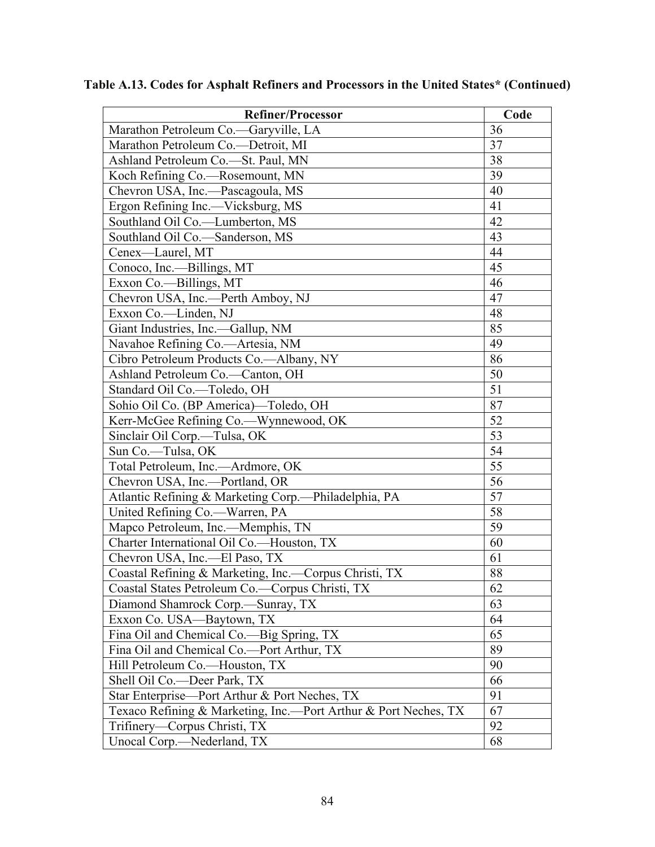| <b>Refiner/Processor</b>                                        | Code            |
|-----------------------------------------------------------------|-----------------|
| Marathon Petroleum Co.—Garyville, LA                            | 36              |
| Marathon Petroleum Co.—Detroit, MI                              | 37              |
| Ashland Petroleum Co.-St. Paul, MN                              | 38              |
| Koch Refining Co.—Rosemount, MN                                 | 39              |
| Chevron USA, Inc.-Pascagoula, MS                                | 40              |
| Ergon Refining Inc.--Vicksburg, MS                              | 41              |
| Southland Oil Co.-Lumberton, MS                                 | 42              |
| Southland Oil Co.-Sanderson, MS                                 | 43              |
| Cenex-Laurel, MT                                                | 44              |
| Conoco, Inc.—Billings, MT                                       | 45              |
| Exxon Co.--Billings, MT                                         | 46              |
| Chevron USA, Inc.—Perth Amboy, NJ                               | 47              |
| Exxon Co.-Linden, NJ                                            | 48              |
| Giant Industries, Inc.-Gallup, NM                               | 85              |
| Navahoe Refining Co.-Artesia, NM                                | 49              |
| Cibro Petroleum Products Co.—Albany, NY                         | 86              |
| Ashland Petroleum Co.-Canton, OH                                | 50              |
| Standard Oil Co.-Toledo, OH                                     | $\overline{51}$ |
| Sohio Oil Co. (BP America)-Toledo, OH                           | 87              |
| Kerr-McGee Refining Co.—Wynnewood, OK                           | 52              |
| Sinclair Oil Corp.-Tulsa, OK                                    | 53              |
| Sun Co.-Tulsa, OK                                               | $\overline{54}$ |
| Total Petroleum, Inc.---Ardmore, OK                             | 55              |
| Chevron USA, Inc.-Portland, OR                                  | 56              |
| Atlantic Refining & Marketing Corp.—Philadelphia, PA            | 57              |
| United Refining Co.—Warren, PA                                  | 58              |
| Mapco Petroleum, Inc.-Memphis, TN                               | 59              |
| Charter International Oil Co.—Houston, TX                       | 60              |
| Chevron USA, Inc.-El Paso, TX                                   | 61              |
| Coastal Refining & Marketing, Inc.—Corpus Christi, TX           | 88              |
| Coastal States Petroleum Co.—Corpus Christi, TX                 | 62              |
| Diamond Shamrock Corp.—Sunray, TX                               | 63              |
| Exxon Co. USA-Baytown, TX                                       | 64              |
| Fina Oil and Chemical Co.—Big Spring, TX                        | 65              |
| Fina Oil and Chemical Co.—Port Arthur, TX                       | 89              |
| Hill Petroleum Co.—Houston, TX                                  | 90              |
| Shell Oil Co.—Deer Park, TX                                     | 66              |
| Star Enterprise—Port Arthur & Port Neches, TX                   | 91              |
| Texaco Refining & Marketing, Inc.—Port Arthur & Port Neches, TX | 67              |
| Trifinery—Corpus Christi, TX                                    | 92              |
| Unocal Corp.—Nederland, TX                                      | 68              |

**Table A.13. Codes for Asphalt Refiners and Processors in the United States\* (Continued)**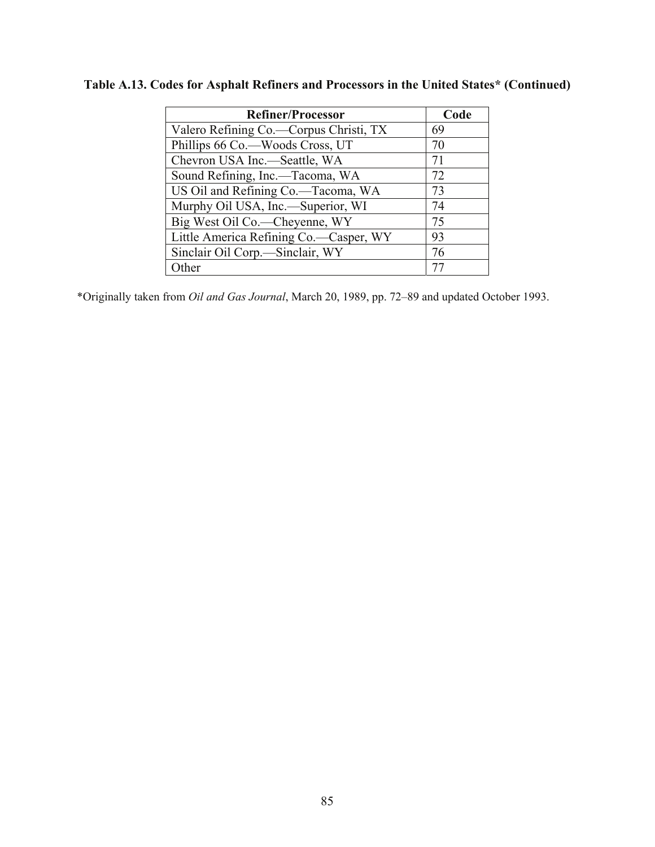| <b>Refiner/Processor</b>               | Code |
|----------------------------------------|------|
| Valero Refining Co.—Corpus Christi, TX | 69   |
| Phillips 66 Co.—Woods Cross, UT        | 70   |
| Chevron USA Inc.-Seattle, WA           | 71   |
| Sound Refining, Inc.—Tacoma, WA        | 72   |
| US Oil and Refining Co.-Tacoma, WA     | 73   |
| Murphy Oil USA, Inc.—Superior, WI      | 74   |
| Big West Oil Co.—Cheyenne, WY          | 75   |
| Little America Refining Co.-Casper, WY | 93   |
| Sinclair Oil Corp.-Sinclair, WY        | 76   |
| Other                                  | 77   |

### **Table A.13. Codes for Asphalt Refiners and Processors in the United States\* (Continued)**

\*Originally taken from *Oil and Gas Journal*, March 20, 1989, pp. 72–89 and updated October 1993.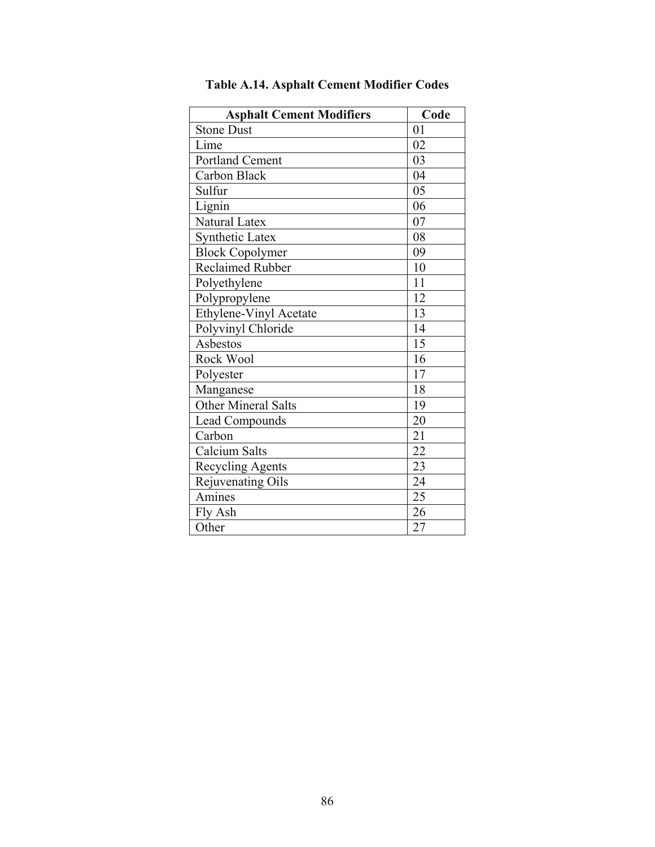| <b>Asphalt Cement Modifiers</b> | Code |
|---------------------------------|------|
| <b>Stone Dust</b>               | 01   |
| Lime                            | 02   |
| Portland Cement                 | 03   |
| Carbon Black                    | 04   |
| Sulfur                          | 05   |
| Lignin                          | 06   |
| Natural Latex                   | 07   |
| <b>Synthetic Latex</b>          | 08   |
| <b>Block Copolymer</b>          | 09   |
| <b>Reclaimed Rubber</b>         | 10   |
| Polyethylene                    | 11   |
| Polypropylene                   | 12   |
| Ethylene-Vinyl Acetate          | 13   |
| Polyvinyl Chloride              | 14   |
| Asbestos                        | 15   |
| Rock Wool                       | 16   |
| Polyester                       | 17   |
| Manganese                       | 18   |
| Other Mineral Salts             | 19   |
| <b>Lead Compounds</b>           | 20   |
| Carbon                          | 21   |
| Calcium Salts                   | 22   |
| <b>Recycling Agents</b>         | 23   |
| Rejuvenating Oils               | 24   |
| Amines                          | 25   |
| Fly Ash                         | 26   |
| Other                           | 27   |

**Table A.14. Asphalt Cement Modifier Codes**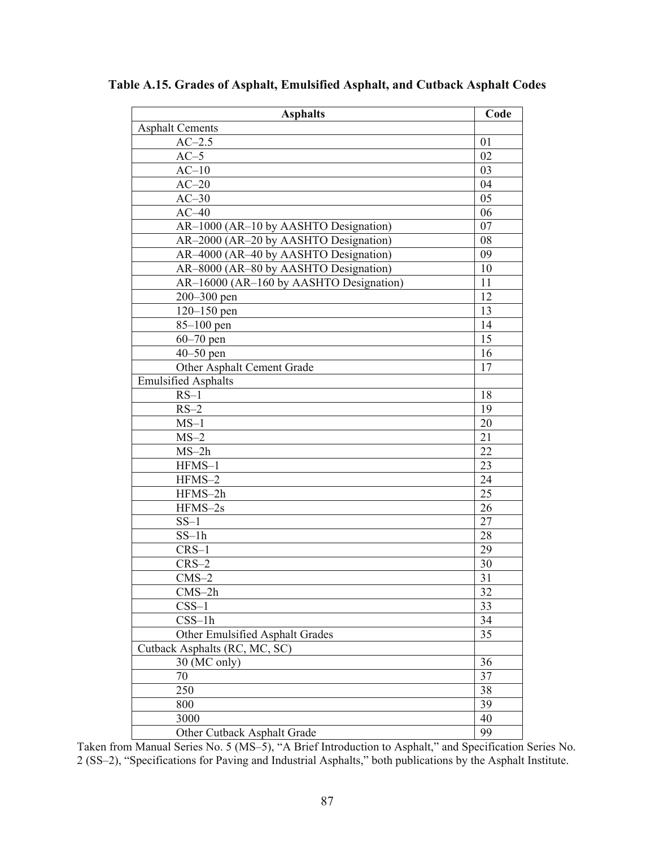| <b>Asphalts</b>                         | Code |
|-----------------------------------------|------|
| <b>Asphalt Cements</b>                  |      |
| $AC-2.5$                                | 01   |
| $AC-5$                                  | 02   |
| $AC-10$                                 | 03   |
| $AC-20$                                 | 04   |
| $AC-30$                                 | 05   |
| $AC-40$                                 | 06   |
| AR-1000 (AR-10 by AASHTO Designation)   | 07   |
| AR-2000 (AR-20 by AASHTO Designation)   | 08   |
| AR-4000 (AR-40 by AASHTO Designation)   | 09   |
| AR-8000 (AR-80 by AASHTO Designation)   | 10   |
| AR-16000 (AR-160 by AASHTO Designation) | 11   |
| 200-300 pen                             | 12   |
| $120 - 150$ pen                         | 13   |
| $85 - 100$ pen                          | 14   |
| $60 - 70$ pen                           | 15   |
| $40 - 50$ pen                           | 16   |
| Other Asphalt Cement Grade              | 17   |
| <b>Emulsified Asphalts</b>              |      |
| $RS-1$                                  | 18   |
| $RS-2$                                  | 19   |
| $MS-1$                                  | 20   |
| $MS-2$                                  | 21   |
| $MS-2h$                                 | 22   |
| HFMS-1                                  | 23   |
| HFMS-2                                  | 24   |
| HFMS-2h                                 | 25   |
| HFMS-2s                                 | 26   |
| $SS-1$                                  | 27   |
| $SS-1h$                                 | 28   |
| $CRS-1$                                 | 29   |
| $CRS-2$                                 | 30   |
| $CMS-2$                                 | 31   |
| $CMS-2h$                                | 32   |
| $CSS-1$                                 | 33   |
| $CSS-1h$                                | 34   |
| Other Emulsified Asphalt Grades         | 35   |
| Cutback Asphalts (RC, MC, SC)           |      |
| 30 (MC only)                            | 36   |
| 70                                      | 37   |
| 250                                     | 38   |
| 800                                     | 39   |
| 3000                                    | 40   |
| Other Cutback Asphalt Grade             | 99   |

**Table A.15. Grades of Asphalt, Emulsified Asphalt, and Cutback Asphalt Codes** 

Taken from Manual Series No. 5 (MS–5), "A Brief Introduction to Asphalt," and Specification Series No. 2 (SS–2), "Specifications for Paving and Industrial Asphalts," both publications by the Asphalt Institute.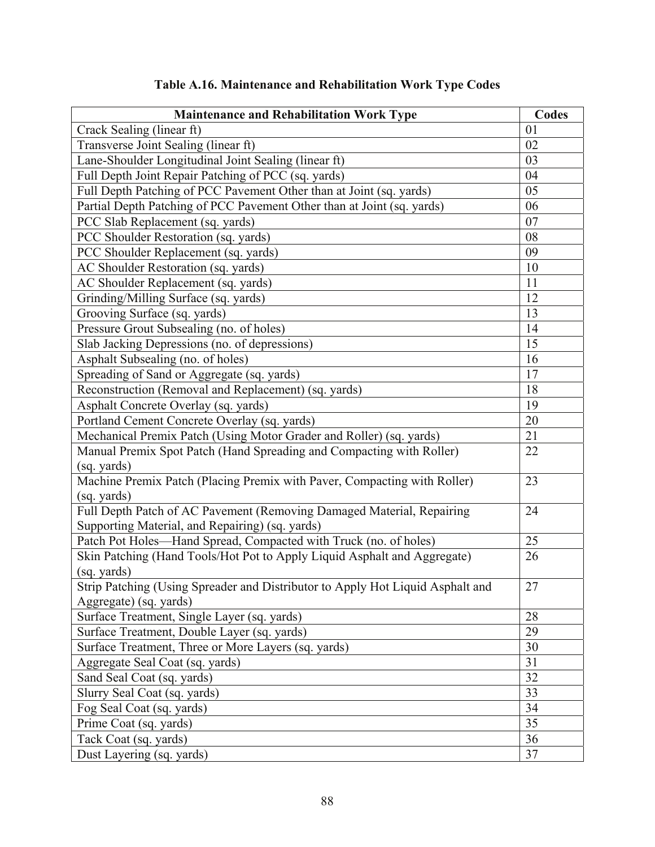| <b>Maintenance and Rehabilitation Work Type</b>                                | <b>Codes</b> |
|--------------------------------------------------------------------------------|--------------|
| Crack Sealing (linear ft)                                                      | 01           |
| Transverse Joint Sealing (linear ft)                                           | 02           |
| Lane-Shoulder Longitudinal Joint Sealing (linear ft)                           | 03           |
| Full Depth Joint Repair Patching of PCC (sq. yards)                            | 04           |
| Full Depth Patching of PCC Pavement Other than at Joint (sq. yards)            | 05           |
| Partial Depth Patching of PCC Pavement Other than at Joint (sq. yards)         | 06           |
| PCC Slab Replacement (sq. yards)                                               | 07           |
| PCC Shoulder Restoration (sq. yards)                                           | 08           |
| PCC Shoulder Replacement (sq. yards)                                           | 09           |
| AC Shoulder Restoration (sq. yards)                                            | 10           |
| AC Shoulder Replacement (sq. yards)                                            | 11           |
| Grinding/Milling Surface (sq. yards)                                           | 12           |
| Grooving Surface (sq. yards)                                                   | 13           |
| Pressure Grout Subsealing (no. of holes)                                       | 14           |
| Slab Jacking Depressions (no. of depressions)                                  | 15           |
| Asphalt Subsealing (no. of holes)                                              | 16           |
| Spreading of Sand or Aggregate (sq. yards)                                     | 17           |
| Reconstruction (Removal and Replacement) (sq. yards)                           | 18           |
| Asphalt Concrete Overlay (sq. yards)                                           | 19           |
| Portland Cement Concrete Overlay (sq. yards)                                   | 20           |
| Mechanical Premix Patch (Using Motor Grader and Roller) (sq. yards)            | 21           |
| Manual Premix Spot Patch (Hand Spreading and Compacting with Roller)           | 22           |
| (sq. yards)                                                                    |              |
| Machine Premix Patch (Placing Premix with Paver, Compacting with Roller)       | 23           |
| (sq. yards)                                                                    |              |
| Full Depth Patch of AC Pavement (Removing Damaged Material, Repairing          | 24           |
| Supporting Material, and Repairing) (sq. yards)                                |              |
| Patch Pot Holes-Hand Spread, Compacted with Truck (no. of holes)               | 25           |
| Skin Patching (Hand Tools/Hot Pot to Apply Liquid Asphalt and Aggregate)       | 26           |
| (sq. yards)                                                                    |              |
| Strip Patching (Using Spreader and Distributor to Apply Hot Liquid Asphalt and | 27           |
| Aggregate) (sq. yards)                                                         |              |
| Surface Treatment, Single Layer (sq. yards)                                    | 28           |
| Surface Treatment, Double Layer (sq. yards)                                    | 29           |
| Surface Treatment, Three or More Layers (sq. yards)                            | 30           |
| Aggregate Seal Coat (sq. yards)                                                | 31           |
| Sand Seal Coat (sq. yards)                                                     | 32           |
| Slurry Seal Coat (sq. yards)                                                   | 33           |
| Fog Seal Coat (sq. yards)                                                      | 34           |
| Prime Coat (sq. yards)                                                         | 35           |
| Tack Coat (sq. yards)                                                          | 36           |
| Dust Layering (sq. yards)                                                      | 37           |

## **Table A.16. Maintenance and Rehabilitation Work Type Codes**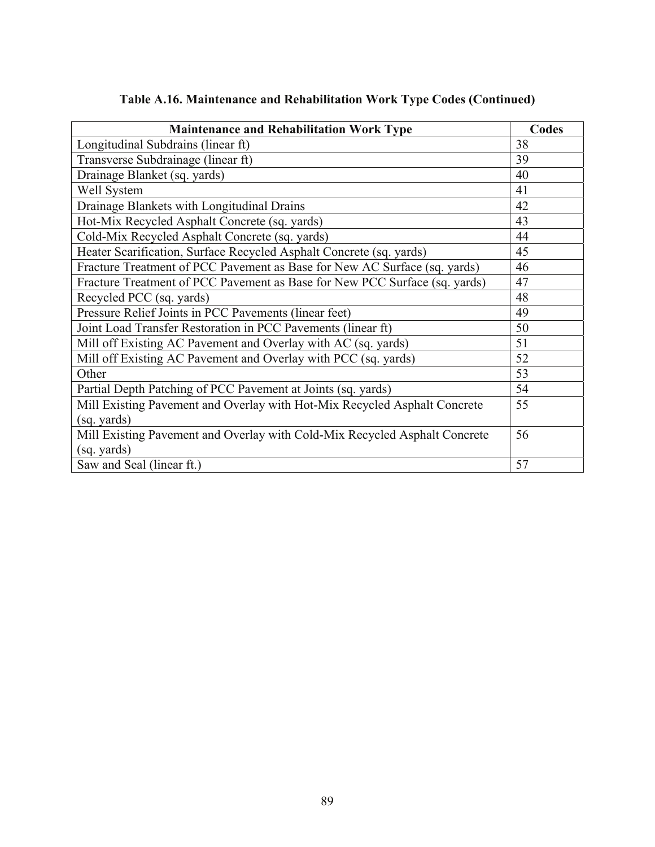| <b>Maintenance and Rehabilitation Work Type</b>                            | Codes |
|----------------------------------------------------------------------------|-------|
| Longitudinal Subdrains (linear ft)                                         | 38    |
| Transverse Subdrainage (linear ft)                                         | 39    |
| Drainage Blanket (sq. yards)                                               | 40    |
| Well System                                                                | 41    |
| Drainage Blankets with Longitudinal Drains                                 | 42    |
| Hot-Mix Recycled Asphalt Concrete (sq. yards)                              | 43    |
| Cold-Mix Recycled Asphalt Concrete (sq. yards)                             | 44    |
| Heater Scarification, Surface Recycled Asphalt Concrete (sq. yards)        | 45    |
| Fracture Treatment of PCC Pavement as Base for New AC Surface (sq. yards)  | 46    |
| Fracture Treatment of PCC Pavement as Base for New PCC Surface (sq. yards) | 47    |
| Recycled PCC (sq. yards)                                                   | 48    |
| Pressure Relief Joints in PCC Pavements (linear feet)                      | 49    |
| Joint Load Transfer Restoration in PCC Pavements (linear ft)               | 50    |
| Mill off Existing AC Pavement and Overlay with AC (sq. yards)              | 51    |
| Mill off Existing AC Pavement and Overlay with PCC (sq. yards)             | 52    |
| Other                                                                      | 53    |
| Partial Depth Patching of PCC Pavement at Joints (sq. yards)               | 54    |
| Mill Existing Pavement and Overlay with Hot-Mix Recycled Asphalt Concrete  | 55    |
| (sq. yards)                                                                |       |
| Mill Existing Pavement and Overlay with Cold-Mix Recycled Asphalt Concrete | 56    |
| (sq. yards)                                                                |       |
| Saw and Seal (linear ft.)                                                  | 57    |

### **Table A.16. Maintenance and Rehabilitation Work Type Codes (Continued)**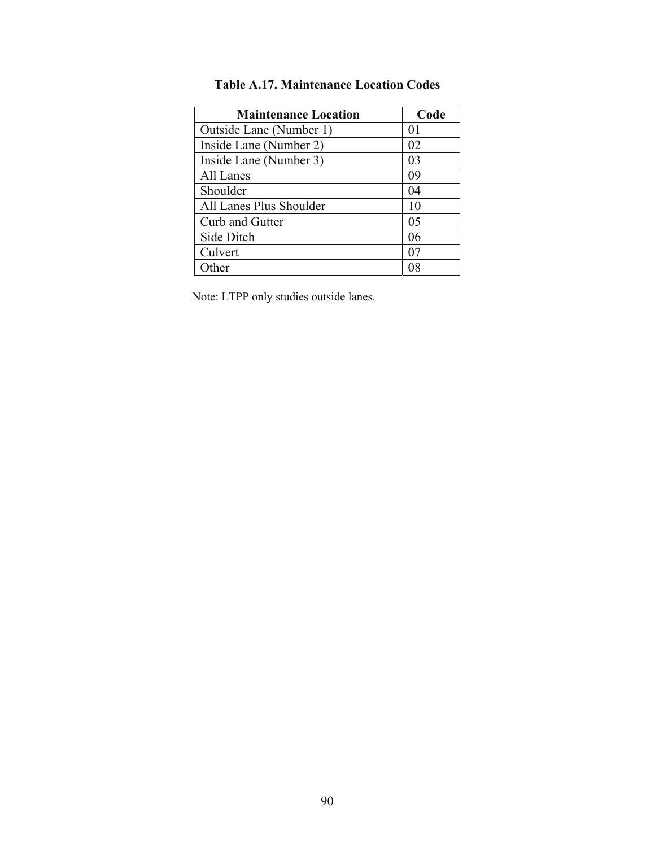| <b>Maintenance Location</b> | Code |
|-----------------------------|------|
| Outside Lane (Number 1)     | 01   |
| Inside Lane (Number 2)      | 02   |
| Inside Lane (Number 3)      | 03   |
| All Lanes                   | 09   |
| Shoulder                    | 04   |
| All Lanes Plus Shoulder     | 10   |
| Curb and Gutter             | 05   |
| Side Ditch                  | 06   |
| Culvert                     |      |
| ∩ther                       |      |

### **Table A.17. Maintenance Location Codes**

Note: LTPP only studies outside lanes.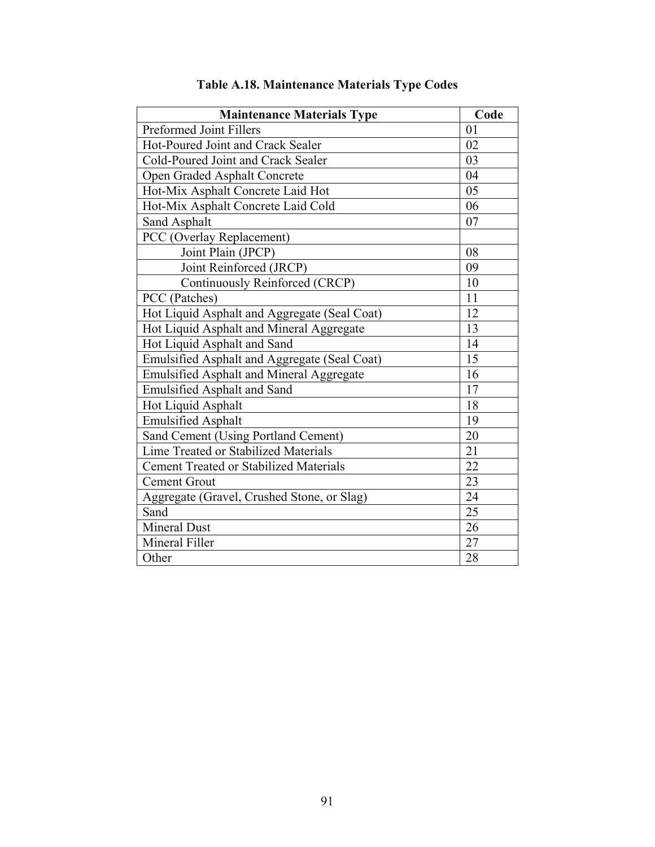| <b>Maintenance Materials Type</b>               | Code            |
|-------------------------------------------------|-----------------|
| Preformed Joint Fillers                         | 01              |
| Hot-Poured Joint and Crack Sealer               | 02              |
| Cold-Poured Joint and Crack Sealer              | 03              |
| Open Graded Asphalt Concrete                    | 04              |
| Hot-Mix Asphalt Concrete Laid Hot               | 05              |
| Hot-Mix Asphalt Concrete Laid Cold              | 06              |
| Sand Asphalt                                    | 07              |
| PCC (Overlay Replacement)                       |                 |
| Joint Plain (JPCP)                              | 08              |
| Joint Reinforced (JRCP)                         | 09              |
| Continuously Reinforced (CRCP)                  | 10              |
| PCC (Patches)                                   | 11              |
| Hot Liquid Asphalt and Aggregate (Seal Coat)    | 12              |
| Hot Liquid Asphalt and Mineral Aggregate        | 13              |
| Hot Liquid Asphalt and Sand                     | 14              |
| Emulsified Asphalt and Aggregate (Seal Coat)    | 15              |
| <b>Emulsified Asphalt and Mineral Aggregate</b> | 16              |
| <b>Emulsified Asphalt and Sand</b>              | 17              |
| Hot Liquid Asphalt                              | 18              |
| <b>Emulsified Asphalt</b>                       | 19              |
| Sand Cement (Using Portland Cement)             | 20              |
| Lime Treated or Stabilized Materials            | 21              |
| <b>Cement Treated or Stabilized Materials</b>   | 22              |
| <b>Cement Grout</b>                             | 23              |
| Aggregate (Gravel, Crushed Stone, or Slag)      | 24              |
| Sand                                            | $\overline{25}$ |
| <b>Mineral Dust</b>                             | 26              |
| Mineral Filler                                  | 27              |
| Other                                           | 28              |

# **Table A.18. Maintenance Materials Type Codes**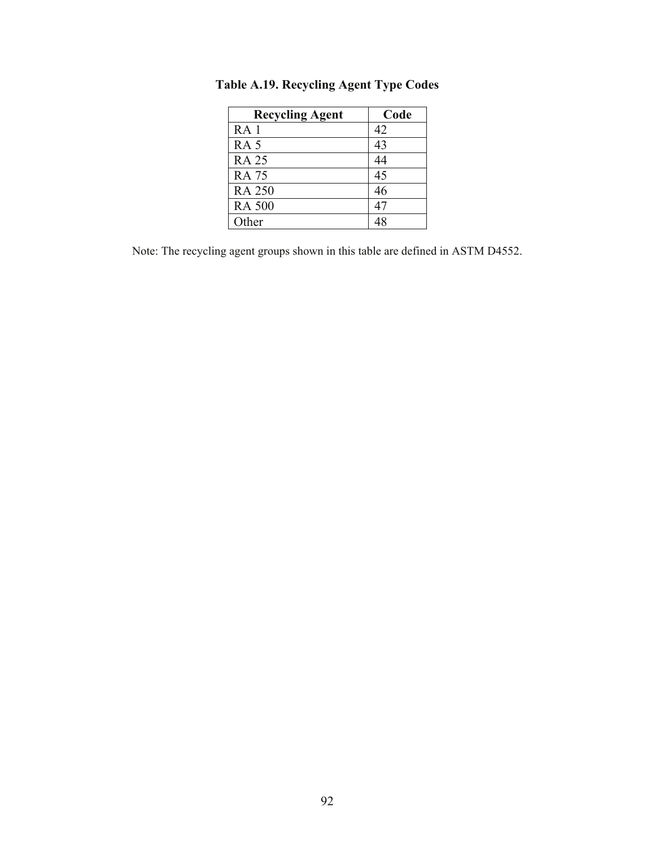| <b>Recycling Agent</b> | Code |
|------------------------|------|
| RA <sub>1</sub>        | 42   |
| RA <sub>5</sub>        | 43   |
| <b>RA 25</b>           | 44   |
| <b>RA 75</b>           | 45   |
| <b>RA 250</b>          | 46   |
| <b>RA 500</b>          | 47   |
| Other                  |      |

**Table A.19. Recycling Agent Type Codes** 

Note: The recycling agent groups shown in this table are defined in ASTM D4552.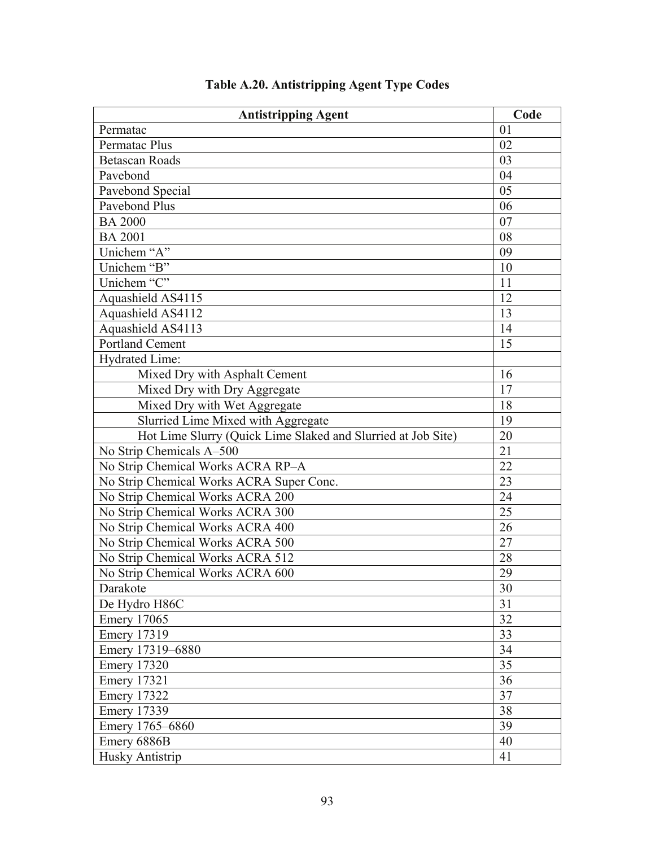| <b>Antistripping Agent</b>                                   | Code |
|--------------------------------------------------------------|------|
| Permatac                                                     | 01   |
| Permatac Plus                                                | 02   |
| <b>Betascan Roads</b>                                        | 03   |
| Pavebond                                                     | 04   |
| Pavebond Special                                             | 05   |
| Pavebond Plus                                                | 06   |
| <b>BA 2000</b>                                               | 07   |
| <b>BA 2001</b>                                               | 08   |
| Unichem "A"                                                  | 09   |
| Unichem "B"                                                  | 10   |
| Unichem "C"                                                  | 11   |
| Aquashield AS4115                                            | 12   |
| Aquashield AS4112                                            | 13   |
| Aquashield AS4113                                            | 14   |
| <b>Portland Cement</b>                                       | 15   |
| Hydrated Lime:                                               |      |
| Mixed Dry with Asphalt Cement                                | 16   |
| Mixed Dry with Dry Aggregate                                 | 17   |
| Mixed Dry with Wet Aggregate                                 | 18   |
| Slurried Lime Mixed with Aggregate                           | 19   |
| Hot Lime Slurry (Quick Lime Slaked and Slurried at Job Site) | 20   |
| No Strip Chemicals A-500                                     | 21   |
| No Strip Chemical Works ACRA RP-A                            | 22   |
| No Strip Chemical Works ACRA Super Conc.                     | 23   |
| No Strip Chemical Works ACRA 200                             | 24   |
| No Strip Chemical Works ACRA 300                             | 25   |
| No Strip Chemical Works ACRA 400                             | 26   |
| No Strip Chemical Works ACRA 500                             | 27   |
| No Strip Chemical Works ACRA 512                             | 28   |
| No Strip Chemical Works ACRA 600                             | 29   |
| Darakote                                                     | 30   |
| De Hydro H86C                                                | 31   |
| <b>Emery 17065</b>                                           | 32   |
| <b>Emery 17319</b>                                           | 33   |
| Emery 17319-6880                                             | 34   |
| <b>Emery 17320</b>                                           | 35   |
| <b>Emery 17321</b>                                           | 36   |
| <b>Emery 17322</b>                                           | 37   |
| <b>Emery 17339</b>                                           | 38   |
| Emery 1765-6860                                              | 39   |
| Emery 6886B                                                  | 40   |
| Husky Antistrip                                              | 41   |

## **Table A.20. Antistripping Agent Type Codes**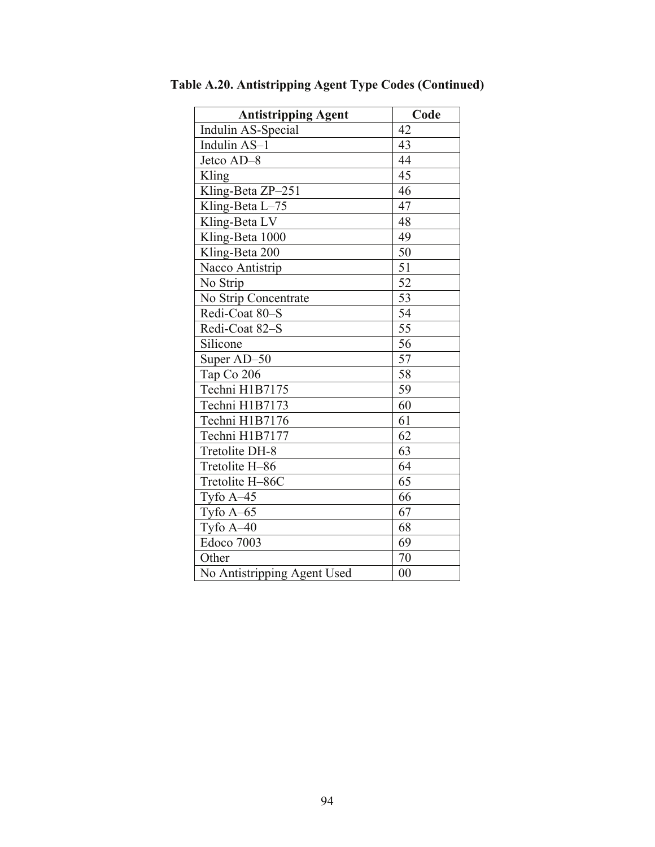| <b>Antistripping Agent</b>  | Code            |
|-----------------------------|-----------------|
| Indulin AS-Special          | 42              |
| Indulin AS-1                | 43              |
| Jetco AD-8                  | 44              |
| Kling                       | 45              |
| Kling-Beta ZP-251           | 46              |
| Kling-Beta L-75             | 47              |
| Kling-Beta LV               | 48              |
| Kling-Beta 1000             | 49              |
| Kling-Beta 200              | 50              |
| Nacco Antistrip             | 51              |
| No Strip                    | $\overline{52}$ |
| No Strip Concentrate        | 53              |
| Redi-Coat 80-S              | 54              |
| Redi-Coat 82-S              | $\overline{55}$ |
| Silicone                    | 56              |
| Super AD-50                 | 57              |
| Tap Co 206                  | 58              |
| Techni H1B7175              | 59              |
| Techni H1B7173              | $\overline{60}$ |
| Techni H1B7176              | 61              |
| Techni H1B7177              | 62              |
| Tretolite DH-8              | 63              |
| Tretolite H-86              | 64              |
| Tretolite H-86C             | 65              |
| Tyfo $A-45$                 | 66              |
| Tyfo $A-65$                 | 67              |
| Tyfo A-40                   | 68              |
| Edoco 7003                  | 69              |
| Other                       | 70              |
| No Antistripping Agent Used | 0 <sub>0</sub>  |

**Table A.20. Antistripping Agent Type Codes (Continued)**